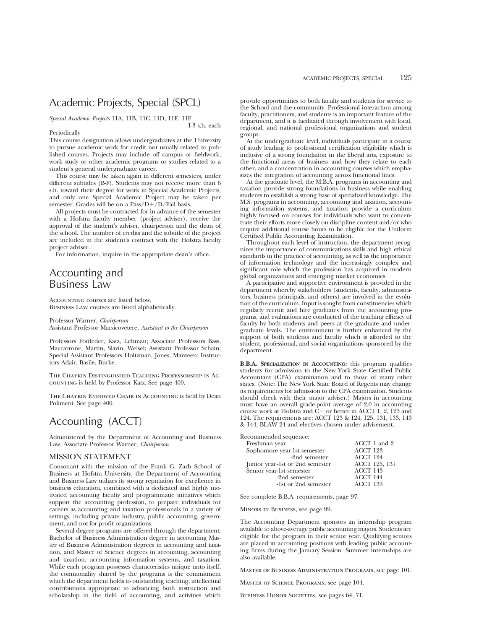## Academic Projects, Special (SPCL)

*Special Academic Projects* 11A, 11B, 11C, 11D, 11E, 11F 1-3 s.h. each

Periodically

This course designation allows undergraduates at the University to pursue academic work for credit not usually related to published courses. Projects may include off campus or fieldwork, work study or other academic programs or studies related to a student's general undergraduate career.

This course may be taken again in different semesters, under different subtitles (B-F). Students may not receive more than 6 s.h. toward their degree for work in Special Academic Projects, and only one Special Academic Project may be taken per semester. Grades will be on a  $Pass/D+/D/Fall$  basis.

All projects must be contracted for in advance of the semester with a Hofstra faculty member (project adviser), receive the approval of the student's adviser, chairperson and the dean of the school. The number of credits and the subtitle of the project are included in the student's contract with the Hofstra faculty project adviser.

For information, inquire in the appropriate dean's office.

## Accounting and Business Law

Accounting courses are listed below. Business Law courses are listed alphabetically.

Professor Warner, *Chairperson* Assistant Professor Marsicovetere, *Assistant to the Chairperson*

Professors Fonfeder, Katz, Lehman; Associate Professors Bass, Maccarrone, Martin, Slavin, Weisel; Assistant Professor Schain; Special Assistant Professors Holtzman, Jones, Manteen; Instructors Adair, Basile, Burke.

The Chaykin Distinguished Teaching Professorship in Accounting is held by Professor Katz. See page 400.

The Chaykin Endowed Chair in Accounting is held by Dean Polimeni. See page 400.

## Accounting (ACCT)

Administered by the Department of Accounting and Business Law. Associate Professor Warner, *Chairperson*

## MISSION STATEMENT

Consonant with the mission of the Frank G. Zarb School of Business at Hofstra University, the Department of Accounting and Business Law utilizes its strong reputation for excellence in business education, combined with a dedicated and highly motivated accounting faculty and programmatic initiatives which support the accounting profession, to prepare individuals for careers as accounting and taxation professionals in a variety of settings, including private industry, public accounting, government, and not-for-profit organizations.

Several degree programs are offered through the department: Bachelor of Business Administration degree in accounting Master of Business Administration degrees in accounting and taxation, and Master of Science degrees in accounting, accounting and taxation, accounting information systems, and taxation. While each program possesses characteristics unique unto itself, the commonality shared by the programs is the commitment which the department holds to outstanding teaching, intellectual contributions appropriate to advancing both instruction and scholarship in the field of accounting, and activities which

provide opportunities to both faculty and students for service to the School and the community. Professional interaction among faculty, practitioners, and students is an important feature of the department, and it is facilitated through involvement with local, regional, and national professional organizations and student groups.

At the undergraduate level, individuals participate in a course of study leading to professional certification eligibility which is inclusive of a strong foundation in the liberal arts, exposure to the functional areas of business and how they relate to each other, and a concentration in accounting courses which emphasizes the integration of accounting across functional lines.

At the graduate level, the M.B.A. programs in accounting and taxation provide strong foundations in business while enabling students to establish a strong base of specialized knowledge. The M.S. programs in accounting, accounting and taxation, accounting information systems, and taxation provide a curriculum highly focused on courses for individuals who want to concentrate their efforts more closely on discipline content and/or who require additional course hours to be eligible for the Uniform Certified Public Accounting Examination.

Throughout each level of instruction, the department recognizes the importance of communications skills and high ethical standards in the practice of accounting, as well as the importance of information technology and the increasingly complex and significant role which the profession has acquired in modern global organizations and emerging market economies.

A participative and supportive environment is provided in the department whereby stakeholders (students, faculty, administrators, business principals, and others) are involved in the evolution of the curriculum. Input is sought from constituencies which regularly recruit and hire graduates from the accounting programs, and evaluations are conducted of the teaching efficacy of faculty by both students and peers at the graduate and undergraduate levels. The environment is further enhanced by the support of both students and faculty which is afforded to the student, professional, and social organizations sponsored by the department.

**B.B.A. SPECIALIZATION IN ACCOUNTING:** this program qualifies students for admission to the New York State Certified Public Accountant (CPA) examination and to those of many other states. (Note: The New York State Board of Regents may change its requirements for admission to the CPA examination. Students should check with their major adviser.) Majors in accounting must have an overall grade-point average of 2.0 in accounting course work at Hofstra and  $\dot{C}$  - or better in ACCT 1, 2, 123 and 124. The requirements are: ACCT 123 & 124, 125, 131, 133, 143 & 144; BLAW 24 and electives chosen under advisement.

Recommended sequence:

| Freshman year                   | ACCT 1 and 2    |
|---------------------------------|-----------------|
| Sophomore year-1st semester     | ACCT 123        |
| -2nd semester                   | ACCT 124        |
| Junior year-1st or 2nd semester | ACCT 125, 131   |
| Senior year-1st semester        | <b>ACCT 143</b> |
| -2nd semester                   | ACCT 144        |
| -1st or 2nd semester            | <b>ACCT 133</b> |
|                                 |                 |

See complete B.B.A. requirements, page 97.

Minors in Business, see page 99.

The Accounting Department sponsors an internship program available to above-average public accounting majors. Students are eligible for the program in their senior year. Qualifying seniors are placed in accounting positions with leading public accounting firms during the January Session. Summer internships are also available.

Master of Business Administration Programs, see page 101.

Master of Science Programs, see page 104.

BUSINESS HONOR SOCIETIES, see pages 64, 71.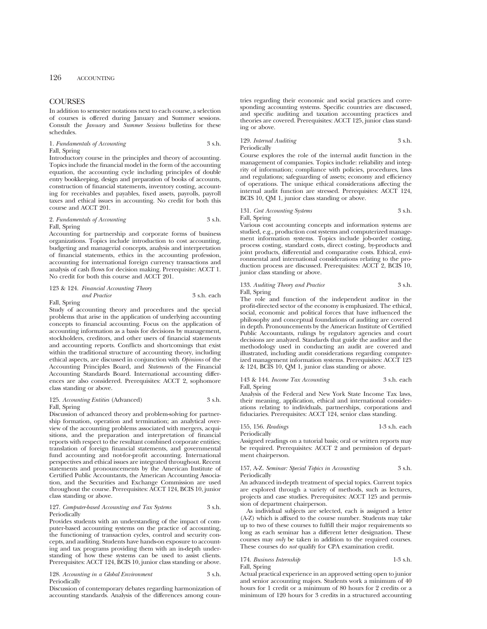## **COURSES**

In addition to semester notations next to each course, a selection of courses is offered during January and Summer sessions. Consult the *January* and *Summer Sessions* bulletins for these schedules.

| 1. Fundamentals of Accounting | 3 s.h. |
|-------------------------------|--------|
| Fall, Spring                  |        |

Introductory course in the principles and theory of accounting. Topics include the financial model in the form of the accounting equation, the accounting cycle including principles of double entry bookkeeping, design and preparation of books of accounts, construction of financial statements, inventory costing, accounting for receivables and payables, fixed assets, payrolls, payroll taxes and ethical issues in accounting. No credit for both this course and ACCT 201.

| 2. Fundamentals of Accounting | 3 s.h. |
|-------------------------------|--------|
| Fall, Spring                  |        |

Accounting for partnership and corporate forms of business

organizations. Topics include introduction to cost accounting, budgeting and managerial concepts, analysis and interpretation of financial statements, ethics in the accounting profession, accounting for international foreign currency transactions and analysis of cash flows for decision making. Prerequisite: ACCT 1. No credit for both this course and ACCT 201.

#### 123 & 124. *Financial Accounting Theory and Practice* 3 s.h. each

Fall, Spring

Study of accounting theory and procedures and the special problems that arise in the application of underlying accounting concepts to financial accounting. Focus on the application of accounting information as a basis for decisions by management, stockholders, creditors, and other users of financial statements and accounting reports. Conflicts and shortcomings that exist within the traditional structure of accounting theory, including ethical aspects, are discussed in conjunction with *Opinions* of the Accounting Principles Board, and *Statements* of the Financial Accounting Standards Board. International accounting differences are also considered. Prerequisites: ACCT 2, sophomore class standing or above.

## 125. *Accounting Entities* (Advanced) 3 s.h.

Fall, Spring

Discussion of advanced theory and problem-solving for partnership formation, operation and termination; an analytical overview of the accounting problems associated with mergers, acquisitions, and the preparation and interpretation of financial reports with respect to the resultant combined corporate entities; translation of foreign financial statements, and governmental fund accounting and not-for-profit accounting. International perspectives and ethical issues are integrated throughout. Recent statements and pronouncements by the American Institute of Certified Public Accountants, the American Accounting Association, and the Securities and Exchange Commission are used throughout the course. Prerequisites: ACCT 124, BCIS 10, junior class standing or above.

## 127. *Computer-based Accounting and Tax Systems* 3 s.h. Periodically

Provides students with an understanding of the impact of computer-based accounting systems on the practice of accounting, the functioning of transaction cycles, control and security concepts, and auditing. Students have hands-on exposure to accounting and tax programs providing them with an in-depth understanding of how these systems can be used to assist clients. Prerequisites: ACCT 124, BCIS 10, junior class standing or above.

128. *Accounting in a Global Environment* 3 s.h. Periodically

Discussion of contemporary debates regarding harmonization of accounting standards. Analysis of the differences among countries regarding their economic and social practices and corresponding accounting systems. Specific countries are discussed, and specific auditing and taxation accounting practices and theories are covered. Prerequisites: ACCT 125, junior class standing or above.

## 129. *Internal Auditing* 3 s.h. Periodically

Course explores the role of the internal audit function in the management of companies. Topics include: reliability and integrity of information; compliance with policies, procedures, laws and regulations; safeguarding of assets; economy and efficiency of operations. The unique ethical considerations affecting the internal audit function are stressed. Prerequisites: ACCT 124, BCIS 10, QM 1, junior class standing or above.

131. *Cost Accounting Systems* 3 s.h. Fall, Spring

Various cost accounting concepts and information systems are studied, e.g., production cost systems and computerized management information systems. Topics include job-order costing, process costing, standard costs, direct costing, by-products and joint products, differential and comparative costs. Ethical, environmental and international considerations relating to the production process are discussed. Prerequisites: ACCT 2, BCIS 10, junior class standing or above.

## 133. *Auditing Theory and Practice* 3 s.h. Fall, Spring

The role and function of the independent auditor in the profit-directed sector of the economy is emphasized. The ethical, social, economic and political forces that have influenced the philosophy and conceptual foundations of auditing are covered in depth. Pronouncements by the American Institute of Certified Public Accountants, rulings by regulatory agencies and court decisions are analyzed. Standards that guide the auditor and the methodology used in conducting an audit are covered and illustrated, including audit considerations regarding computerized management information systems. Prerequisites: ACCT 123 & 124, BCIS 10, QM 1, junior class standing or above.

143 & 144. *Income Tax Accounting* 3 s.h. each Fall, Spring

Analysis of the Federal and New York State Income Tax laws, their meaning, application, ethical and international considerations relating to individuals, partnerships, corporations and fiduciaries. Prerequisites: ACCT 124, senior class standing.

155, 156. *Readings* 1-3 s.h. each Periodically Assigned readings on a tutorial basis; oral or written reports may

be required. Prerequisites: ACCT 2 and permission of department chairperson.

157, A-Z. *Seminar: Special Topics in Accounting* 3 s.h.

An advanced in-depth treatment of special topics. Current topics are explored through a variety of methods, such as lectures, projects and case studies. Prerequisites: ACCT 125 and permission of department chairperson.

As individual subjects are selected, each is assigned a letter (A-Z) which is affixed to the course number. Students may take up to two of these courses to fulfill their major requirements so long as each seminar has a different letter designation. These courses may *only* be taken in addition to the required courses. These courses do *not* qualify for CPA examination credit.

## 174. *Business Internship* 1-3 s.h. Fall, Spring

Periodically

Actual practical experience in an approved setting open to junior and senior accounting majors. Students work a minimum of 40 hours for 1 credit or a minimum of 80 hours for 2 credits or a minimum of 120 hours for 3 credits in a structured accounting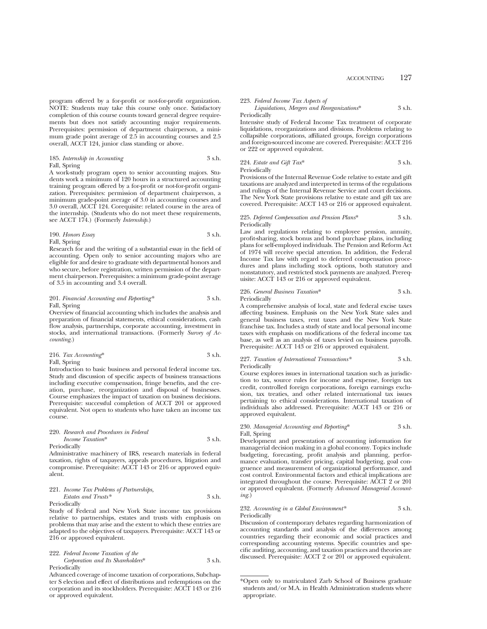program offered by a for-profit or not-for-profit organization. NOTE: Students may take this course only once. Satisfactory completion of this course counts toward general degree requirements but does not satisfy accounting major requirements. Prerequisites: permission of department chairperson, a minimum grade point average of 2.5 in accounting courses and 2.5 overall, ACCT 124, junior class standing or above.

185. *Internship in Accounting* 3 s.h. Fall, Spring

A work-study program open to senior accounting majors. Students work a minimum of 120 hours in a structured accounting training program offered by a for-profit or not-for-profit organization. Prerequisites: permission of department chairperson, a minimum grade-point average of 3.0 in accounting courses and 3.0 overall, ACCT 124. Corequisite: related course in the area of the internship. (Students who do not meet these requirements, see ACCT 174.) (Formerly *Internship*.)

190. *Honors Essay* 3 s.h. Fall, Spring

Research for and the writing of a substantial essay in the field of accounting. Open only to senior accounting majors who are eligible for and desire to graduate with departmental honors and who secure, before registration, written permission of the department chairperson. Prerequisites: a minimum grade-point average of 3.5 in accounting and 3.4 overall.

## 201. *Financial Accounting and Reporting\** 3 s.h. Fall, Spring

Overview of financial accounting which includes the analysis and preparation of financial statements, ethical considerations, cash flow analysis, partnerships, corporate accounting, investment in stocks, and international transactions. (Formerly *Survey of Accounting.*)

216. 
$$
Tax
$$
 *According*\* 3 s.h.

Fall, Spring

Introduction to basic business and personal federal income tax. Study and discussion of specific aspects of business transactions including executive compensation, fringe benefits, and the creation, purchase, reorganization and disposal of businesses. Course emphasizes the impact of taxation on business decisions. Prerequisite: successful completion of ACCT 201 or approved equivalent. Not open to students who have taken an income tax course.

220. *Research and Procedures in Federal Income Taxation*\* 3 s.h. Periodically

Administrative machinery of IRS, research materials in federal taxation, rights of taxpayers, appeals procedures, litigation and compromise. Prerequisite: ACCT 143 or 216 or approved equivalent.

221. *Income Tax Problems of Partnerships, Estates and Trusts\** 3 s.h.

Periodically

Study of Federal and New York State income tax provisions relative to partnerships, estates and trusts with emphasis on problems that may arise and the extent to which these entries are adapted to the objectives of taxpayers. Prerequisite: ACCT 143 or 216 or approved equivalent.

222. *Federal Income Taxation of the Corporation and Its Shareholders*\* 3 s.h. Periodically

Advanced coverage of income taxation of corporations, Subchapter S election and effect of distributions and redemptions on the corporation and its stockholders. Prerequisite: ACCT 143 or 216 or approved equivalent.

## 223. *Federal Income Tax Aspects of*

*Liquidations, Mergers and Reorganizations*\* 3 s.h. Periodically

Intensive study of Federal Income Tax treatment of corporate liquidations, reorganizations and divisions. Problems relating to collapsible corporations, affiliated groups, foreign corporations and foreign-sourced income are covered. Prerequisite: ACCT 216 or 222 or approved equivalent.

224. *Estate and Gift Tax*\* 3 s.h. Periodically

Provisions of the Internal Revenue Code relative to estate and gift taxations are analyzed and interpreted in terms of the regulations and rulings of the Internal Revenue Service and court decisions. The New York State provisions relative to estate and gift tax are covered. Prerequisite: ACCT 143 or 216 or approved equivalent.

### 225. *Deferred Compensation and Pension Plans*\* 3 s.h. Periodically

Law and regulations relating to employee pension, annuity, profit-sharing, stock bonus and bond purchase plans, including plans for self-employed individuals. The Pension and Reform Act of 1974 will receive special attention. In addition, the Federal Income Tax law with regard to deferred compensation procedures and plans including stock options, both statutory and nonstatutory, and restricted stock payments are analyzed. Prerequisite: ACCT 143 or 216 or approved equivalent.

## 226. *General Business Taxation*\* 3 s.h. Periodically

A comprehensive analysis of local, state and federal excise taxes affecting business. Emphasis on the New York State sales and general business taxes, rent taxes and the New York State franchise tax. Includes a study of state and local personal income taxes with emphasis on modifications of the federal income tax base, as well as an analysis of taxes levied on business payrolls. Prerequisite: ACCT 143 or 216 or approved equivalent.

#### 227. *Taxation of International Transactions\** 3 s.h. Periodically

Course explores issues in international taxation such as jurisdiction to tax, source rules for income and expense, foreign tax credit, controlled foreign corporations, foreign earnings exclusion, tax treaties, and other related international tax issues pertaining to ethical considerations. International taxation of individuals also addressed. Prerequisite: ACCT 143 or 216 or approved equivalent.

### 230. *Managerial Accounting and Reporting*\* 3 s.h. Fall, Spring

Development and presentation of accounting information for managerial decision making in a global economy. Topics include budgeting, forecasting, profit analysis and planning, performance evaluation, transfer pricing, capital budgeting, goal congruence and measurement of organizational performance, and cost control. Environmental factors and ethical implications are integrated throughout the course. Prerequisite: ACCT 2 or 201 or approved equivalent. (Formerly *Advanced Managerial Accounting.*)

### 232. *Accounting in a Global Environment\** 3 s.h. Periodically

Discussion of contemporary debates regarding harmonization of accounting standards and analysis of the differences among countries regarding their economic and social practices and corresponding accounting systems. Specific countries and specific auditing, accounting, and taxation practices and theories are discussed. Prerequisite: ACCT 2 or 201 or approved equivalent.

<sup>\*</sup>Open only to matriculated Zarb School of Business graduate students and/or M.A. in Health Administration students where appropriate.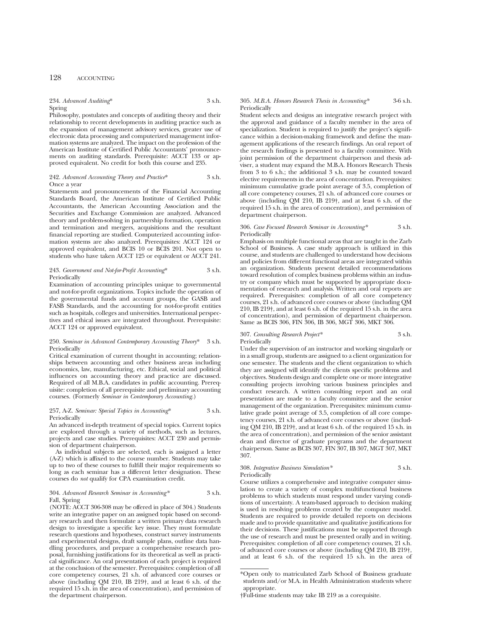## 128 ACCOUNTING

## 234. *Advanced Auditing*\* 3 s.h. Spring

Philosophy, postulates and concepts of auditing theory and their relationship to recent developments in auditing practice such as the expansion of management advisory services, greater use of electronic data processing and computerized management information systems are analyzed. The impact on the profession of the American Institute of Certified Public Accountants' pronouncements on auditing standards. Prerequisite: ACCT 133 or approved equivalent. No credit for both this course and 235.

## 242. *Advanced Accounting Theory and Practice*\* 3 s.h. Once a year

Statements and pronouncements of the Financial Accounting Standards Board, the American Institute of Certified Public Accountants, the American Accounting Association and the Securities and Exchange Commission are analyzed. Advanced theory and problem-solving in partnership formation, operation and termination and mergers, acquisitions and the resultant financial reporting are studied. Computerized accounting information systems are also analyzed. Prerequisites: ACCT 124 or approved equivalent, and BCIS 10 or BCIS 201. Not open to students who have taken ACCT 125 or equivalent or ACCT 241.

#### 243. *Government and Not-for-Profit Accounting*\* 3 s.h. Periodically

Examination of accounting principles unique to governmental and not-for-profit organizations. Topics include the operation of the governmental funds and account groups, the GASB and FASB Standards, and the accounting for not-for-profit entities such as hospitals, colleges and universities. International perspectives and ethical issues are integrated throughout. Prerequisite: ACCT 124 or approved equivalent.

#### 250. *Seminar in Advanced Contemporary Accounting Theory*\* 3 s.h. Periodically

Critical examination of current thought in accounting; relationships between accounting and other business areas including economics, law, manufacturing, etc. Ethical, social and political influences on accounting theory and practice are discussed. Required of all M.B.A. candidates in public accounting. Prerequisite: completion of all prerequisite and preliminary accounting courses. (Formerly *Seminar in Contemporary Accounting*.)

### 257, A-Z. *Seminar: Special Topics in Accounting*\* 3 s.h. Periodically

An advanced in-depth treatment of special topics. Current topics are explored through a variety of methods, such as lectures, projects and case studies. Prerequisites: ACCT 230 and permission of department chairperson.

As individual subjects are selected, each is assigned a letter (A-Z) which is affixed to the course number. Students may take up to two of these courses to fulfill their major requirements so long as each seminar has a different letter designation. These courses do *not* qualify for CPA examination credit.

## 304. *Advanced Research Seminar in Accounting\** 3 s.h. Fall, Spring

(NOTE: ACCT 306-308 may be offered in place of 304.) Students write an integrative paper on an assigned topic based on secondary research and then formulate a written primary data research design to investigate a specific key issue. They must formulate research questions and hypotheses, construct survey instruments and experimental designs, draft sample plans, outline data handling procedures, and prepare a comprehensive research proposal, furnishing justifications for its theoretical as well as practical significance. An oral presentation of each project is required at the conclusion of the semester. Prerequisites: completion of all core competency courses, 21 s.h. of advanced core courses or above (including QM 210, IB 219†, and at least 6 s.h. of the required 15 s.h. in the area of concentration), and permission of the department chairperson.

## 305. *M.B.A. Honors Research Thesis in Accounting\** 3-6 s.h. Periodically

Student selects and designs an integrative research project with the approval and guidance of a faculty member in the area of specialization. Student is required to justify the project's significance within a decision-making framework and define the management applications of the research findings. An oral report of the research findings is presented to a faculty committee. With joint permission of the department chairperson and thesis adviser, a student may expand the M.B.A. Honors Research Thesis from 3 to 6 s.h.; the additional 3 s.h. may be counted toward elective requirements in the area of concentration. Prerequisites: minimum cumulative grade point average of 3.5, completion of all core competency courses, 21 s.h. of advanced core courses or above (including QM 210, IB 219†, and at least 6 s.h. of the required 15 s.h. in the area of concentration), and permission of department chairperson.

## 306. *Case Focused Research Seminar in Accounting\** 3 s.h. Periodically

Emphasis on multiple functional areas that are taught in the Zarb School of Business. A case study approach is utilized in this course, and students are challenged to understand how decisions and policies from different functional areas are integrated within an organization. Students present detailed recommendations toward resolution of complex business problems within an industry or company which must be supported by appropriate documentation of research and analysis. Written and oral reports are required. Prerequisites: completion of all core competency courses, 21 s.h. of advanced core courses or above (including QM 210, IB 219†, and at least 6 s.h. of the required 15 s.h. in the area of concentration), and permission of department chairperson. Same as BCIS 306, FIN 306, IB 306, MGT 306, MKT 306.

## 307. *Consulting Research Project\** 3 s.h. Periodically

Under the supervision of an instructor and working singularly or in a small group, students are assigned to a client organization for one semester. The students and the client organization to which they are assigned will identify the clients specific problems and objectives. Students design and complete one or more integrative consulting projects involving various business principles and conduct research. A written consulting report and an oral presentation are made to a faculty committee and the senior management of the organization. Prerequisites: minimum cumulative grade point average of 3.5, completion of all core competency courses, 21 s.h. of advanced core courses or above (including QM 210, IB 219†, and at least 6 s.h. of the required 15 s.h. in the area of concentration), and permission of the senior assistant dean and director of graduate programs and the department chairperson. Same as BCIS 307, FIN 307, IB 307, MGT 307, MKT 307.

### 308. *Integrative Business Simulation\** 3 s.h. Periodically

Course utilizes a comprehensive and integrative computer simulation to create a variety of complex multifunctional business problems to which students must respond under varying conditions of uncertainty. A team-based approach to decision making is used in resolving problems created by the computer model. Students are required to provide detailed reports on decisions made and to provide quantitative and qualitative justifications for their decisions. These justifications must be supported through the use of research and must be presented orally and in writing. Prerequisites: completion of all core competency courses, 21 s.h. of advanced core courses or above (including QM 210, IB 219†, and at least 6 s.h. of the required 15 s.h. in the area of

<sup>\*</sup>Open only to matriculated Zarb School of Business graduate students and/or M.A. in Health Administration students where appropriate.

<sup>†</sup>Full-time students may take IB 219 as a corequisite.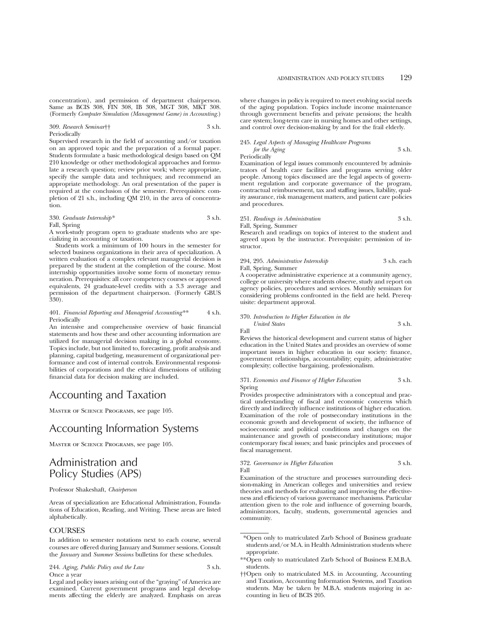concentration), and permission of department chairperson. Same as BCIS 308, FIN 308, IB 308, MGT 308, MKT 308. (Formerly *Computer Simulation (Management Game) in Accounting*.)

## 309. *Research Seminar*†† 3 s.h.

Periodically

Supervised research in the field of accounting and/or taxation on an approved topic and the preparation of a formal paper. Students formulate a basic methodological design based on QM 210 knowledge or other methodological approaches and formulate a research question; review prior work; where appropriate, specify the sample data and techniques; and recommend an appropriate methodology. An oral presentation of the paper is required at the conclusion of the semester. Prerequisites: completion of 21 s.h., including QM 210, in the area of concentration.

## 330. *Graduate Internship\** 3 s.h.

Fall, Spring

A work-study program open to graduate students who are specializing in accounting or taxation.

Students work a minimum of 100 hours in the semester for selected business organizations in their area of specialization. A written evaluation of a complex relevant managerial decision is prepared by the student at the completion of the course. Most internship opportunities involve some form of monetary remuneration. Prerequisites: all core competency courses or approved equivalents, 24 graduate-level credits with a 3.3 average and permission of the department chairperson. (Formerly GBUS  $330$ ).

### 401. *Financial Reporting and Managerial Accounting\*\** 4 s.h. Periodically

An intensive and comprehensive overview of basic financial statements and how these and other accounting information are utilized for managerial decision making in a global economy. Topics include, but not limited to, forecasting, profit analysis and planning, capital budgeting, measurement of organizational performance and cost of internal controls. Environmental responsibilities of corporations and the ethical dimensions of utilizing financial data for decision making are included.

## Accounting and Taxation

Master of Science Programs, see page 105.

## Accounting Information Systems

Master of Science Programs, see page 105.

## Administration and Policy Studies (APS)

## Professor Shakeshaft, *Chairperson*

Areas of specialization are Educational Administration, Foundations of Education, Reading, and Writing. These areas are listed alphabetically.

## **COURSES**

In addition to semester notations next to each course, several courses are offered during January and Summer sessions. Consult the *January* and *Summer Sessions* bulletins for these schedules.

244. *Aging, Public Policy and the Law* 3 s.h. Once a year

Legal and policy issues arising out of the "graying" of America are examined. Current government programs and legal developments affecting the elderly are analyzed. Emphasis on areas where changes in policy is required to meet evolving social needs of the aging population. Topics include income maintenance through government benefits and private pensions; the health care system; long-term care in nursing homes and other settings, and control over decision-making by and for the frail elderly.

## 245. *Legal Aspects of Managing Healthcare Programs for the Aging* 3 s.h.

Periodically

Examination of legal issues commonly encountered by administrators of health care facilities and programs serving older people. Among topics discussed are the legal aspects of government regulation and corporate governance of the program, contractual reimbursement, tax and staffing issues, liability, quality assurance, risk management matters, and patient care policies and procedures.

251. *Readings in Administration* 3 s.h. Fall, Spring, Summer

Research and readings on topics of interest to the student and agreed upon by the instructor. Prerequisite: permission of instructor.

294, 295. *Administrative Internship* 3 s.h. each Fall, Spring, Summer

A cooperative administrative experience at a community agency, college or university where students observe, study and report on agency policies, procedures and services. Monthly seminars for considering problems confronted in the field are held. Prerequisite: department approval.

## 370. *Introduction to Higher Education in the*

*United States* 3 s.h. Fall

Reviews the historical development and current status of higher education in the United States and provides an overview of some important issues in higher education in our society: finance, government relationships, accountability; equity, administrative complexity; collective bargaining, professionalism.

### 371. *Economics and Finance of Higher Education* 3 s.h. Spring

Provides prospective administrators with a conceptual and practical understanding of fiscal and economic concerns which directly and indirectly influence institutions of higher education. Examination of the role of postsecondary institutions in the economic growth and development of society, the influence of socioeconomic and political conditions and changes on the maintenance and growth of postsecondary institutions; major contemporary fiscal issues; and basic principles and processes of fiscal management.

372. *Governance in Higher Education* 3 s.h. Fall

Examination of the structure and processes surrounding decision-making in American colleges and universities and review theories and methods for evaluating and improving the effectiveness and efficiency of various governance mechanisms. Particular attention given to the role and influence of governing boards, administrators, faculty, students, governmental agencies and community.

<sup>\*</sup>Open only to matriculated Zarb School of Business graduate students and/or M.A. in Health Administration students where appropriate.

<sup>\*\*</sup>Open only to matriculated Zarb School of Business E.M.B.A. students.

<sup>††</sup>Open only to matriculated M.S. in Accounting, Accounting and Taxation, Accounting Information Systems, and Taxation students. May be taken by M.B.A. students majoring in accounting in lieu of BCIS 205.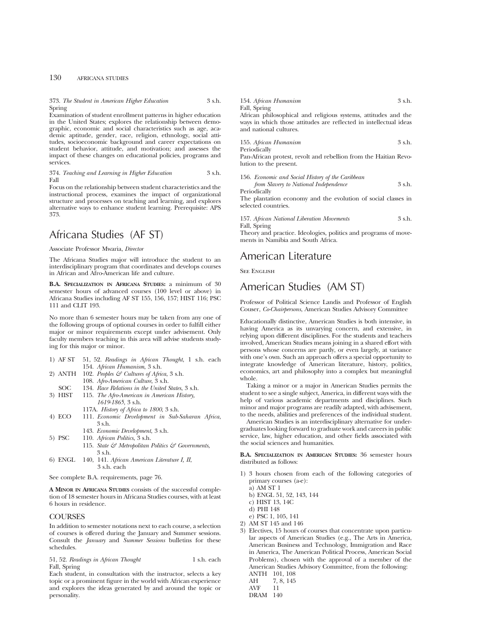## 130 AFRICANA STUDIES

373. *The Student in American Higher Education* 3 s.h. Spring

Examination of student enrollment patterns in higher education in the United States; explores the relationship between demographic, economic and social characteristics such as age, academic aptitude, gender, race, religion, ethnology, social attitudes, socioeconomic background and career expectations on student behavior, attitude, and motivation; and assesses the impact of these changes on educational policies, programs and services.

374. *Teaching and Learning in Higher Education* 3 s.h. Fall

Focus on the relationship between student characteristics and the instructional process, examines the impact of organizational structure and processes on teaching and learning, and explores alternative ways to enhance student learning. Prerequisite: APS 373.

## Africana Studies (AF ST)

Associate Professor Mwaria, *Director*

The Africana Studies major will introduce the student to an interdisciplinary program that coordinates and develops courses in African and Afro-American life and culture.

**B.A. SPECIALIZATION IN AFRICANA STUDIES:** a minimum of 30 semester hours of advanced courses (100 level or above) in Africana Studies including AF ST 155, 156, 157; HIST 116; PSC 111 and CLIT 193.

No more than 6 semester hours may be taken from any one of the following groups of optional courses in order to fulfill either major or minor requirements except under advisement. Only faculty members teaching in this area will advise students studying for this major or minor.

- 1) AF ST 51, 52. *Readings in African Thought*, 1 s.h. each 154. *African Humanism*, 3 s.h.
- 2) ANTH 102. *Peoples & Cultures of Africa*, 3 s.h.
	- 108. *Afro-American Culture*, 3 s.h.
- SOC 134. *Race Relations in the United States*, 3 s.h.<br>3) HIST 115. *The Afro-American in American History*,
- 115. *The Afro-American in American History*, *1619-1865*, 3 s.h.
	- 117A. *History of Africa to 1800*, 3 s.h.
- 4) ECO 111. *Economic Development in Sub-Saharan Africa*, 3 s.h.
- 143. *Economic Development*, 3 s.h.
- 5) PSC 110. *African Politics*, 3 s.h.
	- 115. *State & Metropolitan Politics & Governments*, 3 s.h.
- 6) ENGL 140, 141. *African American Literature I, II*, 3 s.h. each

See complete B.A. requirements, page 76.

**A MINOR IN AFRICANA STUDIES** consists of the successful completion of 18 semester hours in Africana Studies courses, with at least 6 hours in residence.

## **COURSES**

In addition to semester notations next to each course, a selection of courses is offered during the January and Summer sessions. Consult the *January* and *Summer Sessions* bulletins for these schedules.

51, 52. *Readings in African Thought* 1 s.h. each Fall, Spring

Each student, in consultation with the instructor, selects a key topic or a prominent figure in the world with African experience and explores the ideas generated by and around the topic or personality.

154. *African Humanism* 3 s.h. Fall, Spring

African philosophical and religious systems, attitudes and the ways in which those attitudes are reflected in intellectual ideas and national cultures.

| 155. African Humanism | 3 s.h. |
|-----------------------|--------|
| Periodically          |        |

Pan-African protest, revolt and rebellion from the Haitian Revolution to the present.

156. *Economic and Social History of the Caribbean from Slavery to National Independence* 3 s.h. Periodically

The plantation economy and the evolution of social classes in selected countries.

157. *African National Liberation Movements* 3 s.h. Fall, Spring

Theory and practice. Ideologies, politics and programs of movements in Namibia and South Africa.

## American Literature

**SEE ENGLISH** 

## American Studies (AM ST)

Professor of Political Science Landis and Professor of English Couser, *Co-Chairpersons*, American Studies Advisory Committee

Educationally distinctive, American Studies is both intensive, in having America as its unvarying concern, and extensive, in relying upon different disciplines. For the students and teachers involved, American Studies means joining in a shared effort with persons whose concerns are partly, or even largely, at variance with one's own. Such an approach offers a special opportunity to integrate knowledge of American literature, history, politics, economics, art and philosophy into a complex but meaningful whole.

Taking a minor or a major in American Studies permits the student to see a single subject, America, in different ways with the help of various academic departments and disciplines. Such minor and major programs are readily adapted, with advisement, to the needs, abilities and preferences of the individual student.

American Studies is an interdisciplinary alternative for undergraduates looking forward to graduate work and careers in public service, law, higher education, and other fields associated with the social sciences and humanities.

**B.A. SPECIALIZATION IN AMERICAN STUDIES:** 36 semester hours distributed as follows:

- 1) 3 hours chosen from each of the following categories of primary courses (a-e):
	- a) AM ST 1
	- b) ENGL 51, 52, 143, 144
	- c) HIST 13, 14C
	- d) PHI 148
	- e) PSC 1, 105, 141
- 2) AM ST 145 and 146
- 3) Electives, 15 hours of courses that concentrate upon particular aspects of American Studies (e.g., The Arts in America, American Business and Technology, Immigration and Race in America, The American Political Process, American Social Problems), chosen with the approval of a member of the American Studies Advisory Committee, from the following: ANTH 101, 108<br>AH 7, 8, 145

<sup>7, 8, 145</sup> 

AVF 11

DRAM 140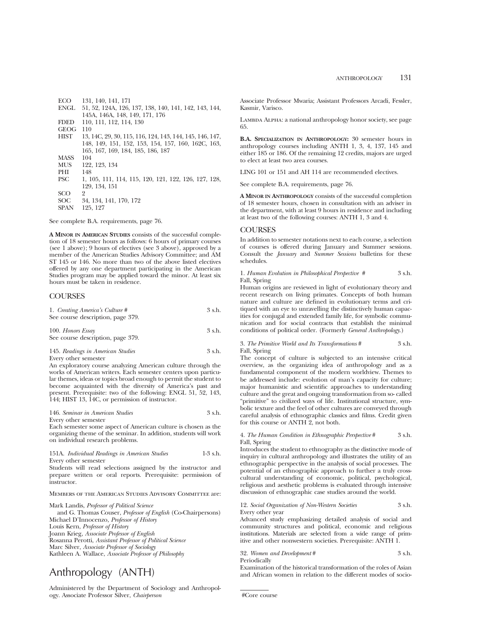| ECO         | 131, 140, 141, 171                                       |
|-------------|----------------------------------------------------------|
| <b>ENGL</b> | 51, 52, 124A, 126, 137, 138, 140, 141, 142, 143, 144,    |
|             | 145A, 146A, 148, 149, 171, 176                           |
| <b>FDED</b> | 110, 111, 112, 114, 130                                  |
| <b>GEOG</b> | 110                                                      |
| <b>HIST</b> | 13, 14C, 29, 30, 115, 116, 124, 143, 144, 145, 146, 147, |
|             | 148, 149, 151, 152, 153, 154, 157, 160, 162C, 163,       |
|             | 165, 167, 169, 184, 185, 186, 187                        |
| <b>MASS</b> | 104                                                      |
| <b>MUS</b>  | 122, 123, 134                                            |
| PHI         | 148                                                      |
| <b>PSC</b>  | 1, 105, 111, 114, 115, 120, 121, 122, 126, 127, 128,     |
|             | 129, 134, 151                                            |
| SCO         | 2                                                        |
| SOC         | 34, 134, 141, 170, 172                                   |
| <b>SPAN</b> | 125, 127                                                 |

See complete B.A. requirements, page 76.

**A MINOR IN AMERICAN STUDIES** consists of the successful completion of 18 semester hours as follows: 6 hours of primary courses (see 1 above); 9 hours of electives (see 3 above), approved by a member of the American Studies Advisory Committee; and AM ST 145 or 146. No more than two of the above listed electives offered by any one department participating in the American Studies program may be applied toward the minor. At least six hours must be taken in residence.

## **COURSES**

| 1. Creating America's Culture #   | 3 s.h. |
|-----------------------------------|--------|
| See course description, page 379. |        |
| 100. Honors Essay                 | 3 s.h. |
| See course description, page 379. |        |

145. *Readings in American Studies* 3 s.h. Every other semester

An exploratory course analyzing American culture through the works of American writers. Each semester centers upon particular themes, ideas or topics broad enough to permit the student to become acquainted with the diversity of America's past and present. Prerequisite: two of the following: ENGL 51, 52, 143, 144; HIST 13, 14C, or permission of instructor.

| 146. Seminar in American Studies | 3 s.h. |
|----------------------------------|--------|
| Every other semester             |        |

Each semester some aspect of American culture is chosen as the organizing theme of the seminar. In addition, students will work on individual research problems.

151A. *Individual Readings in American Studies* 1-3 s.h. Every other semester

Students will read selections assigned by the instructor and prepare written or oral reports. Prerequisite: permission of instructor.

### Members of the American Studies Advisory Committee are:

Mark Landis, *Professor of Political Science*

and G. Thomas Couser, *Professor of English* (Co-Chairpersons) Michael D'Innocenzo, *Professor of History* Louis Kern, *Professor of History* Joann Krieg, *Associate Professor of English* Rosanna Perotti, *Assistant Professor of Political Science* Marc Silver, *Associate Professor of Sociology* Kathleen A. Wallace, *Associate Professor of Philosophy*

## Anthropology (ANTH)

Administered by the Department of Sociology and Anthropology. Associate Professor Silver, *Chairperson*

Associate Professor Mwaria; Assistant Professors Arcadi, Fessler, Kasmir, Varisco.

LAMBDA ALPHA: a national anthropology honor society, see page 65.

**B.A. SPECIALIZATION IN ANTHROPOLOGY:** 30 semester hours in anthropology courses including ANTH 1, 3, 4, 137, 145 and either 185 or 186. Of the remaining 12 credits, majors are urged to elect at least two area courses.

LING 101 or 151 and AH 114 are recommended electives.

See complete B.A. requirements, page 76.

**A MINOR IN ANTHROPOLOGY** consists of the successful completion of 18 semester hours, chosen in consultation with an adviser in the department, with at least 9 hours in residence and including at least two of the following courses: ANTH 1, 3 and 4.

## **COURSES**

In addition to semester notations next to each course, a selection of courses is offered during January and Summer sessions. Consult the *January* and *Summer Sessions* bulletins for these schedules.

1. *Human Evolution in Philosophical Perspective #* 3 s.h. Fall, Spring

Human origins are reviewed in light of evolutionary theory and recent research on living primates. Concepts of both human nature and culture are defined in evolutionary terms and critiqued with an eye to unravelling the distinctively human capacities for conjugal and extended family life, for symbolic communication and for social contracts that establish the minimal conditions of political order. (Formerly *General Anthropology*.)

3. *The Primitive World and Its Transformations* # 3 s.h. Fall, Spring

The concept of culture is subjected to an intensive critical overview, as the organizing idea of anthropology and as a fundamental component of the modern worldview. Themes to be addressed include: evolution of man's capacity for culture; major humanistic and scientific approaches to understanding culture and the great and ongoing transformation from so- called "primitive" to civilized ways of life. Institutional structure, symbolic texture and the feel of other cultures are conveyed through careful analysis of ethnographic classics and films. Credit given for this course or ANTH 2, not both.

## 4. *The Human Condition in Ethnographic Perspective* # 3 s.h. Fall, Spring

Introduces the student to ethnography as the distinctive mode of inquiry in cultural anthropology and illustrates the utility of an ethnographic perspective in the analysis of social processes. The potential of an ethnographic approach to further a truly crosscultural understanding of economic, political, psychological, religious and aesthetic problems is evaluated through intensive discussion of ethnographic case studies around the world.

12. *Social Organization of Non-Western Societies* 3 s.h. Every other year

Advanced study emphasizing detailed analysis of social and community structures and political, economic and religious institutions. Materials are selected from a wide range of primitive and other nonwestern societies. Prerequisite: ANTH 1.

32. *Women and Development* # 3 s.h. Periodically

Examination of the historical transformation of the roles of Asian and African women in relation to the different modes of socio-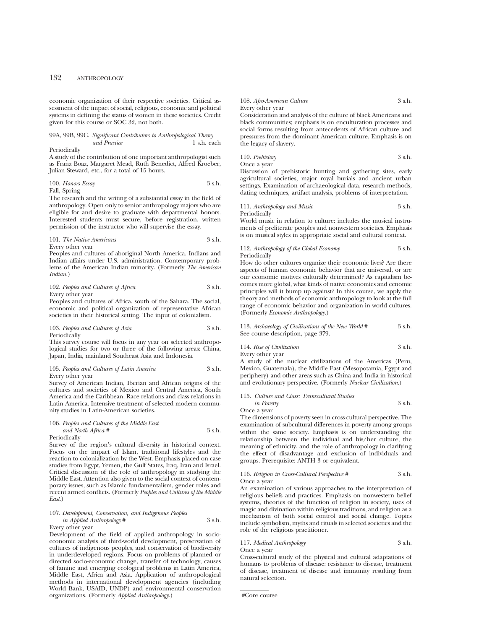economic organization of their respective societies. Critical assessment of the impact of social, religious, economic and political systems in defining the status of women in these societies. Credit given for this course or SOC 32, not both.

#### 99A, 99B, 99C. *Significant Contributors to Anthropological Theory*  $and$  Practice

## Periodically

A study of the contribution of one important anthropologist such as Franz Boaz, Margaret Mead, Ruth Benedict, Alfred Kroeber, Julian Steward, etc., for a total of 15 hours.

$$
100. Honors Essay 3 s.h.
$$

Fall, Spring

The research and the writing of a substantial essay in the field of anthropology. Open only to senior anthropology majors who are eligible for and desire to graduate with departmental honors. Interested students must secure, before registration, written permission of the instructor who will supervise the essay.

101. *The Native Americans* 3 s.h. Every other year

Peoples and cultures of aboriginal North America. Indians and Indian affairs under U.S. administration. Contemporary problems of the American Indian minority. (Formerly *The American Indian.*)

## 102. *Peoples and Cultures of Africa* 3 s.h. Every other year

Peoples and cultures of Africa, south of the Sahara. The social, economic and political organization of representative African societies in their historical setting. The input of colonialism.

103. *Peoples and Cultures of Asia* 3 s.h. Periodically

This survey course will focus in any year on selected anthropological studies for two or three of the following areas: China, Japan, India, mainland Southeast Asia and Indonesia.

## 105. *Peoples and Cultures of Latin America* 3 s.h. Every other year

Survey of American Indian, Iberian and African origins of the cultures and societies of Mexico and Central America, South America and the Caribbean. Race relations and class relations in Latin America. Intensive treatment of selected modern community studies in Latin-American societies.

106. *Peoples and Cultures of the Middle East and North Africa #* 3 s.h. Periodically

Survey of the region's cultural diversity in historical context. Focus on the impact of Islam, traditional lifestyles and the reaction to colonialization by the West. Emphasis placed on case studies from Egypt, Yemen, the Gulf States, Iraq, Iran and Israel. Critical discussion of the role of anthropology in studying the Middle East. Attention also given to the social context of contemporary issues, such as Islamic fundamentalism, gender roles and recent armed conflicts. (Formerly *Peoples and Cultures of the Middle East*.)

## 107. *Development, Conservation, and Indigenous Peoples in Applied Anthropology* # 3 s.h.

Every other year

Development of the field of applied anthropology in socioeconomic analysis of third-world development, preservation of cultures of indigenous peoples, and conservation of biodiversity in underdeveloped regions. Focus on problems of planned or directed socio-economic change, transfer of technology, causes of famine and emerging ecological problems in Latin America, Middle East, Africa and Asia. Application of anthropological methods in international development agencies (including World Bank, USAID, UNDP) and environmental conservation organizations. (Formerly *Applied Anthropology*.)

## 108. *Afro-American Culture* 3 s.h. Every other year

Consideration and analysis of the culture of black Americans and black communities; emphasis is on enculturation processes and social forms resulting from antecedents of African culture and pressures from the dominant American culture. Emphasis is on the legacy of slavery.

110. *Prehistory* 3 s.h. Once a year

Discussion of prehistoric hunting and gathering sites, early agricultural societies, major royal burials and ancient urban settings. Examination of archaeological data, research methods, dating techniques, artifact analysis, problems of interpretation.

111. *Anthropology and Music* 3 s.h. Periodically

World music in relation to culture: includes the musical instruments of preliterate peoples and nonwestern societies. Emphasis is on musical styles in appropriate social and cultural context.

112. *Anthropology of the Global Economy* 3 s.h. Periodically

How do other cultures organize their economic lives? Are there aspects of human economic behavior that are universal, or are our economic motives culturally determined? As capitalism becomes more global, what kinds of native economies and ecnomic principles will it bump up against? In this course, we apply the theory and methods of economic anthropology to look at the full range of economic behavior and organization in world cultures. (Formerly *Economic Anthropology.*)

113. *Archaeology of Civilizations of the New World* # 3 s.h. See course description, page 379.

114. *Rise of Civilization* 3 s.h. Every other year

A study of the nuclear civilizations of the Americas (Peru, Mexico, Guatemala), the Middle East (Mesopotamia, Egypt and periphery) and other areas such as China and India in historical and evolutionary perspective. (Formerly *Nuclear Civilization*.)

115. *Culture and Class: Transcultural Studies*

*in Poverty* 3 s.h. Once a year

The dimensions of poverty seen in cross-cultural perspective. The examination of subcultural differences in poverty among groups within the same society. Emphasis is on understanding the relationship between the individual and his/her culture, the meaning of ethnicity, and the role of anthropology in clarifying the effect of disadvantage and exclusion of individuals and groups. Prerequisite: ANTH 3 or equivalent.

#### 116. *Religion in Cross-Cultural Perspective #* 3 s.h. Once a year

An examination of various approaches to the interpretation of religious beliefs and practices. Emphasis on nonwestern belief systems, theories of the function of religion in society, uses of magic and divination within religious traditions, and religion as a mechanism of both social control and social change. Topics include symbolism, myths and rituals in selected societies and the role of the religious practitioner.

117. *Medical Anthropology* 3 s.h. Once a year

Cross-cultural study of the physical and cultural adaptations of humans to problems of disease: resistance to disease, treatment of disease, treatment of disease and immunity resulting from natural selection.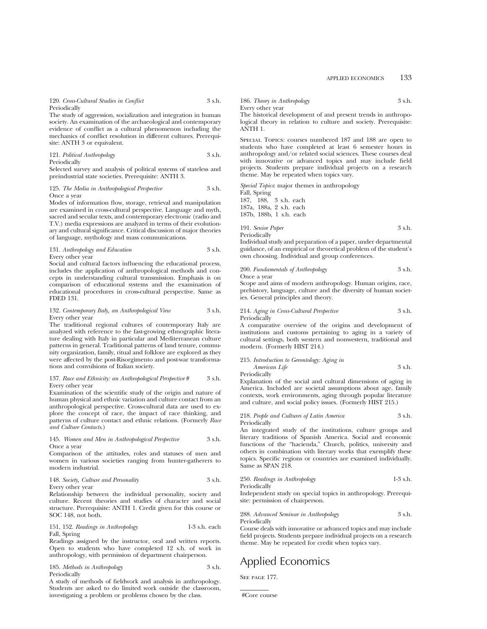120. *Cross-Cultural Studies in Conflict* 3 s.h. Periodically

The study of aggression, socialization and integration in human society. An examination of the archaeological and contemporary evidence of conflict as a cultural phenomenon including the mechanics of conflict resolution in different cultures. Prerequisite: ANTH 3 or equivalent.

121. *Political Anthropology* 3 s.h. Periodically

Selected survey and analysis of political systems of stateless and preindustrial state societies. Prerequisite: ANTH 3.

#### 125. *The Media in Anthropological Perspective* 3 s.h. Once a year

Modes of information flow, storage, retrieval and manipulation are examined in cross-cultural perspective. Language and myth, sacred and secular texts, and contemporary electronic (radio and T.V.) media expressions are analyzed in terms of their evolutionary and cultural significance. Critical discussion of major theories of language, mythology and mass communications.

| 131. Anthropology and Education | 3 s.h. |
|---------------------------------|--------|
| Every other year                |        |

Social and cultural factors influencing the educational process, includes the application of anthropological methods and concepts in understanding cultural transmission. Emphasis is on comparison of educational systems and the examination of educational procedures in cross-cultural perspective. Same as FDED 131.

#### 132. *Contemporary Italy, an Anthropological View* 3 s.h. Every other year

The traditional regional cultures of contemporary Italy are analyzed with reference to the fast-growing ethnographic literature dealing with Italy in particular and Mediterranean culture patterns in general. Traditional patterns of land tenure, community organization, family, ritual and folklore are explored as they were affected by the post-Risorgimento and post-war transformations and convulsions of Italian society.

## 137. *Race and Ethnicity: an Anthropological Perspective* # 3 s.h. Every other year

Examination of the scientific study of the origin and nature of human physical and ethnic variation and culture contact from an anthropological perspective. Cross-cultural data are used to explore the concept of race, the impact of race thinking, and patterns of culture contact and ethnic relations. (Formerly *Race and Culture Contacts*.)

## 145. *Women and Men in Anthropological Perspective* 3 s.h. Once a year

Comparison of the attitudes, roles and statuses of men and women in various societies ranging from hunter-gatherers to modern industrial.

148. *Society, Culture and Personality* 3 s.h. Every other year

Relationship between the individual personality, society and culture. Recent theories and studies of character and social structure. Prerequisite: ANTH 1. Credit given for this course or SOC 148, not both.

151, 152. *Readings in Anthropology* 1-3 s.h. each Fall, Spring

Readings assigned by the instructor, oral and written reports. Open to students who have completed 12 s.h. of work in anthropology, with permission of department chairperson.

185. *Methods in Anthropology* 3 s.h. Periodically

A study of methods of fieldwork and analysis in anthropology. Students are asked to do limited work outside the classroom, investigating a problem or problems chosen by the class.

186. *Theory in Anthropology* 3 s.h.

Every other year

The historical development of and present trends in anthropological theory in relation to culture and society. Prerequisite: ANTH 1.

Special Topics: courses numbered 187 and 188 are open to students who have completed at least 6 semester hours in anthropology and/or related social sciences. These courses deal with innovative or advanced topics and may include field projects. Students prepare individual projects on a research theme. May be repeated when topics vary.

*Special Topics*: major themes in anthropology Fall, Spring 187, 188, 3 s.h. each 187a, 188a, 2 s.h. each 187b, 188b, 1 s.h. each

191. *Senior Paper* 3 s.h. Periodically

Individual study and preparation of a paper, under departmental guidance, of an empirical or theoretical problem of the student's own choosing. Individual and group conferences.

200. *Fundamentals of Anthropology* 3 s.h.

Once<br>Scot and aims of modern anthro prehistory, language, culture and the diversity of human societies. General principles and theory.

214. *Aging in Cross-Cultural Perspective* 3 s.h. Periodically

A comparative overview of the origins and development of institutions and customs pertaining to aging in a variety of cultural settings, both western and nonwestern, traditional and modern. (Formerly HIST 214.)

## 215. *Introduction to Gerontology: Aging in American Life* 3 s.h.

Periodically

Explanation of the social and cultural dimensions of aging in America. Included are societal assumptions about age, family contexts, work environments, aging through popular literature and culture, and social policy issues. (Formerly HIST 215.)

218. *People and Cultures of Latin America* 3 s.h. Periodically

An integrated study of the institutions, culture groups and literary traditions of Spanish America. Social and economic functions of the "hacienda," Church, politics, university and others in combination with literary works that exemplify these topics. Specific regions or countries are examined individually. Same as SPAN 218.

| 250. Readings in Anthropology | $1-3$ s.h. |
|-------------------------------|------------|
| Periodically                  |            |

Independent study on special topics in anthropology. Prerequisite: permission of chairperson.

288. *Advanced Seminar in Anthropology* 3 s.h. Periodically

Course deals with innovative or advanced topics and may include field projects. Students prepare individual projects on a research theme. May be repeated for credit when topics vary.

## Applied Economics

SEE PAGE 177.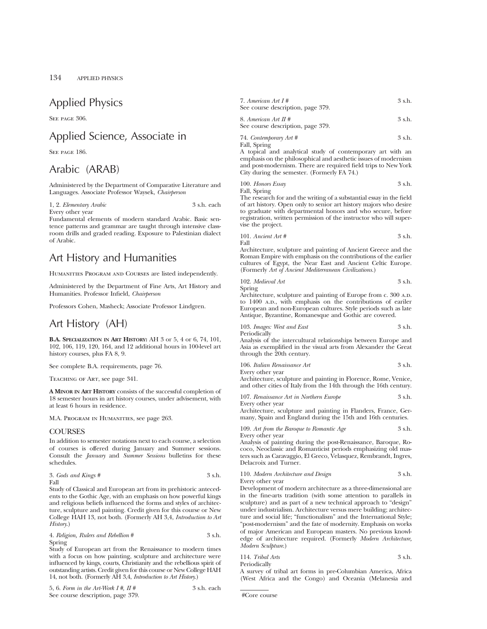## Applied Physics

SEE PAGE 306.

## Applied Science, Associate in

SEE PAGE 186.

## Arabic (ARAB)

Administered by the Department of Comparative Literature and Languages. Associate Professor Waysek, *Chairperson*

1, 2. *Elementary Arabic* 3 s.h. each Every other year

Fundamental elements of modern standard Arabic. Basic sentence patterns and grammar are taught through intensive classroom drills and graded reading. Exposure to Palestinian dialect of Arabic.

## Art History and Humanities

Humanities Program and Courses are listed independently.

Administered by the Department of Fine Arts, Art History and Humanities. Professor Infield, *Chairperson*

Professors Cohen, Masheck; Associate Professor Lindgren.

## Art History (AH)

**B.A. SPECIALIZATION IN ART HISTORY:** AH 3 or 5, 4 or 6, 74, 101, 102, 106, 119, 120, 164, and 12 additional hours in 100-level art history courses, plus FA 8, 9.

See complete B.A. requirements, page 76.

Teaching of Art, see page 341.

**A MINOR IN ART HISTORY** consists of the successful completion of 18 semester hours in art history courses, under advisement, with at least 6 hours in residence.

M.A. Program in Humanities, see page 263.

## **COURSES**

In addition to semester notations next to each course, a selection of courses is offered during January and Summer sessions. Consult the *January* and *Summer Sessions* bulletins for these schedules.

$$
3. \text{ Gods and Kings}~\# \\ \hspace{2.5cm} 3~\text{s.h.}
$$

Study of Classical and European art from its prehistoric antecedents to the Gothic Age, with an emphasis on how powerful kings and religious beliefs influenced the forms and styles of architecture, sculpture and painting. Credit given for this course or New College HAH 13, not both. (Formerly AH 3,4, *Introduction to Art History*.)

4. *Religion, Rulers and Rebellion* # 3 s.h. Spring

Study of European art from the Renaissance to modern times with a focus on how painting, sculpture and architecture were influenced by kings, courts, Christianity and the rebellious spirit of outstanding artists. Credit given for this course or New College HAH 14, not both. (Formerly AH 3,4, *Introduction to Art History*.)

| 5, 6. Form in the Art-Work I #, II # | 3 s.h. each |
|--------------------------------------|-------------|
| See course description, page 379.    |             |

| 7. American Art $I#$              | 3 s.h. |
|-----------------------------------|--------|
| See course description, page 379. |        |

| 8. American Art II #              | 3 s.h. |
|-----------------------------------|--------|
| See course description, page 379. |        |

74. *Contemporary Art #* 3 s.h. Fall, Spring

A topical and analytical study of contemporary art with an emphasis on the philosophical and aesthetic issues of modernism and post-modernism. There are required field trips to New York City during the semester. (Formerly FA 74.)

100. *Honors Essay* 3 s.h. Fall, Spring

The research for and the writing of a substantial essay in the field of art history. Open only to senior art history majors who desire to graduate with departmental honors and who secure, before registration, written permission of the instructor who will supervise the project.

101. *Ancient Art* # 
$$
3 \, \text{s.h.}
$$

Architecture, sculpture and painting of Ancient Greece and the Roman Empire with emphasis on the contributions of the earlier cultures of Egypt, the Near East and Ancient Celtic Europe. (Formerly *Art of Ancient Mediterranean Civilizations*.)

102. *Medieval Art* 3 s.h.

Spring

Architecture, sculpture and painting of Europe from c. 300 A.D. to 1400 A.D., with emphasis on the contributions of eariler European and non-European cultures. Style periods such as late Antique, Byzantine, Romanesque and Gothic are covered.

103. *Images: West and East* 3 s.h. Periodically

Analysis of the intercultural relationships between Europe and Asia as exemplified in the visual arts from Alexander the Great through the 20th century.

106. *Italian Renaissance Art* 3 s.h. Every other year

Architecture, sculpture and painting in Florence, Rome, Venice, and other cities of Italy from the 14th through the 16th century.

107. *Renaissance Art in Northern Europe* 3 s.h. Every other year

Architecture, sculpture and painting in Flanders, France, Germany, Spain and England during the 15th and 16th centuries.

109. *Art from the Baroque to Romantic Age* 3 s.h. Every other year

Analysis of painting during the post-Renaissance, Baroque, Rococo, Neoclassic and Romanticist periods emphasizing old masters such as Caravaggio, El Greco, Velasquez, Rembrandt, Ingres, Delacroix and Turner.

```
110. Modern Architecture and Design 3 s.h.
Every other year
```
Development of modern architecture as a three-dimensional are in the fine-arts tradition (with some attention to parallels in sculpture) and as part of a new technical approach to "design" under industrialism. Architecture versus mere building; architecture and social life; "functionalism" and the International Style; "post-modernism" and the fate of modernity. Emphasis on works of major American and European masters. No previous knowledge of architecture required. (Formerly *Modern Architecture, Modern Sculpture*.)

114. *Tribal Arts* 3 s.h. Periodically A survey of tribal art forms in pre-Columbian America, Africa

(West Africa and the Congo) and Oceania (Melanesia and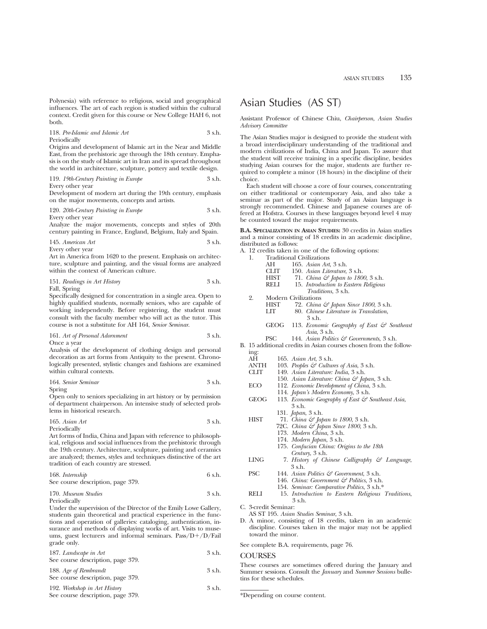Polynesia) with reference to religious, social and geographical influences. The art of each region is studied within the cultural context. Credit given for this course or New College HAH 6, not both.

118. *Pre-Islamic and Islamic Art* 3 s.h. Periodically

Origins and development of Islamic art in the Near and Middle East, from the prehistoric age through the 18th century. Emphasis is on the study of Islamic art in Iran and its spread throughout the world in architecture, sculpture, pottery and textile design.

119. *19th-Century Painting in Europe* 3 s.h.

Every other year

Development of modern art during the 19th century, emphasis on the major movements, concepts and artists.

120. *20th-Century Painting in Europe* 3 s.h. Every other year

Analyze the major movements, concepts and styles of 20th century painting in France, England, Belgium, Italy and Spain.

145. *American Art* 3 s.h.

Every other year

Art in America from 1620 to the present. Emphasis on architecture, sculpture and painting, and the visual forms are analyzed within the context of American culture.

151. *Readings in Art History* 3 s.h.

Fall, Spring

Specifically designed for concentration in a single area. Open to highly qualified students, normally seniors, who are capable of working independently. Before registering, the student must consult with the faculty member who will act as the tutor. This course is not a substitute for AH 164, *Senior Seminar*.

161. *Art of Personal Adornment* 3 s.h.

Once a year

Analysis of the development of clothing design and personal decoration as art forms from Antiquity to the present. Chronologically presented, stylistic changes and fashions are examined within cultural contexts.

| 164. Senior Seminar | 3 s.h. |
|---------------------|--------|
|---------------------|--------|

Spring

Open only to seniors specializing in art history or by permission of department chairperson. An intensive study of selected problems in historical research.

| 165. Asian $Art$ | 3 s.h. |
|------------------|--------|
| Periodically     |        |

Art forms of India, China and Japan with reference to philosophical, religious and social influences from the prehistoric through the 19th century. Architecture, sculpture, painting and ceramics are analyzed; themes, styles and techniques distinctive of the art tradition of each country are stressed.

| 168. Internship                   | 6 s.h. |
|-----------------------------------|--------|
| See course description, page 379. |        |

170. *Museum Studies* 3 s.h.

Periodically

Under the supervision of the Director of the Emily Lowe Gallery, students gain theoretical and practical experience in the functions and operation of galleries: cataloging, authentication, insurance and methods of displaying works of art. Visits to museums, guest lecturers and informal seminars.  $Pass/D+/D/Fall$ grade only.

| 187. Landscape in Art<br>See course description, page 379.        | 3 s.h. |
|-------------------------------------------------------------------|--------|
| 188. Age of Rembrandt<br>See course description, page 379.        | 3 s.h. |
| 192. Workshop in Art History<br>See course description, page 379. | 3 s.h. |

## Asian Studies (AS ST)

Assistant Professor of Chinese Chiu, *Chairperson*, *Asian Studies Advisory Committee*

The Asian Studies major is designed to provide the student with a broad interdisciplinary understanding of the traditional and modern civilizations of India, China and Japan. To assure that the student will receive training in a specific discipline, besides studying Asian courses for the major, students are further required to complete a minor (18 hours) in the discipline of their choice.

Each student will choose a core of four courses, concentrating on either traditional or contemporary Asia, and also take a seminar as part of the major. Study of an Asian language is strongly recommended. Chinese and Japanese courses are offered at Hofstra. Courses in these languages beyond level 4 may be counted toward the major requirements.

**B.A. SPECIALIZATION IN ASIAN STUDIES:** 30 credits in Asian studies and a minor consisting of 18 credits in an academic discipline, distributed as follows:

A. 12 credits taken in one of the following options:

| -1. | <b>Traditional Civilizations</b> |  |  |
|-----|----------------------------------|--|--|
|     |                                  |  |  |

|    | AН                          | 165. Asian Art, 3 s.h.                                 |
|----|-----------------------------|--------------------------------------------------------|
|    | <b>CLIT</b>                 | 150. Asian Literature, 3 s.h.                          |
|    | HIST                        | 71. China $\mathcal{C}$ Japan to 1800, 3 s.h.          |
|    | RELI                        | 15. Introduction to Eastern Religious                  |
|    |                             | <i>Traditions</i> , 3 s.h.                             |
| 2. | <b>Modern Civilizations</b> |                                                        |
|    | <b>HIST</b>                 | 72. China & Japan Since 1800, 3 s.h.                   |
|    | LIT                         | 80. Chinese Literature in Translation,                 |
|    |                             | $3$ s.h.                                               |
|    | GEOG                        | 113. Economic Geography of East $\mathcal G$ Southeast |
|    |                             | Asia, $3 \,$ s.h.                                      |
|    |                             |                                                        |

PSC 144. *Asian Politics & Governments*, 3 s.h.

B. 15 additional credits in Asian courses chosen from the following:

| AЦ | $165 - 4 \cdot \text{cm}$ $4 \cdot 2 \cdot 1$ |  |  |
|----|-----------------------------------------------|--|--|

- AH 165. *Asian Art*, 3 s.h.
- ANTH 103. *Peoples & Cultures of Asia*, 3 s.h.<br>CLIT 149. *Asian Literature: India*, 3 s.h. CLIT 149. *Asian Literature: India*, 3 s.h.
- 150. *Asian Literature: China & Japan*, 3 s.h.
- ECO 112. *Economic Development of China*, 3 s.h.
	- 114. *Japan's Modern Economy*, 3 s.h.
- GEOG 113. *Economic Geography of East & Southeast Asia*, 3 s.h.
	- 131. *Japan*, 3 s.h.
- HIST 71. *China & Japan to 1800*, 3 s.h.
	- 72C. *China & Japan Since 1800*, 3 s.h.
		- 173. *Modern China*, 3 s.h.
		- 174. *Modern Japan*, 3 s.h.
		- 175. *Confucian China: Origins to the 18th*
- *Century*, 3 s.h. LING 7. *History of Chinese Calligraphy & Language*,
- 3 s.h. PSC 144. *Asian Politics & Government*, 3 s.h. 146. *China: Government & Politics*, 3 s.h.
- 154. *Seminar: Comparative Politics*, 3 s.h.\*
- RELI 15. *Introduction to Eastern Religious Traditions*, 3 s.h.

C. 3-credit Seminar:

- AS ST 195. *Asian Studies Seminar*, 3 s.h.
- D. A minor, consisting of 18 credits, taken in an academic discipline. Courses taken in the major may not be applied toward the minor.

See complete B.A. requirements, page 76.

### COURSES

These courses are sometimes offered during the January and Summer sessions. Consult the *January* and *Summer Sessions* bulletins for these schedules.

\*Depending on course content.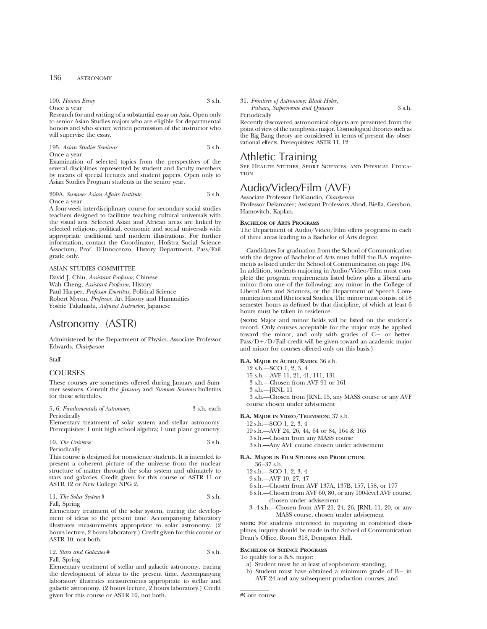## 136 ASTRONOMY

100. *Honors Essay* 3 s.h. Once a year

Research for and writing of a substantial essay on Asia. Open only to senior Asian Studies majors who are eligible for departmental honors and who secure written permission of the instructor who will supervise the essay.

195. *Asian Studies Seminar* 3 s.h. Once a year

Examination of selected topics from the perspectives of the several disciplines represented by student and faculty members by means of special lectures and student papers. Open only to Asian Studies Program students in the senior year.

#### 209A. *Summer Asian Affairs Institute* 3 s.h. Once a year

A four-week interdisciplinary course for secondary social studies teachers designed to facilitate teaching cultural universals with the visual arts. Selected Asian and African areas are linked by selected religious, political, economic and social universals with appropriate traditional and modern illustrations. For further information, contact the Coordinator, Hofstra Social Science Associum, Prof. D'Innocenzo, History Department. Pass/Fail grade only.

### ASIAN STUDIES COMMITTEE

David J. Chiu, *Assistant Professor*, Chinese Wah Cheng, *Assistant Professor*, History Paul Harper, *Professor Emeritus,* Political Science Robert Myron, *Professor*, Art History and Humanities Yoshie Takahashi, *Adjunct Instructor*, Japanese

## Astronomy (ASTR)

Administered by the Department of Physics. Associate Professor Edwards, *Chairperson*

Staff

## **COURSES**

These courses are sometimes offered during January and Summer sessions. Consult the *January* and *Summer Sessions* bulletins for these schedules.

| 5, 6. Fundamentals of Astronomy | 3 s.h. each |
|---------------------------------|-------------|
| Periodically                    |             |

Elementary treatment of solar system and stellar astronomy. Prerequisites: 1 unit high school algebra; 1 unit plane geometry.

| 10. The Universe | 3 s.h. |
|------------------|--------|
| Periodically     |        |

This course is designed for nonscience students. It is intended to present a coherent picture of the universe from the nuclear structure of matter through the solar system and ultimately to stars and galaxies. Credit given for this course or ASTR 11 or ASTR 12 or New College NPG 2.

11. *The Solar System* # 3 s.h. Fall, Spring

Elementary treatment of the solar system, tracing the development of ideas to the present time. Accompanying laboratory illustrates measurements appropriate to solar astronomy. (2 hours lecture, 2 hours laboratory.) Credit given for this course or ASTR 10, not both.

## 12. *Stars and Galaxies* # 3 s.h. Fall, Spring

Elementary treatment of stellar and galactic astronomy, tracing the development of ideas to the present time. Accompanying laboratory illustrates measurements appropriate to stellar and galactic astronomy. (2 hours lecture, 2 hours laboratory.) Credit given for this course or ASTR 10, not both.

### 31. *Frontiers of Astronomy: Black Holes,*

*Pulsars, Supernovae and Quasars* 3 s.h. Periodically

Recently discovered astronomical objects are presented from the point of view of the nonphysics major. Cosmological theories such as the Big Bang theory are considered in terms of present day observational effects. Prerequisites: ASTR 11, 12.

## Athletic Training

See Health Studies, Sport Sciences, and Physical Education

## Audio/Video/Film (AVF)

Associate Professor DelGaudio, *Chairperson* Professor Delamater; Assistant Professors Abod, Biella, Gershon, Hamovitch, Kaplan.

### **BACHELOR OF ARTS PROGRAMS**

The Department of Audio/Video/Film offers programs in each of three areas leading to a Bachelor of Arts degree.

Candidates for graduation from the School of Communication with the degree of Bachelor of Arts must fulfill the B.A. requirements as listed under the School of Communication on page 104. In addition, students majoring in Audio/Video/Film must complete the program requirements listed below plus a liberal arts minor from one of the following: any minor in the College of Liberal Arts and Sciences, or the Department of Speech Communication and Rhetorical Studies. The minor must consist of 18 semester hours as defined by that discipline, of which at least 6 hours must be taken in residence.

**(NOTE:** Major and minor fields will be listed on the student's record. Only courses acceptable for the major may be applied toward the minor, and only with grades of  $C-$  or better.  $Pass/D+/D/Fail$  credit will be given toward an academic major and minor for courses offered only on this basis.)

## **B.A. MAJOR IN AUDIO/RADIO:** 36 s.h.

- 12 s.h.—SCO 1, 2, 3, 4
- 15 s.h.—AVF 11, 21, 41, 111, 131
- 3 s.h.—Chosen from AVF 91 or 161
- 3 s.h.—JRNL 11

3 s.h.—Chosen from JRNL 15, any MASS course or any AVF course chosen under advisement

### **B.A. MAJOR IN VIDEO/TELEVISION:** 37 s.h.

- 12 s.h.—SCO 1, 2, 3, 4
- 19 s.h.—AVF 24, 26, 44, 64 or 84, 164 & 165
- 3 s.h.—Chosen from any MASS course
- 3 s.h.—Any AVF course chosen under advisement

#### **B.A. MAJOR IN FILM STUDIES AND PRODUCTION:**

- 36–37 s.h.
- 12 s.h.—SCO 1, 2, 3, 4
- 9 s.h.—AVF 10, 27, 47
- 6 s.h.—Chosen from AVF 137A, 137B, 157, 158, or 177
- 6 s.h.—Chosen from AVF 60, 80, or any 100-level AVF course, chosen under advisement
- 3–4 s.h.—Chosen from AVF 21, 24, 26, JRNL 11, 20, or any MASS course, chosen under advisement

**NOTE:** For students interested in majoring in combined disciplines, inquiry should be made in the School of Communication Dean's Office, Room 318, Dempster Hall.

### **BACHELOR OF SCIENCE PROGRAMS**

To qualify for a B.S. major:

- a) Student must be at least of sophomore standing,
- b) Student must have obtained a minimum grade of  $B-$  in AVF 24 and any subsequent production courses, and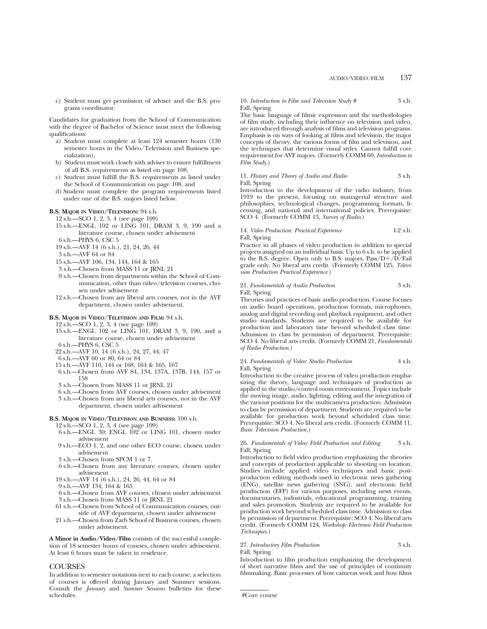c) Student must get permission of adviser and the B.S. programs coordinator.

Candidates for graduation from the School of Communication with the degree of Bachelor of Science must meet the following qualifications:

- a) Student must complete at least 124 semester hours (130 semester hours in the Video/Television and Business specialization),
- b) Student must work closely with adviser to ensure fulfillment of all B.S. requirements as listed on page 108,
- c) Student must fulfill the B.S. requirements as listed under the School of Communication on page 108, and
- d) Student must complete the program requirements listed under one of the B.S. majors listed below.

#### **B.S. MAJOR IN VIDEO/TELEVISION:** 94 s.h.

- 12 s.h.—SCO 1, 2, 3, 4 (see page 109)
- 15 s.h.—ENGL 102 or LING 101, DRAM 3, 9, 190 and a literature course, chosen under advisement
- 6 s.h.—PHYS 6, CSC 5
- 19 s.h.—AVF 14 (6 s.h.), 21, 24, 26, 44
- 3 s.h.—AVF 64 or 84
- 15 s.h.—AVF 106, 134, 144, 164 & 165
- 3 s.h.—Chosen from MASS 11 or JRNL 21
- 9 s.h.—Chosen from departments within the School of Communication, other than video/television courses, chosen under advisement
- 12 s.h.—Chosen from any liberal arts courses, not in the AVF department, chosen under advisement.

#### **B.S. MAJOR IN VIDEO/TELEVISION AND FILM:** 94 s.h.

12 s.h.—SCO 1, 2, 3, 4 (see page 109)

- 15 s.h.—ENGL 102 or LING 101, DRAM 3, 9, 190, and a literature course, chosen under advisement
- 6 s.h.—PHYS 6, CSC 5 22 s.h.—AVF 10, 14 (6 s.h.), 24, 27, 44, 47
- 6 s.h.—AVF 60 or 80, 64 or 84
- 15 s.h.—AVF 110, 144 or 168, 164 & 165, 167
- 6 s.h.—Chosen from AVF 84, 134, 137A, 137B, 144, 157 or 158
- 3 s.h.—Chosen from MASS 11 or JRNL 21
- 6 s.h.—Chosen from AVF courses, chosen under advisement
- 3 s.h.—Chosen from any liberal arts courses, not in the AVF department, chosen under advisement

## **B.S. MAJOR IN VIDEO/TELEVISION AND BUSINESS:** 100 s.h.

12 s.h.—SCO 1, 2, 3, 4 (see page 109)

- 6 s.h.—ENGL 30; ENGL 102 or LING 101, chosen under advisement
- 9 s.h.—ECO 1, 2, and one other ECO course, chosen under advisement
- 3 s.h.—Chosen from SPCM 1 or 7.
- 6 s.h.—Chosen from any literature courses, chosen under advisement
- 19 s.h.—AVF 14 (6 s.h.), 24, 26, 44, 64 or 84
- 9 s.h.—AVF 134, 164 & 165
- 6 s.h.—Chosen from AVF courses, chosen under advisement 3 s.h.—Chosen from MASS 11 or JRNL 21
- 61 s.h.—Chosen from School of Communication courses, outside of AVF department, chosen under advisement
- 21 s.h.—Chosen from Zarb School of Business courses, chosen under advisement.

**A Minor in Audio/Video/Film** consists of the successful completion of 18 semester hours of courses, chosen under advisement. At least 6 hours must be taken in residence.

## **COURSES**

In addition to semester notations next to each course, a selection of courses is offered during January and Summer sessions. Consult the *January* and *Summer Sessions* bulletins for these schedules.

10. *Introduction to Film and Television Study* # 3 s.h. Fall, Spring

The basic language of filmic expression and the methodologies of film study, including their influence on television and video, are introduced through analysis of films and television programs. Emphasis is on ways of looking at films and television, the major concepts of theory, the various forms of film and television, and the techniques that determine visual styles. Cannot fulfill core requirement for AVF majors. (Formerly COMM 60, *Introduction to Film Study*.)

## 11. *History and Theory of Audio and Radio* 3 s.h. Fall, Spring

Introduction to the development of the radio industry, from 1919 to the present, focusing on managerial structure and philosophies, technological changes, programming formats, licensing, and national and international policies. Prerequisite: SCO 4. (Formerly COMM 13, *Survey of Radio*.)

#### 14. *Video Production: Practical Experience* 1-2 s.h. Fall, Spring

Practice in all phases of video production in addition to special projects assigned on an individual basis. Up to 6 s.h. to be applied to the B.S. degree. Open only to B.S. majors.  $Pass/D+/D/Fall$ grade only. No liberal arts credit. (Formerly COMM 125, *Television Production Practical Experience*.)

## 21. *Fundamentals of Audio Production* 3 s.h. Fall, Spring

Theories and practices of basic audio production. Course focuses on audio board operations, production formats, microphones, analog and digital recording and playback equipment, and other studio standards. Students are required to be available for production and laboratory time beyond scheduled class time. Admission to class by permission of department. Prerequisite: SCO 4. No liberal arts credit. (Formerly COMM 21, *Fundamentals of Radio Production*.)

#### 24. *Fundamentals of Video: Studio Production* 4 s.h. Fall, Spring

Introduction to the creative process of video production emphasizing the theory, language and techniques of production as applied in the studio/control room environment. Topics include the moving image, audio, lighting, editing and the integration of the various positions for the multicamera production. Admission to class by permission of department. Students are required to be available for production work beyond scheduled class time. Prerequisite: SCO 4. No liberal arts credit. (Formerly COMM 11, *Basic Television Production*.)

## 26. *Fundamentals of Video: Field Production and Editing* 3 s.h. Fall, Spring

Introduction to field video production emphasizing the theories and concepts of production applicable to shooting on location. Studies include applied video techniques and basic postproduction editing methods used in electronic news gathering (ENG), satellite news gathering (SNG), and electronic field production (EFP) for various purposes, including news events, documentaries, industrials, educational programming, training and sales promotion. Students are required to be available for production work beyond scheduled class time. Admission to class by permission of department. Prerequisite: SCO 4. No liberal arts credit. (Formerly COMM 124, *Workshop: Electronic Field Production Techniques*.)

## 27. *Introductory Film Production* 3 s.h. Fall, Spring

Introduction to film production emphasizing the development of short narrative films and the use of principles of continuity filmmaking. Basic processes of how cameras work and how films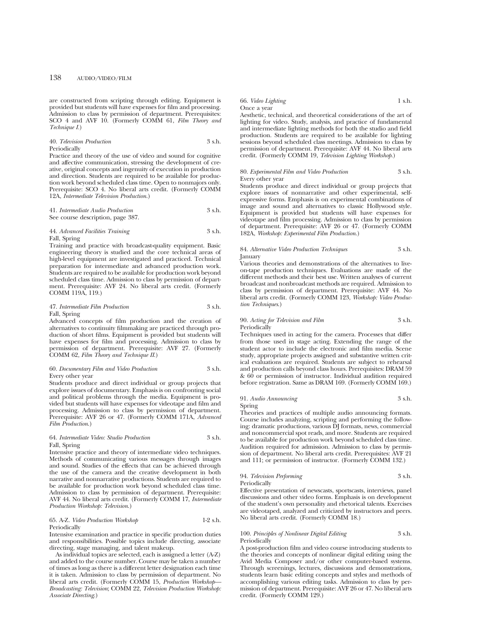## 138 AUDIO/VIDEO/FILM

are constructed from scripting through editing. Equipment is provided but students will have expenses for film and processing. Admission to class by permission of department. Prerequisites: SCO 4 and AVF 10. (Formerly COMM 61, *Film Theory and Technique I.*)

40. *Television Production* 3 s.h. Periodically

Practice and theory of the use of video and sound for cognitive and affective communication, stressing the development of creative, original concepts and ingenuity of execution in production and direction. Students are required to be available for production work beyond scheduled class time. Open to nonmajors only. Prerequisite: SCO 4. No liberal arts credit. (Formerly COMM 12A, *Intermediate Television Production*.)

41. *Intermediate Audio Production* 3 s.h. See course description, page 387.

# 44. *Advanced Facilities Training* 3 s.h.

Fall, Spring

Training and practice with broadcast-quality equipment. Basic engineering theory is studied and the core technical areas of high-level equipment are investigated and practiced. Technical preparation for intermediate and advanced production work. Students are required to be available for production work beyond scheduled class time. Admission to class by permission of department. Prerequisite: AVF 24. No liberal arts credit. (Formerly COMM 119A, 119.)

## 47. *Intermediate Film Production* 3 s.h. Fall, Spring

Advanced concepts of film production and the creation of alternatives to continuity filmmaking are practiced through production of short films. Equipment is provided but students will have expenses for film and processing. Admission to class by permission of department. Prerequisite: AVF 27. (Formerly COMM 62, *Film Theory and Technique II*.)

#### 60. *Documentary Film and Video Production* 3 s.h. Every other year

Students produce and direct individual or group projects that explore issues of documentary. Emphasis is on confronting social and political problems through the media. Equipment is provided but students will have expenses for videotape and film and processing. Admission to class by permission of department. Prerequisite: AVF 26 or 47. (Formerly COMM 171A, *Advanced Film Production*.)

## 64. *Intermediate Video: Studio Production* 3 s.h. Fall, Spring

Intensive practice and theory of intermediate video techniques. Methods of communicating various messages through images and sound. Studies of the effects that can be achieved through the use of the camera and the creative development in both narrative and nonnarrative productions. Students are required to be available for production work beyond scheduled class time. Admission to class by permission of department. Prerequisite: AVF 44. No liberal arts credit. (Formerly COMM 17, *Intermediate Production Workshop: Television*.)

#### 65. A-Z. *Video Production Workshop* 1-2 s.h. Periodically

Intensive examination and practice in specific production duties and responsibilities. Possible topics include directing, associate directing, stage managing, and talent makeup.

As individual topics are selected, each is assigned a letter (A-Z) and added to the course number. Course may be taken a number of times as long as there is a different letter designation each time it is taken. Admission to class by permission of department. No liberal arts credit. (Formerly COMM 15, *Production Workshop— Broadcasting: Television*; COMM 22, *Television Production Workshop: Associate Directing*.)

## 66. *Video Lighting* 1 s.h.

Once a year Aesthetic, technical, and theoretical considerations of the art of lighting for video. Study, analysis, and practice of fundamental and intermediate lighting methods for both the studio and field production. Students are required to be available for lighting sessions beyond scheduled class meetings. Admission to class by permission of department. Prerequisite: AVF 44. No liberal arts credit. (Formerly COMM 19, *Television Lighting Workshop*.)

### 80. *Experimental Film and Video Production* 3 s.h. Every other year

Students produce and direct individual or group projects that explore issues of nonnarrative and other experimental, selfexpressive forms. Emphasis is on experimental combinations of image and sound and alternatives to classic Hollywood style. Equipment is provided but students will have expenses for videotape and film processing. Admission to class by permission of department. Prerequisite: AVF 26 or 47. (Formerly COMM 182A, *Workshop: Experimental Film Production*.)

#### 84. *Alternative Video Production Techniques* 3 s.h. January

Various theories and demonstrations of the alternatives to liveon-tape production techniques. Evaluations are made of the different methods and their best use. Written analyses of current broadcast and nonbroadcast methods are required. Admission to class by permission of department. Prerequisite: AVF 44. No liberal arts credit. (Formerly COMM 123, *Workshop: Video Production Techniques*.)

## 90. *Acting for Television and Film* 3 s.h. Periodically

Techniques used in acting for the camera. Processes that differ from those used in stage acting. Extending the range of the student actor to include the electronic and film media. Scene study, appropriate projects assigned and substantive written critical evaluations are required. Students are subject to rehearsal and production calls beyond class hours. Prerequisites: DRAM 59 & 60 or permission of instructor. Individual audition required before registration. Same as DRAM 169. (Formerly COMM 169.)

## 91. *Audio Announcing* 3 s.h. Spring

Theories and practices of multiple audio announcing formats. Course includes analyzing, scripting and performing the following: dramatic productions, various DJ formats, news, commercial and noncommercial spot reads, and more. Students are required to be available for production work beyond scheduled class time. Audition required for admission. Admission to class by permission of department. No liberal arts credit. Prerequisites: AVF 21 and 111; or permission of instructor. (Formerly COMM 132.)

## 94. *Television Performing* 3 s.h. Periodically

Effective presentation of newscasts, sportscasts, interviews, panel discussions and other video forms. Emphasis is on development of the student's own personality and rhetorical talents. Exercises are videotaped, analyzed and criticized by instructors and peers. No liberal arts credit. (Formerly COMM 18.)

## 100. *Principles of Nonlinear Digital Editing* 3 s.h. **Periodically**

A post-production film and video course introducing students to the theories and concepts of nonlinear digital editing using the Avid Media Composer and/or other computer-based systems. Through screenings, lectures, discussions and demonstrations, students learn basic editing concepts and styles and methods of accomplishing various editing tasks. Admission to class by permission of department. Prerequisite: AVF 26 or 47. No liberal arts credit. (Formerly COMM 129.)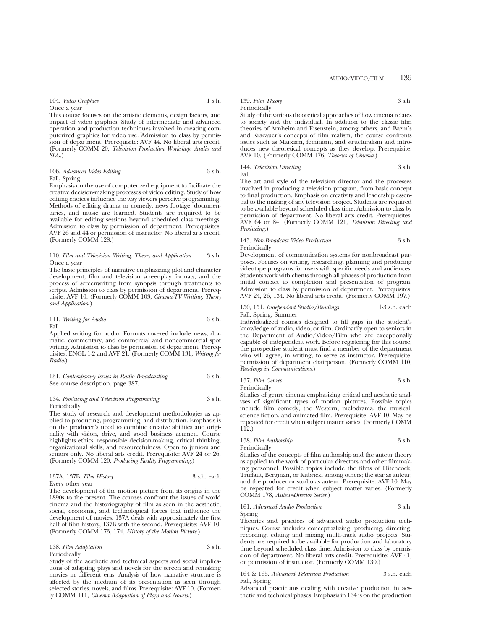104. *Video Graphics* 1 s.h.

Once a year

This course focuses on the artistic elements, design factors, and impact of video graphics. Study of intermediate and advanced operation and production techniques involved in creating computerized graphics for video use. Admission to class by permission of department. Prerequisite: AVF 44. No liberal arts credit. (Formerly COMM 20, *Television Production Workshop: Audio and SEG*.)

| 106. Advanced Video Editing | 3 s.h. |
|-----------------------------|--------|
| Fall, Spring                |        |

Emphasis on the use of computerized equipment to facilitate the creative decision-making processes of video editing. Study of how editing choices influence the way viewers perceive programming. Methods of editing drama or comedy, news footage, documentaries, and music are learned. Students are required to be available for editing sessions beyond scheduled class meetings. Admission to class by permission of department. Prerequisites: AVF 26 and 44 or permission of instructor. No liberal arts credit. (Formerly COMM 128.)

## 110. *Film and Television Writing: Theory and Application* 3 s.h. Once a year

The basic principles of narrative emphasizing plot and character development, film and television screenplay formats, and the process of screenwriting from synopsis through treatments to scripts. Admission to class by permission of department. Prerequisite: AVF 10. (Formerly COMM 103, *Cinema-TV Writing: Theory and Application*.)

111. *Writing for Audio* 3 s.h. Fall

Applied writing for audio. Formats covered include news, dramatic, commentary, and commercial and noncommercial spot writing. Admission to class by permission of department. Prerequisites: ENGL 1-2 and AVF 21. (Formerly COMM 131, *Writing for Radio*.)

131. *Contemporary Issues in Radio Broadcasting* 3 s.h. See course description, page 387.

## 134. *Producing and Television Programming* 3 s.h. Periodically

The study of research and development methodologies as applied to producing, programming, and distribution. Emphasis is on the producer's need to combine creative abilities and originality with vision, drive, and good business acumen. Course highlights ethics, responsible decision-making, critical thinking, organizational skills, and resourcefulness. Open to juniors and seniors only. No liberal arts credit. Prerequisite: AVF 24 or 26. (Formerly COMM 120, *Producing Reality Programming*.)

#### 137A, 137B. *Film History* 3 s.h. each Every other year

The development of the motion picture from its origins in the 1890s to the present. The courses confront the issues of world cinema and the historiography of film as seen in the aesthetic, social, economic, and technological forces that influence the development of movies. 137A deals with approximately the first half of film history, 137B with the second. Prerequisite: AVF 10. (Formerly COMM 173, 174, *History of the Motion Picture*.)

| 138. Film Adaptation | 3 s.h. |
|----------------------|--------|
| Periodically         |        |

Study of the aesthetic and technical aspects and social implications of adapting plays and novels for the screen and remaking movies in different eras. Analysis of how narrative structure is affected by the medium of its presentation as seen through selected stories, novels, and films. Prerequisite: AVF 10. (Formerly COMM 111, *Cinema Adaptation of Plays and Novels*.)

#### 139. *Film Theory* 3 s.h. Periodically

Study of the various theoretical approaches of how cinema relates to society and the individual. In addition to the classic film theories of Arnheim and Eisenstein, among others, and Bazin's and Kracauer's concepts of film realism, the course confronts issues such as Marxism, feminism, and structuralism and introduces new theoretical concepts as they develop. Prerequisite: AVF 10. (Formerly COMM 176, *Theories of Cinema*.)

#### 144. *Television Directing* 3 s.h. Fall

The art and style of the television director and the processes involved in producing a television program, from basic concept to final production. Emphasis on creativity and leadership essential to the making of any television project. Students are required to be available beyond scheduled class time. Admission to class by permission of department. No liberal arts credit. Prerequisites: AVF 64 or 84. (Formerly COMM 121, *Television Directing and Producing*.)

## 145. *Non-Broadcast Video Production* 3 s.h. Periodically

Development of communication systems for nonbroadcast purposes. Focuses on writing, researching, planning and producing videotape programs for users with specific needs and audiences. Students work with clients through all phases of production from initial contact to completion and presentation of program. Admission to class by permission of department. Prerequisites: AVF 24, 26, 134. No liberal arts credit. (Formerly COMM 197.)

## 150, 151. *Independent Studies/Readings* 1-3 s.h. each Fall, Spring, Summer

Individualized courses designed to fill gaps in the student's knowledge of audio, video, or film. Ordinarily open to seniors in the Department of Audio/Video/Film who are exceptionally capable of independent work. Before registering for this course, the prospective student must find a member of the department who will agree, in writing, to serve as instructor. Prerequisite: permission of department chairperson. (Formerly COMM 110, *Readings in Communications*.)

157. *Film Genres* 3 s.h. Periodically

Studies of genre cinema emphasizing critical and aesthetic analyses of significant types of motion pictures. Possible topics include film comedy, the Western, melodrama, the musical, science-fiction, and animated film. Prerequisite: AVF 10. May be repeated for credit when subject matter varies. (Formerly COMM 112.)

158. *Film Authorship* 3 s.h. Periodically Studies of the concepts of film authorship and the auteur theory

as applied to the work of particular directors and other filmmaking personnel. Possible topics include the films of Hitchcock, Truffaut, Bergman, or Kubrick, among others; the star as auteur; and the producer or studio as auteur. Prerequisite: AVF 10. May be repeated for credit when subject matter varies. (Formerly COMM 178, *Auteur-Director Series*.)

161. *Advanced Audio Production* 3 s.h. Spring

Theories and practices of advanced audio production techniques. Course includes conceptualizing, producing, directing, recording, editing and mixing multi-track audio projects. Students are required to be available for production and laboratory time beyond scheduled class time. Admission to class by permission of department. No liberal arts credit. Prerequisite: AVF 41; or permission of instructor. (Formerly COMM 130.)

164 & 165. *Advanced Television Production* 3 s.h. each Fall, Spring

Advanced practicums dealing with creative production in aesthetic and technical phases. Emphasis in 164 is on the production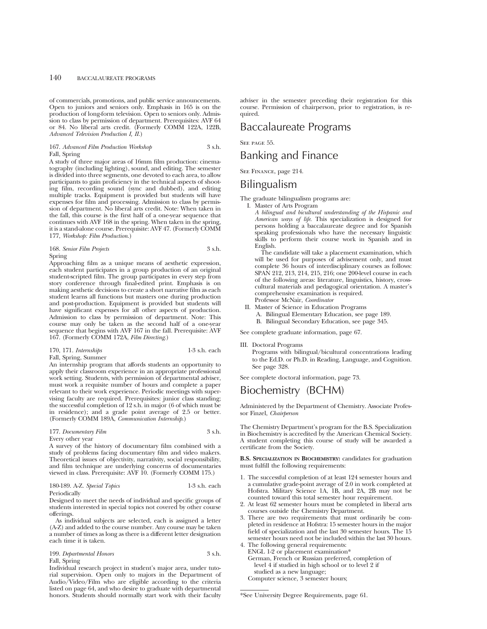## 140 BACCALAUREATE PROGRAMS

of commercials, promotions, and public service announcements. Open to juniors and seniors only. Emphasis in 165 is on the production of long-form television. Open to seniors only. Admission to class by permission of department. Prerequisites: AVF 64 or 84. No liberal arts credit. (Formerly COMM 122A, 122B, *Advanced Television Production I, II*.)

167. *Advanced Film Production Workshop* 3 s.h. Fall, Spring

A study of three major areas of 16mm film production: cinematography (including lighting), sound, and editing. The semester is divided into three segments, one devoted to each area, to allow participants to gain proficiency in the technical aspects of shooting film, recording sound (sync and dubbed), and editing multiple tracks. Equipment is provided but students will have expenses for film and processing. Admission to class by permission of department. No liberal arts credit. Note: When taken in the fall, this course is the first half of a one-year sequence that continues with AVF 168 in the spring. When taken in the spring, it is a stand-alone course. Prerequisite: AVF 47. (Formerly COMM 177, *Workshop: Film Production*.)

| 168. Senior Film Projects | 3 s.h. |
|---------------------------|--------|
| Spring                    |        |

Approaching film as a unique means of aesthetic expression, each student participates in a group production of an original student-scripted film. The group participates in every step from story conference through final-edited print. Emphasis is on making aesthetic decisions to create a short narrative film as each student learns all functions but masters one during production and post-production. Equipment is provided but students will have significant expenses for all other aspects of production. Admission to class by permission of department. Note: This course may only be taken as the second half of a one-year sequence that begins with AVF 167 in the fall. Prerequisite: AVF 167. (Formerly COMM 172A, *Film Directing*.)

### 170, 171. *Internships* 1-3 s.h. each

Fall, Spring, Summer

An internship program that affords students an opportunity to apply their classroom experience in an appropriate professional work setting. Students, with permission of departmental adviser, must work a requisite number of hours and complete a paper relevant to their work experience. Periodic meetings with supervising faculty are required. Prerequisites: junior class standing; the successful completion of 12 s.h. in major (6 of which must be in residence); and a grade point average of 2.5 or better. (Formerly COMM 189A, *Communication Internship*.)

#### 177. *Documentary Film* 3 s.h. Every other year

A survey of the history of documentary film combined with a study of problems facing documentary film and video makers. Theoretical issues of objectivity, narrativity, social responsibility, and film technique are underlying concerns of documentaries viewed in class. Prerequisite: AVF 10. (Formerly COMM 175.)

| 180-189. A-Z. Special Topics | 1-3 s.h. each |
|------------------------------|---------------|
|                              |               |

Periodically

Designed to meet the needs of individual and specific groups of students interested in special topics not covered by other course offerings.

As individual subjects are selected, each is assigned a letter (A-Z) and added to the course number. Any course may be taken a number of times as long as there is a different letter designation each time it is taken.

## 199. *Departmental Honors* 3 s.h. Fall, Spring

Individual research project in student's major area, under tutorial supervision. Open only to majors in the Department of Audio/Video/Film who are eligible according to the criteria listed on page 64, and who desire to graduate with departmental honors. Students should normally start work with their faculty

adviser in the semester preceding their registration for this course. Permission of chairperson, prior to registration, is required.

## Baccalaureate Programs

SEE PAGE 55.

## Banking and Finance

See Finance, page 214.

## Bilingualism

The graduate bilingualism programs are:

- I. Master of Arts Program
	- *A bilingual and bicultural understanding of the Hispanic and American ways of life*. This specialization is designed for persons holding a baccalaureate degree and for Spanish speaking professionals who have the necessary linguistic skills to perform their course work in Spanish and in English.

The candidate will take a placement examination, which will be used for purposes of advisement only, and must complete 36 hours of interdisciplinary courses as follows: SPAN 212, 213, 214, 215, 216; one 200-level course in each of the following areas: literature, linguistics, history, crosscultural materials and pedagogical orientation. A master's comprehensive examination is required. Professor McNair, *Coordinator*

- II. Master of Science in Education Programs
	- A. Bilingual Elementary Education, see page 189.
	- B. Bilingual Secondary Education, see page 345.

See complete graduate information, page 67.

III. Doctoral Programs

Programs with bilingual/bicultural concentrations leading to the Ed.D. or Ph.D. in Reading, Language, and Cognition. See page 328.

See complete doctoral information, page 73.

## Biochemistry (BCHM)

Administered by the Department of Chemistry. Associate Professor Finzel, *Chairperson*

The Chemistry Department's program for the B.S. Specialization in Biochemistry is accredited by the American Chemical Society. A student completing this course of study will be awarded a certificate from the Society.

**B.S. SPECIALIZATION IN BIOCHEMISTRY:** candidates for graduation must fulfill the following requirements:

- 1. The successful completion of at least 124 semester hours and a cumulative grade-point average of 2.0 in work completed at Hofstra. Military Science 1A, 1B, and 2A, 2B may not be counted toward this total semester hour requirement.
- 2. At least 62 semester hours must be completed in liberal arts courses outside the Chemistry Department.
- 3. There are two requirements that must ordinarily be completed in residence at Hofstra: 15 semester hours in the major field of specialization and the last 30 semester hours. The 15 semester hours need not be included within the last 30 hours.
- 4. The following general requirements: ENGL 1-2 or placement examination\* German, French or Russian preferred, completion of level 4 if studied in high school or to level 2 if studied as a new language;

Computer science, 3 semester hours;

\*See University Degree Requirements, page 61.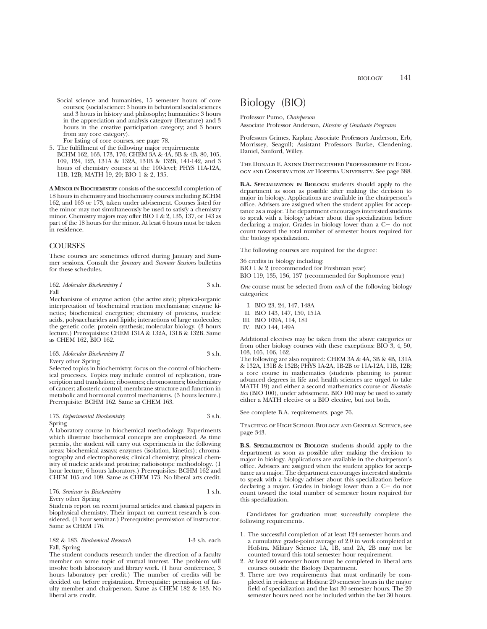Social science and humanities, 15 semester hours of core courses; (social science: 3 hours in behavioral social sciences and 3 hours in history and philosophy; humanities: 3 hours in the appreciation and analysis category (literature) and 3 hours in the creative participation category; and 3 hours from any core category).

For listing of core courses, see page 78.

- 5. The fulfillment of the following major requirements:
- BCHM 162, 163, 173, 176; CHEM 3A & 4A, 3B & 4B, 80, 105, 109, 124, 125, 131A & 132A, 131B & 132B, 141-142, and 3 hours of chemistry courses at the 100-level; PHYS 11A-12A, 11B, 12B; MATH 19, 20; BIO 1 & 2, 135.

**A MINOR IN BIOCHEMISTRY** consists of the successful completion of 18 hours in chemistry and biochemistry courses including BCHM 162, and 163 or 173, taken under advisement. Courses listed for the minor may not simultaneously be used to satisfy a chemistry minor. Chemistry majors may offer BIO 1 & 2, 135, 137, or 143 as part of the 18 hours for the minor. At least 6 hours must be taken in residence.

## **COURSES**

These courses are sometimes offered during January and Summer sessions. Consult the *January* and *Summer Sessions* bulletins for these schedules.

| 162. Molecular Biochemistry I | 3 s.h. |
|-------------------------------|--------|
| Fall                          |        |

Mechanisms of enzyme action (the active site); physical-organic interpretation of biochemical reaction mechanisms; enzyme kinetics; biochemical energetics; chemistry of proteins, nucleic acids, polysaccharides and lipids; interactions of large molecules; the genetic code; protein synthesis; molecular biology. (3 hours lecture.) Prerequisites: CHEM 131A & 132A, 131B & 132B. Same as CHEM 162, BIO 162.

| 163. Molecular Biochemistry II | 3 s.h. |
|--------------------------------|--------|
| Every other Spring             |        |

Selected topics in biochemistry; focus on the control of biochemical processes. Topics may include control of replication, transcription and translation; ribosomes; chromosomes; biochemistry of cancer; allosteric control; membrane structure and function in metabolic and hormonal control mechanisms. (3 hours lecture.) Prerequisite: BCHM 162. Same as CHEM 163.

## 173. *Experimental Biochemistry* 3 s.h. Spring

A laboratory course in biochemical methodology. Experiments which illustrate biochemical concepts are emphasized. As time permits, the student will carry out experiments in the following areas: biochemical assays; enzymes (isolation, kinetics); chromatography and electrophoresis; clinical chemistry; physical chemistry of nucleic acids and proteins; radioisotope methodology. (1 hour lecture, 6 hours laboratory.) Prerequisites: BCHM 162 and CHEM 105 and 109. Same as CHEM 173. No liberal arts credit.

| 176. Seminar in Biochemistry | 1 s.h. |
|------------------------------|--------|
| Every other Spring           |        |

Students report on recent journal articles and classical papers in biophysical chemistry. Their impact on current research is considered. (1 hour seminar.) Prerequisite: permission of instructor. Same as CHEM 176.

### 182 & 183. *Biochemical Research* 1-3 s.h. each Fall, Spring

The student conducts research under the direction of a faculty member on some topic of mutual interest. The problem will involve both laboratory and library work. (1 hour conference, 3 hours laboratory per credit.) The number of credits will be decided on before registration. Prerequisite: permission of faculty member and chairperson. Same as CHEM 182 & 183. No liberal arts credit.

## Biology (BIO)

Professor Pumo, *Chairperson* Associate Professor Anderson, *Director of Graduate Programs*

Professors Grimes, Kaplan; Associate Professors Anderson, Erb, Morrissey, Seagull; Assistant Professors Burke, Clendening, Daniel, Sanford, Willey.

The Donald E. Axinn Distinguished Professorship in Ecology and Conservation at Hofstra University. See page 388.

**B.A. SPECIALIZATION IN BIOLOGY:** students should apply to the department as soon as possible after making the decision to major in biology. Applications are available in the chairperson's office. Advisers are assigned when the student applies for acceptance as a major. The department encourages interested students to speak with a biology adviser about this specialization before declaring a major. Grades in biology lower than a  $C-$  do not count toward the total number of semester hours required for the biology specialization.

The following courses are required for the degree:

36 credits in biology including: BIO 1 & 2 (recommended for Freshman year)

BIO 119, 135, 136, 137 (recommended for Sophomore year)

*One* course must be selected from *each* of the following biology categories:

- I. BIO 23, 24, 147, 148A
- II. BIO 143, 147, 150, 151A
- III. BIO 109A, 114, 181
- IV. BIO 144, 149A

Additional electives may be taken from the above categories or from other biology courses with these exceptions: BIO 3, 4, 50, 103, 105, 106, 162.

The following are also required: CHEM 3A & 4A, 3B & 4B, 131A & 132A, 131B & 132B; PHYS 1A-2A, 1B-2B or 11A-12A, 11B, 12B; a core course in mathematics (students planning to pursue advanced degrees in life and health sciences are urged to take MATH 19) and either a second mathematics course or *Biostatistics* (BIO 100), under advisement. BIO 100 may be used to satisfy either a MATH elective or a BIO elective, but not both.

See complete B.A. requirements, page 76.

Teaching of High School Biology and General Science, see page 343.

**B.S. SPECIALIZATION IN BIOLOGY:** students should apply to the department as soon as possible after making the decision to major in biology. Applications are available in the chairperson's office. Advisers are assigned when the student applies for acceptance as a major. The department encourages interested students to speak with a biology adviser about this specialization before declaring a major. Grades in biology lower than a  $C-$  do not count toward the total number of semester hours required for this specialization.

Candidates for graduation must successfully complete the following requirements.

- 1. The successful completion of at least 124 semester hours and a cumulative grade-point average of 2.0 in work completed at Hofstra. Military Science 1A, 1B, and 2A, 2B may not be counted toward this total semester hour requirement.
- 2. At least 60 semester hours must be completed in liberal arts courses outside the Biology Department.
- 3. There are two requirements that must ordinarily be completed in residence at Hofstra: 20 semester hours in the major field of specialization and the last 30 semester hours. The 20 semester hours need not be included within the last 30 hours.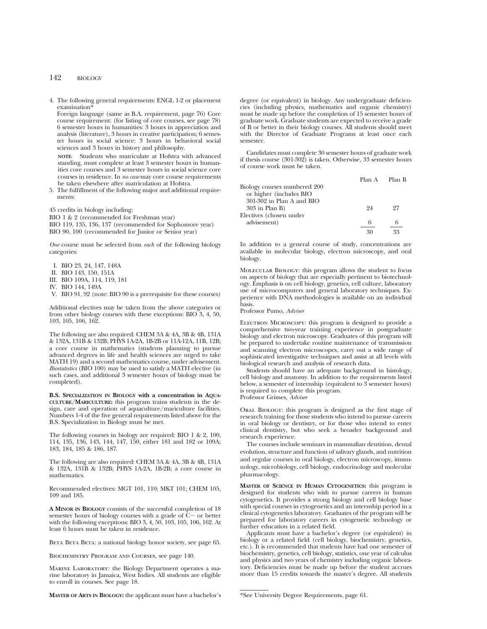## 142 BIOLOGY

4. The following general requirements: ENGL 1-2 or placement examination<sup>\*</sup>

Foreign language (same as B.A. requirement, page 76) Core course requirement: (for listing of core courses, see page 78) 6 semester hours in humanities: 3 hours in appreciation and analysis (literature), 3 hours in creative participation; 6 semester hours in social science: 3 hours in behavioral social sciences and 3 hours in history and philosophy.

**NOTE**: Students who matriculate at Hofstra with advanced standing, must complete at least 3 semester hours in humanities core courses and 3 semester hours in social science core courses in residence. In *no case* may core course requirements be taken elsewhere after matriculation at Hofstra.

5. The fulfillment of the following major and additional requirements:

45 credits in biology including:

BIO 1 & 2 (recommended for Freshman year)

BIO 119, 135, 136, 137 (recommended for Sophomore year)

BIO 90, 100 (recommended for Junior or Senior year)

*One* course must be selected from *each* of the following biology categories:

- I. BIO 23, 24, 147, 148A
- II. BIO 143, 150, 151A
- III. BIO 109A, 114, 119, 181
- IV. BIO 144, 149A

V. BIO 91, 92 (note: BIO 90 is a prerequisite for these courses)

Additional electives may be taken from the above categories or from other biology courses with these exceptions: BIO 3, 4, 50, 103, 105, 106, 162.

The following are also required: CHEM 3A & 4A, 3B & 4B, 131A & 132A, 131B & 132B; PHYS 1A-2A, 1B-2B or 11A-12A, 11B, 12B; a core course in mathematics (students planning to pursue advanced degrees in life and health sciences are urged to take MATH 19) and a second mathematics course, under advisement. *Biostatistics* (BIO 100) may be used to satisfy a MATH elective (in such cases, and additional 3 semester hours of biology must be completed).

**B.S. SPECIALIZATION IN BIOLOGY with a concentration in AQUA-CULTURE/MARICULTURE:** this program trains students in the design, care and operation of aquaculture/mariculture facilities. Numbers 1-4 of the five general requirements listed above for the B.S. Specialization in Biology must be met.

The following courses in biology are required: BIO 1 & 2, 100, 114, 135, 136, 143, 144, 147, 150, either 181 and 182 or 109A; 183, 184, 185 & 186, 187.

The following are also required: CHEM 3A & 4A, 3B & 4B, 131A & 132A, 131B & 132B; PHYS 1A-2A, 1B-2B; a core course in mathematics.

Recommended electives: MGT 101, 110; MKT 101; CHEM 105, 109 and 185.

**A MINOR IN BIOLOGY** consists of the successful completion of 18 semester hours of biology courses with a grade of  $\tilde{C}$  or better with the following exceptions: BIO 3, 4, 50, 103, 105, 106, 162. At least 6 hours must be taken in residence.

BETA BETA: a national biology honor society, see page 65.

Biochemistry Program and Courses, see page 140.

Marine Laboratory: the Biology Department operates a marine laboratory in Jamaica, West Indies. All students are eligible to enroll in courses. See page 18.

**MASTER OF ARTS IN BIOLOGY:** the applicant must have a bachelor's

degree (or equivalent) in biology. Any undergraduate deficiencies (including physics, mathematics and organic chemistry) must be made up before the completion of 15 semester hours of graduate work. Graduate students are expected to receive a grade of B or better in their biology courses. All students should meet with the Director of Graduate Programs at least once each semester.

Candidates must complete 30 semester hours of graduate work if thesis course (301-302) is taken. Otherwise, 33 semester hours of course work must be taken.

|                              |    | Plan A Plan B |
|------------------------------|----|---------------|
| Biology courses numbered 200 |    |               |
| or higher (includes BIO      |    |               |
| 301-302 in Plan A and BIO    |    |               |
| $303$ in Plan B)             | 94 | 97            |
| Electives (chosen under      |    |               |
| advisement)                  | 6  | 6             |
|                              |    |               |

In addition to a general course of study, concentrations are available in molecular biology, electron microscopy, and oral biology.

Molecular Biology: this program allows the student to focus on aspects of biology that are especially pertinent to biotechnology. Emphasis is on cell biology, genetics, cell culture, laboratory use of microcomputers and general laboratory techniques. Experience with DNA methodologies is available on an individual basis.

Professor Pumo, *Adviser*

ELECTRON MICROSCOPY: this program is designed to provide a comprehensive two-year training experience in postgraduate biology and electron microscopy. Graduates of this program will be prepared to undertake routine maintenance of transmission and scanning electron microscopes, carry out a wide range of sophisticated investigative techniques and assist at all levels with biological research and analysis of research data.

Students should have an adequate background in histology, cell biology and anatomy. In addition to the requirements listed below, a semester of internship (equivalent to 3 semester hours) is required to complete this program.

Professor Grimes, *Adviser*

Oral Biology: this program is designed as the first stage of research training for those students who intend to pursue careers in oral biology or dentistry, or for those who intend to enter clinical dentistry, but who seek a broader background and research experience.

The courses include seminars in mammalian dentition, dental evolution, structure and function of salivary glands, and nutrition and regular courses in oral biology, electron microscopy, immunology, microbiology, cell biology, endocrinology and molecular pharmacology.

**MASTER OF SCIENCE IN HUMAN CYTOGENETICS:** this program is designed for students who wish to pursue careers in human cytogenetics. It provides a strong biology and cell biology base with special courses in cytogenetics and an internship period in a clinical cytogenetics laboratory. Graduates of the program will be prepared for laboratory careers in cytogenetic technology or further education in a related field.

Applicants must have a bachelor's degree (or equivalent) in biology or a related field (cell biology, biochemistry, genetics, etc.). It is recommended that students have had one semester of biochemistry, genetics, cell biology, statistics, one year of calculus and physics and two years of chemistry including organic laboratory. Deficiencies must be made up before the student accrues more than 15 credits towards the master's degree. All students

\*See University Degree Requirements, page 61.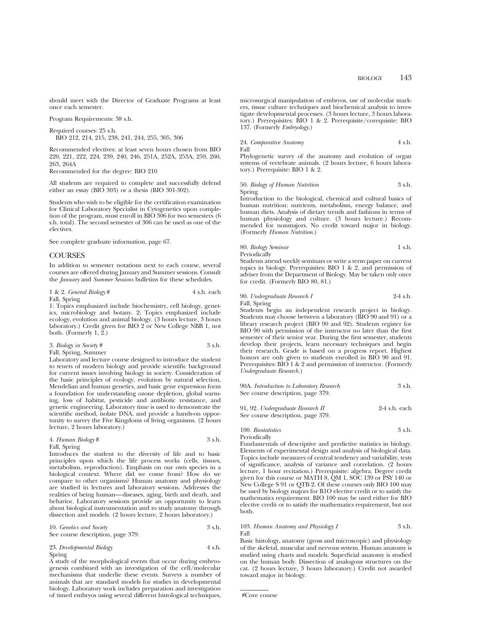should meet with the Director of Graduate Programs at least once each semester.

Program Requirements: 38 s.h.

Required courses: 25 s.h.

BIO 212, 214, 215, 238, 241, 244, 255, 305, 306

Recommended electives: at least seven hours chosen from BIO 220, 221, 222, 224, 239, 240, 246, 251A, 252A, 253A, 259, 260, 263, 264A

Recommended for the degree: BIO 210

All students are required to complete and successfully defend either an essay (BIO 303) or a thesis (BIO 301-302).

Students who wish to be eligible for the certification examination for Clinical Laboratory Specialist in Cytogenetics upon completion of the program, must enroll in BIO 306 for two semesters (6 s.h. total). The second semester of 306 can be used as one of the electives.

See complete graduate information, page 67.

## COURSES

In addition to semester notations next to each course, several courses are offered during January and Summer sessions. Consult the *January* and *Summer Sessions* bulletins for these schedules.

## 1 & 2. *General Biology* # 4 s.h. each

Fall, Spring 1: Topics emphasized include biochemistry, cell biology, genetics, microbiology and botany. 2: Topics emphasized include ecology, evolution and animal biology. (3 hours lecture, 3 hours laboratory.) Credit given for BIO 2 or New College NBB 1, not both. (Formerly 1,  $\tilde{2}$ .)

| 3. Biology in Society # | 3 s.h. |
|-------------------------|--------|
| Fall, Spring, Summer    |        |

Laboratory and lecture course designed to introduce the student to tenets of modern biology and provide scientific background for current issues involving biology in society. Consideration of the basic principles of ecology, evolution by natural selection, Mendelian and human genetics, and basic gene expression form a foundation for understanding ozone depletion, global warming, loss of habitat, pesticide and antibiotic resistance, and genetic engineering. Laboratory time is used to demonstrate the scientific method, isolate DNA, and provide a hands-on opportunity to survey the Five Kingdoms of living organisms. (2 hours lecture, 2 hours laboratory.)

| 4. Human Biology# | 3 s.h. |
|-------------------|--------|
| Fall, Spring      |        |

Introduces the student to the diversity of life and to basic principles upon which the life process works (cells, tissues, metabolism, reproduction). Emphasis on our own species in a biological context. Where did we come from? How do we compare to other organisms? Human anatomy and physiology are studied in lectures and laboratory sessions. Addresses the realities of being human—diseases, aging, birth and death, and behavior. Laboratory sessions provide an opportunity to learn about biological instrumentation and to study anatomy through dissection and models. (2 hours lecture, 2 hours laboratory.)

| 10. Genetics and Society          | 3 s.h. |
|-----------------------------------|--------|
| See course description, page 379. |        |

23. *Developmental Biology* 4 s.h. Spring

A study of the morphological events that occur during embryogenesis combined with an investigation of the cell/molecular mechanisms that underlie these events. Surveys a number of animals that are standard models for studies in developmental biology. Laboratory work includes preparation and investigation of timed embryos using several different histological techniques,

microsurgical manipulation of embryos, use of molecular markers, tissue culture techniques and biochemical analysis to investigate developmental processes. (3 hours lecture, 3 hours laboratory.) Prerequisites: BIO 1 & 2. Prerequisite/corequisite: BIO 137. (Formerly *Embryology*.)

24. *Comparative Anatomy* 4 s.h. Fall

Phylogenetic survey of the anatomy and evolution of organ systems of vertebrate animals. (2 hours lecture, 6 hours laboratory.) Prerequisite: BIO 1 & 2.

50. *Biology of Human Nutrition* 3 s.h. Spring

Introduction to the biological, chemical and cultural basics of human nutrition: nutrients, metabolism, energy balance, and human diets. Analysis of dietary trends and fashions in terms of human physiology and culture. (3 hours lecture.) Recommended for nonmajors. No credit toward major in biology. (Formerly *Human Nutrition*.)

## 80. *Biology Seminar* 1 s.h. Periodically

Students attend weekly seminars or write a term paper on current topics in biology. Prerequisites: BIO 1 & 2, and permission of adviser from the Department of Biology. May be taken only once for credit. (Formerly BIO 80, 81.)

90. *Undergraduate Research I* 2-4 s.h. Fall, Spring

Students begin an independent research project in biology. Students may choose between a laboratory (BIO 90 and 91) or a library research project (BIO 90 and 92). Students register for BIO 90 with permission of the instructor no later than the first semester of their senior year. During the first semester, students develop their projects, learn necessary techniques and begin their research. Grade is based on a progress report. Highest honors are only given to students enrolled in BIO 90 and 91. Prerequisites: BIO 1 & 2 and permission of instructor. (Formerly *Undergraduate Research.*)

| 90A. Introduction to Laboratory Research | 3 s.h. |
|------------------------------------------|--------|
| See course description, page 379.        |        |
|                                          |        |

| 91, 92. Undergraduate Research II | 2-4 s.h. each |
|-----------------------------------|---------------|
| See course description, page 379. |               |

100. *Biostatistics* 3 s.h. Periodically

Fundamentals of descriptive and predictive statistics in biology. Elements of experimental design and analysis of biological data. Topics include measures of central tendency and variability, tests of significance, analysis of variance and correlation. (2 hours lecture, 1 hour recitation.) Prerequisite: algebra. Degree credit given for this course or MATH 8, QM 1, SOC 139 or PSY 140 or New College S 91 or QTB 2. Of these courses only BIO 100 may be used by biology majors for B1O elective credit or to satisfy the mathematics requirement. BIO 100 may be used either for BIO elective credit or to satisfy the mathematics requirement, but not both.

103. *Human Anatomy and Physiology I* 3 s.h. Fall

Basic histology, anatomy (gross and microscopic) and physiology of the skeletal, muscular and nervous system. Human anatomy is studied using charts and models. Superficial anatomy is studied on the human body. Dissection of analogous structures on the cat. (2 hours lecture, 3 hours laboratory.) Credit not awarded toward major in biology.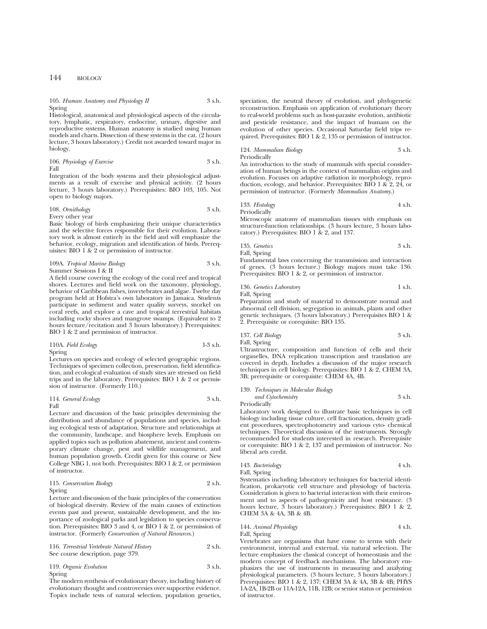## 144 BIOLOGY

## 105. *Human Anatomy and Physiology II* 3 s.h. Spring

Histological, anatomical and physiological aspects of the circulatory, lymphatic, respiratory, endocrine, urinary, digestive and reproductive systems. Human anatomy is studied using human models and charts. Dissection of these systems in the cat. (2 hours lecture, 3 hours laboratory.) Credit not awarded toward major in biology.

106. *Physiology of Exercise* 3 s.h. Fall

Integration of the body systems and their physiological adjustments as a result of exercise and physical activity. (2 hours lecture, 3 hours laboratory.) Prerequisites: BIO 103, 105. Not open to biology majors.

108. *Ornithology* 3 s.h. Every other year

Basic biology of birds emphasizing their unique characteristics and the selective forces responsible for their evolution. Laboratory work is almost entirely in the field and will emphasize the behavior, ecology, migration and identification of birds. Prerequisites: BIO 1 & 2 or permission of instructor.

109A. *Tropical Marine Biology* 3 s.h. Summer Sessions I & II

A field course covering the ecology of the coral reef and tropical shores. Lectures and field work on the taxonomy, physiology, behavior of Caribbean fishes, invertebrates and algae. Twelve day program held at Hofstra's own laboratory in Jamaica. Students participate in sediment and water quality surveys, snorkel on coral reefs, and explore a cave and tropical terrestrial habitats including rocky shores and mangrove swamps. (Equivalent to 2 hours lecture/recitation and 3 hours laboratory.) Prerequisites: BIO 1 & 2 and permission of instructor.

110A. *Field Ecology* 1-3 s.h. Spring

Lectures on species and ecology of selected geographic regions. Techniques of specimen collection, preservation, field identification, and ecological evaluation of study sites are stressed on field trips and in the laboratory. Prerequisites: BIO 1 & 2 or permission of instructor. (Formerly 110.)

114. *General Ecology* 3 s.h.

Fall

Lecture and discussion of the basic principles determining the distribution and abundance of populations and species, including ecological tests of adaptation. Structure and relationships at the community, landscape, and biosphere levels. Emphasis on applied topics such as pollution abatement, ancient and contemporary climate change, pest and wildlife management, and human population growth. Credit given for this course or New College NBG 1, not both. Prerequisites: BIO 1 & 2, or permission of instructor.

| 115. Conservation Biology | 2 s.h. |
|---------------------------|--------|
| Spring                    |        |

Lecture and discussion of the basic principles of the conservation of biological diversity. Review of the main causes of extinction events past and present, sustainable development, and the importance of zoological parks and legislation to species conservation. Prerequisites: BIO 3 and 4, or BIO 1 & 2, or permission of instructor. (Formerly *Conservation of Natural Resources*.)

| 116. Terrestrial Vertebrate Natural History | 2 s.h. |
|---------------------------------------------|--------|
| See course description, page 379.           |        |

| 119. Organic Evolution | 3 s.h. |
|------------------------|--------|
| Spring                 |        |

The modern synthesis of evolutionary theory, including history of evolutionary thought and controversies over supportive evidence. Topics include tests of natural selection, population genetics,

speciation, the neutral theory of evolution, and phylogenetic reconstruction. Emphasis on application of evolutionary theory to real-world problems such as host-parasite evolution, antibiotic and pesticide resistance, and the impact of humans on the evolution of other species. Occasional Saturday field trips required. Prerequisites: BIO 1 & 2, 135 or permission of instructor.

124. *Mammalian Biology* 3 s.h. Periodically

An introduction to the study of mammals with special consideration of human beings in the context of mammalian origins and evolution. Focuses on adaptive radiation in morphology, reproduction, ecology, and behavior. Prerequisites: BIO 1 & 2, 24, or permission of instructor. (Formerly *Mammalian Anatomy*.)

133. *Histology* 4 s.h. Periodically

Microscopic anatomy of mammalian tissues with emphasis on structure-function relationships. (3 hours lecture, 3 hours laboratory.) Prerequisites: BIO 1 & 2, and 137.

135. *Genetics* 3 s.h. Fall, Spring Fundamental laws concerning the transmission and interaction

of genes. (3 hours lecture.) Biology majors must take 136. Prerequisites: BIO 1 & 2, or permission of instructor.

136. *Genetics Laboratory* 1 s.h. Fall, Spring

Preparation and study of material to demonstrate normal and abnormal cell division, segregation in animals, plants and other genetic techniques. (3 hours laboratory.) Prerequisites BIO 1 & 2. Prerequisite or corequisite: BIO 135.

```
137. Cell Biology 3 s.h.
Fall, Spring
```
Ultrastructure, composition and function of cells and their organelles, DNA replication transcription and translation are covered in depth. Includes a discussion of the major research techniques in cell biology. Prerequisites: BIO 1 & 2, CHEM 3A, 3B; prerequisite or corequisite: CHEM 4A, 4B.

## 139. *Techniques in Molecular Biology and Cytochemistry* 3 s.h.

Periodically Laboratory work designed to illustrate basic techniques in cell biology including tissue culture, cell fractionation, density gradient procedures, spectrophotometry and various cyto- chemical techniques. Theoretical discussion of the instruments. Strongly recommended for students interested in research. Prerequisite or corequisite: BIO 1 & 2, 137 and permission of instructor. No liberal arts credit.

143. *Bacteriology* 4 s.h. Fall, Spring

Systematics including laboratory techniques for bacterial identification, prokaryotic cell structure and physiology of bacteria. Consideration is given to bacterial interaction with their environment and to aspects of pathogenicity and host resistance. (3 hours lecture, 3 hours laboratory.) Prerequisites: BIO 1 & 2, CHEM 3A & 4A, 3B & 4B.

144. *Animal Physiology* 4 s.h. Fall, Spring

Vertebrates are organisms that have come to terms with their environment, internal and external, via natural selection. The lecture emphasizes the classical concept of homeostasis and the modern concept of feedback mechanisms. The laboratory emphasizes the use of instruments in measuring and analyzing physiological parameters. (3 hours lecture, 3 hours laboratory.) Prerequisites: BIO 1 & 2, 137; CHEM 3A & 4A, 3B & 4B; PHYS 1A-2A, 1B-2B or 11A-12A, 11B, 12B; or senior status or permission of instructor.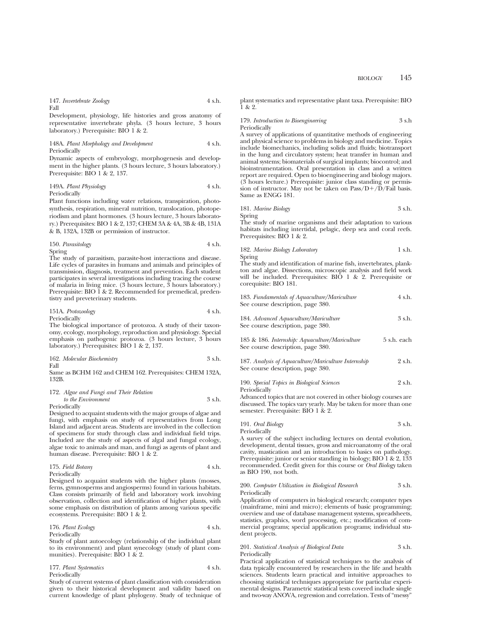#### 147. *Invertebrate Zoology* 4 s.h.

Fall

Development, physiology, life histories and gross anatomy of representative invertebrate phyla. (3 hours lecture, 3 hours laboratory.) Prerequisite: BIO 1 & 2.

148A. *Plant Morphology and Development* 4 s.h. Periodically

Dynamic aspects of embryology, morphogenesis and development in the higher plants. (3 hours lecture, 3 hours laboratory.) Prerequisite: BIO 1 & 2, 137.

149A. *Plant Physiology* 4 s.h. Periodically

Plant functions including water relations, transpiration, photosynthesis, respiration, mineral nutrition, translocation, photoperiodism and plant hormones. (3 hours lecture, 3 hours laboratory.) Prerequisites: BIO 1 & 2, 137; CHEM 3A & 4A, 3B & 4B, 131A & B, 132A, 132B or permission of instructor.

150. *Parasitology* 4 s.h. Spring

The study of parasitism, parasite-host interactions and disease. Life cycles of parasites in humans and animals and principles of transmission, diagnosis, treatment and prevention. Each student participates in several investigations including tracing the course of malaria in living mice. (3 hours lecture, 3 hours laboratory.) Prerequisite: BIO 1 & 2. Recommended for premedical, predentistry and preveterinary students.

### 151A. *Protozoology* 4 s.h. Periodically

The biological importance of protozoa. A study of their taxonomy, ecology, morphology, reproduction and physiology. Special emphasis on pathogenic protozoa. (3 hours lecture, 3 hours laboratory.) Prerequisites: BIO 1 & 2, 137.

162. *Molecular Biochemistry* 3 s.h.

Fall

Same as BCHM 162 and CHEM 162. Prerequisites: CHEM 132A, 132B.

| 172. Algae and Fungi and Their Relation |        |
|-----------------------------------------|--------|
| to the Environment                      | 3 s.h. |

Periodically

Designed to acquaint students with the major groups of algae and fungi, with emphasis on study of representatives from Long Island and adjacent areas. Students are involved in the collection of specimens for study through class and individual field trips. Included are the study of aspects of algal and fungal ecology, algae toxic to animals and man, and fungi as agents of plant and human disease. Prerequisite: BIO 1 & 2.

| 175. Field Botany                                                                                                                                                  | 4 s.h. |
|--------------------------------------------------------------------------------------------------------------------------------------------------------------------|--------|
| $\mathbf{D}$ , $\mathbf{D}$ , $\mathbf{D}$ , $\mathbf{D}$ , $\mathbf{D}$ , $\mathbf{D}$ , $\mathbf{D}$ , $\mathbf{D}$ , $\mathbf{D}$ , $\mathbf{D}$ , $\mathbf{D}$ |        |

Periodically

Designed to acquaint students with the higher plants (mosses, ferns, gymnosperms and angiosperms) found in various habitats. Class consists primarily of field and laboratory work involving observation, collection and identification of higher plants, with some emphasis on distribution of plants among various specific ecosystems. Prerequisite: BIO 1 & 2.

176. *Plant Ecology* 4 s.h. Periodically

Study of plant autoecology (relationship of the individual plant to its environment) and plant synecology (study of plant communities). Prerequisite: BIO 1 & 2.

177. *Plant Systematics* 4 s.h.

Periodically

Study of current systems of plant classification with consideration given to their historical development and validity based on current knowledge of plant phylogeny. Study of technique of plant systematics and representative plant taxa. Prerequisite: BIO 1 & 2.

## 179. *Introduction to Bioengineering* 3 s.h Periodically

A survey of applications of quantitative methods of engineering and physical science to problems in biology and medicine. Topics include biomechanics, including solids and fluids; biotransport in the lung and circulatory system; heat transfer in human and animal systems; biomaterials of surgical implants; biocontrol; and bioinstrumentation. Oral presentation in class and a written report are required. Open to bioengineering and biology majors. (3 hours lecture.) Prerequisite: junior class standing or permission of instructor. May not be taken on Pass/ $D+/\bar{D}/F$ ail basis. Same as ENGG 181.

181. *Marine Biology* 3 s.h. Spring

The study of marine organisms and their adaptation to various habitats including intertidal, pelagic, deep sea and coral reefs. Prerequisites: BIO 1 & 2.

182. *Marine Biology Laboratory* 1 s.h. Spring

The study and identification of marine fish, invertebrates, plankton and algae. Dissections, microscopic analysis and field work will be included. Prerequisites: BIO 1 & 2. Prerequisite or corequisite: BIO 181.

| 183. Fundamentals of Aquaculture/Mariculture | 4 s.h. |
|----------------------------------------------|--------|
| See course description, page 380.            |        |
| 101 11 11 11 11 1 10                         |        |

| 184. Advanced Aquaculture/Mariculture | 3 s.h. |
|---------------------------------------|--------|
| See course description, page 380.     |        |

|  | 185 & 186. Internship: Aquaculture/Mariculture |  | 5 s.h. each |
|--|------------------------------------------------|--|-------------|
|  | See course description, page 380.              |  |             |

| 187. Analysis of Aquaculture/Mariculture Internship | 2 s.h. |  |
|-----------------------------------------------------|--------|--|
| See course description, page 380.                   |        |  |

| 190. Special Topics in Biological Sciences | 2 s.h. |
|--------------------------------------------|--------|
| Periodically                               |        |

Advanced topics that are not covered in other biology courses are discussed. The topics vary yearly. May be taken for more than one semester. Prerequisite: BIO 1 & 2.

191. *Oral Biology* 3 s.h. Periodically

A survey of the subject including lectures on dental evolution, development, dental tissues, gross and microanatomy of the oral cavity, mastication and an introduction to basics on pathology. Prerequisite: junior or senior standing in biology; BIO 1 & 2, 133 recommended. Credit given for this course or *Oral Biology* taken as BIO 190, not both.

200. *Computer Utilization in Biological Research* 3 s.h. Periodically

Application of computers in biological research; computer types (mainframe, mini and micro); elements of basic programming; overview and use of database management systems, spreadsheets, statistics, graphics, word processing, etc.; modification of commercial programs; special application programs; individual student projects.

## 201. *Statistical Analysis of Biological Data* 3 s.h. Periodically

Practical application of statistical techniques to the analysis of data typically encountered by researchers in the life and health sciences. Students learn practical and intuitive approaches to choosing statistical techniques appropriate for particular experimental designs. Parametric statistical tests covered include single and two-way ANOVA, regression and correlation. Tests of "messy"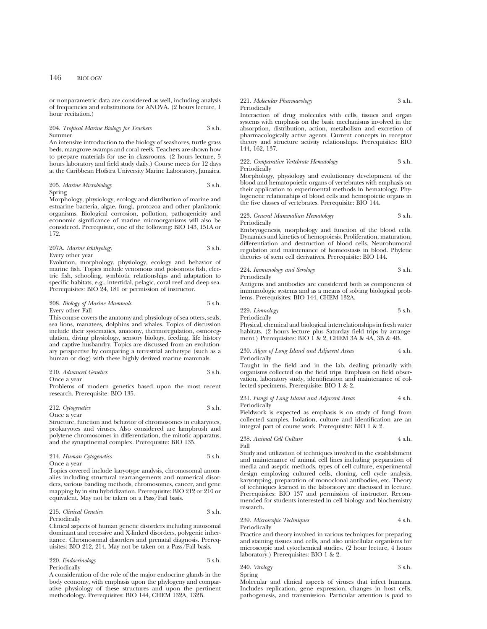or nonparametric data are considered as well, including analysis of frequencies and substitutions for ANOVA. (2 hours lecture, 1 hour recitation.)

#### 204. *Tropical Marine Biology for Teachers* 3 s.h. Summer

An intensive introduction to the biology of seashores, turtle grass beds, mangrove swamps and coral reefs. Teachers are shown how to prepare materials for use in classrooms. (2 hours lecture, 5 hours laboratory and field study daily.) Course meets for 12 days at the Caribbean Hofstra University Marine Laboratory, Jamaica.

205. *Marine Microbiology* 3 s.h.

Spring

Morphology, physiology, ecology and distribution of marine and estuarine bacteria, algae, fungi, protozoa and other planktonic organisms. Biological corrosion, pollution, pathogenicity and economic significance of marine microorganisms will also be considered. Prerequisite, one of the following: BIO 143, 151A or 172.

207A. *Marine Ichthyology* 3 s.h. Every other year

Evolution, morphology, physiology, ecology and behavior of marine fish. Topics include venomous and poisonous fish, electric fish, schooling, symbiotic relationships and adaptation to specific habitats, e.g., intertidal, pelagic, coral reef and deep sea. Prerequisites: BIO 24, 181 or permission of instructor.

#### 208. *Biology of Marine Mammals* 3 s.h. Every other Fall

This course covers the anatomy and physiology of sea otters, seals, sea lions, manatees, dolphins and whales. Topics of discussion include their systematics, anatomy, thermoregulation, osmoregulation, diving physiology, sensory biology, feeding, life history and captive husbandry. Topics are discussed from an evolutionary perspective by comparing a terrestrial archetype (such as a human or dog) with these highly derived marine mammals.

## 210. *Advanced Genetics* 3 s.h.

Once a year

Problems of modern genetics based upon the most recent research. Prerequisite: BIO 135.

| 212. Cytogenetics | 3 s.h. |
|-------------------|--------|
| Once a year       |        |

Structure, function and behavior of chromosomes in eukaryotes, prokaryotes and viruses. Also considered are lampbrush and polytene chromosomes in differentiation, the mitotic apparatus, and the synaptinemal complex. Prerequisite: BIO 135.

214. *Human Cytogenetics* 3 s.h. Once a year

Topics covered include karyotype analysis, chromosomal anomalies including structural rearrangements and numerical disor-

ders, various banding methods, chromosomes, cancer, and gene mapping by in situ hybridization. Prerequisite: BIO 212 or 210 or equivalent. May not be taken on a Pass/Fail basis.

215. *Clinical Genetics* 3 s.h. Periodically

Clinical aspects of human genetic disorders including autosomal

dominant and recessive and X-linked disorders, polygenic inheritance. Chromosomal disorders and prenatal diagnosis. Prerequisites: BIO 212, 214. May not be taken on a Pass/Fail basis.

### 220. *Endocrinology* 3 s.h. Periodically

A consideration of the role of the major endocrine glands in the body economy, with emphasis upon the phylogeny and comparative physiology of these structures and upon the pertinent methodology. Prerequisites: BIO 144, CHEM 132A, 132B.

#### 221. *Molecular Pharmacology* 3 s.h. Periodically

Interaction of drug molecules with cells, tissues and organ systems with emphasis on the basic mechanisms involved in the absorption, distribution, action, metabolism and excretion of pharmacologically active agents. Current concepts in receptor theory and structure activity relationships. Prerequisites: BIO 144, 162, 137.

## 222. *Comparative Vertebrate Hematology* 3 s.h. Periodically

Morphology, physiology and evolutionary development of the blood and hematopoietic organs of vertebrates with emphasis on their application to experimental methods in hematology. Phylogenetic relationships of blood cells and hemopoietic organs in the five classes of vertebrates. Prerequisite: BIO 144.

### 223. *General Mammalian Hematology* 3 s.h. Periodically

Embryogenesis, morphology and function of the blood cells. Dynamics and kinetics of hemopoiesis. Proliferation, maturation, differentiation and destruction of blood cells. Neurohumoral regulation and maintenance of homeostasis in blood. Phyletic theories of stem cell derivatives. Prerequisite: BIO 144.

224. *Immunology and Serology* 3 s.h. Periodically

Antigens and antibodies are considered both as components of immunologic systems and as a means of solving biological problems. Prerequisites: BIO 144, CHEM 132A.

| 229. Limnology | 3 s.h. |
|----------------|--------|
| Periodically   |        |

Physical, chemical and biological interrelationships in fresh water habitats. (2 hours lecture plus Saturday field trips by arrangement.) Prerequisites: BIO 1 & 2, CHEM 3A & 4A, 3B & 4B.

230. *Algae of Long Island and Adjacent Areas* 4 s.h. Periodically

Taught in the field and in the lab, dealing primarily with organisms collected on the field trips. Emphasis on field observation, laboratory study, identification and maintenance of collected specimens. Prerequisite: BIO 1 & 2.

231. *Fungi of Long Island and Adjacent Areas* 4 s.h. Periodically

Fieldwork is expected as emphasis is on study of fungi from collected samples. Isolation, culture and identification are an integral part of course work. Prerequisite: BIO 1 & 2.

238. *Animal Cell Culture* 4 s.h.

Study and utilization of techniques involved in the establishment and maintenance of animal cell lines including preparation of media and aseptic methods, types of cell culture, experimental design employing cultured cells, cloning, cell cycle analysis, karyotyping, preparation of monoclonal antibodies, etc. Theory of techniques learned in the laboratory are discussed in lecture. Prerequisites: BIO 137 and permission of instructor. Recommended for students interested in cell biology and biochemistry research.

## 239. *Microscopic Techniques* 4 s.h. Periodically

Practice and theory involved in various techniques for preparing and staining tissues and cells, and also unicellular organisms for microscopic and cytochemical studies. (2 hour lecture, 4 hours laboratory.) Prerequisites: BIO 1 & 2.

| 240. Virology |  | $3 \,$ s.h. |
|---------------|--|-------------|

Spring

Fall

Molecular and clinical aspects of viruses that infect humans. Includes replication, gene expression, changes in host cells, pathogenesis, and transmission. Particular attention is paid to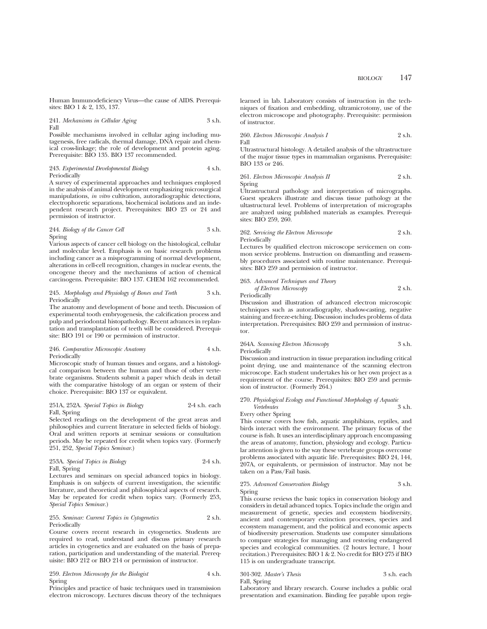Human Immunodeficiency Virus—the cause of AIDS. Prerequisites: BIO 1 & 2, 135, 137.

241. *Mechanisms in Cellular Aging* 3 s.h. Fall

Possible mechanisms involved in cellular aging including mutagenesis, free radicals, thermal damage, DNA repair and chemical cross-linkage; the role of development and protein aging. Prerequisite: BIO 135. BIO 137 recommended.

243. *Experimental Developmental Biology* 4 s.h. Periodically

A survey of experimental approaches and techniques employed in the analysis of animal development emphasizing microsurgical manipulations, *in vitro* cultivation, autoradiographic detections, electrophoretic separations, biochemical isolations and an independent research project. Prerequisites: BIO 23 or 24 and permission of instructor.

244. *Biology of the Cancer Cell* 3 s.h. Spring

Various aspects of cancer cell biology on the histological, cellular and molecular level. Emphasis is on basic research problems including cancer as a misprogramming of normal development, alterations in cell-cell recognition, changes in nuclear events, the oncogene theory and the mechanisms of action of chemical carcinogens. Prerequisite: BIO 137. CHEM 162 recommended.

#### 245. *Morphology and Physiology of Bones and Teeth* 3 s.h. Periodically

The anatomy and development of bone and teeth. Discussion of experimental tooth embryogenesis, the calcification process and pulp and periodontal histopathology. Recent advances in replantation and transplantation of teeth will be considered. Prerequisite: BIO 191 or 190 or permission of instructor.

246. *Comparative Microscopic Anatomy* 4 s.h. Periodically

Microscopic study of human tissues and organs, and a histological comparison between the human and those of other vertebrate organisms. Students submit a paper which deals in detail with the comparative histology of an organ or system of their choice. Prerequisite: BIO 137 or equivalent.

### 251A, 252A. *Special Topics in Biology* 2-4 s.h. each Fall, Spring

Selected readings on the development of the great areas and philosophies and current literature in selected fields of biology. Oral and written reports at seminar sessions or consultation periods. May be repeated for credit when topics vary. (Formerly 251, 252, *Special Topics Seminar*.)

253A. *Special Topics in Biology* 2-4 s.h. Fall, Spring

Lectures and seminars on special advanced topics in biology. Emphasis is on subjects of current investigation, the scientific literature, and theoretical and philosophical aspects of research. May be repeated for credit when topics vary. (Formerly 253, *Special Topics Seminar*.)

### 255. *Seminar: Current Topics in Cytogenetics* 2 s.h. Periodically

Course covers recent research in cytogenetics. Students are required to read, understand and discuss primary research articles in cytogenetics and are evaluated on the basis of preparation, participation and understanding of the material. Prerequisite: BIO 212 or BIO 214 or permission of instructor.

259. *Electron Microscopy for the Biologist* 4 s.h. Spring

Principles and practice of basic techniques used in transmission electron microscopy. Lectures discuss theory of the techniques learned in lab. Laboratory consists of instruction in the techniques of fixation and embedding, ultramicrotomy, use of the electron microscope and photography. Prerequisite: permission of instructor.

260. *Electron Microscopic Analysis I* 2 s.h. Fall

Ultrastructural histology. A detailed analysis of the ultrastructure of the major tissue types in mammalian organisms. Prerequisite: BIO 133 or 246.

261. *Electron Microscopic Analysis II* 2 s.h. Spring

Ultrastructural pathology and interpretation of micrographs. Guest speakers illustrate and discuss tissue pathology at the ultastructural level. Problems of interpretation of micrographs are analyzed using published materials as examples. Prerequisites: BIO 259, 260.

262. *Servicing the Electron Microscope* 2 s.h. Periodically

Lectures by qualified electron microscope servicemen on common service problems. Instruction on dismantling and reassembly procedures associated with routine maintenance. Prerequisites: BIO 259 and permission of instructor.

263. *Advanced Techniques and Theory of Electron Microscopy* 2 s.h. Periodically

Discussion and illustration of advanced electron microscopic techniques such as autoradiography, shadow-casting, negative staining and freeze-etching. Discussion includes problems of data interpretation. Prerequisites: BIO 259 and permission of instructor.

## 264A. *Scanning Electron Microscopy* 3 s.h. Periodically

Discussion and instruction in tissue preparation including critical point drying, use and maintenance of the scanning electron microscope. Each student undertakes his or her own project as a requirement of the course. Prerequisites: BIO 259 and permission of instructor. (Formerly 264.)

## 270. *Physiological Ecology and Functional Morphology of Aquatic*  $Vert$

Every other Spring

This course covers how fish, aquatic amphibians, reptiles, and birds interact with the environment. The primary focus of the course is fish. It uses an interdisciplinary approach encompassing the areas of anatomy, function, physiology and ecology. Particular attention is given to the way these vertebrate groups overcome problems associated with aquatic life. Prerequisites: BIO 24, 144, 207A, or equivalents, or permission of instructor. May not be taken on a Pass/Fail basis.

## 275. *Advanced Conservation Biology* 3 s.h. Spring

This course reviews the basic topics in conservation biology and considers in detail advanced topics. Topics include the origin and measurement of genetic, species and ecosystem biodiversity, ancient and contemporary extinction processes, species and ecosystem management, and the political and economic aspects of biodiversity preservation. Students use computer simulations to compare strategies for managing and restoring endangered species and ecological communities. (2 hours lecture, 1 hour recitation.) Prerequisites: BIO 1 & 2. No credit for BIO 275 if BIO 115 is on undergraduate transcript.

301-302. *Master's Thesis* 3 s.h. each Fall, Spring

Laboratory and library research. Course includes a public oral presentation and examination. Binding fee payable upon regis-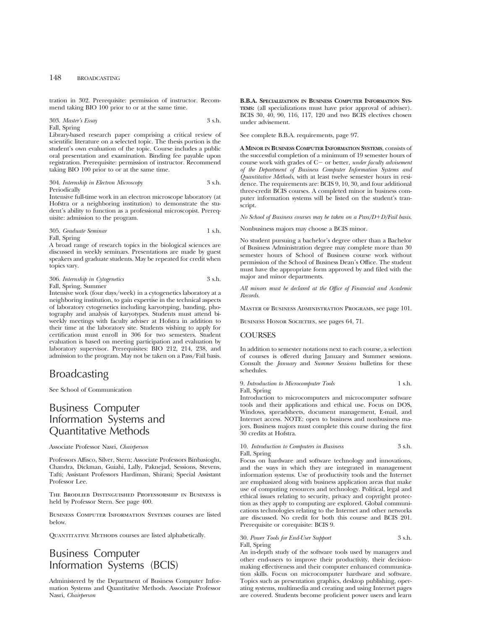tration in 302. Prerequisite: permission of instructor. Recommend taking BIO 100 prior to or at the same time.

303. *Master's Essay* 3 s.h. Fall, Spring

Library-based research paper comprising a critical review of scientific literature on a selected topic. The thesis portion is the student's own evaluation of the topic. Course includes a public oral presentation and examination. Binding fee payable upon registration. Prerequisite: permission of instructor. Recommend taking BIO 100 prior to or at the same time.

304. *Internship in Electron Microscopy* 3 s.h. Periodically

Intensive full-time work in an electron microscope laboratory (at Hofstra or a neighboring institution) to demonstrate the student's ability to function as a professional microscopist. Prerequisite: admission to the program.

305. *Graduate Seminar* 1 s.h.

Fall, Spring

A broad range of research topics in the biological sciences are discussed in weekly seminars. Presentations are made by guest speakers and graduate students. May be repeated for credit when topics vary.

306. *Internship in Cytogenetics* 3 s.h. Fall, Spring, Summer

Intensive work (four days/week) in a cytogenetics laboratory at a neighboring institution, to gain expertise in the technical aspects of laboratory cytogenetics including karyotyping, banding, photography and analysis of karyotypes. Students must attend biweekly meetings with faculty adviser at Hofstra in addition to their time at the laboratory site. Students wishing to apply for certification must enroll in 306 for two semesters. Student evaluation is based on meeting participation and evaluation by laboratory supervisor. Prerequisites: BIO 212, 214, 238, and admission to the program. May not be taken on a Pass/Fail basis.

## Broadcasting

See School of Communication

## Business Computer Information Systems and Quantitative Methods

Associate Professor Nasri, *Chairperson*

Professors Affisco, Silver, Stern; Associate Professors Binbasioglu, Chandra, Dickman, Guiahi, Lally, Paknejad, Sessions, Stevens, Tafti; Assistant Professors Hardiman, Shirani; Special Assistant Professor Lee.

The Brodlieb Distinguished Professorship in Business is held by Professor Stern. See page 400.

Business Computer Information Systems courses are listed below.

QUANTITATIVE METHODS courses are listed alphabetically.

## Business Computer Information Systems (BCIS)

Administered by the Department of Business Computer Information Systems and Quantitative Methods. Associate Professor Nasri, *Chairperson*

**B.B.A. SPECIALIZATION IN BUSINESS COMPUTER INFORMATION SYS-TEMS:** (all specializations must have prior approval of adviser). BCIS 30, 40, 90, 116, 117, 120 and two BCIS electives chosen under advisement.

See complete B.B.A. requirements, page 97.

**A MINOR IN BUSINESS COMPUTER INFORMATION SYSTEMS**, consists of the successful completion of a minimum of 19 semester hours of course work with grades of C- or better, *under faculty advisement of the Department of Business Computer Information Systems and Quantitative Methods*, with at least twelve semester hours in residence. The requirements are: BCIS 9, 10, 30, and four additional three-credit BCIS courses. A completed minor in business computer information systems will be listed on the student's transcript.

*No School of Business courses may be taken on a Pass/D+D/Fail basis.* 

Nonbusiness majors may choose a BCIS minor.

No student pursuing a bachelor's degree other than a Bachelor of Business Administration degree may complete more than 30 semester hours of School of Business course work without permission of the School of Business Dean's Office. The student must have the appropriate form approved by and filed with the major and minor departments.

*All minors must be declared at the Office of Financial and Academic Records.*

Master of Business Administration Programs, see page 101.

BUSINESS HONOR SOCIETIES, see pages 64, 71.

## **COURSES**

In addition to semester notations next to each course, a selection of courses is offered during January and Summer sessions. Consult the *January* and *Summer Sessions* bulletins for these schedules.

9. *Introduction to Microcomputer Tools* 1 s.h. Fall, Spring

Introduction to microcomputers and microcomputer software tools and their applications and ethical use. Focus on DOS, Windows, spreadsheets, document management, E-mail, and Internet access. NOTE: open to business and nonbusiness majors. Business majors must complete this course during the first 30 credits at Hofstra.

10. *Introduction to Computers in Business* 3 s.h. Fall, Spring

Focus on hardware and software technology and innovations, and the ways in which they are integrated in management information systems. Use of productivity tools and the Internet are emphasized along with business application areas that make use of computing resources and technology. Political, legal and ethical issues relating to security, privacy and copyright protection as they apply to computing are explored. Global communications technologies relating to the Internet and other networks are discussed. No credit for both this course and BCIS 201. Prerequisite or corequisite: BCIS 9.

30. *Power Tools for End-User Support* 3 s.h. Fall, Spring

An in-depth study of the software tools used by managers and other end-users to improve their productivity, their decisionmaking effectiveness and their computer enhanced communication skills. Focus on microcomputer hardware and software. Topics such as presentation graphics, desktop publishing, operating systems, multimedia and creating and using Internet pages are covered. Students become proficient power users and learn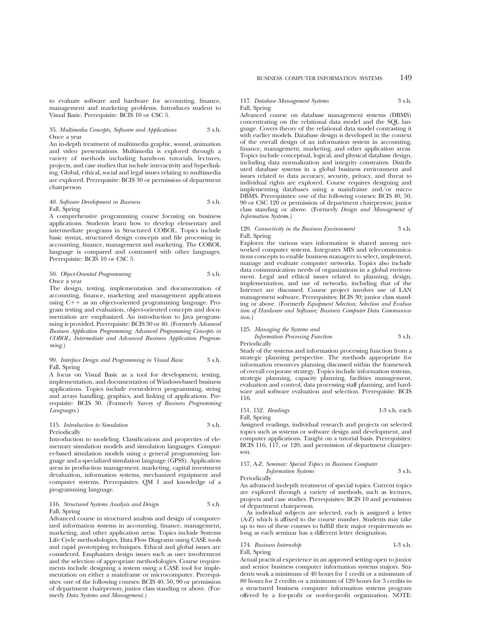to evaluate software and hardware for accounting, finance, management and marketing problems. Introduces student to Visual Basic. Prerequisite: BCIS 10 or CSC 5.

## 35. *Multimedia Concepts, Software and Applications* 3 s.h. Once a year

An in-depth treatment of multimedia graphic, sound, animation and video presentations. Multimedia is explored through a variety of methods including hands-on tutorials, lectures, projects, and case studies that include interactivity and hyperlinking. Global, ethical, social and legal issues relating to multimedia are explored. Prerequisite: BCIS 30 or permission of department chairperson.

## 40. *Software Development in Business* 3 s.h. Fall, Spring

A comprehensive programming course focusing on business applications. Students learn how to develop elementary and intermediate programs in Structured COBOL. Topics include basic syntax, structured design concepts and file processing in accounting, finance, management and marketing. The COBOL language is compared and contrasted with other languages. Prerequisite: BCIS 10 or CSC 5.

## 50. *Object-Oriented Programming* 3 s.h. Once a year

The design, testing, implementation and documentation of accounting, finance, marketing and management applications using  $C++$  as an object-oriented programming language. Program testing and evaluation, object-oriented concepts and documentation are emphasized. An introduction to Java programming is provided. Prerequisite: BCIS 30 or 40. (Formerly *Advanced Business Application Programming; Advanced Programming Concepts in COBOL; Intermediate and Advanced Business Application Programming.*)

## 90. *Interface Design and Programming in Visual Basic* 3 s.h. Fall, Spring

A focus on Visual Basic as a tool for development, testing, implementation, and documentation of Windows-based business applications. Topics include event-driven programming, string and arrays handling, graphics, and linking of applications. Prerequisite: BCIS 30. (Formerly *Survey of Business Programming Languages*.)

### 115. *Introduction to Simulation* 3 s.h. Periodically

Introduction to modeling. Classifications and properties of elementary simulation models and simulation languages. Computer-based simulation models using a general programming language and a specialized simulation language (GPSS). Application areas in production management, marketing, capital investment devaluation, information systems, mechanized equipment and computer systems. Prerequisites: QM 1 and knowledge of a programming language.

### 116. *Structured Systems Analysis and Design* 3 s.h. Fall, Spring

Advanced course in structured analysis and design of computerized information systems in accounting, finance, management, marketing, and other application areas. Topics include Systems Life Cycle methodologies, Data Flow Diagrams using CASE tools and rapid prototyping techniques. Ethical and global issues are considered. Emphasizes design issues such as user involvement and the selection of appropriate methodologies. Course requirements include designing a system using a CASE tool for implementation on either a mainframe or microcomputer. Prerequisites: one of the following courses: BCIS 40, 50, 90 or permission of department chairperson; junior class standing or above. (Formerly *Data Systems and Management.)*

## BUSINESS COMPUTER INFORMATION SYSTEMS 149

## 117. *Database Management Systems* 3 s.h.

Fall, Spring

Advanced course on database management systems (DBMS) concentrating on the relational data model and the SQL language. Covers theory of the relational data model contrasting it with earlier models. Database design is developed in the context of the overall design of an information system in accounting, finance, management, marketing, and other application areas. Topics include conceptual, logical, and physical database design, including data normalization and integrity constraints. Distributed database systems in a global business environment and issues related to data accuracy, security, privacy, and threat to individual rights are explored. Course requires designing and implementing databases using a mainframe and/or micro DBMS. Prerequisites: one of the following courses: BCIS 40, 50, 90 or CSC 120 or permission of department chairperson; junior class standing or above. (Formerly *Design and Management of Information System*s.)

### 120. *Connectivity in the Business Environment* 3 s.h. Fall, Spring

Explores the various ways information is shared among networked computer systems. Integrates MIS and telecommunications concepts to enable business managers to select, implement, manage and evaluate computer networks. Topics also include data communication needs of organizations in a global environment. Legal and ethical issues related to planning, design, implementation, and use of networks, including that of the Internet are discussed. Course project involves use of LAN management software. Prerequisites: BCIS 30; junior class standing or above. (Formerly *Equipment Selection; Selection and Evaluation of Hardware and Software; Business Computer Data Communication.*)

## 125. *Managing the Systems and*

*Information Processing Function* 3 s.h.

Periodically

Study of the systems and information processing function from a strategic planning perspective. The methods appropriate for information resources planning discussed within the framework of overall corporate strategy. Topics include information systems, strategic planning, capacity planning, facilities management, evaluation and control, data processing staff planning, and hardware and software evaluation and selection. Prerequisite: BCIS 116.

## 151, 152. *Readings* 1-3 s.h. each Fall, Spring

Assigned readings, individual research and projects on selected topics such as systems or software design and development, and computer applications. Taught on a tutorial basis. Prerequisites: BCIS 116, 117, or 120; and permission of department chairperson.

## 157, A-Z. *Seminar: Special Topics in Business Computer Information Systems* 3 s.h.

Periodically

An advanced in-depth treatment of special topics. Current topics are explored through a variety of methods, such as lectures, projects and case studies. Prerequisites: BCIS 10 and permission of department chairperson.

As individual subjects are selected, each is assigned a letter (A-Z) which is affixed to the course number. Students may take up to two of these courses to fulfill their major requirements so long as each seminar has a different letter designation.

174. *Business Internship* 1-3 s.h. Fall, Spring

Actual practical experience in an approved setting open to junior and senior business computer information systems majors. Students work a minimum of 40 hours for 1 credit or a minimum of 80 hours for 2 credits or a minimum of 120 hours for 3 credits in a structured business computer information systems program offered by a for-profit or not-for-profit organization. NOTE: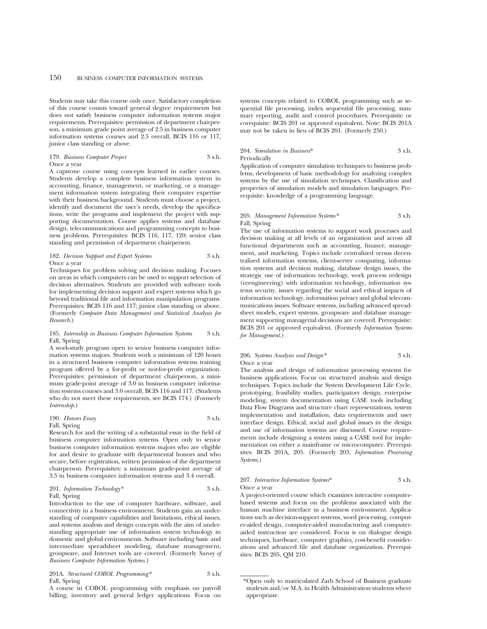Students may take this course only once. Satisfactory completion of this course counts toward general degree requirements but does not satisfy business computer information systems major requirements. Prerequisites: permission of department chairperson, a minimum grade point average of 2.5 in business computer information systems courses and 2.5 overall, BCIS 116 or 117, junior class standing or above.

179. *Business Computer Project* 3 s.h. Once a year

A capstone course using concepts learned in earlier courses. Students develop a complete business information system in accounting, finance, management, or marketing, or a management information system integrating their computer expertise with their business background. Students must choose a project, identify and document the user's needs, develop the specifications, write the programs and implement the project with supporting documentation. Course applies systems and database design, telecommunications and programming concepts to business problems. Prerequisites: BCIS 116, 117, 120; senior class standing and permission of department chairperson.

182. *Decision Support and Expert Systems* 3 s.h. Once a year

Techniques for problem solving and decision making. Focuses on areas in which computers can be used to support selection of decision alternatives. Students are provided with software tools for implementing decision support and expert systems which go beyond traditional file and information manipulation programs. Prerequisites: BCIS 116 and 117; junior class standing or above. (Formerly *Computer Data Management and Statistical Analysis for Research*.)

## 185. *Internship in Business Computer Information Systems* 3 s.h. Fall, Spring

A work-study program open to senior business computer information systems majors. Students work a minimum of 120 hours in a structured business computer information systems training program offered by a for-profit or not-for-profit organization. Prerequisites: permission of department chairperson, a minimum grade-point average of 3.0 in business computer information systems courses and 3.0 overall, BCIS 116 and 117. (Students who do not meet these requirements, see BCIS 174.) (Formerly *Internship*.)

190. *Honors Essay* 3 s.h. Fall, Spring

Research for and the writing of a substantial essay in the field of business computer information systems. Open only to senior business computer information systems majors who are eligible for and desire to graduate with departmental honors and who secure, before registration, written permission of the department chairperson. Prerequisites: a minimum grade-point average of 3.5 in business computer information systems and 3.4 overall.

201. *Information Technology\** 3 s.h. Fall, Spring

Introduction to the use of computer hardware, software, and connectivity in a business environment. Students gain an understanding of computer capabilities and limitations, ethical issues, and systems analysis and design concepts with the aim of understanding appropriate use of information system technology in domestic and global environments. Software including basic and intermediate spreadsheet modeling, database management, groupware, and Internet tools are covered. (Formerly *Survey of Business Computer Information Systems.*)

201A. *Structured COBOL Programming\** 3 s.h. Fall, Spring

A course in COBOL programming with emphasis on payroll billing, inventory and general ledger applications. Focus on

systems concepts related to COBOL programming such as sequential file processing, index sequential file processing, summary reporting, audit and control procedures. Prerequisite or corequisite: BCIS 201 or approved equivalent. Note: BCIS 201A may not be taken in lieu of BCIS 201. (Formerly 250.)

## 204. *Simulation in Business*\* 3 s.h. Periodically

Application of computer simulation techniques to business problems, development of basic methodology for analyzing complex systems by the use of simulation techniques. Classification and properties of simulation models and simulation languages. Prerequisite: knowledge of a programming language.

## 205. *Management Information Systems\** 3 s.h. Fall, Spring

The use of information systems to support work processes and decision making at all levels of an organization and across all functional departments such as accounting, finance, management, and marketing. Topics include centralized versus decentralized information systems, client-server computing, information systems and decision making, database design issues, the strategic use of information technology, work process redesign (reengineering) with information technology, information systems security, issues regarding the social and ethical impacts of information technology, information privacy and global telecommunications issues. Software systems, including advanced spreadsheet models, expert systems, groupware and database management supporting managerial decisions are covered. Prerequisite: BCIS 201 or approved equivalent. (Formerly *Information Systems for Management.*)

## 206. *Systems Analysis and Design\** 3 s.h. Once a year

The analysis and design of information processing systems for business applications. Focus on structured analysis and design techniques. Topics include the System Development Life Cycle, prototyping, feasibility studies, participatory design, enterprise modeling, system documentation using CASE tools including Data Flow Diagrams and structure chart representations, system implementation and installation, data requirements and user interface design. Ethical, social and global issues in the design and use of information systems are discussed. Course requirements include designing a system using a CASE tool for implementation on either a mainframe or microcomputer. Prerequisites: BCIS 201A, 205. (Formerly 203, *Information Processing Systems*.)

## 207. *Interactive Information Systems*\* 3 s.h. Once a year

A project-oriented course which examines interactive computerbased systems and focus on the problems associated with the human machine interface in a business environment. Applications such as decision-support systems, word processing, computer-aided design, computer-aided manufacturing and computeraided instruction are considered. Focus is on dialogue design techniques, hardware, computer graphics, cost-benefit considerations and advanced file and database organization. Prerequisites: BCIS 205, QM 210.

<sup>\*</sup>Open only to matriculated Zarb School of Business graduate students and/or M.A. in Health Administration students where appropriate.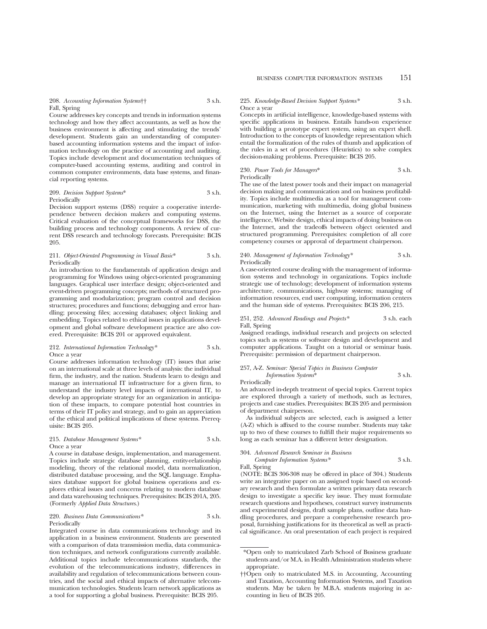## BUSINESS COMPUTER INFORMATION SYSTEMS 151

## 208. *Accounting Information Systems*†† 3 s.h. Fall, Spring

Course addresses key concepts and trends in information systems technology and how they affect accountants, as well as how the business environment is affecting and stimulating the trends' development. Students gain an understanding of computerbased accounting information systems and the impact of information technology on the practice of accounting and auditing. Topics include development and documentation techniques of computer-based accounting systems, auditing and control in common computer environments, data base systems, and financial reporting systems.

## 209. *Decision Support Systems*\* 3 s.h. Periodically

Decision support systems (DSS) require a cooperative interdependence between decision makers and computing systems. Critical evaluation of the conceptual frameworks for DSS, the building process and technology components. A review of current DSS research and technology forecasts. Prerequisite: BCIS 205.

#### 211. *Object-Oriented Programming in Visual Basic*\* 3 s.h. Periodically

An introduction to the fundamentals of application design and programming for Windows using object-oriented programming languages. Graphical user interface design; object-oriented and event-driven programming concepts; methods of structured programming and modularization; program control and decision structures; procedures and functions; debugging and error handling; processing files; accessing databases; object linking and embedding. Topics related to ethical issues in applications development and global software development practice are also covered. Prerequisite: BCIS 201 or approved equivalent.

#### 212. *International Information Technology\** 3 s.h. Once a year

Course addresses information technology (IT) issues that arise on an international scale at three levels of analysis: the individual firm, the industry, and the nation. Students learn to design and manage an international IT infrastructure for a given firm, to understand the industry level impacts of international IT, to develop an appropriate strategy for an organization in anticipation of these impacts, to compare potential host countries in terms of their IT policy and strategy, and to gain an appreciation of the ethical and political implications of these systems. Prerequisite: BCIS 205.

## 215. *Database Management Systems\** 3 s.h. Once a year

A course in database design, implementation, and management. Topics include strategic database planning, entity-relationship modeling, theory of the relational model, data normalization, distributed database processing, and the SQL language. Emphasizes database support for global business operations and explores ethical issues and concerns relating to modern database and data warehousing techniques. Prerequisites: BCIS 201A, 205. (Formerly *Applied Data Structures*.)

#### 220. *Business Data Communications\** 3 s.h. Periodically

Integrated course in data communications technology and its application in a business environment. Students are presented with a comparison of data transmission media, data communication techniques, and network configurations currently available. Additional topics include telecommunications standards, the evolution of the telecommunications industry, differences in availability and regulation of telecommunications between countries, and the social and ethical impacts of alternative telecommunication technologies. Students learn network applications as a tool for supporting a global business. Prerequisite: BCIS 205.

## 225. *Knowledge-Based Decision Support Systems\** 3 s.h. Once a year

Concepts in artificial intelligence, knowledge-based systems with specific applications in business. Entails hands-on experience with building a prototype expert system, using an expert shell. Introduction to the concepts of knowledge representation which entail the formalization of the rules of thumb and application of the rules in a set of procedures (Heuristics) to solve complex decision-making problems. Prerequisite: BCIS 205.

## 230. *Power Tools for Managers*\* 3 s.h. Periodically

The use of the latest power tools and their impact on managerial decision making and communication and on business profitability. Topics include multimedia as a tool for management communication, marketing with multimedia, doing global business on the Internet, using the Internet as a source of corporate intelligence, Website design, ethical impacts of doing business on the Internet, and the tradeoffs between object oriented and structured programming. Prerequisites: completion of all core competency courses or approval of department chairperson.

#### 240. *Management of Information Technology\** 3 s.h. Periodically

A case-oriented course dealing with the management of information systems and technology in organizations. Topics include strategic use of technology; development of information systems architecture, communications, highway systems; managing of information resources, end user computing, information centers and the human side of systems. Prerequisites: BCIS 206, 215.

## 251, 252. *Advanced Readings and Projects\** 3 s.h. each Fall, Spring

Assigned readings, individual research and projects on selected topics such as systems or software design and development and computer applications. Taught on a tutorial or seminar basis. Prerequisite: permission of department chairperson.

## 257, A-Z. *Seminar: Special Topics in Business Computer Information Systems*\* 3 s.h.

Periodically

An advanced in-depth treatment of special topics. Current topics are explored through a variety of methods, such as lectures, projects and case studies. Prerequisites: BCIS 205 and permission of department chairperson.

As individual subjects are selected, each is assigned a letter (A-Z) which is affixed to the course number. Students may take up to two of these courses to fulfill their major requirements so long as each seminar has a different letter designation.

## 304. *Advanced Research Seminar in Business*

*Computer Information Systems\** 3 s.h. Fall, Spring

(NOTE: BCIS 306-308 may be offered in place of 304.) Students write an integrative paper on an assigned topic based on secondary research and then formulate a written primary data research design to investigate a specific key issue. They must formulate research questions and hypotheses, construct survey instruments and experimental designs, draft sample plans, outline data handling procedures, and prepare a comprehensive research proposal, furnishing justifications for its theoretical as well as practical significance. An oral presentation of each project is required

<sup>\*</sup>Open only to matriculated Zarb School of Business graduate students and/or M.A. in Health Administration students where appropriate.

<sup>††</sup>Open only to matriculated M.S. in Accounting, Accounting and Taxation, Accounting Information Systems, and Taxation students. May be taken by M.B.A. students majoring in accounting in lieu of BCIS 205.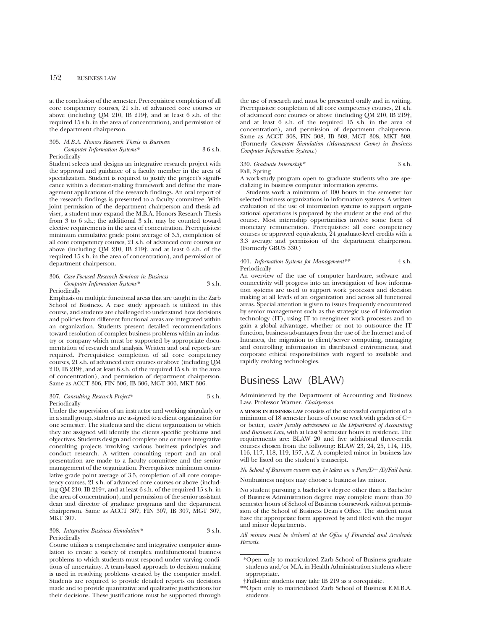at the conclusion of the semester. Prerequisites: completion of all core competency courses, 21 s.h. of advanced core courses or above (including QM 210, IB 219†, and at least 6 s.h. of the required 15 s.h. in the area of concentration), and permission of the department chairperson.

## 305. *M.B.A. Honors Research Thesis in Business Computer Information Systems\** 3-6 s.h. Periodically

Student selects and designs an integrative research project with the approval and guidance of a faculty member in the area of specialization. Student is required to justify the project's significance within a decision-making framework and define the management applications of the research findings. An oral report of the research findings is presented to a faculty committee. With joint permission of the department chairperson and thesis adviser, a student may expand the M.B.A. Honors Research Thesis from 3 to 6 s.h.; the additional 3 s.h. may be counted toward elective requirements in the area of concentration. Prerequisites: minimum cumulative grade point average of 3.5, completion of all core competency courses, 21 s.h. of advanced core courses or above (including QM 210, IB 219†, and at least 6 s.h. of the required 15 s.h. in the area of concentration), and permission of department chairperson.

306. *Case Focused Research Seminar in Business Computer Information Systems\** 3 s.h.

#### Periodically

Emphasis on multiple functional areas that are taught in the Zarb School of Business. A case study approach is utilized in this course, and students are challenged to understand how decisions and policies from different functional areas are integrated within an organization. Students present detailed recommendations toward resolution of complex business problems within an industry or company which must be supported by appropriate documentation of research and analysis. Written and oral reports are required. Prerequisites: completion of all core competency courses, 21 s.h. of advanced core courses or above (including QM 210, IB 219†, and at least 6 s.h. of the required 15 s.h. in the area of concentration), and permission of department chairperson. Same as ACCT 306, FIN 306, IB 306, MGT 306, MKT 306.

#### 307. *Consulting Research Project\** 3 s.h. Periodically

Under the supervision of an instructor and working singularly or in a small group, students are assigned to a client organization for one semester. The students and the client organization to which they are assigned will identify the clients specific problems and objectives. Students design and complete one or more integrative consulting projects involving various business principles and conduct research. A written consulting report and an oral presentation are made to a faculty committee and the senior management of the organization. Prerequisites: minimum cumulative grade point average of 3.5, completion of all core competency courses, 21 s.h. of advanced core courses or above (including QM 210, IB 219†, and at least 6 s.h. of the required 15 s.h. in the area of concentration), and permission of the senior assistant dean and director of graduate programs and the department chairperson. Same as ACCT 307, FIN 307, IB 307, MGT 307, MKT 307.

308. *Integrative Business Simulation\** 3 s.h. Periodically

Course utilizes a comprehensive and integrative computer simulation to create a variety of complex multifunctional business problems to which students must respond under varying conditions of uncertainty. A team-based approach to decision making is used in resolving problems created by the computer model. Students are required to provide detailed reports on decisions made and to provide quantitative and qualitative justifications for their decisions. These justifications must be supported through

the use of research and must be presented orally and in writing. Prerequisites: completion of all core competency courses, 21 s.h. of advanced core courses or above (including QM 210, IB 219†, and at least 6 s.h. of the required 15 s.h. in the area of concentration), and permission of department chairperson. Same as ACCT 308, FIN 308, IB 308, MGT 308, MKT 308. (Formerly *Computer Simulation (Management Game) in Business Computer Information Systems*.)

330. *Graduate Internship\** 3 s.h. Fall, Spring A work-study program open to graduate students who are spe-

cializing in business computer information systems.

Students work a minimum of 100 hours in the semester for selected business organizations in information systems. A written evaluation of the use of information systems to support organizational operations is prepared by the student at the end of the course. Most internship opportunities involve some form of monetary remuneration. Prerequisites: all core competency courses or approved equivalents, 24 graduate-level credits with a 3.3 average and permission of the department chairperson. (Formerly GBUS 330.)

## 401. *Information Systems for Management\*\** 4 s.h. Periodically

An overview of the use of computer hardware, software and connectivity will progress into an investigation of how information systems are used to support work processes and decision making at all levels of an organization and across all functional areas. Special attention is given to issues frequently encountered by senior management such as the strategic use of information technology (IT), using IT to reengineer work processes and to gain a global advantage, whether or not to outsource the IT function, business advantages from the use of the Internet and of Intranets, the migration to client/server computing, managing and controlling information in distributed environments, and corporate ethical responsibilities with regard to available and rapidly evolving technologies.

## Business Law (BLAW)

Administered by the Department of Accounting and Business Law. Professor Warner, *Chairperson*

**A MINOR IN BUSINESS LAW** consists of the successful completion of a minimum of 18 semester hours of course work with grades of  $C$ or better, *under faculty advisement in the Department of Accounting and Business Law*, with at least 9 semester hours in residence. The requirements are: BLAW 20 and five additional three-credit courses chosen from the following: BLAW 23, 24, 25, 114, 115, 116, 117, 118, 119, 157, A-Z. A completed minor in business law will be listed on the student's transcript.

*No School of Business courses may be taken on a Pass/D*1*/D/Fail basis.*

Nonbusiness majors may choose a business law minor.

No student pursuing a bachelor's degree other than a Bachelor of Business Administration degree may complete more than 30 semester hours of School of Business coursework without permission of the School of Business Dean's Office. The student must have the appropriate form approved by and filed with the major and minor departments.

*All minors must be declared at the Office of Financial and Academic Records.*

<sup>\*</sup>Open only to matriculated Zarb School of Business graduate students and/or M.A. in Health Administration students where appropriate.

<sup>†</sup>Full-time students may take IB 219 as a corequisite.

<sup>\*\*</sup>Open only to matriculated Zarb School of Business E.M.B.A. students.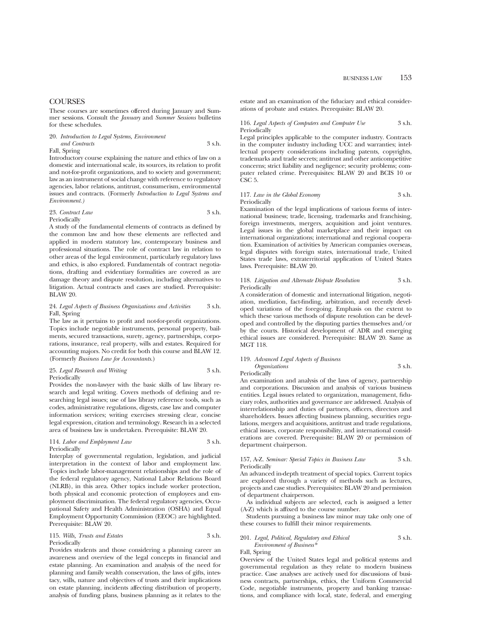## **COURSES**

These courses are sometimes offered during January and Summer sessions. Consult the *January* and *Summer Sessions* bulletins for these schedules.

| 20. Introduction to Legal Systems, Environment |        |
|------------------------------------------------|--------|
| and Contracts                                  | 3 s.h. |
| Fall, Spring                                   |        |

Introductory course explaining the nature and ethics of law on a domestic and international scale, its sources, its relation to profit and not-for-profit organizations, and to society and government; law as an instrument of social change with reference to regulatory agencies, labor relations, antitrust, consumerism, environmental issues and contracts. (Formerly *Introduction to Legal Systems and Environment.)*

#### 23. *Contract Law*  $3 \text{ s.h.}$ Periodically

A study of the fundamental elements of contracts as defined by the common law and how these elements are reflected and applied in modern statutory law, contemporary business and professional situations. The role of contract law in relation to other areas of the legal environment, particularly regulatory laws and ethics, is also explored. Fundamentals of contract negotiations, drafting and evidentiary formalities are covered as are damage theory and dispute resolution, including alternatives to litigation. Actual contracts and cases are studied. Prerequisite: BLAW 20.

## 24. *Legal Aspects of Business Organizations and Activities* 3 s.h. Fall, Spring

The law as it pertains to profit and not-for-profit organizations. Topics include negotiable instruments, personal property, bailments, secured transactions, surety, agency, partnerships, corporations, insurance, real property, wills and estates. Required for accounting majors. No credit for both this course and BLAW 12. (Formerly *Business Law for Accountants*.)

#### 25. *Legal Research and Writing* 3 s.h. Periodically

Provides the non-lawyer with the basic skills of law library research and legal writing. Covers methods of defining and researching legal issues; use of law library reference tools, such as codes, administrative regulations, digests, case law and computer information services; writing exercises stressing clear, concise legal expression, citation and terminology. Research in a selected area of business law is undertaken. Prerequisite: BLAW 20.

#### 114. *Labor and Employment Law* 3 s.h. Periodically

Interplay of governmental regulation, legislation, and judicial interpretation in the context of labor and employment law. Topics include labor-management relationships and the role of the federal regulatory agency, National Labor Relations Board (NLRB), in this area. Other topics include worker protection, both physical and economic protection of employees and employment discrimination. The federal regulatory agencies, Occupational Safety and Health Administration (OSHA) and Equal Employment Opportunity Commission (EEOC) are highlighted. Prerequisite: BLAW 20.

115. *Wills, Trusts and Estates* 3 s.h. Periodically

Provides students and those considering a planning career an

awareness and overview of the legal concepts in financial and estate planning. An examination and analysis of the need for planning and family wealth conservation, the laws of gifts, intestacy, wills, nature and objectives of trusts and their implications on estate planning, incidents affecting distribution of property, analysis of funding plans, business planning as it relates to the

estate and an examination of the fiduciary and ethical considerations of probate and estates. Prerequisite: BLAW 20.

## 116. *Legal Aspects of Computers and Computer Use* 3 s.h. Periodically

Legal principles applicable to the computer industry. Contracts in the computer industry including UCC and warranties; intellectual property considerations including patents, copyrights, trademarks and trade secrets; antitrust and other anticompetitive concerns; strict liability and negligence; security problems; computer related crime. Prerequisites: BLAW 20 and BCIS 10 or CSC<sub>5</sub>.

## 117. *Law in the Global Economy* 3 s.h. Periodically

Examination of the legal implications of various forms of international business; trade, licensing, trademarks and franchising, foreign investments, mergers, acquisition and joint ventures. Legal issues in the global marketplace and their impact on international organizations; international and regional cooperation. Examination of activities by American companies overseas, legal disputes with foreign states, international trade, United States trade laws, extraterritorial application of United States laws. Prerequisite: BLAW 20.

## 118. *Litigation and Alternate Dispute Resolution* 3 s.h. Periodically

A consideration of domestic and international litigation, negotiation, mediation, fact-finding, arbitration, and recently developed variations of the foregoing. Emphasis on the extent to which these various methods of dispute resolution can be developed and controlled by the disputing parties themselves and/or by the courts. Historical development of ADR and emerging ethical issues are considered. Prerequisite: BLAW 20. Same as MGT 118.

## 119. *Advanced Legal Aspects of Business Organizations* 3 s.h.

**Periodically** 

An examination and analysis of the laws of agency, partnership and corporations. Discussion and analysis of various business entities. Legal issues related to organization, management, fiduciary roles, authorities and governance are addressed. Analysis of interrelationship and duties of partners, officers, directors and shareholders. Issues affecting business planning, securities regulations, mergers and acquisitions, antitrust and trade regulations, ethical issues, corporate responsibility, and international considerations are covered. Prerequisite: BLAW 20 or permission of department chairperson.

## 157, A-Z. *Seminar: Special Topics in Business Law* 3 s.h. Periodically

An advanced in-depth treatment of special topics. Current topics are explored through a variety of methods such as lectures, projects and case studies. Prerequisites: BLAW 20 and permission of department chairperson.

As individual subjects are selected, each is assigned a letter (A-Z) which is affixed to the course number.

Students pursuing a business law minor may take only one of these courses to fulfill their minor requirements.

## 201. *Legal, Political, Regulatory and Ethical* 3 s.h. *Environment of Business\**

Fall, Spring

Overview of the United States legal and political systems and governmental regulation as they relate to modern business practice. Case analyses are actively used for discussions of business contracts, partnerships, ethics, the Uniform Commercial Code, negotiable instruments, property and banking transactions, and compliance with local, state, federal, and emerging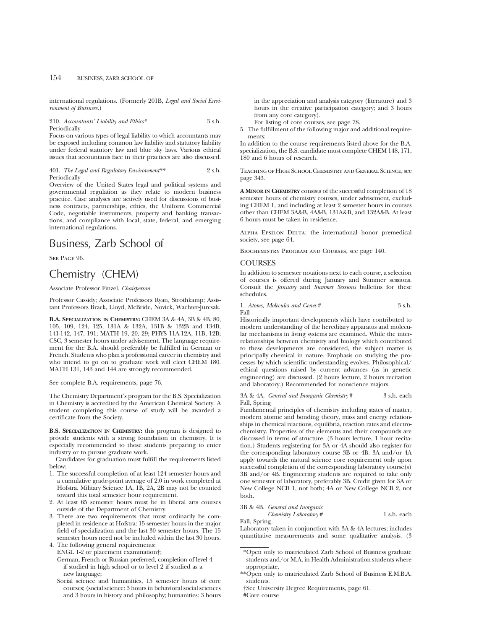international regulations. (Formerly 201B, *Legal and Social Environment of Business.*)

210. *Accountants' Liability and Ethics\** 3 s.h. Periodically

Focus on various types of legal liability to which accountants may be exposed including common law liability and statutory liability under federal statutory law and blue sky laws. Various ethical issues that accountants face in their practices are also discussed.

401. *The Legal and Regulatory Environment\*\** 2 s.h. Periodically

Overview of the United States legal and political systems and governmental regulation as they relate to modern business practice. Case analyses are actively used for discussions of business contracts, partnerships, ethics, the Uniform Commercial Code, negotiable instruments, property and banking transactions, and compliance with local, state, federal, and emerging international regulations.

## Business, Zarb School of

SEE PAGE 96.

## Chemistry (CHEM)

## Associate Professor Finzel, *Chairperson*

Professor Cassidy; Associate Professors Ryan, Strothkamp; Assistant Professors Brack, Lloyd, McBride, Novick, Wachter-Jurcsak.

**B.A. SPECIALIZATION IN CHEMISTRY:** CHEM 3A & 4A, 3B & 4B, 80, 105, 109, 124, 125, 131A & 132A, 131B & 132B and 134B, 141-142, 147, 191; MATH 19, 20, 29; PHYS 11A-12A, 11B, 12B; CSC, 3 semester hours under advisement. The language requirement for the B.A. should preferably be fulfilled in German or French. Students who plan a professional career in chemistry and who intend to go on to graduate work will elect CHEM 180. MATH 131, 143 and 144 are strongly recommended.

See complete B.A. requirements, page 76.

The Chemistry Department's program for the B.S. Specialization in Chemistry is accredited by the American Chemical Society. A student completing this course of study will be awarded a certificate from the Society.

**B.S. SPECIALIZATION IN CHEMISTRY:** this program is designed to provide students with a strong foundation in chemistry. It is especially recommended to those students preparing to enter industry or to pursue graduate work.

Candidates for graduation must fulfill the requirements listed below:

- 1. The successful completion of at least 124 semester hours and a cumulative grade-point average of 2.0 in work completed at Hofstra. Military Science 1A, 1B, 2A, 2B may not be counted toward this total semester hour requirement.
- 2. At least 65 semester hours must be in liberal arts courses outside of the Department of Chemistry.
- 3. There are two requirements that must ordinarily be completed in residence at Hofstra: 15 semester hours in the major field of specialization and the last 30 semester hours. The 15 semester hours need not be included within the last 30 hours.

4. The following general requirements:

ENGL 1-2 or placement examination†;

Social science and humanities, 15 semester hours of core courses; (social science: 3 hours in behavioral social sciences and 3 hours in history and philosophy; humanities: 3 hours

in the appreciation and analysis category (literature) and 3 hours in the creative participation category; and 3 hours from any core category).

For listing of core courses, see page 78.

5. The fulfillment of the following major and additional requirements:

In addition to the course requirements listed above for the B.A. specialization, the B.S. candidate must complete CHEM 148, 171, 180 and 6 hours of research.

Teaching of High School Chemistry and General Science, see page 343.

**A MINOR IN CHEMISTRY** consists of the successful completion of 18 semester hours of chemistry courses, under advisement, excluding CHEM 1, and including at least 2 semester hours in courses other than CHEM 3A&B, 4A&B, 131A&B, and 132A&B. At least 6 hours must be taken in residence.

ALPHA EPSILON DELTA: the international honor premedical society, see page 64.

Biochemistry Program and Courses, see page 140.

## **COURSES**

In addition to semester notations next to each course, a selection of courses is offered during January and Summer sessions. Consult the *January* and *Summer Sessions* bulletins for these schedules.

1. *Atoms, Molecules and Genes* # 3 s.h. Fall

Historically important developments which have contributed to modern understanding of the hereditary apparatus and molecular mechanisms in living systems are examined. While the interrelationships between chemistry and biology which contributed to these developments are considered, the subject matter is principally chemical in nature. Emphasis on studying the processes by which scientific understanding evolves. Philosophical/ ethical questions raised by current advances (as in genetic engineering) are discussed. (2 hours lecture, 2 hours recitation and laboratory.) Recommended for nonscience majors.

3A & 4A. *General and Inorganic Chemistry* # 3 s.h. each Fall, Spring

Fundamental principles of chemistry including states of matter, modern atomic and bonding theory, mass and energy relationships in chemical reactions, equilibria, reaction rates and electrochemistry. Properties of the elements and their compounds are discussed in terms of structure. (3 hours lecture, 1 hour recitation.) Students registering for 3A or 4A should also register for the corresponding laboratory course 3B or 4B. 3A and/or 4A apply towards the natural science core requirement only upon successful completion of the corresponding laboratory course(s) 3B and/or 4B. Engineering students are required to take only one semester of laboratory, preferably 3B. Credit given for 3A or New College NCB 1, not both; 4A or New College NCB 2, not both.

3B & 4B. *General and Inorganic*

*Chemistry Laboratory* # 1 s.h. each Fall, Spring

#Core course

Laboratory taken in conjunction with 3A & 4A lectures; includes quantitative measurements and some qualitative analysis. (3

\*Open only to matriculated Zarb School of Business graduate students and/or M.A. in Health Administration students where appropriate.

\*\*Open only to matriculated Zarb School of Business E.M.B.A. students.

†See University Degree Requirements, page 61.

German, French or Russian preferred, completion of level 4 if studied in high school or to level 2 if studied as a new language;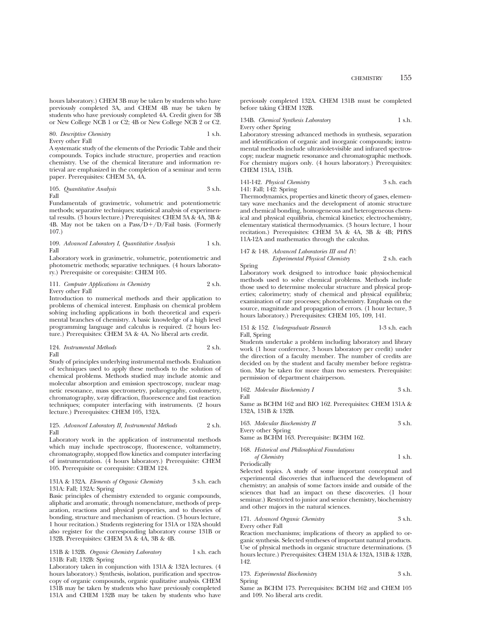previously completed 3A, and CHEM 4B may be taken by students who have previously completed 4A. Credit given for 3B or New College NCB 1 or C2; 4B or New College NCB 2 or C2.

80. *Descriptive Chemistry* 1 s.h.

Every other Fall

A systematic study of the elements of the Periodic Table and their compounds. Topics include structure, properties and reaction chemistry. Use of the chemical literature and information retrieval are emphasized in the completion of a seminar and term paper. Prerequisites: CHEM 3A, 4A.

105. *Quantitative Analysis* 3 s.h. Fall

Fundamentals of gravimetric, volumetric and potentiometric methods; separative techniques; statistical analysis of experimental results. (3 hours lecture.) Prerequisites: CHEM 3A & 4A, 3B & 4B. May not be taken on a  $Pass/D+/D/Tail$  basis. (Formerly 107.)

## 109. *Advanced Laboratory I, Quantitative Analysis* 1 s.h. Fall

Laboratory work in gravimetric, volumetric, potentiometric and photometric methods; separative techniques. (4 hours laboratory.) Prerequisite or corequisite: CHEM 105.

111. *Computer Applications in Chemistry* 2 s.h. Every other Fall

Introduction to numerical methods and their application to problems of chemical interest. Emphasis on chemical problem solving including applications in both theoretical and experimental branches of chemistry. A basic knowledge of a high level

programming language and calculus is required. (2 hours lecture.) Prerequisites: CHEM 3A & 4A. No liberal arts credit.

### 124. *Instrumental Methods* 2 s.h. Fall

Study of principles underlying instrumental methods. Evaluation of techniques used to apply these methods to the solution of chemical problems. Methods studied may include atomic and molecular absorption and emission spectroscopy, nuclear magnetic resonance, mass spectrometry, polarography, coulometry, chromatography, x-ray diffraction, fluorescence and fast reaction techniques; computer interfacing with instruments. (2 hours lecture.) Prerequisites: CHEM 105, 132A.

### 125. *Advanced Laboratory II, Instrumental Methods* 2 s.h. Fall

Laboratory work in the application of instrumental methods which may include spectroscopy, fluorescence, voltammetry, chromatography, stopped flow kinetics and computer interfacing of instrumentation. (4 hours laboratory.) Prerequisite: CHEM 105. Prerequisite or corequisite: CHEM 124.

### 131A & 132A. *Elements of Organic Chemistry* 3 s.h. each 131A: Fall; 132A: Spring

Basic principles of chemistry extended to organic compounds, aliphatic and aromatic, through nomenclature, methods of preparation, reactions and physical properties, and to theories of bonding, structure and mechanism of reaction. (3 hours lecture, 1 hour recitation.) Students registering for 131A or 132A should also register for the corresponding laboratory course 131B or 132B. Prerequisites: CHEM 3A & 4A, 3B & 4B.

## 131B & 132B. Organic Chemistry Laboratory 1 s.h. each 131B: Fall; 132B: Spring

Laboratory taken in conjunction with 131A & 132A lectures. (4 hours laboratory.) Synthesis, isolation, purification and spectroscopy of organic compounds, organic qualitative analysis. CHEM 131B may be taken by students who have previously completed 131A and CHEM 132B may be taken by students who have

previously completed 132A. CHEM 131B must be completed before taking CHEM 132B.

## 134B. *Chemical Synthesis Laboratory* 1 s.h. Every other Spring

Laboratory stressing advanced methods in synthesis, separation and identification of organic and inorganic compounds; instrumental methods include ultraviolet-visible and infrared spectroscopy; nuclear magnetic resonance and chromatographic methods. For chemistry majors only. (4 hours laboratory.) Prerequisites: CHEM 131A, 131B.

## 141-142. *Physical Chemistry* 3 s.h. each 141: Fall; 142: Spring

Thermodynamics, properties and kinetic theory of gases, elementary wave mechanics and the development of atomic structure and chemical bonding, homogeneous and heterogeneous chemical and physical equilibria, chemical kinetics; electrochemistry, elementary statistical thermodynamics. (3 hours lecture, 1 hour recitation.) Prerequisites: CHEM 3A & 4A, 3B & 4B; PHYS 11A-12A and mathematics through the calculus.

## 147 & 148. *Advanced Laboratories III and IV:*

*Experimental Physical Chemistry* 2 s.h. each Spring

Laboratory work designed to introduce basic physiochemical methods used to solve chemical problems. Methods include those used to determine molecular structure and physical properties; calorimetry; study of chemical and physical equilibria; examination of rate processes; photochemistry. Emphasis on the source, magnitude and propagation of errors. (1 hour lecture, 3 hours laboratory.) Prerequisites: CHEM 105, 109, 141.

## 151 & 152. *Undergraduate Research* 1-3 s.h. each Fall, Spring

Students undertake a problem including laboratory and library work (1 hour conference, 3 hours laboratory per credit) under the direction of a faculty member. The number of credits are decided on by the student and faculty member before registration. May be taken for more than two semesters. Prerequisite: permission of department chairperson.

|  |  | 162. Molecular Biochemistry I |  |  | 3 s.h. |  |
|--|--|-------------------------------|--|--|--------|--|
|--|--|-------------------------------|--|--|--------|--|

Fall

Same as BCHM 162 and BIO 162. Prerequisites: CHEM 131A & 132A, 131B & 132B.

| 163. Molecular Biochemistry II | 3 s.h. |
|--------------------------------|--------|
| Every other Spring             |        |

Same as BCHM 163. Prerequisite: BCHM 162.

168. *Historical and Philosophical Foundations*

| of Chemistry | 1 s.h. |
|--------------|--------|
| Periodically |        |

Selected topics. A study of some important conceptual and experimental discoveries that influenced the development of chemistry; an analysis of some factors inside and outside of the sciences that had an impact on these discoveries. (1 hour seminar.) Restricted to junior and senior chemistry, biochemistry and other majors in the natural sciences.

171. *Advanced Organic Chemistry* 3 s.h.

Every other Fall Reaction mechanisms; implications of theory as applied to organic synthesis. Selected syntheses of important natural products. Use of physical methods in organic structure determinations. (3 hours lecture.) Prerequisites: CHEM 131A & 132A, 131B & 132B, 142.

|        | 173. Experimental Biochemistry | 3 s.h. |
|--------|--------------------------------|--------|
| Spring |                                |        |

Same as BCHM 173. Prerequisites: BCHM 162 and CHEM 105 and 109. No liberal arts credit.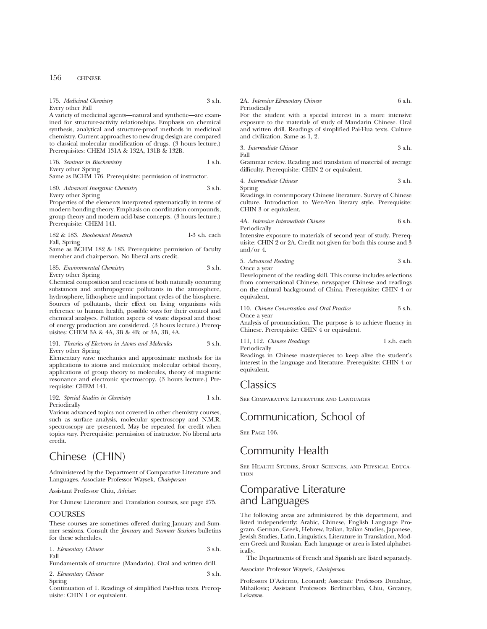| Every other Fall                                                                                                                |                 | Periodically                                                                                      |     |
|---------------------------------------------------------------------------------------------------------------------------------|-----------------|---------------------------------------------------------------------------------------------------|-----|
| A variety of medicinal agents—natural and synthetic—are exam-                                                                   |                 | For the student with a special interest in a more intensi-                                        |     |
| ined for structure-activity relationships. Emphasis on chemical                                                                 |                 | exposure to the materials of study of Mandarin Chinese. O                                         |     |
| synthesis, analytical and structure-proof methods in medicinal<br>chemistry. Current approaches to new drug design are compared |                 | and written drill. Readings of simplified Pai-Hua texts. Cultu<br>and civilization. Same as 1, 2. |     |
| to classical molecular modification of drugs. (3 hours lecture.)<br>Prerequisites: CHEM 131A & 132A, 131B & 132B.               |                 | 3. Intermediate Chinese<br>Fall                                                                   | 3s  |
| 176. Seminar in Biochemistry                                                                                                    | 1 s.h.          | Grammar review. Reading and translation of material of avera                                      |     |
| Every other Spring                                                                                                              |                 | difficulty. Prerequisite: CHIN 2 or equivalent.                                                   |     |
| Same as BCHM 176. Prerequisite: permission of instructor.                                                                       |                 | 4. Intermediate Chinese                                                                           | 3s  |
| 180. Advanced Inorganic Chemistry                                                                                               | 3 s.h.          | Spring                                                                                            |     |
| Every other Spring                                                                                                              |                 | Readings in contemporary Chinese literature. Survey of Chine                                      |     |
| Properties of the elements interpreted systematically in terms of                                                               |                 | culture. Introduction to Wen-Yen literary style. Prerequisi                                       |     |
| modern bonding theory. Emphasis on coordination compounds,                                                                      |                 | CHIN 3 or equivalent.                                                                             |     |
| group theory and modern acid-base concepts. (3 hours lecture.)<br>Prerequisite: CHEM 141.                                       |                 | 4A. Intensive Intermediate Chinese<br>Periodically                                                | 6 s |
| 182 & 183. Biochemical Research                                                                                                 | $1-3$ s.h. each | Intensive exposure to materials of second year of study. Prere                                    |     |
| Fall, Spring                                                                                                                    |                 | uisite: CHIN 2 or 2A. Credit not given for both this course and                                   |     |
| Same as BCHM 182 & 183. Prerequisite: permission of faculty                                                                     |                 | and/or 4.                                                                                         |     |
| member and chairperson. No liberal arts credit.                                                                                 |                 |                                                                                                   |     |

185. *Environmental Chemistry* 3 s.h.

175. *Medicinal Chemistry* 3 s.h.

Every other Spring

Chemical composition and reactions of both naturally occurring substances and anthropogenic pollutants in the atmosphere, hydrosphere, lithosphere and important cycles of the biosphere. Sources of pollutants, their effect on living organisms with reference to human health, possible ways for their control and chemical analyses. Pollution aspects of waste disposal and those of energy production are considered. (3 hours lecture.) Prerequisites: CHEM 3A & 4A, 3B & 4B; or 3A, 3B, 4A.

191. *Theories of Electrons in Atoms and Molecules* 3 s.h. Every other Spring

Elementary wave mechanics and approximate methods for its applications to atoms and molecules; molecular orbital theory, applications of group theory to molecules, theory of magnetic resonance and electronic spectroscopy. (3 hours lecture.) Prerequisite: CHEM 141.

192. *Special Studies in Chemistry* 1 s.h. Periodically

Various advanced topics not covered in other chemistry courses, such as surface analysis, molecular spectroscopy and N.M.R. spectroscopy are presented. May be repeated for credit when topics vary. Prerequisite: permission of instructor. No liberal arts credit.

## Chinese (CHIN)

Administered by the Department of Comparative Literature and Languages. Associate Professor Waysek, *Chairperson*

Assistant Professor Chiu, *Adviser*.

For Chinese Literature and Translation courses, see page 275.

### **COURSES**

These courses are sometimes offered during January and Summer sessions. Consult the *January* and *Summer Sessions* bulletins for these schedules.

| 1. Elementary Chinese | 3 s.h. |
|-----------------------|--------|
| Fall                  |        |

Fundamentals of structure (Mandarin). Oral and written drill.

2. *Elementary Chinese* 3 s.h. Spring

Continuation of 1. Readings of simplified Pai-Hua texts. Prerequisite: CHIN 1 or equivalent.

## 2A. *Intensive Elementary Chinese* 6 s.h.

3. *Intermediate Chinese* 3 s.h.

4. *Intermediate Chinese* 3 s.h.

5. *Advanced Reading* 3 s.h. Once a year

Development of the reading skill. This course includes selections from conversational Chinese, newspaper Chinese and readings on the cultural background of China. Prerequisite: CHIN 4 or equivalent.

110. *Chinese Conversation and Oral Practice* 3 s.h. Once a year

Analysis of pronunciation. The purpose is to achieve fluency in Chinese. Prerequisite: CHIN 4 or equivalent.

111, 112. *Chinese Readings* 1 s.h. each Periodically

Readings in Chinese masterpieces to keep alive the student's interest in the language and literature. Prerequisite: CHIN 4 or equivalent.

## **Classics**

See Comparative Literature and Languages

## Communication, School of

SEE PAGE 106.

## Community Health

See Health Studies, Sport Sciences, and Physical Educa-**TION** 

## Comparative Literature and Languages

The following areas are administered by this department, and listed independently: Arabic, Chinese, English Language Program, German, Greek, Hebrew, Italian, Italian Studies, Japanese, Jewish Studies, Latin, Linguistics, Literature in Translation, Modern Greek and Russian. Each language or area is listed alphabetically.

The Departments of French and Spanish are listed separately.

Associate Professor Waysek, *Chairperson*

Professors D'Acierno, Leonard; Associate Professors Donahue, Mihailovic; Assistant Professors Berlinerblau, Chiu, Greaney, Lekatsas.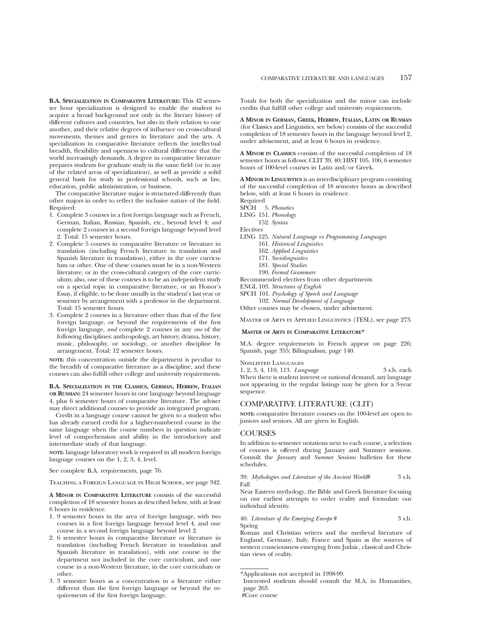**B.A. SPECIALIZATION IN COMPARATIVE LITERATURE:** This 42 semester hour specialization is designed to enable the student to acquire a broad background not only in the literary history of different cultures and countries, but also in their relation to one another, and their relative degrees of influence on cross-cultural movements, themes and genres in literature and the arts. A specialization in comparative literature reflects the intellectual breadth, flexibility and openness to cultural difference that the world increasingly demands. A degree in comparative literature prepares students for graduate study in the same field (or in any of the related areas of specialization), as well as provide a solid general basis for study in professional schools, such as law, education, public administration, or business.

The comparative literature major is structured differently than other majors in order to reflect the inclusive nature of the field. Required:

- 1. Complete 3 courses in a first foreign language such as French, German, Italian, Russian, Spanish, etc., beyond level 4; *and* complete 2 courses in a second foreign language beyond level 2. Total: 15 semester hours.
- 2. Complete 5 courses in comparative literature or literature in translation (including French literature in translation and Spanish literature in translation), either in the core curriculum or other. One of these courses must be in a non-Western literature, or in the cross-cultural category of the core curriculum; also, one of these courses is to be an independent study on a special topic in comparative literature, or an Honor's Essay, if eligible, to be done usually in the student's last year or semester by arrangement with a professor in the department. Total: 15 semester hours.
- 3. Complete 2 courses in a literature other than that of the first foreign language, or beyond the requirements of the first foreign language, *and* complete 2 courses in any *one* of the following disciplines: anthropology, art history, drama, history, music, philosophy, or sociology, or another discipline by arrangement. Total: 12 semester hours.

**NOTE:** this concentration outside the department is peculiar to the breadth of comparative literature as a discipline, and these courses can also fulfill other college and university requirements.

## **B.A. SPECIALIZATION IN THE CLASSICS, GERMAN, HEBREW, ITALIAN OR RUSSIAN:** 24 semester hours in one language beyond language

4, plus 6 semester hours of comparative literature. The adviser may direct additional courses to provide an integrated program.

Credit in a language course cannot be given to a student who has already earned credit for a higher-numbered course in the same language when the course numbers in question indicate level of comprehension and ability in the introductory and intermediate study of that language.

**NOTE:** language laboratory work is required in all modern foreign language courses on the 1, 2, 3, 4, level.

See complete B.A. requirements, page 76.

Teaching a Foreign Language in High School, see page 342.

**A MINOR IN COMPARATIVE LITERATURE** consists of the successful completion of 18 semester hours as described below, with at least 6 hours in residence.

- 1. 9 semester hours in the area of foreign language, with two courses in a first foreign language beyond level 4, and one course in a second foreign language beyond level 2.
- 2. 6 semester hours in comparative literature or literature in translation (including French literature in translation and Spanish literature in translation), with one course in the department not included in the core curriculum, and one course in a non-Western literature, in the core curriculum or other.
- 3. 3 semester hours as a concentration in a literature either different than the first foreign language or beyond the requirements of the first foreign language.

Totals for both the specialization and the minor can include credits that fulfill other college and university requirements.

**A MINOR IN GERMAN, GREEK, HEBREW, ITALIAN, LATIN OR RUSSIAN** (for Classics and Linguistics, see below) consists of the successful completion of 18 semester hours in the language beyond level 2, under advisement, and at least 6 hours in residence.

**A MINOR IN CLASSICS** consists of the successful completion of 18 semester hours as follows: CLIT 39, 40; HIST 105, 106; 6 semester hours of 100-level courses in Latin and/or Greek.

**A MINOR IN LINGUISTICS** is an interdisciplinary program consisting of the successful completion of 18 semester hours as described below, with at least 6 hours in residence.

- Required SPCH 5. *Phonetics*
- 
- LING 151. *Phonology* 152. *Syntax*

Electives

- LING 125. *Natural Language vs Programming Languages*
	- 161. *Historical Linguistics*
	- 162. *Applied Linguistics*
	- 171. *Sociolinguistics*
	- 181. *Special Studies*
	- 190. *Formal Grammars*

Recommended electives from other departments

ENGL 103. *Structures of English*

- SPCH 101. *Psychology of Speech and Language*
- 102. *Normal Development of Language*

Other courses may be chosen, under advisement.

Master of Arts in Applied Linguistics (TESL), see page 273.

## **MASTER OF ARTS IN COMPARATIVE LITERATURE\***

M.A. degree requirements in French appear on page 226; Spanish, page 355; Bilingualism, page 140.

Nonlisted Languages

1, 2, 3, 4, 110, 113. *Language* 3 s.h. each When there is student interest or national demand, any language not appearing in the regular listings may be given for a 3-year sequence.

## COMPARATIVE LITERATURE (CLIT)

**NOTE:** comparative literature courses on the 100-level are open to juniors and seniors. All are given in English.

## **COURSES**

In addition to semester notations next to each course, a selection of courses is offered during January and Summer sessions. Consult the *January* and *Summer Sessions* bulletins for these schedules.

39. *Mythologies and Literature of the Ancient World*# 3 s.h. Fall

Near Eastern mythology, the Bible and Greek literature focusing on our earliest attempts to order reality and formulate our individual identity.

40. *Literature of the Emerging Europe* # 3 s.h. Spring

Roman and Christian writers and the medieval literature of England, Germany, Italy, France and Spain as the sources of western consciousness emerging from Judaic, classical and Christian views of reality.

<sup>\*</sup>Applications not accepted in 1998-99.

Interested students should consult the M.A. in Humanities, page 263.

<sup>#</sup>Core course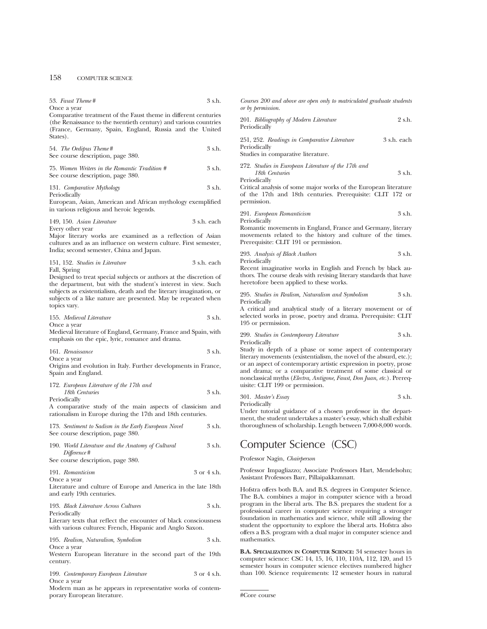## 158 COMPUTER SCIENCE

| 53. Faust Theme#<br>Once a year                                                                                                                                                                                                                              | 3 s.h.      | Courses 200 and above are open only to matriculated graduate students<br>or by permission.                                                                                                                                                                                                                                                                   |
|--------------------------------------------------------------------------------------------------------------------------------------------------------------------------------------------------------------------------------------------------------------|-------------|--------------------------------------------------------------------------------------------------------------------------------------------------------------------------------------------------------------------------------------------------------------------------------------------------------------------------------------------------------------|
| Comparative treatment of the Faust theme in different centuries<br>(the Renaissance to the twentieth century) and various countries<br>(France, Germany, Spain, England, Russia and the United<br>States).                                                   |             | 2 s.h.<br>201. <i>Bibliography of Modern Literature</i><br>Periodically                                                                                                                                                                                                                                                                                      |
| 54. The Oedipus Theme #<br>See course description, page 380.                                                                                                                                                                                                 | 3 s.h.      | 251, 252. Readings in Comparative Literature<br>3 s.h. each<br>Periodically<br>Studies in comparative literature.                                                                                                                                                                                                                                            |
| 75. Women Writers in the Romantic Tradition #<br>See course description, page 380.                                                                                                                                                                           | 3 s.h.      | 272. Studies in European Literature of the 17th and<br>3 s.h.<br>18th Centuries<br>Periodically                                                                                                                                                                                                                                                              |
| 131. Comparative Mythology<br>Periodically<br>European, Asian, American and African mythology exemplified<br>in various religious and heroic legends.                                                                                                        | 3 s.h.      | Critical analysis of some major works of the European literature<br>of the 17th and 18th centuries. Prerequisite: CLIT 172 or<br>permission.                                                                                                                                                                                                                 |
| 149, 150. Asian Literature<br>Every other year<br>Major literary works are examined as a reflection of Asian<br>cultures and as an influence on western culture. First semester,<br>India; second semester, China and Japan.                                 | 3 s.h. each | 291. European Romanticism<br>3 s.h.<br>Periodically<br>Romantic movements in England, France and Germany, literary<br>movements related to the history and culture of the times.<br>Prerequisite: CLIT 191 or permission.                                                                                                                                    |
| 151, 152. Studies in Literature<br>Fall, Spring<br>Designed to treat special subjects or authors at the discretion of<br>the department, but with the student's interest in view. Such<br>subjects as existentialism, death and the literary imagination, or | 3 s.h. each | 3 s.h.<br>293. Analysis of Black Authors<br>Periodically<br>Recent imaginative works in English and French by black au-<br>thors. The course deals with revising literary standards that have<br>heretofore been applied to these works.<br>3 s.h.<br>295. Studies in Realism, Naturalism and Symbolism                                                      |
| subjects of a like nature are presented. May be repeated when<br>topics vary.<br>155. Medieval Literature                                                                                                                                                    | 3 s.h.      | Periodically<br>A critical and analytical study of a literary movement or of<br>selected works in prose, poetry and drama. Prerequisite: CLIT                                                                                                                                                                                                                |
| Once a year<br>Medieval literature of England, Germany, France and Spain, with<br>emphasis on the epic, lyric, romance and drama.                                                                                                                            |             | 195 or permission.<br>3 s.h.<br>299. Studies in Contemporary Literature                                                                                                                                                                                                                                                                                      |
| 161. Renaissance<br>Once a year<br>Origins and evolution in Italy. Further developments in France,<br>Spain and England.                                                                                                                                     | 3 s.h.      | Periodically<br>Study in depth of a phase or some aspect of contemporary<br>literary movements (existentialism, the novel of the absurd, etc.);<br>or an aspect of contemporary artistic expression in poetry, prose<br>and drama; or a comparative treatment of some classical or<br>nonclassical myths (Electra, Antigone, Faust, Don Juan, etc.). Prereq- |
| 172. European Literature of the 17th and<br>18th Centuries<br>Periodically<br>A comparative study of the main aspects of classicism and<br>rationalism in Europe during the 17th and 18th centuries.                                                         | 3 s.h.      | uisite: CLIT 199 or permission.<br>3 s.h.<br>301. Master's Essay<br>Periodically<br>Under tutorial guidance of a chosen professor in the depart-                                                                                                                                                                                                             |
| 173. Sentiment to Sadism in the Early European Novel<br>See course description, page 380.                                                                                                                                                                    | 3 s.h.      | ment, the student undertakes a master's essay, which shall exhibit<br>thoroughness of scholarship. Length between 7,000-8,000 words.                                                                                                                                                                                                                         |
| 190. World Literature and the Anatomy of Cultural<br>Difference#                                                                                                                                                                                             | 3 s.h.      | Computer Science (CSC)                                                                                                                                                                                                                                                                                                                                       |
| See course description, page 380.                                                                                                                                                                                                                            |             | Professor Nagin, <i>Chairperson</i>                                                                                                                                                                                                                                                                                                                          |
| 191. Romanticism<br>Once a year                                                                                                                                                                                                                              | 3 or 4 s.h. | Professor Impagliazzo; Associate Professors Hart, Mendelsohn;<br>Assistant Professors Barr, Pillaipakkamnatt.                                                                                                                                                                                                                                                |
| Literature and culture of Europe and America in the late 18th<br>and early 19th centuries.                                                                                                                                                                   |             | Hofstra offers both B.A. and B.S. degrees in Computer Science.<br>The B.A. combines a major in computer science with a broad                                                                                                                                                                                                                                 |
| 193. Black Literature Across Cultures<br>Periodically<br>Literary texts that reflect the encounter of black consciousness<br>with various cultures: French, Hispanic and Anglo Saxon.                                                                        | 3 s.h.      | program in the liberal arts. The B.S. prepares the student for a<br>professional career in computer science requiring a stronger<br>foundation in mathematics and science, while still allowing the<br>student the opportunity to explore the liberal arts. Hofstra also<br>offers a B.S. program with a dual major in computer science and                  |
| 195. Realism, Naturalism, Symbolism<br>Once a year<br>Western European literature in the second part of the 19th<br>century.                                                                                                                                 | 3 s.h.      | mathematics.<br><b>B.A. SPECIALIZATION IN COMPUTER SCIENCE:</b> 34 semester hours in<br>computer science: CSC 14, 15, 16, 110, 110A, 112, 120, and 15<br>semester hours in computer science electives numbered higher                                                                                                                                        |

199. *Contemporary European Literature* 3 or 4 s.h. Once a year

Modern man as he appears in representative works of contemporary European literature.

| 201. Bibliography of Modern Literature<br>Periodically                                             | 2 s.h.      |
|----------------------------------------------------------------------------------------------------|-------------|
| 251, 252. Readings in Comparative Literature<br>Periodically<br>Studies in comparative literature. | 3 s.h. each |
| 272. Studies in European Literature of the 17th and<br>18th Centuries<br>Periodically              | 3 s.h.      |

293. *Analysis of Black Authors* 3 s.h.

295. *Studies in Realism, Naturalism and Symbolism* 3 s.h.

299. *Studies in Contemporary Literature* 3 s.h.

**B.A. SPECIALIZATION IN COMPUTER SCIENCE:** 34 semester hours in computer science: CSC 14, 15, 16, 110, 110A, 112, 120, and 15 semester hours in computer science electives numbered higher than 100. Science requirements: 12 semester hours in natural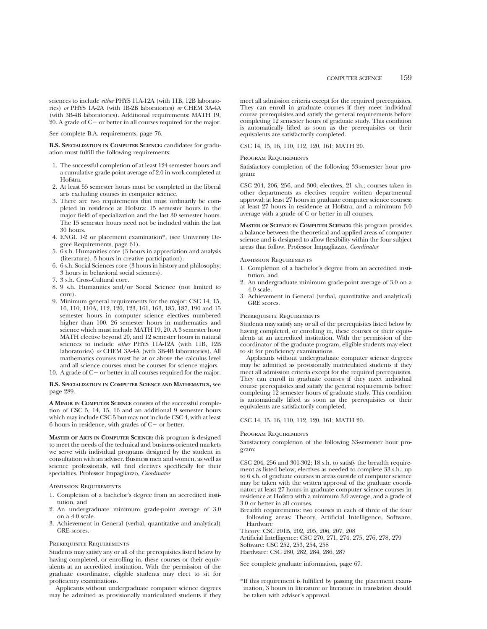sciences to include *either* PHYS 11A-12A (with 11B, 12B laboratories) *or* PHYS 1A-2A (with 1B-2B laboratories) *or* CHEM 3A-4A (with 3B-4B laboratories). Additional requirements: MATH 19, 20. A grade of  $C-$  or better in all courses required for the major.

See complete B.A. requirements, page 76.

**B.S. SPECIALIZATION IN COMPUTER SCIENCE:** candidates for graduation must fulfill the following requirements:

- 1. The successful completion of at least 124 semester hours and a cumulative grade-point average of 2.0 in work completed at Hofstra.
- 2. At least 55 semester hours must be completed in the liberal arts excluding courses in computer science.
- 3. There are two requirements that must ordinarily be completed in residence at Hofstra: 15 semester hours in the major field of specialization and the last 30 semester hours. The 15 semester hours need not be included within the last 30 hours.
- 4. ENGL 1-2 or placement examination\*, (see University Degree Requirements, page 61).
- 5. 6 s.h. Humanities core (3 hours in appreciation and analysis (literature), 3 hours in creative participation).
- 6. 6 s.h. Social Sciences core (3 hours in history and philosophy; 3 hours in behavioral social sciences).
- 7. 3 s.h. Cross-Cultural core.
- 8. 9 s.h. Humanities and/or Social Science (not limited to core).
- 9. Minimum general requirements for the major: CSC 14, 15, 16, 110, 110A, 112, 120, 123, 161, 163, 185, 187, 190 and 15 semester hours in computer science electives numbered higher than 100. 26 semester hours in mathematics and science which must include MATH 19, 20. A 3 semester hour MATH elective beyond 20, and 12 semester hours in natural sciences to include *either* PHYS 11A-12A (with 11B, 12B laboratories) *or* CHEM 3A-4A (with 3B-4B laboratories). All mathematics courses must be at or above the calculus level and all science courses must be courses for science majors.
- 10. A grade of  $C-$  or better in all courses required for the major.

### **B.S. SPECIALIZATION IN COMPUTER SCIENCE AND MATHEMATICS,** see page 289.

**A MINOR IN COMPUTER SCIENCE** consists of the successful completion of CSC 5, 14, 15, 16 and an additional 9 semester hours which may include CSC 5 but may not include CSC 4, with at least 6 hours in residence, with grades of  $C-$  or better.

**MASTER OF ARTS IN COMPUTER SCIENCE:** this program is designed to meet the needs of the technical and business-oriented markets we serve with individual programs designed by the student in consultation with an adviser. Business men and women, as well as science professionals, will find electives specifically for their specialties. Professor Impagliazzo, *Coordinator*

#### Admission Requirements

- 1. Completion of a bachelor's degree from an accredited institution, and
- 2. An undergraduate minimum grade-point average of 3.0 on a 4.0 scale.
- 3. Achievement in General (verbal, quantitative and analytical) GRE scores.

#### Prerequisite Requirements

Students may satisfy any or all of the prerequisites listed below by having completed, or enrolling in, these courses or their equivalents at an accredited institution. With the permission of the graduate coordinator, eligible students may elect to sit for proficiency examinations.

Applicants without undergraduate computer science degrees may be admitted as provisionally matriculated students if they

meet all admission criteria except for the required prerequisites. They can enroll in graduate courses if they meet individual course prerequisites and satisfy the general requirements before completing 12 semester hours of graduate study. This condition is automatically lifted as soon as the prerequisites or their equivalents are satisfactorily completed.

CSC 14, 15, 16, 110, 112, 120, 161; MATH 20.

#### Program Requirements

Satisfactory completion of the following 33-semester hour program:

CSC 204, 206, 256, and 300; electives, 21 s.h.; courses taken in other departments as electives require written departmental approval; at least 27 hours in graduate computer science courses; at least 27 hours in residence at Hofstra; and a minimum 3.0 average with a grade of C or better in all courses.

**MASTER OF SCIENCE IN COMPUTER SCIENCE:** this program provides a balance between the theoretical and applied areas of computer science and is designed to allow flexibility within the four subject areas that follow. Professor Impagliazzo, *Coordinator*

#### Admission Requirements

- 1. Completion of a bachelor's degree from an accredited institution, and
- 2. An undergraduate minimum grade-point average of 3.0 on a 4.0 scale.
- 3. Achievement in General (verbal, quantitative and analytical) GRE scores.

### Prerequisite Requirements

Students may satisfy any or all of the prerequisites listed below by having completed, or enrolling in, these courses or their equivalents at an accredited institution. With the permission of the coordinator of the graduate program, eligible students may elect to sit for proficiency examinations.

Applicants without undergraduate computer science degrees may be admitted as provisionally matriculated students if they meet all admission criteria except for the required prerequisites. They can enroll in graduate courses if they meet individual course prerequisites and satisfy the general requirements before completing 12 semester hours of graduate study. This condition is automatically lifted as soon as the prerequisites or their equivalents are satisfactorily completed.

#### CSC 14, 15, 16, 110, 112, 120, 161; MATH 20.

### Program Requirements

Satisfactory completion of the following 33-semester hour program:

CSC 204, 256 and 301-302; 18 s.h. to satisfy the breadth requirement as listed below; electives as needed to complete 33 s.h.; up to 6 s.h. of graduate courses in areas outside of computer science may be taken with the written approval of the graduate coordinator; at least 27 hours in graduate computer science courses in residence at Hofstra with a minimum 3.0 average, and a grade of 3.0 or better in all courses.

Breadth requirements: two courses in each of three of the four following areas: Theory, Artificial Intelligence, Software, **Hardware** 

Theory: CSC 201B, 202, 205, 206, 207, 208

Artificial Intelligence: CSC 270, 271, 274, 275, 276, 278, 279 Software: CSC 252, 253, 254, 258 Hardware: CSC 280, 282, 284, 286, 287

See complete graduate information, page 67.

<sup>\*</sup>If this requirement is fulfilled by passing the placement examination, 3 hours in literature or literature in translation should be taken with adviser's approval.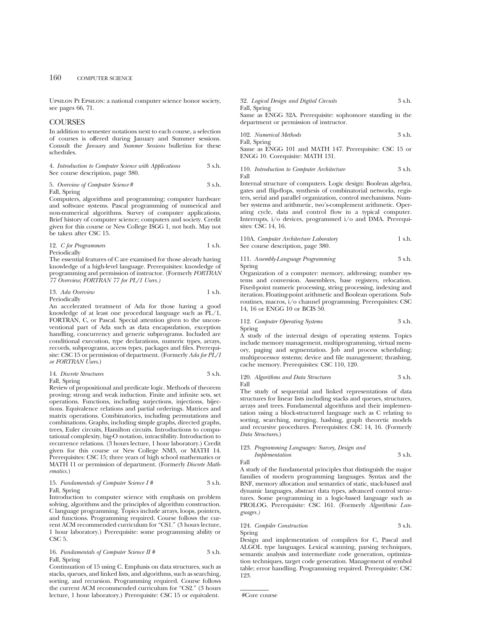Upsilon Pi Epsilon: a national computer science honor society, see pages 66, 71.

## COURSES

In addition to semester notations next to each course, a selection of courses is offered during January and Summer sessions. Consult the *January* and *Summer Sessions* bulletins for these schedules.

4. *Introduction to Computer Science with Applications* 3 s.h. See course description, page 380.

5. *Overview of Computer Science* # 3 s.h. Fall, Spring

Computers, algorithms and programming; computer hardware and software systems. Pascal programming of numerical and non-numerical algorithms. Survey of computer applications. Brief history of computer science; computers and society. Credit given for this course or New College ISGG 1, not both. May not be taken after CSC 15.

12. *C for Programmers* 1 s.h. Periodically

The essential features of C are examined for those already having knowledge of a high-level language. Prerequisites: knowledge of programming and permission of instructor. (Formerly *FORTRAN 77 Overview; FORTRAN 77 for PL/1 Users.)*

13. *Ada Overview* 1 s.h.

Periodically

An accelerated treatment of Ada for those having a good knowledge of at least one procedural language such as PL/1, FORTRAN, C, or Pascal. Special attention given to the unconventional part of Ada such as data encapsulation, exception handling, concurrency and generic subprograms. Included are conditional execution, type declarations, numeric types, arrays, records, subprograms, access types, packages and files. Prerequisite: CSC 15 or permission of department. (Formerly *Ada for PL/1 or FORTRAN Users*.)

14. *Discrete Structures* 3 s.h.

Fall, Spring

Review of propositional and predicate logic. Methods of theorem proving; strong and weak induction. Finite and infinite sets, set operations. Functions, including surjections, injections, bijections. Equivalence relations and partial orderings. Matrices and matrix operations. Combinatorics, including permutations and combinations. Graphs, including simple graphs, directed graphs, trees, Euler circuits, Hamilton circuits. Introductions to computational complexity, big-O notation, intractibility. Introduction to recurrence relations. (3 hours lecture, 1 hour laboratory.) Credit given for this course or New College NM3, or MATH 14. Prerequisites: CSC 15; three years of high school mathematics or MATH 11 or permission of department. (Formerly *Discrete Mathematics.*)

## 15. *Fundamentals of Computer Science I #* 3 s.h. Fall, Spring

Introduction to computer science with emphasis on problem solving, algorithms and the principles of algorithm construction. C language programming. Topics include arrays, loops, pointers, and functions. Programming required. Course follows the current ACM recommended curriculum for "CS1." (3 hours lecture, 1 hour laboratory.) Prerequisite: some programming ability or CSC<sub>5</sub>.

## 16. *Fundamentals of Computer Science II* # 3 s.h. Fall, Spring

Continuation of 15 using C. Emphasis on data structures, such as stacks, queues, and linked lists, and algorithms, such as searching, sorting, and recursion. Programming required. Course follows the current ACM recommended curriculum for "CS2." (3 hours lecture, 1 hour laboratory.) Prerequisite: CSC 15 or equivalent.

32. *Logical Design and Digital Circuits* 3 s.h. Fall, Spring Same as ENGG 32A. Prerequisite: sophomore standing in the

department or permission of instructor.

102. *Numerical Methods* 3 s.h. Fall, Spring

Same as ENGG 101 and MATH 147. Prerequisite: CSC 15 or ENGG 10. Corequisite: MATH 131.

110. *Introduction to Computer Architecture* 3 s.h. Fall

Internal structure of computers. Logic design: Boolean algebra, gates and flip-flops, synthesis of combinatorial networks, registers, serial and parallel organization, control mechanisms. Number systems and arithmetic, two's-complement arithmetic. Operating cycle, data and control flow in a typical computer. Interrupts, i/o devices, programmed i/o and DMA. Prerequisites: CSC 14, 16.

| 110A. Computer Architecture Laboratory | 1 s.h. |
|----------------------------------------|--------|
| See course description, page 380.      |        |

111. *Assembly-Language Programming* 3 s.h. Spring

Organization of a computer: memory, addressing; number systems and conversion. Assemblers, base registers, relocation. Fixed-point numeric processing, string processing, indexing and iteration. Floating-point arithmetic and Boolean operations. Subroutines, macros, i/o channel programming. Prerequisites: CSC 14, 16 or ENGG 10 or BCIS 50.

112. *Computer Operating Systems* 3 s.h. Spring

A study of the internal design of operating systems. Topics include memory management, multiprogramming, virtual memory, paging and segmentation. Job and process scheduling; multiprocessor systems; device and file management; thrashing, cache memory. Prerequisites: CSC 110, 120.

120. *Algorithms and Data Structures* 3 s.h. Fall

The study of sequential and linked representations of data structures for linear lists including stacks and queues, structures, arrays and trees. Fundamental algorithms and their implementation using a block-structured language such as C relating to sorting, searching, merging, hashing, graph theoretic models and recursive procedures. Prerequisites: CSC 14, 16. (Formerly *Data Structures*.)

#### 123. *Programming Languages: Survey, Design and Implementation* 3 s.h.

Fall

A study of the fundamental principles that distinguish the major families of modern programming languages. Syntax and the BNF, memory allocation and semantics of static, stack-based and dynamic languages, abstract data types, advanced control structures. Some programming in a logic-based language such as PROLOG. Prerequisite: CSC 161. (Formerly *Algorithmic Languages.)*

124. *Compiler Construction* 3 s.h. Spring

Design and implementation of compilers for C, Pascal and ALGOL type languages. Lexical scanning, parsing techniques, semantic analysis and intermediate code generation, optimization techniques, target code generation. Management of symbol table; error handling. Programming required. Prerequisite: CSC 123.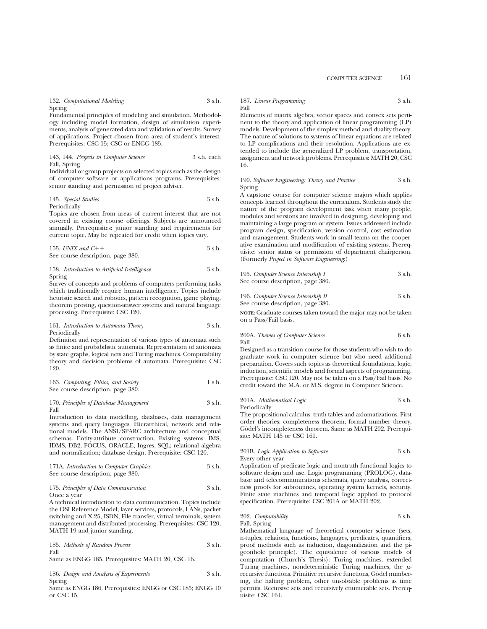#### 132. *Computational Modeling* 3 s.h. Spring

Fundamental principles of modeling and simulation. Methodology including model formation, design of simulation experiments, analysis of generated data and validation of results. Survey of applications. Project chosen from area of student's interest. Prerequisites: CSC 15; CSC or ENGG 185.

143, 144. *Projects in Computer Science* 3 s.h. each Fall, Spring

Individual or group projects on selected topics such as the design of computer software or applications programs. Prerequisites: senior standing and permission of project adviser.

#### 145. *Special Studies* 3 s.h. Periodically

Topics are chosen from areas of current interest that are not covered in existing course offerings. Subjects are announced annually. Prerequisites: junior standing and requirements for current topic. May be repeated for credit when topics vary.

155. *UNIX and C*11 3 s.h. See course description, page 380.

158. *Introduction to Artificial Intelligence* 3 s.h. Spring

Survey of concepts and problems of computers performing tasks which traditionally require human intelligence. Topics include heuristic search and robotics, pattern recognition, game playing, theorem proving, question-answer systems and natural language processing. Prerequisite: CSC 120.

161. *Introduction to Automata Theory* 3 s.h. Periodically

Definition and representation of various types of automata such as finite and probabilistic automata. Representation of automata by state graphs, logical nets and Turing machines. Computability theory and decision problems of automata. Prerequisite: CSC 120.

163. *Computing, Ethics, and Society* 1 s.h. See course description, page 380.

170. *Principles of Database Management* 3 s.h. Fall

Introduction to data modelling, databases, data management systems and query languages. Hierarchical, network and relational models. The ANSI/SPARC architecture and conceptual schemas. Entity-attribute construction. Existing systems: IMS, IDMS, DB2, FOCUS, ORACLE, Ingres, SQL; relational algebra and normalization; database design. Prerequisite: CSC 120.

171A. *Introduction to Computer Graphics* 3 s.h. See course description, page 380.

#### 175. *Principles of Data Communication* 3 s.h. Once a year

A technical introduction to data communication. Topics include the OSI Reference Model, layer services, protocols, LANs, packet switching and X.25, ISDN, File transfer, virtual terminals, system management and distributed processing. Prerequisites: CSC 120, MATH 19 and junior standing.

|      | 185. Methods of Random Process | 3 s.h. |
|------|--------------------------------|--------|
| Fall |                                |        |

Same as ENGG 185. Prerequisites: MATH 20, CSC 16.

186. *Design and Analysis of Experiments* 3 s.h. Spring

Same as ENGG 186. Prerequisites: ENGG or CSC 185; ENGG 10 or CSC 15.

187. *Linear Programming* 3 s.h. Fall

Elements of matrix algebra, vector spaces and convex sets pertinent to the theory and application of linear programming (LP) models. Development of the simplex method and duality theory. The nature of solutions to systems of linear equations are related to LP complications and their resolution. Applications are extended to include the generalized LP problem, transportation, assignment and network problems. Prerequisites: MATH 20, CSC 16.

#### 190. *Software Engineering: Theory and Practice* 3 s.h. Spring

A capstone course for computer science majors which applies concepts learned throughout the curriculum. Students study the nature of the program development task when many people, modules and versions are involved in designing, developing and maintaining a large program or system. Issues addressed include program design, specification, version control, cost estimation and management. Students work in small teams on the cooperative examination and modification of existing systems. Prerequisite: senior status or permission of department chairperson. (Formerly *Project in Software Engineering*.)

195. *Computer Science Internship I* 3 s.h. See course description, page 380.

196. *Computer Science Internship II* 3 s.h. See course description, page 380.

**NOTE:** Graduate courses taken toward the major may not be taken on a Pass/Fail basis.

$$
200A. \hbox{ Themes of Computer Science} \hspace{2.5cm} 6 \hbox{ s.h.} \\ \hbox{Fall}
$$

Designed as a transition course for those students who wish to do graduate work in computer science but who need additional preparation. Covers such topics as theoretical foundations, logic, induction, scientific models and formal aspects of programming. Prerequisite: CSC 120. May not be taken on a Pass/Fail basis. No credit toward the M.A. or M.S. degree in Computer Science.

201A. *Mathematical Logic* 3 s.h. Periodically

The propositional calculus: truth tables and axiomatizations. First order theories: completeness theorem, formal number theory, Gödel's incompleteness theorem. Same as MATH 202. Prerequisite: MATH 145 or CSC 161.

### 201B. *Logic Application to Software* 3 s.h. Every other year

Application of predicate logic and nontruth functional logics to software design and use. Logic programming (PROLOG), database and telecommunications schemata, query analysis, correctness proofs for subroutines, operating system kernels, security. Finite state machines and temporal logic applied to protocol specification. Prerequisite: CSC 201A or MATH 202.

202. *Computability* 3 s.h. Fall, Spring

Mathematical language of theoretical computer science (sets, n-tuples, relations, functions, languages, predicates, quantifiers, proof methods such as induction, diagonalization and the pigeonhole principle). The equivalence of various models of computation (Church's Thesis): Turing machines, extended Turing machines, nondeterministic Turing machines, the  $\mu$ recursive functions. Primitive recursive functions, Godel numbering, the halting problem, other unsolvable problems as time permits. Recursive sets and recursively enumerable sets. Prerequisite: CSC 161.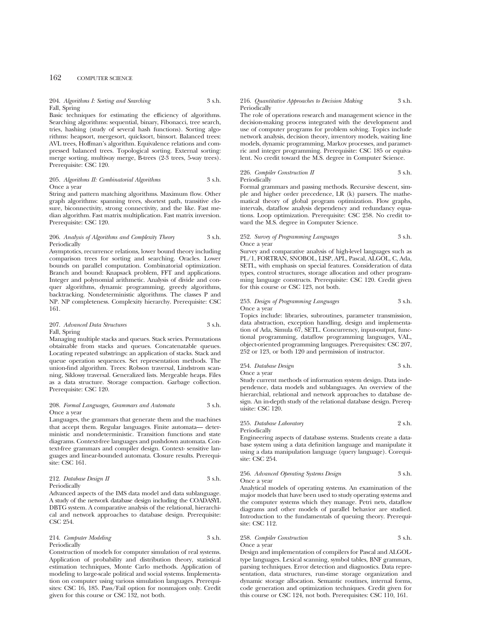## 162 COMPUTER SCIENCE

#### 204. *Algorithms I: Sorting and Searching* 3 s.h. Fall, Spring

Basic techniques for estimating the efficiency of algorithms. Searching algorithms: sequential, binary, Fibonacci, tree search, tries, hashing (study of several hash functions). Sorting algorithms: heapsort, mergesort, quicksort, binsort. Balanced trees: AVL trees, Hoffman's algorithm. Equivalence relations and compressed balanced trees. Topological sorting. External sorting: merge sorting, multiway merge, B-trees (2-3 trees, 5-way trees). Prerequisite: CSC 120.

#### 205. *Algorithms II: Combinatorial Algorithms* 3 s.h. Once a year

String and pattern matching algorithms. Maximum flow. Other graph algorithms: spanning trees, shortest path, transitive closure, biconnectivity, strong connectivity, and the like. Fast median algorithm. Fast matrix multiplication. Fast matrix inversion. Prerequisite: CSC 120.

#### 206. *Analysis of Algorithms and Complexity Theory* 3 s.h. Periodically

Asymptotics, recurrence relations, lower bound theory including comparison trees for sorting and searching. Oracles. Lower bounds on parallel computation. Combinatorial optimization. Branch and bound: Knapsack problem, FFT and applications. Integer and polynomial arithmetic. Analysis of divide and conquer algorithms, dynamic programming, greedy algorithms, backtracking. Nondeterministic algorithms. The classes P and NP. NP completeness. Complexity hierarchy. Prerequisite: CSC 161.

#### 207. *Advanced Data Structures* 3 s.h. Fall, Spring

Managing multiple stacks and queues. Stack series. Permutations obtainable from stacks and queues. Concatenatable queues. Locating repeated substrings: an application of stacks. Stack and queue operation sequences. Set representation methods. The union-find algorithm. Trees: Robson traversal, Lindstrom scanning, Siklossy traversal. Generalized lists. Mergeable heaps. Files as a data structure. Storage compaction. Garbage collection. Prerequisite: CSC 120.

#### 208. *Formal Languages, Grammars and Automata* 3 s.h. Once a year

Languages, the grammars that generate them and the machines that accept them. Regular languages. Finite automata— deterministic and nondeterministic. Transition functions and state diagrams. Context-free languages and pushdown automata. Context-free grammars and compiler design. Context- sensitive languages and linear-bounded automata. Closure results. Prerequisite: CSC 161.

#### 212. *Database Design II* 3 s.h. Periodically

Advanced aspects of the IMS data model and data sublanguage. A study of the network database design including the COADASYL DBTG system. A comparative analysis of the relational, hierarchical and network approaches to database design. Prerequisite: CSC 254.

214. *Computer Modeling* 3 s.h. Periodically

Construction of models for computer simulation of real systems. Application of probability and distribution theory, statistical estimation techniques, Monte Carlo methods. Application of modeling to large-scale political and social systems. Implementation on computer using various simulation languages. Prerequisites: CSC 16, 185. Pass/Fail option for nonmajors only. Credit given for this course or CSC 132, not both.

#### 216. *Quantitative Approaches to Decision Making* 3 s.h. Periodically

The role of operations research and management science in the decision-making process integrated with the development and use of computer programs for problem solving. Topics include network analysis, decision theory, inventory models, waiting line models, dynamic programming, Markov processes, and parametric and integer programming. Prerequisite: CSC 185 or equivalent. No credit toward the M.S. degree in Computer Science.

#### 226. *Compiler Construction II* 3 s.h. Periodically

Formal grammars and passing methods. Recursive descent, simple and higher order precedence, LR (k) parsers. The mathematical theory of global program optimization. Flow graphs, intervals, dataflow analysis dependency and redundancy equations. Loop optimization. Prerequisite: CSC 258. No credit toward the M.S. degree in Computer Science.

252. *Survey of Programming Languages* 3 s.h. Once a year

Survey and comparative analysis of high-level languages such as PL/1, FORTRAN, SNOBOL, LISP, APL, Pascal, ALGOL, C, Ada, SETL, with emphasis on special features. Consideration of data types, control structures, storage allocation and other programming language constructs. Prerequisite: CSC 120. Credit given for this course or CSC 123, not both.

#### 253. *Design of Programming Languages* 3 s.h. Once a year

Topics include: libraries, subroutines, parameter transmission, data abstraction, exception handling, design and implementation of Ada, Simula 67, SETL. Concurrency, input-output, functional programming, dataflow programming languages, VAL, object-oriented programming languages. Prerequisites: CSC 207, 252 or 123, or both 120 and permission of instructor.

254. *Database Design* 3 s.h. Once a year

Study current methods of information system design. Data independence, data models and sublanguages. An overview of the hierarchial, relational and network approaches to database design. An in-depth study of the relational database design. Prerequisite: CSC 120.

255. *Database Laboratory* 2 s.h. Periodically

Engineering aspects of database systems. Students create a database system using a data definition language and manipulate it using a data manipulation language (query language). Corequisite: CSC 254.

256. *Advanced Operating Systems Design* 3 s.h. Once a year

Analytical models of operating systems. An examination of the major models that have been used to study operating systems and the computer systems which they manage. Petri nets, dataflow diagrams and other models of parallel behavior are studied. Introduction to the fundamentals of queuing theory. Prerequisite: CSC 112.

258. *Compiler Construction* 3 s.h. Once a year

Design and implementation of compilers for Pascal and ALGOLtype languages. Lexical scanning, symbol tables, BNF grammars, parsing techniques. Error detection and diagnostics. Data representation, data structures, run-time storage organization and dynamic storage allocation. Semantic routines, internal forms, code generation and optimization techniques. Credit given for this course or CSC 124, not both. Prerequisites: CSC 110, 161.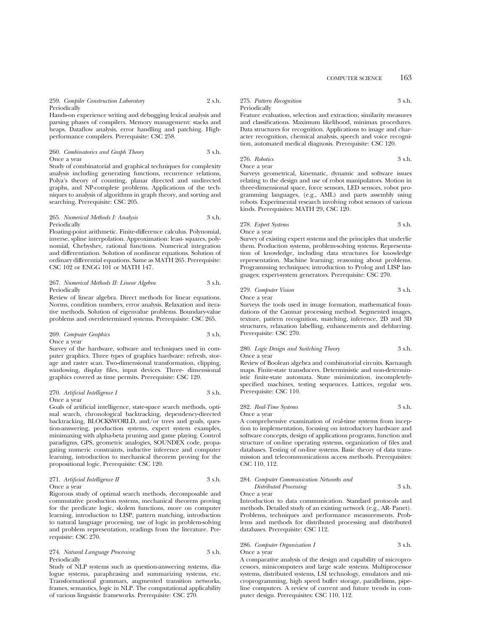#### 259. *Compiler Construction Laboratory* 2 s.h. Periodically

Hands-on experience writing and debugging lexical analysis and parsing phases of compilers. Memory management: stacks and heaps. Dataflow analysis, error handling and patching. Highperformance compilers. Prerequisite: CSC 258.

260. *Combinatorics and Graph Theory* 3 s.h. Once a year

Study of combinatorial and graphical techniques for complexity analysis including generating functions, recurrence relations, Polya's theory of counting, planar directed and undirected graphs, and NP-complete problems. Applications of the techniques to analysis of algorithms in graph theory, and sorting and searching. Prerequisite: CSC 205.

#### 265. *Numerical Methods I: Analysis* 3 s.h. Periodically

Floating-point arithmetic. Finite-difference calculus. Polynomial, inverse, spline interpolation. Approximation: least- squares, polynomial, Chebyshev, rational functions. Numerical integration and differentiation. Solution of nonlinear equations. Solution of ordinary differential equations. Same as MATH 265. Prerequisite: CSC 102 or ENGG 101 or MATH 147.

#### 267. *Numerical Methods II: Linear Algebra* 3 s.h. Periodically

Review of linear algebra. Direct methods for linear equations. Norms, condition numbers, error analysis. Relaxation and iterative methods. Solution of eigenvalue problems. Boundary-value problems and overdetermined systems. Prerequisite: CSC 265.

269. *Computer Graphics* 3 s.h. Once a year

Survey of the hardware, software and techniques used in computer graphics. Three types of graphics hardware: refresh, storage and raster scan. Two-dimensional transformation, clipping, windowing, display files, input devices. Three- dimensional graphics covered as time permits. Prerequisite: CSC 120.

270. *Artificial Intelligence I* 3 s.h. Once a year

Goals of artificial intelligence, state-space search methods, optimal search, chronological backtracking, dependency-directed backtracking, BLOCKSWORLD, and/or trees and goals, question-answering, production systems, expert system examples, minimaxing with alpha-beta pruning and game playing. Control paradigms, GPS, geometric analogies, SOUNDEX code, propagating numeric constraints, inductive inference and computer learning, introduction to mechanical theorem proving for the propositional logic. Prerequisite: CSC 120.

271. *Artificial Intelligence II* 3 s.h. Once a year

Rigorous study of optimal search methods, decomposable and commutative production systems, mechanical theorem proving for the predicate logic, skolem functions, more on computer learning, introduction to LISP, pattern matching, introduction to natural language processing, use of logic in problem-solving and problem representation, readings from the literature. Prerequisite: CSC 270.

#### 274. *Natural Language Processing* 3 s.h. Periodically

Study of NLP systems such as question-answering systems, dialogue systems, paraphrasing and summarizing systems, etc. Transformational grammars, augmented transition networks, frames, semantics, logic in NLP. The computational applicability of various linguistic frameworks. Prerequisite: CSC 270.

#### 275. *Pattern Recognition* 3 s.h. Periodically

Feature evaluation, selection and extraction; similarity measures and classifications. Maximum likelihood, minimax procedures. Data structures for recognition. Applications to image and character recognition, chemical analysis, speech and voice recognition, automated medical diagnosis. Prerequisite: CSC 120.

276. *Robotics* 3 s.h. Once a year

Surveys geometrical, kinematic, dynamic and software issues relating to the design and use of robot manipulators. Motion in three-dimensional space, force sensors, LED sensors, robot programming languages, (e.g., AML) and parts assembly using robots. Experimental research involving robot sensors of various kinds. Prerequisites: MATH 29, CSC 120.

278. *Expert Systems* 3 s.h. Once a year

Survey of existing expert systems and the principles that underlie them. Production systems, problem-solving systems. Representation of knowledge, including data structures for knowledge representation. Machine learning; reasoning about problems. Programming techniques; introduction to Prolog and LISP languages; expert-system generators. Prerequisite: CSC 270.

279. *Computer Vision* 3 s.h. Once a year

Surveys the tools used in image formation, mathematical foundations of the Canmar processing method. Segmented images, texture, pattern recognition, matching, inference, 2D and 3D structures, relaxation labelling, enhancements and deblurring. Prerequisite: CSC 270.

#### 280. *Logic Design and Switching Theory* 3 s.h. Once a year

Review of Boolean algebra and combinatorial circuits. Karnaugh maps. Finite-state transducers. Deterministic and non-deterministic finite-state automata. State minimization, incompletelyspecified machines, testing sequences. Lattices, regular sets. Prerequisite: CSC 110.

282. *Real-Time Systems* 3 s.h. Once a year

A comprehensive examination of real-time systems from inception to implementation, focusing on introductory hardware and software concepts, design of applications programs, function and structure of on-line operating systems, organization of files and databases. Testing of on-line systems. Basic theory of data transmission and telecommunications access methods. Prerequisites: CSC 110, 112.

#### 284. *Computer Communication Networks and Distributed Processing* 3 s.h.

Once a year

Introduction to data communication. Standard protocols and methods. Detailed study of an existing network (e.g., AR- Panet). Problems, techniques and performance measurements. Problems and methods for distributed processing and distributed databases. Prerequisite: CSC 112.

## 286. *Computer Organization I* 3 s.h. Once a year

A comparative analysis of the design and capability of microprocessors, minicomputers and large scale systems. Multiprocessor systems, distributed systems, LSI technology, emulators and microprogramming, high speed buffer storage, parallelisms, pipeline computers. A review of current and future trends in computer design. Prerequisites: CSC 110, 112.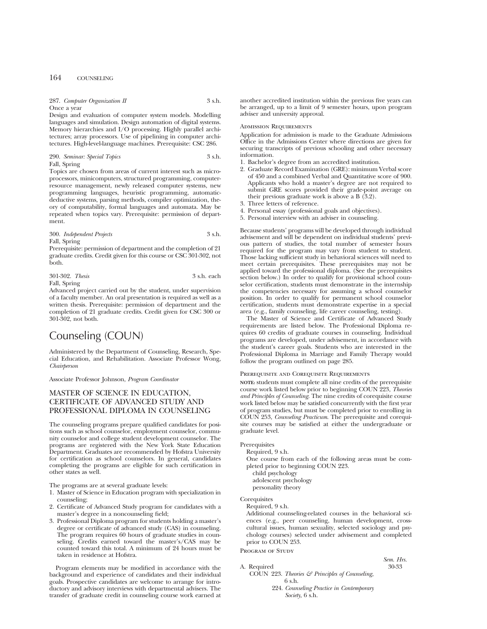## 164 COUNSELING

## 287. Computer Organization II 3 s.h. Once a year

Design and evaluation of computer system models. Modelling languages and simulation. Design automation of digital systems. Memory hierarchies and I/O processing. Highly parallel architectures; array processors. Use of pipelining in computer architectures. High-level-language machines. Prerequisite: CSC 286.

290. *Seminar: Special Topics* 3 s.h. Fall, Spring

Topics are chosen from areas of current interest such as microprocessors, minicomputers, structured programming, computerresource management, newly released computer systems, new programming languages, heuristic programming, automaticdeductive systems, parsing methods, compiler optimization, theory of computability, formal languages and automata. May be repeated when topics vary. Prerequisite: permission of department.

300. *Independent Projects* 3 s.h. Fall, Spring

Prerequisite: permission of department and the completion of 21 graduate credits. Credit given for this course or CSC 301-302, not both.

| 301-302. Thesis | 3 s.h. each |  |
|-----------------|-------------|--|
| Fall, Spring    |             |  |

Advanced project carried out by the student, under supervision of a faculty member. An oral presentation is required as well as a written thesis. Prerequisite: permission of department and the completion of 21 graduate credits. Credit given for CSC 300 or 301-302, not both.

## Counseling (COUN)

Administered by the Department of Counseling, Research, Special Education, and Rehabilitation. Associate Professor Wong, *Chairperson*

Associate Professor Johnson, *Program Coordinator*

## MASTER OF SCIENCE IN EDUCATION, CERTIFICATE OF ADVANCED STUDY AND PROFESSIONAL DIPLOMA IN COUNSELING

The counseling programs prepare qualified candidates for positions such as school counselor, employment counselor, community counselor and college student development counselor. The programs are registered with the New York State Education Department. Graduates are recommended by Hofstra University for certification as school counselors. In general, candidates completing the programs are eligible for such certification in other states as well.

The programs are at several graduate levels:

- 1. Master of Science in Education program with specialization in counseling;
- 2. Certificate of Advanced Study program for candidates with a master's degree in a noncounseling field;
- 3. Professional Diploma program for students holding a master's degree or certificate of advanced study (CAS) in counseling. The program requires 60 hours of graduate studies in counseling. Credits earned toward the master's/CAS may be counted toward this total. A minimum of 24 hours must be taken in residence at Hofstra.

Program elements may be modified in accordance with the background and experience of candidates and their individual goals. Prospective candidates are welcome to arrange for introductory and advisory interviews with departmental advisers. The transfer of graduate credit in counseling course work earned at

another accredited institution within the previous five years can be arranged, up to a limit of 9 semester hours, upon program adviser and university approval.

#### Admission Requirements

Application for admission is made to the Graduate Admissions Office in the Admissions Center where directions are given for securing transcripts of previous schooling and other necessary information.

- 1. Bachelor's degree from an accredited institution.
- 2. Graduate Record Examination (GRE): minimum Verbal score of 450 and a combined Verbal and Quantitative score of 900. Applicants who hold a master's degree are not required to submit GRE scores provided their grade-point average on their previous graduate work is above a B (3.2).
- 3. Three letters of reference.
- 4. Personal essay (professional goals and objectives).
- 5. Personal interview with an adviser in counseling.

Because students' programs will be developed through individual advisement and will be dependent on individual students' previous pattern of studies, the total number of semester hours required for the program may vary from student to student. Those lacking sufficient study in behavioral sciences will need to meet certain prerequisites. These prerequisites may not be applied toward the professional diploma. (See the prerequisites section below.) In order to qualify for provisional school counselor certification, students must demonstrate in the internship the competencies necessary for assuming a school counselor position. In order to qualify for permanent school counselor certification, students must demonstrate expertise in a special area (e.g., family counseling, life career counseling, testing).

The Master of Science and Certificate of Advanced Study requirements are listed below. The Professional Diploma requires 60 credits of graduate courses in counseling. Individual programs are developed, under advisement, in accordance with the student's career goals. Students who are interested in the Professional Diploma in Marriage and Family Therapy would follow the program outlined on page 285.

#### Prerequisite and Corequisite Requirements

**NOTE:** students must complete all nine credits of the prerequisite course work listed below prior to beginning COUN 223, *Theories and Principles of Counseling*. The nine credits of corequisite course work listed below may be satisfied concurrently with the first year of program studies, but must be completed prior to enrolling in COUN 253, *Counseling Practicum*. The prerequisite and corequisite courses may be satisfied at either the undergraduate or graduate level.

### **Prerequisites**

Required, 9 s.h.

- One course from each of the following areas must be completed prior to beginning COUN 223.
	- child psychology

adolescent psychology

personality theory

**Corequisites** 

Required, 9 s.h.

Additional counseling-related courses in the behavioral sciences (e.g., peer counseling, human development, crosscultural issues, human sexuality, selected sociology and psychology courses) selected under advisement and completed prior to COUN 253.

PROGRAM OF STUDY

A. Required

# *Sem. Hrs.*

COUN 223. *Theories & Principles of Counseling*, 6 s.h.

224. *Counseling Practice in Contemporary Society*, 6 s.h.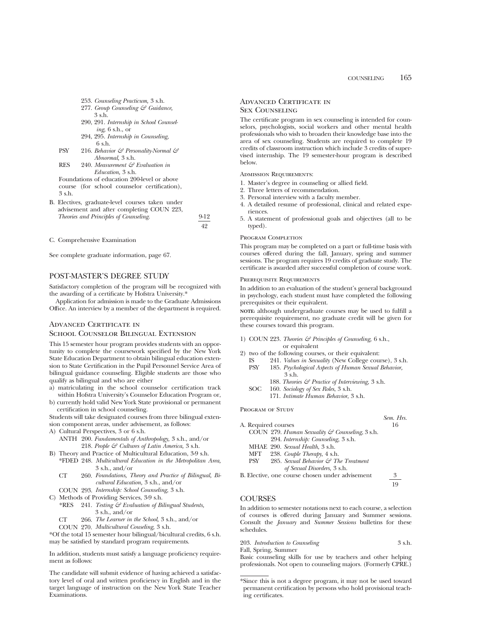- 253. *Counseling Practicum,* 3 s.h.
- 277. *Group Counseling & Guidance,* 3 s.h.
- 290, 291. *Internship in School Counseling,* 6 s.h., or
- 294, 295. *Internship in Counseling,* 6 s.h.
- PSY 216. *Behavior & Personality-Normal & Abnormal,* 3 s.h.
- RES 240. *Measurement & Evaluation in Education,* 3 s.h.

Foundations of education 200-level or above course (for school counselor certification), 3 s.h.

B. Electives, graduate-level courses taken under advisement and after completing COUN 223, *Theories and Principles of Counseling*. 9-12

C. Comprehensive Examination

See complete graduate information, page 67.

## POST-MASTER'S DEGREE STUDY

Satisfactory completion of the program will be recognized with the awarding of a certificate by Hofstra University.\*

Application for admission is made to the Graduate Admissions Office. An interview by a member of the department is required.

## Advanced Certificate in School Counselor Bilingual Extension

This 15 semester hour program provides students with an opportunity to complete the coursework specified by the New York State Education Department to obtain bilingual education extension to State Certification in the Pupil Personnel Service Area of bilingual guidance counseling. Eligible students are those who qualify as bilingual and who are either

- a) matriculating in the school counselor certification track within Hofstra University's Counselor Education Program or,
- b) currently hold valid New York State provisional or permanent certification in school counseling.

Students will take designated courses from three bilingual extension component areas, under advisement, as follows:

- A) Cultural Perspectives, 3 or 6 s.h.
	- ANTH 200. *Fundamentals of Anthropology,* 3 s.h., and/or 218. *People & Cultures of Latin America,* 3 s.h.
- B) Theory and Practice of Multicultural Education, 3-9 s.h.
- \*FDED 248. *Multicultural Education in the Metropolitan Area,* 3 s.h., and/or
	- *Foundations, Theory and Practice of Bilingual, Bi-*CT 260. *cultural Education,* 3 s.h., and/or
	- *Internship: School Counseling,* 3 s.h. COUN 293.
- C) Methods of Providing Services, 3-9 s.h.<br>\*RES 241. Testing  $\mathcal{E}^{\mathcal{E}}$  Evaluation of Bi
	- 241. *Testing & Evaluation of Bilingual Students,* 3 s.h., and/or
	- *The Learner in the School,* 3 s.h., and/or CT 266.
	- *Multicultural Couseling,* 3 s.h. COUN 270.

\*Of the total 15 semester hour bilingual/bicultural credits, 6 s.h. may be satisfied by standard program requirements.

In addition, students must satisfy a language proficiency requirement as follows:

The candidate will submit evidence of having achieved a satisfactory level of oral and written proficiency in English and in the target language of instruction on the New York State Teacher Examinations.

## Advanced Certificate in Sex Counseling

The certificate program in sex counseling is intended for counselors, psychologists, social workers and other mental health professionals who wish to broaden their knowledge base into the area of sex counseling. Students are required to complete 19 credits of classroom instruction which include 3 credits of supervised internship. The 19 semester-hour program is described below.

Admission Requirements:

- 1. Master's degree in counseling or allied field.
- 2. Three letters of recommendation.
- 3. Personal interview with a faculty member.
- 4. A detailed resume of professional, clinical and related experiences.
- 5. A statement of professional goals and objectives (all to be typed).

#### PROGRAM COMPLETION

49

This program may be completed on a part or full-time basis with courses offered during the fall, January, spring and summer sessions. The program requires 19 credits of graduate study. The certificate is awarded after successful completion of course work.

#### Prerequisite Requirements

In addition to an evaluation of the student's general background in psychology, each student must have completed the following prerequisites or their equivalent.

**NOTE:** although undergraduate courses may be used to fulfill a prerequisite requirement, no graduate credit will be given for these courses toward this program.

- 1) COUN 223. *Theories & Principles of Counseling,* 6 s.h.,
- or equivalent
- 2) two of the following courses, or their equivalent:<br>IS 241. Values in Sexuality (New College cour IS 241. *Values in Sexuality* (New College course), 3 s.h. 185. Psychological Aspects of Human Sexual Behavior,
	- 3 s.h. 188. *Theories & Practice of Interviewing,* 3 s.h.
	- SOC 160. *Sociology of Sex Roles*, 3 s.h.
		- 171. *Intimate Human Behavior*, 3 s.h.
		-

PROGRAM OF STUDY

- *Sem. Hrs.* A. Required courses COUN 279. *Human Sexuality & Counseling*, 3 s.h.
	- 294. *Internship: Counseling,* 3 s.h.
	- MHAE 290. *Sexual Health*, 3 s.h.
	- 238. *Couple Therapy*, 4 s.h. PSY 285. *Sexual Behavior & The Treatment*

B. Elective, one course chosen under advisement 3

19

## **COURSES**

In addition to semester notations next to each course, a selection of courses is offered during January and Summer sessions. Consult the *January* and *Summer Sessions* bulletins for these schedules.

203. *Introduction to Counseling* 3 s.h. Fall, Spring, Summer

Basic counseling skills for use by teachers and other helping professionals. Not open to counseling majors. (Formerly CPRE.)

*of Sexual Disorders,* 3 s.h.

<sup>\*</sup>Since this is not a degree program, it may not be used toward permanent certification by persons who hold provisional teaching certificates.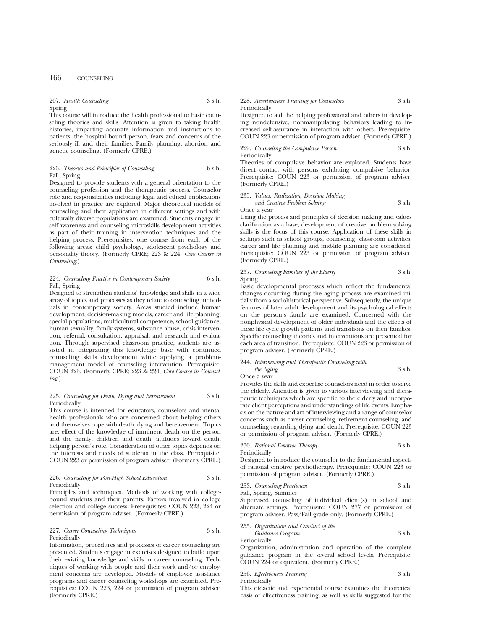## 207. *Health Counseling* 3 s.h.

Spring

This course will introduce the health professional to basic counseling theories and skills. Attention is given to taking health histories, imparting accurate information and instructions to patients, the hospital bound person, fears and concerns of the seriously ill and their families. Family planning, abortion and genetic counseling. (Formerly CPRE.)

## 223. *Theories and Principles of Counseling* 6 s.h. Fall, Spring

Designed to provide students with a general orientation to the counseling profession and the therapeutic process. Counselor role and responsibilities including legal and ethical implications involved in practice are explored. Major theoretical models of counseling and their application in different settings and with culturally diverse populations are examined. Students engage in self-awareness and counseling microskills development activities as part of their training in intervention techniques and the helping process. Prerequisites: one course from each of the following areas: child psychology, adolescent psychology and personality theory. (Formerly CPRE; 223 & 224, *Core Course in Counseling*.)

#### 224. *Counseling Practice in Contemporary Society* 6 s.h. Fall, Spring

Designed to strengthen students' knowledge and skills in a wide array of topics and processes as they relate to counseling individuals in contemporary society. Areas studied include human development, decision-making models, career and life planning, special populations, multicultural competence, school guidance, human sexuality, family systems, substance abuse, crisis intervention, referral, consultation, appraisal, and research and evaluation. Through supervised classroom practice, students are assisted in integrating this knowledge base with continued counseling skills development while applying a problemmanagement model of counseling intervention. Prerequisite: COUN 223. (Formerly CPRE; 223 & 224, *Core Course in Counseling*.)

#### 225. *Counseling for Death, Dying and Bereavement* 3 s.h. Periodically

This course is intended for educators, counselors and mental health professionals who are concerned about helping others and themselves cope with death, dying and bereavement. Topics are: effect of the knowledge of imminent death on the person and the family, children and death, attitudes toward death, helping person's role. Consideration of other topics depends on the interests and needs of students in the class. Prerequisite: COUN 223 or permission of program adviser. (Formerly CPRE.)

#### 226. *Counseling for Post-High School Education* 3 s.h. Periodically

Principles and techniques. Methods of working with collegebound students and their parents. Factors involved in college selection and college success. Prerequisites: COUN 223, 224 or permission of program adviser. (Formerly CPRE.)

| 227. Career Counseling Techniques | 3 s.h. |
|-----------------------------------|--------|
| Periodically                      |        |

Information, procedures and processes of career counseling are presented. Students engage in exercises designed to build upon their existing knowledge and skills in career counseling. Techniques of working with people and their work and/or employment concerns are developed. Models of employee assistance programs and career counseling workshops are examined. Prerequisites: COUN 223, 224 or permission of program adviser. (Formerly CPRE.)

#### 228. *Assertiveness Training for Counselors* 3 s.h. Periodically

Designed to aid the helping professional and others in developing nondefensive, nonmanipulating behaviors leading to increased self-assurance in interaction with others. Prerequisite: COUN 223 or permission of program adviser. (Formerly CPRE.)

229. *Counseling the Compulsive Person* 3 s.h. Periodically

Theories of compulsive behavior are explored. Students have direct contact with persons exhibiting compulsive behavior. Prerequisite: COUN 223 or permission of program adviser. (Formerly CPRE.)

#### 235. *Values, Realization, Decision Making and Creative Problem Solving* 3 s.h. Once a year

Using the process and principles of decision making and values clarification as a base, development of creative problem solving skills is the focus of this course. Application of these skills in settings such as school groups, counseling, classroom activities, career and life planning and mid-life planning are considered. Prerequisite: COUN 223 or permission of program adviser. (Formerly CPRE.)

#### 237. *Counseling Families of the Elderly* 3 s.h. Spring

Basic developmental processes which reflect the fundamental changes occurring during the aging process are examined initially from a sociohistorical perspective. Subsequently, the unique features of later adult development and its psychological effects on the person's family are examined. Concerned with the nonphysical development of older individuals and the effects of these life cycle growth patterns and transitions on their families. Specific counseling theories and interventions are presented for each area of transition. Prerequisite: COUN 223 or permission of program adviser. (Formerly CPRE.)

#### 244. *Interviewing and Therapeutic Counseling with the Aging* 3 s.h.

Once a year

Provides the skills and expertise counselors need in order to serve the elderly. Attention is given to various interviewing and therapeutic techniques which are specific to the elderly and incorporate client perceptions and understandings of life events. Emphasis on the nature and art of interviewing and a range of counselor concerns such as career counseling, retirement counseling, and counseling regarding dying and death. Prerequisite: COUN 223 or permission of program adviser. (Formerly CPRE.)

250. *Rational Emotive Therapy* 3 s.h. Periodically

Designed to introduce the counselor to the fundamental aspects of rational emotive psychotherapy. Prerequisite: COUN 223 or permission of program adviser. (Formerly CPRE.)

253. *Counseling Practicum* 3 s.h. Fall, Spring, Summer

Supervised counseling of individual client(s) in school and alternate settings. Prerequisite: COUN 277 or permission of program adviser. Pass/Fail grade only. (Formerly CPRE.)

#### 255. *Organization and Conduct of the*

Periodically

*Guidance Program* 3 s.h.

Organization, administration and operation of the complete guidance program in the several school levels. Prerequisite: COUN 224 or equivalent. (Formerly CPRE.)

| 256. Effectiveness Training | 3 s.h. |
|-----------------------------|--------|
| Periodically                |        |

This didactic and experiential course examines the theoretical basis of effectiveness training, as well as skills suggested for the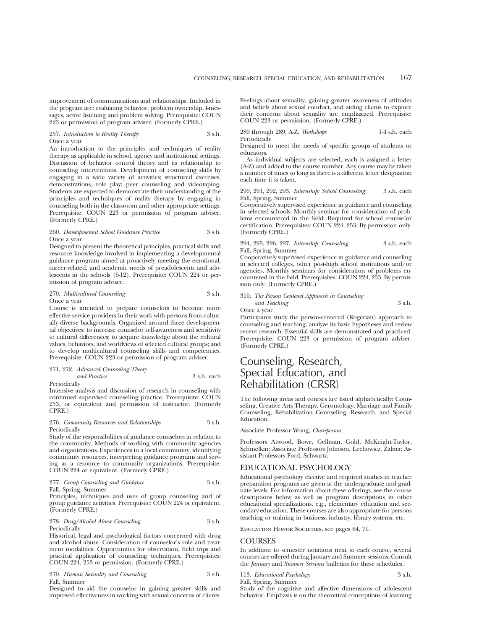improvement of communications and relationships. Included in the program are: evaluating behavior, problem ownership, I-messages, active listening and problem solving. Prerequisite: COUN 223 or permission of program adviser. (Formerly CPRE.)

#### 257. *Introduction to Reality Therapy* 3 s.h. Once a year

An introduction to the principles and techniques of reality therapy as applicable in school, agency and institutional settings. Discussion of behavior control theory and its relationship to counseling interventions. Development of counseling skills by engaging in a wide variety of activities; structured exercises, demonstrations, role play; peer counseling and videotaping. Students are expected to demonstrate their understanding of the principles and techniques of reality therapy by engaging in counseling both in the classroom and other appropriate settings. Prerequisite: COUN 223 or permission of program adviser. (Formerly CPRE.)

#### 260. *Developmental School Guidance Practice* 3 s.h. Once a year

Designed to present the theoretical principles, practical skills and resource knowledge involved in implementing a developmental guidance program aimed at proactively meeting the emotional, career-related, and academic needs of preadolescents and adolescents in the schools (6-12). Prerequisite: COUN 224 or permission of program adviser.

#### 270. *Multicultural Counseling* 3 s.h. Once a year

Course is intended to prepare counselors to become more effective service providers in their work with persons from culturally diverse backgrounds. Organized around three developmental objectives: to increase counselor self-awareness and sensitivity to cultural differences; to acquire knowledge about the cultural values, behaviors, and worldviews of selected cultural groups; and to develop multicultural counseling skills and competencies. Prerequisite: COUN 223 or permission of program adviser.

#### 271, 272. *Advanced Counseling Theory and Practice* 3 s.h. each Periodically

Intensive analysis and discussion of research in counseling with continued supervised counseling practice. Prerequisite: COUN 253, or equivalent and permission of instructor. (Formerly CPRE.)

#### 276. *Community Resources and Relationships* 3 s.h. Periodically

Study of the responsibilities of guidance counselors in relation to the community. Methods of working with community agencies and organizations. Experiences in a local community, identifying community resources, interpreting guidance programs and serving as a resource to community organizations. Prerequisite: COUN 224 or equivalent. (Formerly CPRE.)

277. *Group Counseling and Guidance* 3 s.h.

Fall, Spring, Summer

Principles, techniques and uses of group counseling and of group guidance activities. Prerequisite: COUN 224 or equivalent. (Formerly CPRE.)

278. *Drug/Alcohol Abuse Counseling* 3 s.h. Periodically

Historical, legal and psychological factors concerned with drug and alcohol abuse. Consideration of counselor's role and treatment modalities. Opportunities for observation, field trips and practical application of counseling techniques. Prerequisites: COUN 224, 253 or permission. (Formerly CPRE.)

279. *Human Sexuality and Counseling* 3 s.h. Fall, Summer

Designed to aid the counselor in gaining greater skills and improved effectiveness in working with sexual concerns of clients.

Feelings about sexuality, gaining greater awareness of attitudes and beliefs about sexual conduct, and aiding clients to explore their concerns about sexuality are emphasized. Prerequisite: COUN 223 or permission. (Formerly CPRE.)

280 through 289, A-Z. *Workshops* 1-4 s.h. each Periodically

Designed to meet the needs of specific groups of students or educators.

As individual subjects are selected, each is assigned a letter (A-Z) and added to the course number. Any course may be taken a number of times so long as there is a different letter designation each time it is taken.

290, 291, 292, 293. *Internship: School Counseling* 3 s.h. each Fall, Spring, Summer

Cooperatively supervised experience in guidance and counseling in selected schools. Monthly seminar for consideration of problems encountered in the field. Required for school counselor certification. Prerequisites: COUN 224, 253. By permission only. (Formerly CPRE.)

294, 295, 296, 297. *Internship: Counseling* 3 s.h. each Fall, Spring, Summer

Cooperatively supervised experience in guidance and counseling in selected colleges, other post-high school institutions and/or agencies. Monthly seminars for consideration of problems encountered in the field. Prerequisites: COUN 224, 253. By permission only. (Formerly CPRE.)

## 310. *The Person Centered Approach in Counseling and Teaching* 3 s.h.

Once a year

Participants study the person-centered (Rogerian) approach to counseling and teaching, analyze its basic hypotheses and review recent research. Essential skills are demonstrated and practiced. Prerequisite: COUN 223 or permission of program adviser. (Formerly CPRE.)

## Counseling, Research, Special Education, and Rehabilitation (CRSR)

The following areas and courses are listed alphabetically: Counseling, Creative Arts Therapy, Gerontology, Marriage and Family Counseling, Rehabilitation Counseling, Research, and Special Education.

Associate Professor Wong, *Chairperson*

Professors Atwood, Bowe, Gellman, Gold, McKnight-Taylor, Schmelkin; Associate Professors Johnson, Lechowicz, Zalma; Assistant Professors Ford, Schwartz.

## EDUCATIONAL PSYCHOLOGY

Educational psychology elective and required studies in teacher preparation programs are given at the undergraduate and graduate levels. For information about these offerings, see the course descriptions below as well as program descriptions in other educational specializations, e.g., elementary education and secondary education. These courses are also appropriate for persons teaching or training in business, industry, library systems, etc.

EDUCATION HONOR SOCIETIES, see pages 64, 71.

#### **COURSES**

In addition to semester notations next to each course, several courses are offered during January and Summer sessions. Consult the *January* and *Summer Sessions* bulletins for these schedules.

113. *Educational Psychology* 3 s.h. Fall, Spring, Summer

Study of the cognitive and affective dimensions of adolescent behavior. Emphasis is on the theoretical conceptions of learning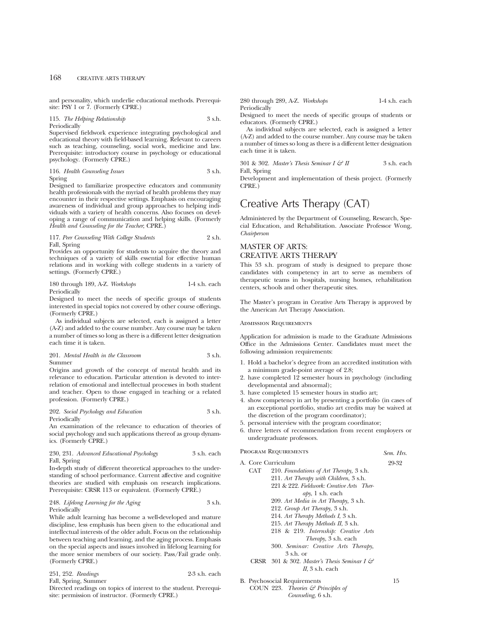and personality, which underlie educational methods. Prerequisite: PSY 1 or 7. (Formerly CPRE.)

115. *The Helping Relationship* 3 s.h. Periodically

Supervised fieldwork experience integrating psychological and educational theory with field-based learning. Relevant to careers such as teaching, counseling, social work, medicine and law. Prerequisite: introductory course in psychology or educational psychology. (Formerly CPRE.)

116. *Health Counseling Issues* 3 s.h. Spring

Designed to familiarize prospective educators and community health professionals with the myriad of health problems they may encounter in their respective settings. Emphasis on encouraging awareness of individual and group approaches to helping individuals with a variety of health concerns. Also focuses on developing a range of communication and helping skills. (Formerly *Health and Counseling for the Teacher*; CPRE.)

117. *Peer Counseling With College Students* 2 s.h. Fall, Spring

Provides an opportunity for students to acquire the theory and techniques of a variety of skills essential for effective human relations and in working with college students in a variety of settings. (Formerly CPRE.)

180 through 189, A-Z. *Workshops* 1-4 s.h. each Periodically

Designed to meet the needs of specific groups of students interested in special topics not covered by other course offerings. (Formerly CPRE.)

As individual subjects are selected, each is assigned a letter (A-Z) and added to the course number. Any course may be taken a number of times so long as there is a different letter designation each time it is taken.

201. *Mental Health in the Classroom* 3 s.h. Summer

Origins and growth of the concept of mental health and its relevance to education. Particular attention is devoted to interrelation of emotional and intellectual processes in both student and teacher. Open to those engaged in teaching or a related profession. (Formerly CPRE.)

#### 202. *Social Psychology and Education* 3 s.h. Periodically

An examination of the relevance to education of theories of social psychology and such applications thereof as group dynamics. (Formerly CPRE.)

#### 230, 231. *Advanced Educational Psychology* 3 s.h. each Fall, Spring

In-depth study of different theoretical approaches to the understanding of school performance. Current affective and cognitive theories are studied with emphasis on research implications. Prerequisite: CRSR 113 or equivalent. (Formerly CPRE.)

#### 248. *Lifelong Learning for the Aging* 3 s.h. Periodically

While adult learning has become a well-developed and mature discipline, less emphasis has been given to the educational and intellectual interests of the older adult. Focus on the relationship between teaching and learning, and the aging process. Emphasis on the special aspects and issues involved in lifelong learning for the more senior members of our society. Pass/Fail grade only. (Formerly CPRE.)

|  | 251, 252. Readings |  |  | 2-3 s.h. each |
|--|--------------------|--|--|---------------|
|--|--------------------|--|--|---------------|

Fall, Spring, Summer

Directed readings on topics of interest to the student. Prerequisite: permission of instructor. (Formerly CPRE.)

280 through 289, A-Z. *Workshops* 1-4 s.h. each Periodically

Designed to meet the needs of specific groups of students or educators. (Formerly CPRE.)

As individual subjects are selected, each is assigned a letter (A-Z) and added to the course number. Any course may be taken a number of times so long as there is a different letter designation each time it is taken.

301 & 302. *Master's Thesis Seminar I & II* 3 s.h. each Fall, Spring

Development and implementation of thesis project. (Formerly CPRE.)

## Creative Arts Therapy (CAT)

Administered by the Department of Counseling, Research, Special Education, and Rehabilitation. Associate Professor Wong, *Chairperson*

## MASTER OF ARTS: CREATIVE ARTS THERAPY

This 53 s.h. program of study is designed to prepare those candidates with competency in art to serve as members of therapeutic teams in hospitals, nursing homes, rehabilitation centers, schools and other therapeutic sites.

The Master's program in Creative Arts Therapy is approved by the American Art Therapy Association.

## Admission Requirements

Application for admission is made to the Graduate Admissions Office in the Admissions Center. Candidates must meet the following admission requirements:

- 1. Hold a bachelor's degree from an accredited institution with a minimum grade-point average of 2.8;
- 2. have completed 12 semester hours in psychology (including developmental and abnormal);
- 3. have completed 15 semester hours in studio art;
- 4. show competency in art by presenting a portfolio (in cases of an exceptional portfolio, studio art credits may be waived at the discretion of the program coordinator);
- 5. personal interview with the program coordinator;
- 6. three letters of recommendation from recent employers or undergraduate professors.

## Program Requirements *Sem. Hrs.*

A. Core Curriculum 29-32

- CAT 210. *Foundations of Art Therapy,* 3 s.h. 211. *Art Therapy with Children*, 3 s.h. 221 & 222. *Fieldwork: Creative Arts Therapy*, 1 s.h. each 209. *Art Media in Art Therapy,* 3 s.h. 212. *Group Art Therapy*, 3 s.h. 214. *Art Therapy Methods I*, 3 s.h.
	- 215. *Art Therapy Methods II*, 3 s.h.
	- 218 & 219. *Internship: Creative Arts*
	- *Therapy*, 3 s.h. each
	- 300. *Seminar: Creative Arts Therapy*, 3 s.h. or
- CRSR 301 & 302. *Master's Thesis Seminar I & II*, 3 s.h. each

B. Psychosocial Requirements 15

COUN 223. *Theories & Principles of Counseling*, 6 s.h.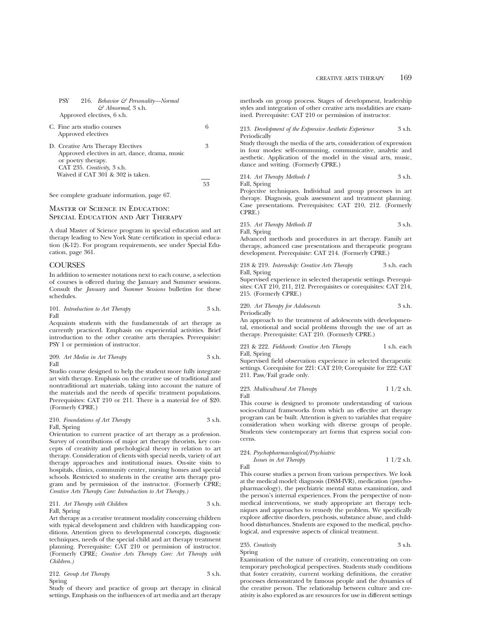PSY 216. *Behavior & Personality—Normal & Abnormal*, 3 s.h. Approved electives, 6 s.h.

C. Fine arts studio courses 6

| Approved electives                                                                   |    |
|--------------------------------------------------------------------------------------|----|
| D. Creative Arts Therapy Electives<br>Approved electives in art, dance, drama, music | 3  |
| or poetry therapy.<br>CAT 235. Creativity, 3 s.h.                                    |    |
| Waived if CAT 301 & 302 is taken.                                                    | 58 |

See complete graduate information, page 67.

## Master of Science in Education: Special Education and Art Therapy

A dual Master of Science program in special education and art therapy leading to New York State certification in special education (K-12). For program requirements, see under Special Education, page 361.

## **COURSES**

In addition to semester notations next to each course, a selection of courses is offered during the January and Summer sessions. Consult the *January* and *Summer Sessions* bulletins for these schedules.

|      | 101. Introduction to Art Therapy | 3 s.h. |
|------|----------------------------------|--------|
| Fall |                                  |        |

Acquaints students with the fundamentals of art therapy as currently practiced. Emphasis on experiential activities. Brief introduction to the other creative arts therapies. Prerequisite: PSY 1 or permission of instructor.

209. *Art Media in Art Therapy* 3 s.h. Fall

Studio course designed to help the student more fully integrate art with therapy. Emphasis on the creative use of traditional and nontraditional art materials, taking into account the nature of the materials and the needs of specific treatment populations. Prerequisites: CAT 210 or 211. There is a material fee of \$20. (Formerly CPRE.)

210. *Foundations of Art Therapy* 3 s.h. Fall, Spring

Orientation to current practice of art therapy as a profession. Survey of contributions of major art therapy theorists, key concepts of creativity and psychological theory in relation to art therapy. Consideration of clients with special needs, variety of art therapy approaches and institutional issues. On-site visits to hospitals, clinics, community center, nursing homes and special schools. Restricted to students in the creative arts therapy program and by permission of the instructor. (Formerly CPRE; *Creative Arts Therapy Core: Introduction to Art Therapy.)*

211. *Art Therapy with Children* 3 s.h. Fall, Spring

Art therapy as a creative treatment modality concerning children with typical development and children with handicapping conditions. Attention given to developmental concepts, diagnostic techniques, needs of the special child and art therapy treatment planning. Prerequisite: CAT 210 or permission of instructor. (Formerly CPRE; *Creative Arts Therapy Core: Art Therapy with Children.)*

212. *Group Art Therapy* 3 s.h. Spring

Study of theory and practice of group art therapy in clinical settings. Emphasis on the influences of art media and art therapy

methods on group process. Stages of development, leadership styles and integration of other creative arts modalities are examined. Prerequisite: CAT 210 or permission of instructor.

213. *Development of the Expressive Aesthetic Experience* 3 s.h. Periodically

Study through the media of the arts, consideration of expression in four modes: self-communing, communicative, analytic and aesthetic. Application of the model in the visual arts, music, dance and writing. (Formerly CPRE.)

214. *Art Therapy Methods I* 3 s.h.

Fall, Spring Projective techniques. Individual and group processes in art therapy. Diagnosis, goals assessment and treatment planning.

Case presentations. Prerequisites: CAT 210, 212. (Formerly CPRE.)

215. *Art Therapy Methods II* 3 s.h. Fall, Spring

Advanced methods and procedures in art therapy. Family art therapy, advanced case presentations and therapeutic program development. Prerequisite: CAT 214. (Formerly CPRE.)

218 & 219. *Internship: Creative Arts Therapy* 3 s.h. each Fall, Spring

Supervised experience in selected therapeutic settings. Prerequisites: CAT 210, 211, 212. Prerequisites or corequisites: CAT 214, 215. (Formerly CPRE.)

220. *Art Therapy for Adolescents* 3 s.h. Periodically

An approach to the treatment of adolescents with developmental, emotional and social problems through the use of art as therapy. Prerequisite: CAT 210. (Formerly CPRE.)

221 & 222. *Fieldwork: Creative Arts Therapy* 1 s.h. each Fall, Spring

Supervised field observation experience in selected therapeutic settings. Corequisite for 221: CAT 210; Corequisite for 222: CAT 211. Pass/Fail grade only.

223. *Multicultural Art Therapy* 1 1/2 s.h. Fall

This course is designed to promote understanding of various socio-cultural frameworks from which an effective art therapy program can be built. Attention is given to variables that require consideration when working with diverse groups of people. Students view contemporary art forms that express social concerns.

### 224. *Psychopharmacological/Psychiatric*

Fall

$$
Is a single in Art Theory 1 1/2 s.h.
$$

This course studies a person from various perspectives. We look at the medical model: diagnosis (DSM-IVR), medication (psychopharmacology), the psychiatric mental status examination, and the person's internal experiences. From the perspective of nonmedical interventions, we study appropriate art therapy techniques and approaches to remedy the problem. We specifically explore affective disorders, psychosis, substance abuse, and childhood disturbances. Students are exposed to the medical, psychological, and expressive aspects of clinical treatment.

235. *Creativity* 3 s.h. Spring

Examination of the nature of creativity, concentrating on contemporary psychological perspectives. Students study conditions that foster creativity, current working definitions, the creative processes demonstrated by famous people and the dynamics of the creative person. The relationship between culture and creativity is also explored as are resources for use in different settings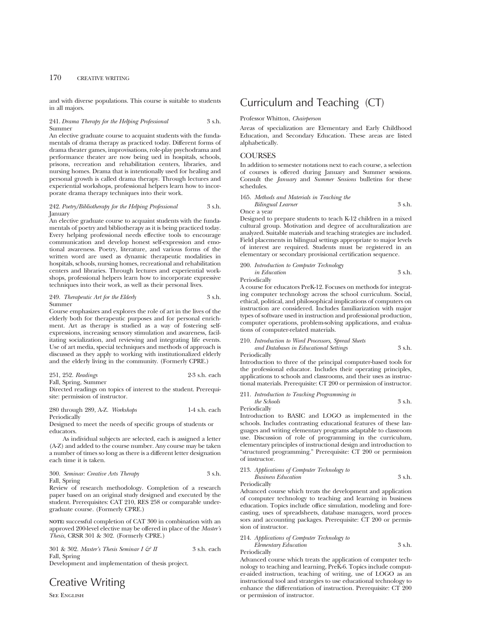and with diverse populations. This course is suitable to students in all majors.

#### 241. *Drama Therapy for the Helping Professional* 3 s.h. Summer

An elective graduate course to acquaint students with the fundamentals of drama therapy as practiced today. Different forms of drama theater games, improvisations, role-play psychodrama and performance theater are now being ued in hospitals, schools, prisons, recreation and rehabilitation centers, libraries, and nursing homes. Drama that is intentionally used for healing and personal growth is called drama therapy. Through lectures and experiential workshops, professional helpers learn how to incorporate drama therapy techniques into their work.

#### 242. *Poetry/Bibliotherapy for the Helping Professional* 3 s.h. January

An elective graduate course to acquaint students with the fundamentals of poetry and bibliotherapy as it is being practiced today. Every helping professional needs effective tools to encourage communication and develop honest self-expression and emotional awareness. Poetry, literature, and various forms of the written word are used as dynamic therapeutic modalities in hospitals, schools, nursing homes, recreational and rehabilitation centers and libraries. Through lectures and experiential workshops, professional helpers learn how to incorporate expressive techniques into their work, as well as their personal lives.

#### 249. *Therapeutic Art for the Elderly* 3 s.h. Summer

Course emphasizes and explores the role of art in the lives of the elderly both for therapeutic purposes and for personal enrichment. Art as therapy is studied as a way of fostering selfexpressions, increasing sensory stimulation and awareness, facilitating socialization, and reviewing and integrating life events. Use of art media, special techniques and methods of approach is discussed as they apply to working with institutionalized elderly and the elderly living in the community. (Formerly CPRE.)

251, 252. *Readings* 2-3 s.h. each

Fall, Spring, Summer

Directed readings on topics of interest to the student. Prerequisite: permission of instructor.

#### 280 through 289, A-Z. *Workshops* 1-4 s.h. each Periodically

Designed to meet the needs of specific groups of students or educators.

As individual subjects are selected, each is assigned a letter (A-Z) and added to the course number. Any course may be taken a number of times so long as there is a different letter designation each time it is taken.

#### 300. *Seminar: Creative Arts Therapy* 3 s.h. Fall, Spring

Review of research methodology. Completion of a research paper based on an original study designed and executed by the student. Prerequisites: CAT 210, RES 258 or comparable undergraduate course. (Formerly CPRE.)

**NOTE:** successful completion of CAT 300 in combination with an approved 200-level elective may be offered in place of the *Master's Thesis*, CRSR 301 & 302. (Formerly CPRE.)

|              | 301 & 302. Master's Thesis Seminar I $\mathcal{C}$ II | 3 s.h. each |
|--------------|-------------------------------------------------------|-------------|
| Fall, Spring |                                                       |             |

Development and implementation of thesis project.

## Creative Writing

SEE ENGLISH

## Curriculum and Teaching (CT)

#### Professor Whitton, *Chairperson*

Areas of specialization are Elementary and Early Childhood Education, and Secondary Education. These areas are listed alphabetically.

#### **COURSES**

In addition to semester notations next to each course, a selection of courses is offered during January and Summer sessions. Consult the *January* and *Summer Sessions* bulletins for these schedules.

165. *Methods and Materials in Teaching the Bilingual Learner* 3 s.h. Once a year

Designed to prepare students to teach K-12 children in a mixed cultural group. Motivation and degree of acculturalization are analyzed. Suitable materials and teaching strategies are included. Field placements in bilingual settings appropriate to major levels of interest are required. Students must be registered in an elementary or secondary provisional certification sequence.

200. *Introduction to Computer Technology*

*in Education* 3 s.h. Periodically

A course for educators PreK-12. Focuses on methods for integrating computer technology across the school curriculum. Social, ethical, political, and philosophical implications of computers on instruction are considered. Includes familiarization with major types of software used in instruction and professional production, computer operations, problem-solving applications, and evaluations of computer-related materials.

210. *Introduction to Word Processors, Spread Sheets*

*and Databases in Educational Settings* 3 s.h. Periodically

Introduction to three of the principal computer-based tools for the professional educator. Includes their operating principles, applications to schools and classrooms, and their uses as instructional materials. Prerequisite: CT 200 or permission of instructor.

211. *Introduction to Teaching Programming in*

*the Schools* 3 s.h. Periodically

Introduction to BASIC and LOGO as implemented in the schools. Includes contrasting educational features of these languages and writing elementary programs adaptable to classroom use. Discussion of role of programming in the curriculum, elementary principles of instructional design and introduction to "structured programming." Prerequisite: CT 200 or permission of instructor.

## 213. *Applications of Computer Technology to Business Education* 3 s.h.

Periodically

Advanced course which treats the development and application of computer technology to teaching and learning in business education. Topics include office simulation, modeling and forecasting, uses of spreadsheets, database managers, word processors and accounting packages. Prerequisite: CT 200 or permission of instructor.

214. *Applications of Computer Technology to*

*Elementary Education* 3 s.h.

Periodically

Advanced course which treats the application of computer technology to teaching and learning, PreK-6. Topics include computer-aided instruction, teaching of writing, use of LOGO as an instructional tool and strategies to use educational technology to enhance the differentiation of instruction. Prerequisite: CT 200 or permission of instructor.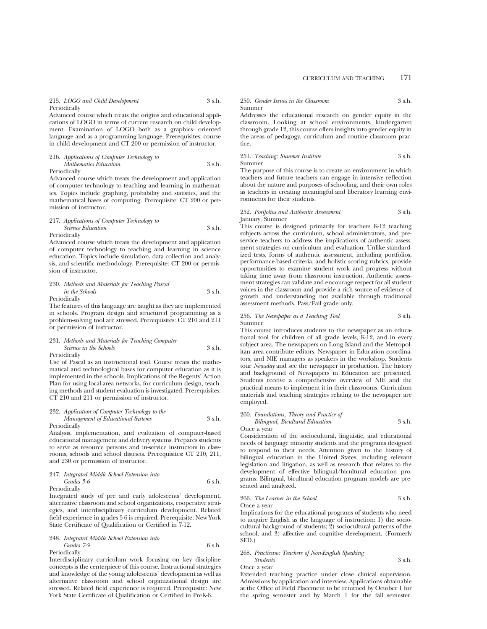#### 215. *LOGO and Child Development* 3 s.h. Periodically

Advanced course which treats the origins and educational applications of LOGO in terms of current research on child development. Examination of LOGO both as a graphics- oriented language and as a programming language. Prerequisites: course in child development and CT 200 or permission of instructor.

216. *Applications of Computer Technology to Mathematics Education* 3 s.h.

Periodically

Advanced course which treats the development and application of computer technology to teaching and learning in mathematics. Topics include graphing, probability and statistics, and the mathematical bases of computing. Prerequisite: CT 200 or permission of instructor.

#### 217. *Applications of Computer Technology to Science Education* 3 s.h. Periodically

Advanced course which treats the development and application of computer technology to teaching and learning in science education. Topics include simulation, data collection and analysis, and scientific methodology. Prerequisite: CT 200 or permission of instructor.

#### 230. *Methods and Materials for Teaching Pascal in the Schools* 3 s.h. Periodically

The features of this language are taught as they are implemented in schools. Program design and structured programming as a problem-solving tool are stressed. Prerequisites: CT 210 and 211 or permission of instructor.

231. *Methods and Materials for Teaching Computer Science in the Schools* 3 s.h.

Periodically

Use of Pascal as an instructional tool. Course treats the mathematical and technological bases for computer education as it is implemented in the schools. Implications of the Regents' Action Plan for using local-area networks, for curriculum design, teaching methods and student evaluation is investigated. Prerequisites: CT 210 and 211 or permission of instructor.

### 232. *Application of Computer Technology to the Management of Educational Systems* 3 s.h. Periodically

Analysis, implementation, and evaluation of computer-based educational management and delivery systems. Prepares students to serve as resource persons and in-service instructors in classrooms, schools and school districts. Prerequisites: CT 210, 211, and 230 or permission of instructor.

247. *Integrated Middle School Extension into Grades 5-6* 6 s.h.

Periodically

Integrated study of pre and early adolescents' development, alternative classroom and school organizations, cooperative strategies, and interdisciplinary curriculum development. Related field experience in grades 5-6 is required. Prerequisite: New York State Certificate of Qualification or Certified in 7-12.

248. *Integrated Middle School Extension into Grades 7-9* 6 s.h.

Periodically

Interdisciplinary curriculum work focusing on key discipline concepts is the centerpiece of this course. Instructional strategies and knowledge of the young adolescents' development as well as alternative classroom and school organizational design are stressed. Related field experience is required. Prerequisite: New York State Certificate of Qualification or Certified in PreK-6.

## 250. *Gender Issues in the Classroom* 3 s.h.

Summer Addresses the educational research on gender equity in the

classroom. Looking at school environments, kindergarten through grade 12, this course offers insights into gender equity in the areas of pedagogy, curriculum and routine classroom practice.

251. *Teaching: Summer Institute* 3 s.h. Summer

The purpose of this course is to create an environment in which teachers and future teachers can engage in intensive reflection about the nature and purposes of schooling, and their own roles as teachers in creating meaningful and liberatory learning environments for their students.

#### 252. *Portfolios and Authentic Assessment* 3 s.h. January, Summer

This course is designed primarily for teachers K-12 teaching subjects across the curriculum, school administrators, and preservice teachers to address the implications of authentic assessment strategies on curriculum and evaluation. Unlike standardized tests, forms of authentic assessment, including portfolios, performance-based criteria, and holistic scoring rubrics, provide opportunities to examine student work and progress without taking time away from classroom instruction. Authentic assessment strategies can validate and encourage respect for all student voices in the classroom and provide a rich source of evidence of growth and understanding not available through traditional assessment methods. Pass/Fail grade only.

#### 256. *The Newspaper as a Teaching Tool* 3 s.h. Summer

This course introduces students to the newspaper as an educational tool for children of all grade levels, K-12, and in every subject area. The newspapers on Long Island and the Metropolitan area contribute editors, Newspaper in Education coordinators, and NIE managers as speakers in the workshop. Students tour *Newsday* and see the newspaper in production. The history and background of Newspapers in Education are presented. Students receive a comprehensive overview of NIE and the practical means to implement it in their classrooms. Curriculum materials and teaching strategies relating to the newspaper are employed.

#### 260. *Foundations, Theory and Practice of*

*Bilingual, Bicultural Education* 3 s.h. Once a year

Consideration of the sociocultural, linguistic, and educational needs of language minority students and the programs designed to respond to their needs. Attention given to the history of bilingual education in the United States, including relevant legislation and litigation, as well as research that relates to the development of effective bilingual/bicultural education programs. Bilingual, bicultural education program models are presented and analyzed.

266. *The Learner in the School* 3 s.h. Once a year

Implications for the educational programs of students who need to acquire English as the language of instruction: 1) the sociocultural background of students; 2) sociocultural patterns of the school; and 3) affective and cognitive development. (Formerly SED.)

268. *Practicum: Teachers of Non-English Speaking*

*Students* 3 s.h. Once a year

Extended teaching practice under close clinical supervision. Admissions by application and interview. Applications obtainable at the Office of Field Placement to be returned by October 1 for the spring semester and by March 1 for the fall semester.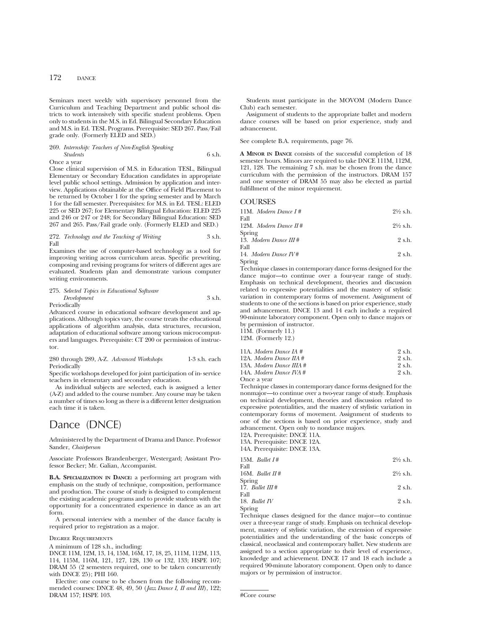## 172 DANCE

Seminars meet weekly with supervisory personnel from the Curriculum and Teaching Department and public school districts to work intensively with specific student problems. Open only to students in the M.S. in Ed. Bilingual Secondary Education and M.S. in Ed. TESL Programs. Prerequisite: SED 267. Pass/Fail grade only. (Formerly ELED and SED.)

269. *Internship: Teachers of Non-English Speaking Students* 6 s.h. Once a year

Close clinical supervision of M.S. in Education TESL, Bilingual Elementary or Secondary Education candidates in appropriate level public school settings. Admission by application and inter-

view. Applications obtainable at the Office of Field Placement to be returned by October 1 for the spring semester and by March 1 for the fall semester. Prerequisites: for M.S. in Ed. TESL: ELED 225 or SED 267; for Elementary Bilingual Education: ELED 225 and 246 or 247 or 248; for Secondary Bilingual Education: SED 267 and 265. Pass/Fail grade only. (Formerly ELED and SED.)

272. *Technology and the Teaching of Writing* 3 s.h. Fall

Examines the use of computer-based technology as a tool for improving writing across curriculum areas. Specific prewriting, composing and revising programs for writers of different ages are evaluated. Students plan and demonstrate various computer writing environments.

275. *Selected Topics in Educational Software Development* 3 s.h.

Periodically

Advanced course in educational software development and applications. Although topics vary, the course treats the educational applications of algorithm analysis, data structures, recursion, adaptation of educational software among various microcomputers and languages. Prerequisite: CT 200 or permission of instructor.

#### 280 through 289, A-Z. *Advanced Workshops* 1-3 s.h. each Periodically

Specific workshops developed for joint participation of in- service teachers in elementary and secondary education.

As individual subjects are selected, each is assigned a letter (A-Z) and added to the course number. Any course may be taken a number of times so long as there is a different letter designation each time it is taken.

## Dance (DNCE)

Administered by the Department of Drama and Dance. Professor Sander, *Chairperson*

Associate Professors Brandenberger, Westergard; Assistant Professor Becker; Mr. Galian, Accompanist.

**B.A. SPECIALIZATION IN DANCE:** a performing art program with emphasis on the study of technique, composition, performance and production. The course of study is designed to complement the existing academic programs and to provide students with the opportunity for a concentrated experience in dance as an art form.

A personal interview with a member of the dance faculty is required prior to registration as a major.

#### Degree Requirements

A minimum of 128 s.h., including:

DNCE 11M, 12M, 13, 14, 15M, 16M, 17, 18, 25, 111M, 112M, 113, 114, 115M, 116M, 121, 127, 128, 130 or 132, 133; HSPE 107; DRAM 55 (2 semesters required, one to be taken concurrently with DNCE 25); PHI 160.

Elective: one course to be chosen from the following recommended courses: DNCE 48, 49, 50 (*Jazz Dance I, II and III*), 122; DRAM 157; HSPE 103.

Students must participate in the MOVOM (Modern Dance Club) each semester.

Assignment of students to the appropriate ballet and modern dance courses will be based on prior experience, study and advancement.

See complete B.A. requirements, page 76.

**A MINOR IN DANCE** consists of the successful completion of 18 semester hours. Minors are required to take DNCE 111M, 112M, 121, 128. The remaining 7 s.h. may be chosen from the dance curriculum with the permission of the instructors. DRAM 157 and one semester of DRAM 55 may also be elected as partial fulfillment of the minor requirement.

#### **COURSES**

|      | $11M.$ Modern Dance I # | $2\frac{1}{2}$ s.h. |
|------|-------------------------|---------------------|
| Fall |                         |                     |
|      | 12M. Modern Dance $H#$  | $2\frac{1}{2}$ s.h. |

Spring 13. *Modern Dance III* # 2 s.h. Fall

14. *Modern Dance IV* # 2 s.h. Spring

Technique classes in contemporary dance forms designed for the dance major—to continue over a four-year range of study. Emphasis on technical development, theories and discussion related to expressive potentialities and the mastery of stylistic variation in contemporary forms of movement. Assignment of students to one of the sections is based on prior experience, study and advancement. DNCE 13 and 14 each include a required 90-minute laboratory component. Open only to dance majors or by permission of instructor.

11M. (Formerly 11.) 12M. (Formerly 12.)

| $1 = 1.1$                                                         |            |
|-------------------------------------------------------------------|------------|
| 11A. Modern Dance IA #                                            | 2 s.h.     |
| $10A \cdot M_{\odot}$ $J_{\text{max}}$ $D_{\text{max}}$ $H4 \neq$ | $Q \sim L$ |

| 12A. Modern Dance $\overline{I}I\overline{A}$ # | 2 s.h. |
|-------------------------------------------------|--------|
| 13A. Modern Dance IIIA #                        | 2 s.h. |
| 14A. Modern Dance IVA #                         | 2 s.h. |
| Once a year                                     |        |

Technique classes in contemporary dance forms designed for the nonmajor—to continue over a two-year range of study. Emphasis on technical development, theories and discussion related to expressive potentialities, and the mastery of stylistic variation in contemporary forms of movement. Assignment of students to one of the sections is based on prior experience, study and advancement. Open only to nondance majors.

12A. Prerequisite: DNCE 11A.

13A. Prerequisite: DNCE 12A.

14A. Prerequisite: DNCE 13A.

| 15M. <i>Ballet I#</i><br>Fall | $2\frac{1}{2}$ s.h. |
|-------------------------------|---------------------|
| 16M. <i>Ballet</i> $\pi$ #    | $2\frac{1}{2}$ s.h. |
| Spring<br>17. Ballet $III#$   | 2 s.h.              |
| Fall<br>18. Ballet IV         | 2 s.h.              |

Spring

Technique classes designed for the dance major—to continue over a three-year range of study. Emphasis on technical development, mastery of stylistic variation, the extension of expressive potentialities and the understanding of the basic concepts of classical, neoclassical and contemporary ballet. New students are assigned to a section appropriate to their level of experience, knowledge and achievement. DNCE 17 and 18 each include a required 90-minute laboratory component. Open only to dance majors or by permission of instructor.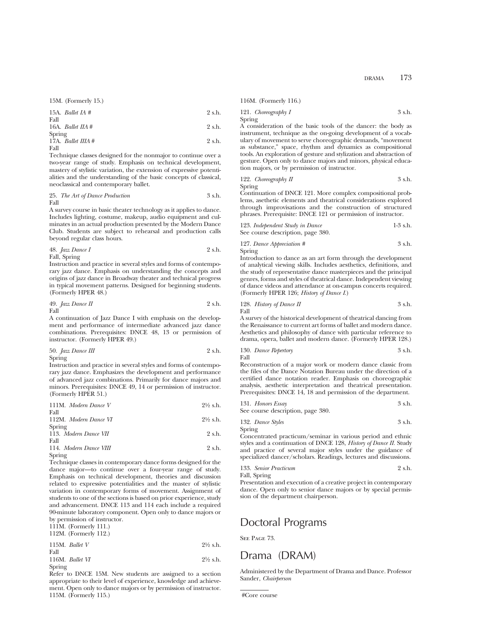15M. (Formerly 15.)

15A. *Ballet IA #* 2 s.h. Fall 16A. *Ballet IIA* # 2 s.h.

Spring 17A. *Ballet IIIA* # 2 s.h. Fall

Technique classes designed for the nonmajor to continue over a two-year range of study. Emphasis on technical development, mastery of stylistic variation, the extension of expressive potentialities and the understanding of the basic concepts of classical, neoclassical and contemporary ballet.

25. *The Art of Dance Production* 3 s.h. Fall

A survey course in basic theater technology as it applies to dance. Includes lighting, costume, makeup, audio equipment and culminates in an actual production presented by the Modern Dance Club. Students are subject to rehearsal and production calls beyond regular class hours.

48. 
$$
Jazz
$$
 *Dance I* 2 s.h.

Fall, Spring

Instruction and practice in several styles and forms of contemporary jazz dance. Emphasis on understanding the concepts and origins of jazz dance in Broadway theater and technical progress in typical movement patterns. Designed for beginning students. (Formerly HPER 48.)

49. 
$$
Jazz
$$
 *Dance II* 2 s.h. Fall

A continuation of Jazz Dance I with emphasis on the development and performance of intermediate advanced jazz dance combinations. Prerequisites: DNCE 48, 13 or permission of instructor. (Formerly HPER 49.)

50. 
$$
Jazz
$$
 *Dance III* 2 s.h.

Spring

Instruction and practice in several styles and forms of contemporary jazz dance. Emphasizes the development and performance of advanced jazz combinations. Primarily for dance majors and minors. Prerequisites: DNCE 49, 14 or permission of instructor. (Formerly HPER 51.)

| 111M. Modern Dance V   | $2\frac{1}{2}$ s.h. |
|------------------------|---------------------|
| Fall                   |                     |
| 112M. Modern Dance VI  | $2\frac{1}{2}$ s.h. |
| Spring                 |                     |
| 113. Modern Dance VII  | 2 s.h.              |
| Fall                   |                     |
| 114. Modern Dance VIII | 2 s.h.              |
| Spring                 |                     |

Technique classes in contemporary dance forms designed for the dance major—to continue over a four-year range of study. Emphasis on technical development, theories and discussion related to expressive potentialities and the master of stylistic variation in contemporary forms of movement. Assignment of students to one of the sections is based on prior experience, study and advancement. DNCE 113 and 114 each include a required 90-minute laboratory component. Open only to dance majors or by permission of instructor.

111M. (Formerly 111.) 112M. (Formerly 112.)

|      | $114.11.$ , $1 \cup 111.11$ , $114.$ |
|------|--------------------------------------|
|      | $115M.$ Ballet V                     |
| Fall |                                      |
|      | 116M Ballet VI                       |

116M. *Ballet VI* 2<sup>1/2</sup> s.h. Spring

Refer to DNCE 15M. New students are assigned to a section appropriate to their level of experience, knowledge and achievement. Open only to dance majors or by permission of instructor. 115M. (Formerly 115.)

DRAMA 173

116M. (Formerly 116.)

121. *Choreography I* 3 s.h. Spring

A consideration of the basic tools of the dancer: the body as instrument, technique as the on-going development of a vocabulary of movement to serve choreographic demands, "movement as substance," space, rhythm and dynamics as compositional tools. An exploration of gesture and stylization and abstraction of gesture. Open only to dance majors and minors, physical education majors, or by permission of instructor.

$$
122. \nChoreography II \n3 s.h.
$$

Spring

Continuation of DNCE 121. More complex compositional problems, asethetic elements and theatrical considerations explored through improvisations and the construction of structured phrases. Prerequisite: DNCE 121 or permission of instructor.

| 123. Independent Study in Dance   | $1-3$ s.h. |
|-----------------------------------|------------|
| See course description, page 380. |            |

127. *Dance Appreciation #* 3 s.h. Spring

Introduction to dance as an art form through the development of analytical viewing skills. Includes aesthetics, definitions, and the study of representative dance masterpieces and the principal genres, forms and styles of theatrical dance. Independent viewing of dance videos and attendance at on-campus concerts required. (Formerly HPER 126; *History of Dance I*.)

128. *History of Dance II* 
$$
3 \, \text{sh.}
$$
  $5 \, \text{sh.}$ 

A survey of the historical development of theatrical dancing from the Renaissance to current art forms of ballet and modern dance. Aesthetics and philosophy of dance with particular reference to drama, opera, ballet and modern dance. (Formerly HPER 128.)

130. *Dance Repertory* 3 s.h. Fall

Reconstruction of a major work or modern dance classic from the files of the Dance Notation Bureau under the direction of a certified dance notation reader. Emphasis on choreographic analysis, aesthetic interpretation and theatrical presentation. Prerequisites: DNCE 14, 18 and permission of the department.

131. *Honors Essay* 3 s.h.

See course description, page 380.

| 132. Dance Styles | 3 s.h. |
|-------------------|--------|
| Spring            |        |

Concentrated practicum/seminar in various period and ethnic styles and a continuation of DNCE 128, *History of Dance II.* Study and practice of several major styles under the guidance of specialized dancer/scholars. Readings, lectures and discussions.

133. *Senior Practicum* 2 s.h. Fall, Spring

Presentation and execution of a creative project in contemporary dance. Open only to senior dance majors or by special permission of the department chairperson.

## Doctoral Programs

SEE PAGE 73.

115M. *Ballet V* 21⁄2 s.h.

## Drama (DRAM)

Administered by the Department of Drama and Dance. Professor Sander, *Chairperson*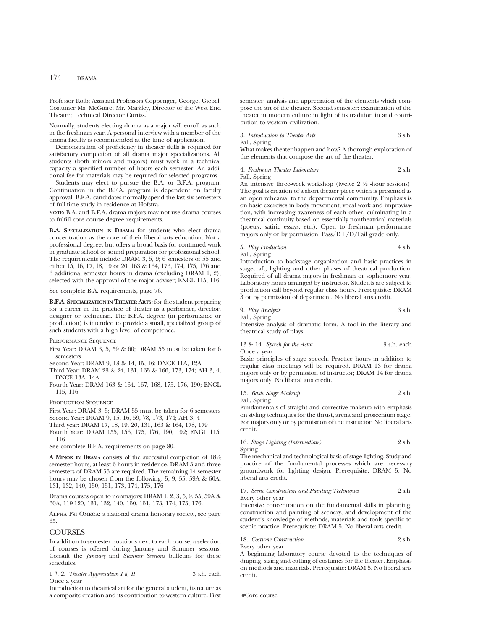## 174 DRAMA

Professor Kolb; Assistant Professors Coppenger, George, Giebel; Costumer Ms. McGuire; Mr. Markley, Director of the West End Theatre; Technical Director Curtiss.

Normally, students electing drama as a major will enroll as such in the freshman year. A personal interview with a member of the drama faculty is recommended at the time of application.

Demonstration of proficiency in theater skills is required for satisfactory completion of all drama major specializations. All students (both minors and majors) must work in a technical capacity a specified number of hours each semester. An additional fee for materials may be required for selected programs.

Students may elect to pursue the B.A. or B.F.A. program. Continuation in the B.F.A. program is dependent on faculty approval. B.F.A. candidates normally spend the last six semesters of full-time study in residence at Hofstra.

**NOTE:** B.A. and B.F.A. drama majors may not use drama courses to fulfill core course degree requirements.

**B.A. SPECIALIZATION IN DRAMA:** for students who elect drama concentration as the core of their liberal arts education. Not a professional degree, but offers a broad basis for continued work in graduate school or sound preparation for professional school. The requirements include DRAM 3, 5, 9; 6 semesters of 55 and either 15, 16, 17, 18, 19 or 20; 163 & 164, 173, 174, 175, 176 and 6 additional semester hours in drama (excluding DRAM 1, 2), selected with the approval of the major adviser; ENGL 115, 116.

#### See complete B.A. requirements, page 76.

**B.F.A. SPECIALIZATION IN THEATER ARTS:** for the student preparing for a career in the practice of theater as a performer, director, designer or technician. The B.F.A. degree (in performance or production) is intended to provide a small, specialized group of such students with a high level of competence.

Performance Sequence

- First Year: DRAM 3, 5, 59 & 60; DRAM 55 must be taken for 6 semesters
- Second Year: DRAM 9, 13 & 14, 15, 16; DNCE 11A, 12A
- Third Year: DRAM 23 & 24, 131, 165 & 166, 173, 174; AH 3, 4; DNCE 13A, 14A
- Fourth Year: DRAM 163 & 164, 167, 168, 175, 176, 190; ENGL 115, 116

PRODUCTION SEQUENCE

First Year: DRAM 3, 5; DRAM 55 must be taken for 6 semesters

Second Year: DRAM 9, 15, 16, 59, 78, 173, 174; AH 3, 4

Third year: DRAM 17, 18, 19, 20, 131, 163 & 164, 178, 179

Fourth Year: DRAM 155, 156, 175, 176, 190, 192; ENGL 115, 116

See complete B.F.A. requirements on page 80.

**A MINOR IN DRAMA** consists of the successful completion of 181⁄2 semester hours, at least 6 hours in residence. DRAM 3 and three semesters of DRAM 55 are required. The remaining 14 semester hours may be chosen from the following: 5, 9, 55, 59A & 60A, 131, 132, 140, 150, 151, 173, 174, 175, 176

Drama courses open to nonmajors: DRAM 1, 2, 3, 5, 9, 55, 59A & 60A, 119-120, 131, 132, 140, 150, 151, 173, 174, 175, 176.

Alpha Psi Omega: a national drama honorary society, see page 65.

### **COURSES**

In addition to semester notations next to each course, a selection of courses is offered during January and Summer sessions. Consult the *January* and *Summer Sessions* bulletins for these schedules.

| $1 \#$ , 2. Theater Appreciation I $\#$ , II | 3 s.h. each |
|----------------------------------------------|-------------|
| Once a year                                  |             |

Introduction to theatrical art for the general student, its nature as a composite creation and its contribution to western culture. First semester: analysis and appreciation of the elements which compose the art of the theater. Second semester: examination of the theater in modern culture in light of its tradition in and contribution to western civilization.

3. *Introduction to Theater Arts* 3 s.h. Fall, Spring

What makes theater happen and how? A thorough exploration of the elements that compose the art of the theater.

4. *Freshman Theater Laboratory* 2 s.h. Fall, Spring

An intensive three-week workshop (twelve  $2\frac{1}{2}$  -hour sessions). The goal is creation of a short theater piece which is presented as an open rehearsal to the departmental community. Emphasis is on basic exercises in body movement, vocal work and improvisation, with increasing awareness of each other, culminating in a theatrical continuity based on essentially nontheatrical materials (poetry, satiric essays, etc.). Open to freshman performance majors only or by permission. Pass/ $D+/D$ /Fail grade only.

5. *Play Production* 4 s.h. Fall, Spring

Introduction to backstage organization and basic practices in stagecraft, lighting and other phases of theatrical production. Required of all drama majors in freshman or sophomore year. Laboratory hours arranged by instructor. Students are subject to production call beyond regular class hours. Prerequisite: DRAM 3 or by permission of department. No liberal arts credit.

9. *Play Analysis* 3 s.h.

Fall, Spring

Intensive analysis of dramatic form. A tool in the literary and theatrical study of plays.

13 & 14. *Speech for the Actor* 3 s.h. each Once a year

Basic principles of stage speech. Practice hours in addition to regular class meetings will be required. DRAM 13 for drama majors only or by permission of instructor; DRAM 14 for drama majors only. No liberal arts credit.

15. *Basic Stage Makeup* 2 s.h. Fall, Spring

Fundamentals of straight and corrective makeup with emphasis on styling techniques for the thrust, arena and proscenium stage. For majors only or by permission of the instructor. No liberal arts credit.

16. *Stage Lighting (Intermediate)* 2 s.h. Spring

The mechanical and technological basis of stage lighting. Study and practice of the fundamental processes which are necessary groundwork for lighting design. Prerequisite: DRAM 5. No liberal arts credit.

#### 17. *Scene Construction and Painting Techniques* 2 s.h. Every other year

Intensive concentration on the fundamental skills in planning, construction and painting of scenery, and development of the student's knowledge of methods, materials and tools specific to scenic practice. Prerequisite: DRAM 5. No liberal arts credit.

18. *Costume Construction* 2 s.h. Every other year

A beginning laboratory course devoted to the techniques of draping, sizing and cutting of costumes for the theater. Emphasis on methods and materials. Prerequisite: DRAM 5. No liberal arts credit.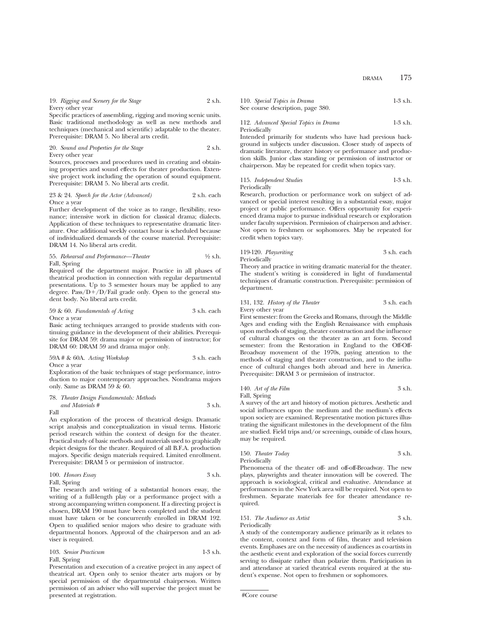## 19. *Rigging and Scenery for the Stage* 2 s.h.

Every other year

Specific practices of assembling, rigging and moving scenic units. Basic traditional methodology as well as new methods and techniques (mechanical and scientific) adaptable to the theater. Prerequisite: DRAM 5. No liberal arts credit.

20. *Sound and Properties for the Stage* 2 s.h. Every other year

Sources, processes and procedures used in creating and obtaining properties and sound effects for theater production. Extensive project work including the operation of sound equipment. Prerequisite: DRAM 5. No liberal arts credit.

#### 23 & 24. *Speech for the Actor (Advanced)* 2 s.h. each Once a year

Further development of the voice as to range, flexibility, resonance; intensive work in diction for classical drama; dialects. Application of these techniques to representative dramatic literature. One additional weekly contact hour is scheduled because of individualized demands of the course material. Prerequisite: DRAM 14. No liberal arts credit.

55. *Rehearsal and Performance—Theater* 1⁄2 s.h. Fall, Spring

Required of the department major. Practice in all phases of theatrical production in connection with regular departmental presentations. Up to 3 semester hours may be applied to any degree.  $Pass/D+/D/Fail$  grade only. Open to the general student body. No liberal arts credit.

## 59 & 60. *Fundamentals of Acting* 3 s.h. each Once a year

Basic acting techniques arranged to provide students with continuing guidance in the development of their abilities. Prerequisite for DRAM 59: drama major or permission of instructor; for DRAM 60: DRAM 59 and drama major only.

| 59A # & 60A. Acting Workshop | 3 s.h. each |
|------------------------------|-------------|
|------------------------------|-------------|

Once a year

Exploration of the basic techniques of stage performance, introduction to major contemporary approaches. Nondrama majors only. Same as DRAM 59  $\&$  60.

|      | 78. Theater Design Fundamentals: Methods |        |
|------|------------------------------------------|--------|
|      | and Materials #                          | 3 s.h. |
| Fall |                                          |        |

An exploration of the process of theatrical design. Dramatic script analysis and conceptualization in visual terms. Historic period research within the context of design for the theater. Practical study of basic methods and materials used to graphically depict designs for the theater. Required of all B.F.A. production majors. Specific design materials required. Limited enrollment. Prerequisite: DRAM 5 or permission of instructor.

100. *Honors Essay* 3 s.h.

Fall, Spring

The research and writing of a substantial honors essay, the writing of a full-length play or a performance project with a strong accompanying written component. If a directing project is chosen, DRAM 190 must have been completed and the student must have taken or be concurrently enrolled in DRAM 192. Open to qualified senior majors who desire to graduate with departmental honors. Approval of the chairperson and an adviser is required.

103. *Senior Practicum* 1-3 s.h. Fall, Spring

Presentation and execution of a creative project in any aspect of theatrical art. Open only to senior theater arts majors or by special permission of the departmental chairperson. Written permission of an adviser who will supervise the project must be presented at registration.

110. *Special Topics in Drama* 1-3 s.h. See course description, page 380.

### 112. *Advanced Special Topics in Drama* 1-3 s.h. Periodically

Intended primarily for students who have had previous background in subjects under discussion. Closer study of aspects of dramatic literature, theater history or performance and production skills. Junior class standing or permission of instructor or chairperson. May be repeated for credit when topics vary.

115. *Independent Studies* 1-3 s.h. Periodically

Research, production or performance work on subject of advanced or special interest resulting in a substantial essay, major project or public performance. Offers opportunity for experienced drama major to pursue individual research or exploration under faculty supervision. Permission of chairperson and adviser. Not open to freshmen or sophomores. May be repeated for credit when topics vary.

119-120. *Playwriting* 3 s.h. each Periodically

Theory and practice in writing dramatic material for the theater. The student's writing is considered in light of fundamental techniques of dramatic construction. Prerequisite: permission of department.

131, 132. *History of the Theater* 3 s.h. each Every other year

First semester: from the Greeks and Romans, through the Middle Ages and ending with the English Renaissance with emphasis upon methods of staging, theater construction and the influence of cultural changes on the theater as an art form. Second semester: from the Restoration in England to the Off-Off-Broadway movement of the 1970s, paying attention to the methods of staging and theater construction, and to the influence of cultural changes both abroad and here in America. Prerequisite: DRAM 3 or permission of instructor.

$$
140. \text{ Art of the Film} \qquad \qquad 3 \text{ s.h.}
$$

Fall, Spring

A survey of the art and history of motion pictures. Aesthetic and social influences upon the medium and the medium's effects upon society are examined. Representative motion pictures illustrating the significant milestones in the development of the film are studied. Field trips and/or screenings, outside of class hours, may be required.

150. *Theater Today* 3 s.h. Periodically

Phenomena of the theater off- and off-off-Broadway. The new plays, playwrights and theater innovation will be covered. The approach is sociological, critical and evaluative. Attendance at performances in the New York area will be required. Not open to freshmen. Separate materials fee for theater attendance required.

151. *The Audience as Artist* 3 s.h. Periodically

A study of the contemporary audience primarily as it relates to the content, context and form of film, theater and television events. Emphases are on the necessity of audiences as co-artists in the aesthetic event and exploration of the social forces currently serving to dissipate rather than polarize them. Participation in and attendance at varied theatrical events required at the student's expense. Not open to freshmen or sophomores.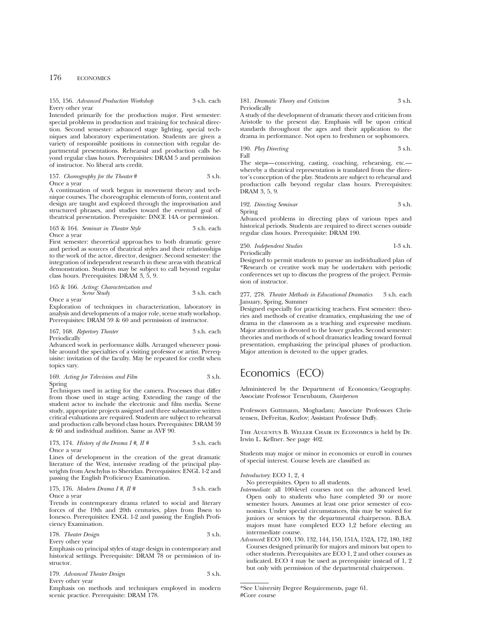## 176 ECONOMICS

#### 155, 156. *Advanced Production Workshop* 3 s.h. each Every other year

Intended primarily for the production major. First semester: special problems in production and training for technical direction. Second semester: advanced stage lighting, special techniques and laboratory experimentation. Students are given a variety of responsible positions in connection with regular departmental presentations. Rehearsal and production calls beyond regular class hours. Prerequisites: DRAM 5 and permission of instructor. No liberal arts credit.

#### 157. *Choreography for the Theater* # 3 s.h. Once a year

A continuation of work begun in movement theory and technique courses. The choreographic elements of form, content and design are taught and explored through the improvisation and structured phrases, and studies toward the eventual goal of theatrical presentation. Prerequisite: DNCE 14A or permission.

#### 163 & 164. *Seminar in Theater Style* 3 s.h. each Once a year

First semester: theoretical approaches to both dramatic genre and period as sources of theatrical styles and their relationships to the work of the actor, director, designer. Second semester: the integration of independent research in these areas with theatrical demonstration. Students may be subject to call beyond regular class hours. Prerequisites: DRAM 3, 5, 9.

165 & 166. *Acting: Characterization and Scene Study* 3 s.h. each Once a year

Exploration of techniques in characterization, laboratory in analysis and developments of a major role, scene study workshop. Prerequisites: DRAM 59 & 60 and permission of instructor.

167, 168. *Repertory Theater* 3 s.h. each

Periodically

Advanced work in performance skills. Arranged whenever possible around the specialties of a visiting professor or artist. Prerequisite: invitation of the faculty. May be repeated for credit when topics vary.

#### 169. *Acting for Television and Film* 3 s.h. Spring

Techniques used in acting for the camera. Processes that differ from those used in stage acting. Extending the range of the student actor to include the electronic and film media. Scene study, appropriate projects assigned and three substantive written critical evaluations are required. Students are subject to rehearsal and production calls beyond class hours. Prerequisites: DRAM 59 & 60 and individual audition. Same as AVF 90.

#### 173, 174. *History of the Drama I #, II #* 3 s.h. each Once a year

Lines of development in the creation of the great dramatic literature of the West, intensive reading of the principal playwrights from Aeschylus to Sheridan. Prerequisites: ENGL 1-2 and passing the English Proficiency Examination.

175, 176. *Modern Drama I* #, 
$$
II
$$
 # 3 s.h. each

Once a year

Trends in contemporary drama related to social and literary forces of the 19th and 20th centuries, plays from Ibsen to Ionesco. Prerequisites: ENGL 1-2 and passing the English Proficiency Examination.

178. *Theater Design* 3 s.h.

Every other year Emphasis on principal styles of stage design in contemporary and historical settings. Prerequisite: DRAM 78 or permission of instructor.

|  | 179. Advanced Theater Design | 3 s.h. |
|--|------------------------------|--------|
|  |                              |        |

Every other year

Emphasis on methods and techniques employed in modern scenic practice. Prerequisite: DRAM 178.

#### 181. *Dramatic Theory and Criticism* 3 s.h. Periodically

A study of the development of dramatic theory and criticism from Aristotle to the present day. Emphasis will be upon critical standards throughout the ages and their application to the drama in performance. Not open to freshmen or sophomores.

190. *Play Directing* 3 s.h. Fall

The steps—conceiving, casting, coaching, rehearsing, etc. whereby a theatrical representation is translated from the director's conception of the play. Students are subject to rehearsal and production calls beyond regular class hours. Prerequisites: DRAM 3, 5, 9.

192. *Directing Seminar* 3 s.h. Spring

Advanced problems in directing plays of various types and historical periods. Students are required to direct scenes outside regular class hours. Prerequisite: DRAM 190.

250. *Independent Studies* 1-3 s.h. Periodically

Designed to permit students to pursue an individualized plan of \*Research or creative work may be undertaken with periodic conferences set up to discuss the progress of the project. Permission of instructor.

#### 277, 278. *Theater Methods in Educational Dramatics* 3 s.h. each January, Spring, Summer

Designed especially for practicing teachers. First semester: theories and methods of creative dramatics, emphasizing the use of drama in the classroom as a teaching and expressive medium. Major attention is devoted to the lower grades. Second semester: theories and methods of school dramatics leading toward formal presentation, emphasizing the principal phases of production. Major attention is devoted to the upper grades.

## Economics (ECO)

Administered by the Department of Economics/Geography. Associate Professor Tenenbaum, *Chairperson*

Professors Guttmann, Moghadam; Associate Professors Christensen, DeFreitas, Kozlov; Assistant Professor Duffy.

The Augustus B. Weller Chair in Economics is held by Dr. Irwin L. Kellner. See page 402.

Students may major or minor in economics or enroll in courses of special interest. Course levels are classified as:

*Introductory*: ECO 1, 2, 4

No prerequisites. Open to all students.

- *Intermediate*: all 100-level courses not on the advanced level. Open only to students who have completed 30 or more semester hours. Assumes at least one prior semester of economics. Under special circumstances, this may be waived for juniors or seniors by the departmental chairperson. B.B.A. majors must have completed ECO 1,2 before electing an intermediate course.
- *Advanced*: ECO 100, 130, 132, 144, 150, 151A, 152A, 172, 180, 182 Courses designed primarily for majors and minors but open to other students. Prerequisites are ECO 1, 2 and other courses as indicated. ECO 4 may be used as prerequisite instead of 1, 2 but only with permission of the departmental chairperson.

<sup>\*</sup>See University Degree Requirements, page 61. #Core course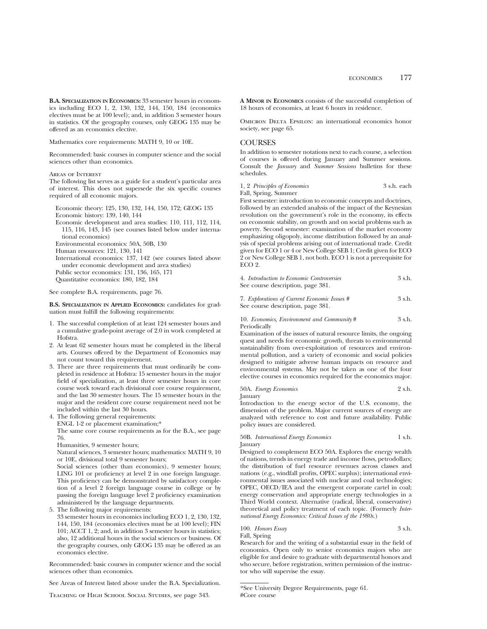**B.A. SPECIALIZATION IN ECONOMICS:** 33 semester hours in economics including ECO 1, 2, 130, 132, 144, 150, 184 (economics electives must be at 100 level); and, in addition 3 semester hours in statistics. Of the geography courses, only GEOG 135 may be offered as an economics elective.

Mathematics core requirements: MATH 9, 10 or 10E.

Recommended: basic courses in computer science and the social sciences other than economics.

Areas of Interest

The following list serves as a guide for a student's particular area of interest. This does not supersede the six specific courses required of all economic majors.

Economic theory: 125, 130, 132, 144, 150, 172; GEOG 135

Economic history: 139, 140, 144

Economic development and area studies: 110, 111, 112, 114, 115, 116, 143, 145 (see courses listed below under international economics)

Environmental economics: 50A, 50B, 130

Human resources: 121, 130, 141

International economics: 137, 142 (see courses listed above under economic development and area studies) Public sector economics: 131, 136, 165, 171

Quantitative economics: 180, 182, 184

#### See complete B.A. requirements, page 76.

**B.S. SPECIALIZATION IN APPLIED ECONOMICS:** candidates for graduation must fulfill the following requirements:

- 1. The successful completion of at least 124 semester hours and a cumulative grade-point average of 2.0 in work completed at Hofstra.
- 2. At least 62 semester hours must be completed in the liberal arts. Courses offered by the Department of Economics may not count toward this requirement.
- 3. There are three requirements that must ordinarily be completed in residence at Hofstra: 15 semester hours in the major field of specialization, at least three semester hours in core course work toward each divisional core course requirement, and the last 30 semester hours. The 15 semester hours in the major and the resident core course requirement need not be included within the last 30 hours.
- 4. The following general requirements:
- ENGL 1-2 or placement examination;\*

The same core course requirements as for the B.A., see page 76.

Humanities, 9 semester hours;

Natural sciences, 3 semester hours; mathematics: MATH 9, 10 or 10E, divisional total 9 semester hours;

Social sciences (other than economics), 9 semester hours; LING 101 or proficiency at level 2 in one foreign language. This proficiency can be demonstrated by satisfactory completion of a level 2 foreign language course in college or by passing the foreign language level 2 proficiency examination administered by the language departments.

- 5. The following major requirements:
- 33 semester hours in economics including ECO 1, 2, 130, 132, 144, 150, 184 (economics electives must be at 100 level); FIN 101; ACCT 1, 2; and, in addition 3 semester hours in statistics; also, 12 additional hours in the social sciences or business. Of the geography courses, only GEOG 135 may be offered as an economics elective.

Recommended: basic courses in computer science and the social sciences other than economics.

See Areas of Interest listed above under the B.A. Specialization.

Teaching of High School Social Studies, see page 343.

**A MINOR IN ECONOMICS** consists of the successful completion of 18 hours of economics, at least 6 hours in residence.

Omicron Delta Epsilon: an international economics honor society, see page 65.

## **COURSES**

In addition to semester notations next to each course, a selection of courses is offered during January and Summer sessions. Consult the *January* and *Summer Sessions* bulletins for these schedules.

| 1, 2 Principles of Economics | 3 s.h. each |
|------------------------------|-------------|
| Fall, Spring, Summer         |             |

First semester: introduction to economic concepts and doctrines, followed by an extended analysis of the impact of the Keynesian revolution on the government's role in the economy, its effects on economic stability, on growth and on social problems such as poverty. Second semester: examination of the market economy emphasizing oligopoly, income distribution followed by an analysis of special problems arising out of international trade. Credit given for ECO 1 or 4 or New College SEB 1; Credit given for ECO 2 or New College SEB 1, not both. ECO 1 is not a prerequisite for ECO 2.

| 4. Introduction to Economic Controversies | 3 s.h. |
|-------------------------------------------|--------|
| See course description, page 381.         |        |

7. *Explorations of Current Economic Issues #* 3 s.h. See course description, page 381.

10. *Economics, Environment and Community* # 3 s.h. Periodically

Examination of the issues of natural resource limits, the ongoing quest and needs for economic growth, threats to environmental sustainability from over-exploitation of resources and environmental pollution, and a variety of economic and social policies designed to mitigate adverse human impacts on resource and environmental systems. May not be taken as one of the four elective courses in economics required for the economics major.

50A. *Energy Economics* 2 s.h.

January

Introduction to the energy sector of the U.S. economy, the dimension of the problem. Major current sources of energy are analyzed with reference to cost and future availability. Public policy issues are considered.

#### 50B. *International Energy Economics* 1 s.h. January

Designed to complement ECO 50A. Explores the energy wealth of nations, trends in energy trade and income flows, petrodollars; the distribution of fuel resource revenues across classes and nations (e.g., windfall profits, OPEC surplus); international environmental issues associated with nuclear and coal technologies; OPEC, OECD/IEA and the emergent corporate cartel in coal; energy conservation and appropriate energy technologies in a Third World context. Alternative (radical, liberal, conservative) theoretical and policy treatment of each topic. (Formerly *International Energy Economics: Critical Issues of the 1980s.*)

100. *Honors Essay* 3 s.h. Fall, Spring

Research for and the writing of a substantial essay in the field of economics. Open only to senior economics majors who are eligible for and desire to graduate with departmental honors and who secure, before registration, written permission of the instructor who will supervise the essay.

\*See University Degree Requirements, page 61. #Core course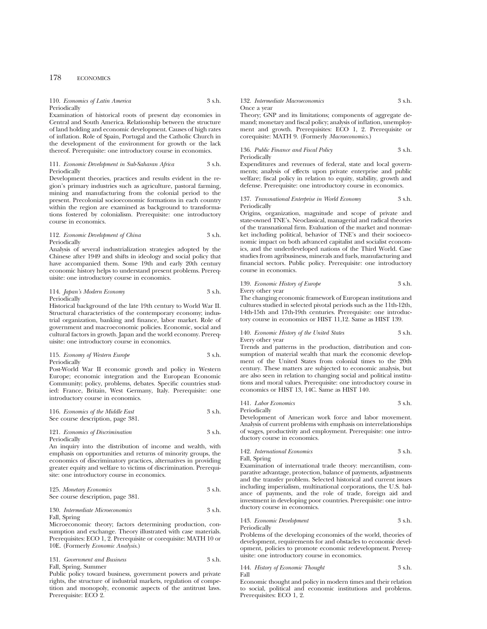## 178 ECONOMICS

#### 110. *Economics of Latin America* 3 s.h. Periodically

Examination of historical roots of present day economies in Central and South America. Relationship between the structure of land holding and economic development. Causes of high rates of inflation. Role of Spain, Portugal and the Catholic Church in the development of the environment for growth or the lack thereof. Prerequisite: one introductory course in economics.

#### 111. *Economic Development in Sub-Saharan Africa* 3 s.h. Periodically

Development theories, practices and results evident in the region's primary industries such as agriculture, pastoral farming, mining and manufacturing from the colonial period to the present. Precolonial socioeconomic formations in each country within the region are examined as background to transformations fostered by colonialism. Prerequisite: one introductory course in economics.

#### 112. *Economic Development of China* 3 s.h. Periodically

Analysis of several industrialization strategies adopted by the Chinese after 1949 and shifts in ideology and social policy that have accompanied them. Some 19th and early 20th century economic history helps to understand present problems. Prerequisite: one introductory course in economics.

#### 114. *Japan's Modern Economy* 3 s.h. Periodically

Historical background of the late 19th century to World War II. Structural characteristics of the contemporary economy; industrial organization, banking and finance, labor market. Role of government and macroeconomic policies. Economic, social and cultural factors in growth. Japan and the world economy. Prerequisite: one introductory course in economics.

115. *Economy of Western Europe* 3 s.h. Periodically

Post-World War II economic growth and policy in Western Europe; economic integration and the European Economic Community; policy, problems, debates. Specific countries studied: France, Britain, West Germany, Italy. Prerequisite: one introductory course in economics.

| 116. Economics of the Middle East | 3 s.h. |
|-----------------------------------|--------|
| See course description, page 381. |        |

#### 121. *Economics of Discrimination* 3 s.h. Periodically

An inquiry into the distribution of income and wealth, with emphasis on opportunities and returns of minority groups, the economics of discriminatory practices, alternatives in providing greater equity and welfare to victims of discrimination. Prerequisite: one introductory course in economics.

125. *Monetary Economics* 3 s.h. See course description, page 381.

130. *Intermediate Microeconomics* 3 s.h. Fall, Spring

Microeconomic theory; factors determining production, consumption and exchange. Theory illustrated with case materials. Prerequisites: ECO 1, 2. Prerequisite or corequisite: MATH 10 or 10E. (Formerly *Economic Analysis*.)

131. *Government and Business* 3 s.h. Fall, Spring, Summer

Public policy toward business, government powers and private rights, the structure of industrial markets, regulation of competition and monopoly, economic aspects of the antitrust laws. Prerequisite: ECO 2.

#### 132. *Intermediate Macroeconomics* 3 s.h. Once a year

Theory; GNP and its limitations; components of aggregate demand; monetary and fiscal policy; analysis of inflation, unemployment and growth. Prerequisites: ECO 1, 2. Prerequisite or corequisite: MATH 9. (Formerly *Macroeconomics*.)

136. *Public Finance and Fiscal Policy* 3 s.h. Periodically

Expenditures and revenues of federal, state and local governments; analysis of effects upon private enterprise and public welfare; fiscal policy in relation to equity, stability, growth and defense. Prerequisite: one introductory course in economics.

#### 137. *Transnational Enterprise in World Economy* 3 s.h. Periodically

Origins, organization, magnitude and scope of private and state-owned TNE's. Neoclassical, managerial and radical theories of the transnational firm. Evaluation of the market and nonmarket including political, behavior of TNE's and their socioeconomic impact on both advanced capitalist and socialist economics, and the underdeveloped nations of the Third World. Case studies from agribusiness, minerals and fuels, manufacturing and financial sectors. Public policy. Prerequisite: one introductory course in economics.

## 139. *Economic History of Europe* 3 s.h. Every other year

The changing economic framework of European institutions and cultures studied in selected pivotal periods such as the 11th-12th, 14th-15th and 17th-19th centuries. Prerequisite: one introductory course in economics or HIST 11,12. Same as HIST 139.

#### 140. *Economic History of the United States* 3 s.h. Every other year

Trends and patterns in the production, distribution and consumption of material wealth that mark the economic development of the United States from colonial times to the 20th century. These matters are subjected to economic analysis, but are also seen in relation to changing social and political institutions and moral values. Prerequisite: one introductory course in economics or HIST 13, 14C. Same as HIST 140.

## 141. *Labor Economics* 3 s.h. Periodically

Development of American work force and labor movement. Analysis of current problems with emphasis on interrelationships of wages, productivity and employment. Prerequisite: one introductory course in economics.

### 142. *International Economics* 3 s.h. Fall, Spring

Examination of international trade theory: mercantilism, comparative advantage, protection, balance of payments, adjustments and the transfer problem. Selected historical and current issues including imperialism, multinational corporations, the U.S. balance of payments, and the role of trade, foreign aid and investment in developing poor countries. Prerequisite: one introductory course in economics.

143. *Economic Development* 3 s.h. Periodically

Problems of the developing economies of the world, theories of development, requirements for and obstacles to economic development, policies to promote economic redevelopment. Prerequisite: one introductory course in economics.

144. *History of Economic Thought* 3 s.h. Fall

Economic thought and policy in modern times and their relation to social, political and economic institutions and problems. Prerequisites: ECO 1, 2.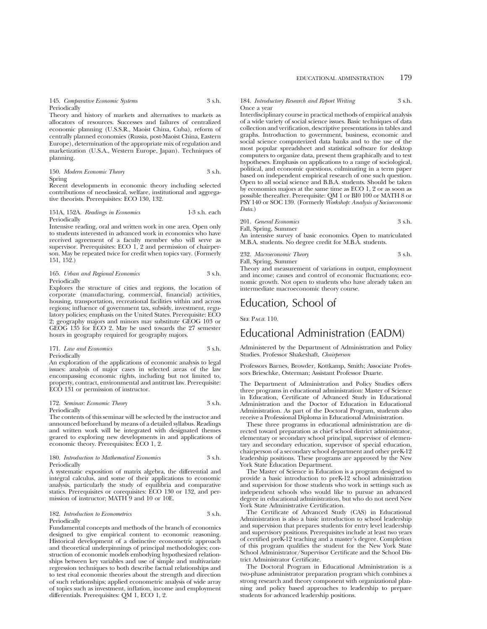#### 145. *Comparative Economic Systems* 3 s.h. Periodically

Theory and history of markets and alternatives to markets as allocators of resources. Successes and failures of centralized economic planning (U.S.S.R., Maoist China, Cuba), reform of centrally planned economies (Russia, post-Maoist China, Eastern Europe), determination of the appropriate mix of regulation and marketization (U.S.A., Western Europe, Japan). Techniques of planning.

150. *Modern Economic Theory* 3 s.h. Spring

Recent developments in economic theory including selected contributions of neoclassical, welfare, institutional and aggregative theorists. Prerequisites: ECO 130, 132.

#### 151A, 152A. *Readings in Economics* 1-3 s.h. each Periodically

Intensive reading, oral and written work in one area. Open only to students interested in advanced work in economics who have received agreement of a faculty member who will serve as supervisor. Prerequisites: ECO 1, 2 and permission of chairperson. May be repeated twice for credit when topics vary. (Formerly 151, 152.)

#### 165. *Urban and Regional Economics* 3 s.h. Periodically

Explores the structure of cities and regions, the location of corporate (manufacturing, commercial, financial) activities, housing, transportation, recreational facilities within and across regions; influence of government tax, subsidy, investment, regulatory policies; emphasis on the United States. Prerequisite: ECO 2; geography majors and minors may substitute GEOG 103 or GEOG 135 for ECO 2. May be used towards the 27 semester hours in geography required for geography majors.

171. *Law and Economics* 3 s.h. Periodically

An exploration of the applications of economic analysis to legal issues: analysis of major cases in selected areas of the law encompassing economic rights, including but not limited to, property, contract, environmental and antitrust law. Prerequisite: ECO 131 or permission of instructor.

#### 172. *Seminar: Economic Theory* 3 s.h. Periodically

The contents of this seminar will be selected by the instructor and announced beforehand by means of a detailed syllabus. Readings and written work will be integrated with designated themes geared to exploring new developments in and applications of economic theory. Prerequisites: ECO 1, 2.

#### 180. *Introduction to Mathematical Economics* 3 s.h. Periodically

A systematic exposition of matrix algebra, the differential and integral calculus, and some of their applications to economic analysis, particularly the study of equilibria and comparative statics. Prerequisites or corequisites: ECO 130 or 132, and permission of instructor; MATH 9 and 10 or 10E.

#### 182. *Introduction to Econometrics* 3 s.h. Periodically

Fundamental concepts and methods of the branch of economics designed to give empirical content to economic reasoning. Historical development of a distinctive econometric approach and theoretical underpinnings of principal methodologies; construction of economic models embodying hypothesized relationships between key variables and use of simple and multivariate regression techniques to both describe factual relationships and to test rival economic theories about the strength and direction of such relationships; applied econometric analysis of wide array of topics such as investment, inflation, income and employment differentials. Prerequisites: QM 1, ECO 1, 2.

#### 184. *Introductory Research and Report Writing* 3 s.h. Once a year

Interdisciplinary course in practical methods of empirical analysis of a wide variety of social science issues. Basic techniques of data collection and verification, descriptive presentations in tables and graphs. Introduction to government, business, economic and social science computerized data banks and to the use of the most popular spreadsheet and statistical software for desktop computers to organize data, present them graphically and to test hypotheses. Emphasis on applications to a range of sociological, political, and economic questions, culminating in a term paper based on independent empirical research of one such question. Open to all social science and B.B.A. students. Should be taken by economics majors at the same time as ECO 1, 2 or as soon as possible thereafter. Prerequisite: QM 1 or BI0 100 or MATH 8 or PSY 140 or SOC 139. (Formerly *Workshop: Analysis of Socioeconomic Data.*)

|  | 201. General Economics | 3 s.h. |
|--|------------------------|--------|
|  | Fall, Spring, Summer   |        |

An intensive survey of basic economics. Open to matriculated M.B.A. students. No degree credit for M.B.A. students.

232. *Macroeconomic Theory* 3 s.h.

Fall, Spring, Summer

Theory and measurement of variations in output, employment and income; causes and control of economic fluctuations; economic growth. Not open to students who have already taken an intermediate macroeconomic theory course.

## Education, School of

SEE PAGE 110.

## Educational Administration (EADM)

Administered by the Department of Administration and Policy Studies. Professor Shakeshaft, *Chairperson*

Professors Barnes, Browder, Kottkamp, Smith; Associate Professors Brieschke, Osterman; Assistant Professor Duarte.

The Department of Administration and Policy Studies offers three programs in educational administration: Master of Science in Education, Certificate of Advanced Study in Educational Administration and the Doctor of Education in Educational Administration. As part of the Doctoral Program, students also receive a Professional Diploma in Educational Administration.

These three programs in educational administration are directed toward preparation as chief school district administrator, elementary or secondary school principal, supervisor of elementary and secondary education, supervisor of special education, chairperson of a secondary school department and other preK-12 leadership positions. These programs are approved by the New York State Education Department.

The Master of Science in Education is a program designed to provide a basic introduction to preK-12 school administration and supervision for those students who work in settings such as independent schools who would like to pursue an advanced degree in educational administration, but who do not need New York State Administrative Certification.

The Certificate of Advanced Study (CAS) in Educational Administration is also a basic introduction to school leadership and supervision that prepares students for entry level leadership and supervisory positions. Prerequisites include at least two years of certified preK-12 teaching and a master's degree. Completion of this program qualifies the student for the New York State School Administrator/Supervisor Certificate and the School District Administrator Certificate.

The Doctoral Program in Educational Administration is a two-phase administrator preparation program which combines a strong research and theory component with organizational planning and policy based approaches to leadership to prepare students for advanced leadership positions.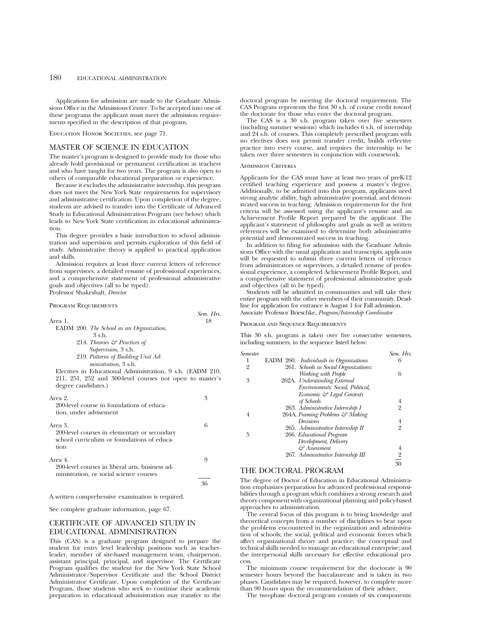Applications for admission are made to the Graduate Admissions Office in the Admissions Center. To be accepted into one of these programs the applicant must meet the admission requirements specified in the description of that program.

Education Honor Societies, see page 71.

#### MASTER OF SCIENCE IN EDUCATION

The master's program is designed to provide study for those who already hold provisional or permanent certification as teachers and who have taught for two years. The program is also open to others of comparable educational preparation or experience.

Because it excludes the administrative internship, this program does not meet the New York State requirements for supervisory and administrative certification. Upon completion of the degree, students are advised to transfer into the Certificate of Advanced Study in Educational Administration Program (see below) which leads to New York State certification in educational administration.

This degree provides a basic introduction to school administration and supervision and permits exploration of this field of study. Administrative theory is applied to practical application and skills.

Admission requires at least three current letters of reference from supervisors, a detailed resume of professional experiences, and a comprehensive statement of professional administrative goals and objectives (all to be typed). Professor Shakeshaft, *Director*

*Sem. Hrs.*

#### Program Requirements

|                                          | Sem. |
|------------------------------------------|------|
| Area 1.                                  | 18   |
| EADM 200. The School as an Organization, |      |

| 3 s.h.                                   |  |
|------------------------------------------|--|
| 214. Theories $\mathcal{C}$ Practices of |  |
| Supervision, 3 s.h.                      |  |
|                                          |  |

219. *Patterns of Building Unit Administration*, 3 s.h.

Electives in Educational Administration, 9 s.h. (EADM 210, 211, 251, 252 and 300-level courses not open to master's degree candidates.)

| Area 2.<br>200-level course in foundations of educa-<br>tion, under advisement                               |   |
|--------------------------------------------------------------------------------------------------------------|---|
| Area 3<br>200-level courses in elementary or secondary<br>school curriculum or foundations of educa-<br>tion | 6 |
| Area 4.<br>200-level courses in liberal arts, business ad-<br>ministration, or social science courses        |   |
|                                                                                                              |   |

A written comprehensive examination is required.

See complete graduate information, page 67.

## CERTIFICATE OF ADVANCED STUDY IN EDUCATIONAL ADMINISTRATION

This (CAS) is a graduate program designed to prepare the student for entry level leadership positions such as teacherleader, member of site-based management team, chairperson, assistant principal, principal, and supervisor. The Certificate Program qualifies the student for the New York State School Administrator/Supervisor Certificate and the School District Administrator Certificate. Upon completion of the Certificate Program, those students who seek to continue their academic preparation in educational administration may transfer to the

doctoral program by meeting the doctoral requirements. The CAS Program represents the first 30 s.h. of course credit toward the doctorate for those who enter the doctoral program.

The CAS is a 30 s.h. program taken over five semesters (including summer sessions) which includes 6 s.h. of internship and 24 s.h. of courses. This completely prescribed program with no electives does not permit transfer credit, builds reflective practice into every course, and requires the internship to be taken over three semesters in conjunction with coursework.

## ADMISSION CRITERIA

Applicants for the CAS must have at least two years of preK-12 certified teaching experience and possess a master's degree. Additionally, to be admitted into this program, applicants need strong analytic ability, high administrative potential, and demonstrated success in teaching. Admission requirements for the first criteria will be assessed using the applicant's resume and an Achievement Profile Report prepared by the applicant. The applicant's statement of philosophy and goals as well as written references will be examined to determine both administrative potential and demonstrated success in teaching.

In addition to filing for admission with the Graduate Admissions Office with the usual application and transcripts, applicants will be requested to submit three current letters of reference from administrators or supervisors, a detailed resume of professional experience, a completed Achievement Profile Report, and a comprehensive statement of professional administrative goals and objectives (all to be typed).

Students will be admitted in communities and will take their entire program with the other members of their community. Deadline for application for entrance is August 1 for Fall admission. Associate Professor Brieschke, *Program/Internship Coordinator*

#### Program and Sequence Requirements

This 30 s.h. program is taken over five consecutive semesters, including summers, in the sequence listed below:

| <b>Semester</b> |                                        | Sem. Hrs.      |
|-----------------|----------------------------------------|----------------|
|                 | EADM 260. Individuals in Organizations | 6              |
| 2               | 261. Schools as Social Organizations:  |                |
|                 | Working with People                    | 6              |
| 3               | 262A. Understanding External           |                |
|                 | Environments: Social, Political,       |                |
|                 | Economic & Legal Contexts              |                |
|                 | of Schools                             | 4              |
|                 | 263. Administrative Internship I       | $\overline{2}$ |
|                 | 264A. Framing Problems & Making        |                |
|                 | Decisions                              | 4              |
|                 | 265. Administrative Internship II      | $\overline{2}$ |
| 5               | 266. Educational Program               |                |
|                 | Development, Delivery                  |                |
|                 | & Assessment                           | 4              |
|                 | 267. Administrative Internship III     | $\overline{2}$ |
|                 |                                        | 30             |
|                 |                                        |                |

## THE DOCTORAL PROGRAM

The degree of Doctor of Education in Educational Administration emphasizes preparation for advanced professional responsibilities through a program which combines a strong research and theory component with organizational planning and policy-based approaches to administration.

The central focus of this program is to bring knowledge and theoretical concepts from a number of disciplines to bear upon the problems encountered in the organization and administration of schools; the social, political and economic forces which affect organizational theory and practice; the conceptual and technical skills needed to manage an educational enterprise; and the interpersonal skills necessary for effective educational process.

The minimum course requirement for the doctorate is 90 semester hours beyond the baccalaureate and is taken in two phases. Candidates may be required, however, to complete more than 90 hours upon the recommendation of their adviser.

The two-phase doctoral program consists of six components: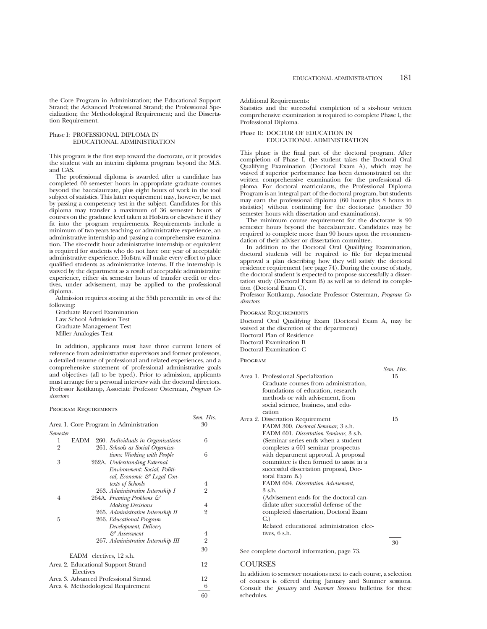the Core Program in Administration; the Educational Support Strand; the Advanced Professional Strand; the Professional Specialization; the Methodological Requirement; and the Dissertation Requirement.

### Phase I: PROFESSIONAL DIPLOMA IN EDUCATIONAL ADMINISTRATION

This program is the first step toward the doctorate, or it provides the student with an interim diploma program beyond the M.S. and CAS.

The professional diploma is awarded after a candidate has completed 60 semester hours in appropriate graduate courses beyond the baccalaureate, plus eight hours of work in the tool subject of statistics. This latter requirement may, however, be met by passing a competency test in the subject. Candidates for this diploma may transfer a maximum of 36 semester hours of courses on the graduate level taken at Hofstra or elsewhere if they fit into the program requirements. Requirements include a minimum of two years teaching or administrative experience, an administrative internship and passing a comprehensive examination. The six-credit hour administrative internship or equivalent is required for students who do not have one year of acceptable administrative experience. Hofstra will make every effort to place qualified students as administrative interns. If the internship is waived by the department as a result of acceptable administrative experience, either six semester hours of transfer credit or electives, under advisement, may be applied to the professional diploma.

Admission requires scoring at the 55th percentile in *one* of the following:

Graduate Record Examination Law School Admission Test Graduate Management Test Miller Analogies Test

In addition, applicants must have three current letters of reference from administrative supervisors and former professors, a detailed resume of professional and related experiences, and a comprehensive statement of professional administrative goals and objectives (all to be typed). Prior to admission, applicants must arrange for a personal interview with the doctoral directors. Professor Kottkamp, Associate Professor Osterman, *Program Codirectors*

#### Program Requirements

|                 |                         |                                        | Sem. Hrs.      |
|-----------------|-------------------------|----------------------------------------|----------------|
|                 |                         | Area 1. Core Program in Administration | 30             |
| <b>Semester</b> |                         |                                        |                |
| 1               | <b>EADM</b>             | 260. Individuals in Organizations      | 6              |
| $\overline{2}$  |                         | 261. Schools as Social Organiza-       |                |
|                 |                         | tions: Working with People             | 6              |
| 3               |                         | 262A. Understanding External           |                |
|                 |                         | Environment: Social, Politi-           |                |
|                 |                         | cal, Economic & Legal Con-             |                |
|                 |                         | texts of Schools                       | 4              |
|                 |                         | 263. Administrative Internship I       | 2              |
| 4               |                         | 264A. Framing Problems &               |                |
|                 |                         | <b>Making Decisions</b>                | 4              |
|                 |                         | 265. Administrative Internship II      | $\overline{2}$ |
| 5               |                         | 266. Educational Program               |                |
|                 |                         | Development, Delivery                  |                |
|                 |                         | Assessment کئ                          | 4              |
|                 |                         | 267. Administrative Internship III     | $\frac{2}{ }$  |
|                 |                         |                                        | 30             |
|                 | EADM electives, 12 s.h. |                                        |                |
|                 |                         | Area 2. Educational Support Strand     | 12             |
|                 | Electives               |                                        |                |
|                 |                         | Area 3. Advanced Professional Strand   | 12             |
|                 |                         | Area 4. Methodological Requirement     | 6              |
|                 |                         |                                        | 60             |

Additional Requirements:

Statistics and the successful completion of a six-hour written comprehensive examination is required to complete Phase I, the Professional Diploma.

#### Phase II: DOCTOR OF EDUCATION IN EDUCATIONAL ADMINISTRATION

This phase is the final part of the doctoral program. After completion of Phase I, the student takes the Doctoral Oral Qualifying Examination (Doctoral Exam A), which may be waived if superior performance has been demonstrated on the written comprehensive examination for the professional diploma. For doctoral matriculants, the Professional Diploma Program is an integral part of the doctoral program, but students may earn the professional diploma (60 hours plus 8 hours in statistics) without continuing for the doctorate (another 30 semester hours with dissertation and examinations).

The minimum course requirement for the doctorate is 90 semester hours beyond the baccalaureate. Candidates may be required to complete more than 90 hours upon the recommendation of their adviser or dissertation committee.

In addition to the Doctoral Oral Qualifying Examination, doctoral students will be required to file for departmental approval a plan describing how they will satisfy the doctoral residence requirement (see page 74). During the course of study, the doctoral student is expected to propose successfully a dissertation study (Doctoral Exam B) as well as to defend its completion (Doctoral Exam C).

Professor Kottkamp, Associate Professor Osterman, *Program Codirectors*

Program Requirements

Doctoral Oral Qualifying Exam (Doctoral Exam A, may be waived at the discretion of the department) Doctoral Plan of Residence Doctoral Examination B Doctoral Examination C

#### **PROGRAM**

|                                          | Sem. Hrs. |
|------------------------------------------|-----------|
| Area 1. Professional Specialization      | 15        |
| Graduate courses from administration,    |           |
| foundations of education, research       |           |
| methods or with advisement, from         |           |
| social science, business, and edu-       |           |
| cation                                   |           |
| Area 2. Dissertation Requirement         | 15        |
| EADM 300. Doctoral Seminar, 3 s.h.       |           |
| EADM 601. Dissertation Seminar, 3 s.h.   |           |
| (Seminar series ends when a student      |           |
| completes a 601 seminar prospectus       |           |
| with department approval. A proposal     |           |
| committee is then formed to assist in a  |           |
| successful dissertation proposal, Doc-   |           |
| toral Exam B.)                           |           |
| EADM 604. Dissertation Advisement,       |           |
| $3$ s.h.                                 |           |
| (Advisement ends for the doctoral can-   |           |
| didate after successful defense of the   |           |
| completed dissertation, Doctoral Exam    |           |
| C.                                       |           |
| Related educational administration elec- |           |
| tives, 6 s.h.                            |           |
|                                          | 30        |

See complete doctoral information, page 73.

## **COURSES**

In addition to semester notations next to each course, a selection of courses is offered during January and Summer sessions. Consult the *January* and *Summer Sessions* bulletins for these schedules.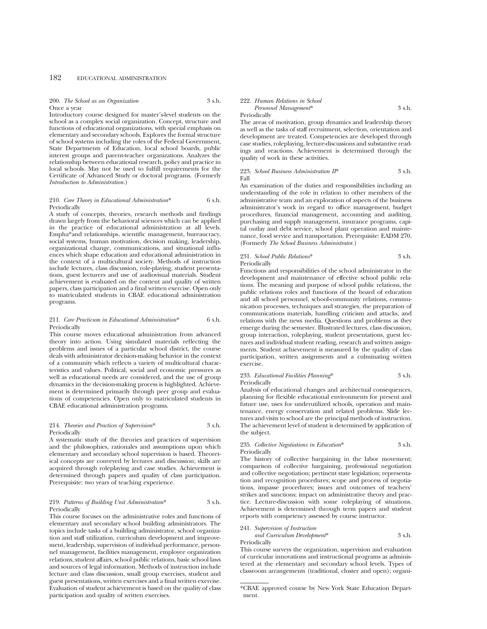## 182 EDUCATIONAL ADMINISTRATION

#### 200. *The School as an Organization* 3 s.h. Once a year

Introductory course designed for master's-level students on the school as a complex social organization. Concept, structure and functions of educational organizations, with special emphasis on elementary and secondary schools. Explores the formal structure of school systems including the roles of the Federal Government, State Departments of Education, local school boards, public interest groups and parent-teacher organizations. Analyzes the relationship between educational research, policy and practice in local schools. May not be used to fulfill requirements for the Certificate of Advanced Study or doctoral programs. (Formerly *Introduction to Administration*.)

#### 210. *Core Theory in Educational Administration*\* 6 s.h. Periodically

A study of concepts, theories, research methods and findings drawn largely from the behavioral sciences which can be applied in the practice of educational administration at all levels. Empha\*and relationships, scientific management, bureaucracy, social systems, human motivation, decision making, leadership, organizational change, communications, and situational influences which shape education and educational administration in the context of a multicultural society. Methods of instruction include lectures, class discussion, role-playing, student presentations, guest lecturers and use of audiovisual materials. Student achievement is evaluated on the content and quality of written papers, class participation and a final written exercise. Open only to matriculated students in CBAE educational administration programs.

#### 211. *Core Practicum in Educational Administration*\* 6 s.h. Periodically

This course moves educational administration from advanced theory into action. Using simulated materials reflecting the problems and issues of a particular school district, the course deals with administrator decision-making behavior in the context of a community which reflects a variety of multicultural characteristics and values. Political, social and economic pressures as well as educational needs are considered, and the use of group dynamics in the decision-making process is highlighted. Achievement is determined primarily through peer group and evaluations of competencies. Open only to matriculated students in CBAE educational administration programs.

#### 214. *Theories and Practices of Supervision*\* 3 s.h. Periodically

A systematic study of the theories and practices of supervision and the philosophies, rationales and assumptions upon which elementary and secondary school supervision is based. Theoretical concepts are conveyed by lectures and discussion; skills are acquired through roleplaying and case studies. Achievement is determined through papers and quality of class participation. Prerequisite: two years of teaching experience.

#### 219. *Patterns of Building Unit Administration*\* 3 s.h. Periodically

This course focuses on the administrative roles and functions of elementary and secondary school building administrators. The topics include tasks of a building administrator, school organization and staff utilization, curriculum development and improvement, leadership, supervision of individual performance, personnel management, facilities management, employee organization relations, student affairs, school public relations, basic school laws and sources of legal information. Methods of instruction include lecture and class discussion, small group exercises, student and guest presentations, written exercises and a final written exercise. Evaluation of student achievement is based on the quality of class participation and quality of written exercises.

#### 222. *Human Relations in School Personnel Management*\* 3 s.h.

Periodically

The areas of motivation, group dynamics and leadership theory as well as the tasks of staff recruitment, selection, orientation and development are treated. Competencies are developed through case studies, roleplaying, lecture-discussions and substantive readings and reactions. Achievement is determined through the quality of work in these activities.

#### 223. *School Business Administration II*\* 3 s.h. Fall

An examination of the duties and responsibilities including an understanding of the role in relation to other members of the administrative team and an exploration of aspects of the business administrator's work in regard to office management, budget procedures, financial management, accounting and auditing, purchasing and supply management, insurance programs, capital outlay and debt service, school plant operation and maintenance, food service and transportation. Prerequisite: EADM 270. (Formerly *The School Business Administrator.*)

#### 231. *School Public Relations*\* 3 s.h. Periodically

Functions and responsibilities of the school administrator in the development and maintenance of effective school public relations. The meaning and purpose of school public relations, the public relations roles and functions of the board of education and all school personnel, school-community relations, communication processes, techniques and strategies, the preparation of communications materials, handling criticism and attacks, and relations with the news media. Questions and problems as they emerge during the semester. Illustrated lectures, class discussion, group interaction, roleplaying, student presentations, guest lectures and individual student reading, research and written assignments. Student achievement is measured by the quality of class participation, written assignments and a culminating written exercise.

#### 233. *Educational Facilities Planning*\* 3 s.h. Periodically

Analysis of educational changes and architectual consequences, planning for flexible educational environments for present and future use, uses for underutilized schools, operation and maintenance, energy conservation and related problems. Slide lectures and visits to school are the principal methods of instruction. The achievement level of student is determined by application of the subject.

235. *Collective Negotiations in Education*\* 3 s.h. Periodically

The history of collective bargaining in the labor movement; comparison of collective bargaining, professional negotiation and collective negotiation; pertinent state legislation; representation and recognition procedures; scope and process of negotiations, impasse procedures; issues and outcomes of teachers' strikes and sanctions; impact on administrative theory and practice. Lecture-discussion with some roleplaying of situations. Achievement is determined through term papers and student reports with competency assessed by course instructor.

## 241. *Supervision of Instruction*

*and Curriculum Development*\* 3 s.h. Periodically

This course surveys the organization, supervision and evaluation of curricular innovations and instructional programs as administered at the elementary and secondary school levels. Types of classroom arrangements (traditional, cluster and open); organi-

<sup>\*</sup>CBAE approved course by New York State Education Department.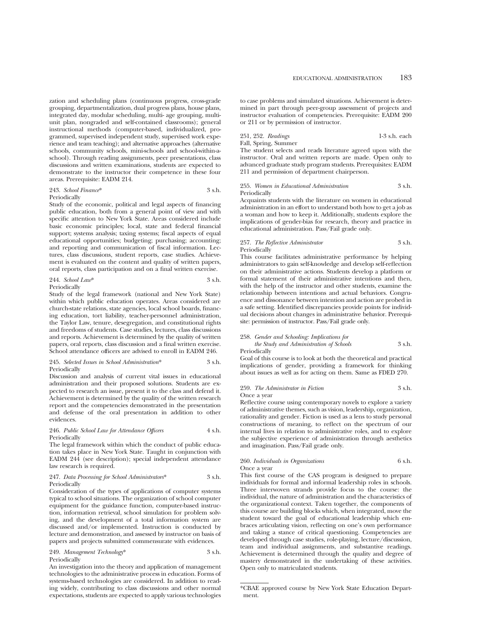zation and scheduling plans (continuous progress, cross-grade grouping, departmentalization, dual progress plans, house plans, integrated day, modular scheduling, multi- age grouping, multiunit plan, nongraded and self-contained classrooms); general instructional methods (computer-based, individualized, programmed, supervised independent study, supervised work experience and team teaching); and alternative approaches (alternative schools, community schools, mini-schools and school-within-aschool). Through reading assignments, peer presentations, class discussions and written examinations, students are expected to demonstrate to the instructor their competence in these four areas. Prerequisite: EADM 214.

#### 243. *School Finance*\* 3 s.h.

#### Periodically

Study of the economic, political and legal aspects of financing public education, both from a general point of view and with specific attention to New York State. Areas considered include basic economic principles; local, state and federal financial support; systems analysis; taxing systems; fiscal aspects of equal educational opportunities; budgeting; purchasing; accounting; and reporting and communication of fiscal information. Lectures, class discussions, student reports, case studies. Achievement is evaluated on the content and quality of written papers, oral reports, class participation and on a final written exercise.

#### 244 *School Law*\* 3 s.h. Periodically

Study of the legal framework (national and New York State) within which public education operates. Areas considered are church-state relations, state agencies, local school boards, financing education, tort liability, teacher-personnel administration, the Taylor Law, tenure, desegregation, and constitutional rights

and freedoms of students. Case studies, lectures, class discussions and reports. Achievement is determined by the quality of written papers, oral reports, class discussion and a final written exercise. School attendance officers are advised to enroll in EADM 246.

## 245. *Selected Issues in School Administration*\* 3 s.h.

#### Periodically

Discussion and analysis of current vital issues in educational administration and their proposed solutions. Students are expected to research an issue, present it to the class and defend it. Achievement is determined by the quality of the written research report and the competencies demonstrated in the presentation and defense of the oral presentation in addition to other evidences.

#### 246. *Public School Law for Attendance Officers* 4 s.h. Periodically

The legal framework within which the conduct of public education takes place in New York State. Taught in conjunction with EADM 244 (see description); special independent attendance law research is required.

#### 247. *Data Processing for School Administrators*\* 3 s.h. Periodically

Consideration of the types of applications of computer systems typical to school situations. The organization of school computer equipment for the guidance function, computer-based instruction, information retrieval, school simulation for problem solving, and the development of a total information system are discussed and/or implemented. Instruction is conducted by lecture and demonstration, and assessed by instructor on basis of papers and projects submitted commensurate with evidences.

#### 249. *Management Technology*\* 3 s.h. Periodically

An investigation into the theory and application of management technologies to the administrative process in education. Forms of systems-based technologies are considered. In addition to reading widely, contributing to class discussions and other normal expectations, students are expected to apply various technologies

to case problems and simulated situations. Achievement is determined in part through peer-group assessment of projects and instructor evaluation of competencies. Prerequisite: EADM 200 or 211 or by permission of instructor.

#### 251, 252. *Readings* 1-3 s.h. each Fall, Spring, Summer

The student selects and reads literature agreed upon with the instructor. Oral and written reports are made. Open only to advanced graduate study program students. Prerequisites: EADM 211 and permission of department chairperson.

#### 255. *Women in Educational Administration* 3 s.h. Periodically

Acquaints students with the literature on women in educational administration in an effort to understand both how to get a job as a woman and how to keep it. Additionally, students explore the implications of gender-bias for research, theory and practice in educational administration. Pass/Fail grade only.

#### 257. *The Reflective Administrator* 3 s.h. Periodically

This course facilitates administrative performance by helping administrators to gain self-knowledge and develop self-reflection on their administrative actions. Students develop a platform or formal statement of their administrative intentions and then, with the help of the instructor and other students, examine the relationship between intentions and actual behaviors. Congruence and dissonance between intention and action are probed in a safe setting. Identified discrepancies provide points for individual decisions about changes in administrative behavior. Prerequisite: permission of instructor. Pass/Fail grade only.

#### 258. *Gender and Schooling: Implications for*

*the Study and Administration of Schools* 3 s.h. Periodically

Goal of this course is to look at both the theoretical and practical implications of gender, providing a framework for thinking about issues as well as for acting on them. Same as FDED 270.

## 259. *The Administrator in Fiction* 3 s.h.

Once a year

Reflective course using contemporary novels to explore a variety of administrative themes, such as vision, leadership, organization, rationality and gender. Fiction is used as a lens to study personal constructions of meaning, to reflect on the spectrum of our internal lives in relation to administrative roles, and to explore the subjective experience of administration through aesthetics and imagination. Pass/Fail grade only.

#### 260. *Individuals in Organizations* 6 s.h. Once a year

This first course of the CAS program is designed to prepare individuals for formal and informal leadership roles in schools. Three interwoven strands provide focus to the course: the individual, the nature of administration and the characteristics of the organizational context. Taken together, the components of this course are building blocks which, when integrated, move the student toward the goal of educational leadership which embraces articulating vision, reflecting on one's own performance and taking a stance of critical questioning. Competencies are developed through case studies, role-playing, lecture/discussion, team and individual assignments, and substantive readings. Achievement is determined through the quality and degree of mastery demonstrated in the undertaking of these activities. Open only to matriculated students.

<sup>\*</sup>CBAE approved course by New York State Education Department.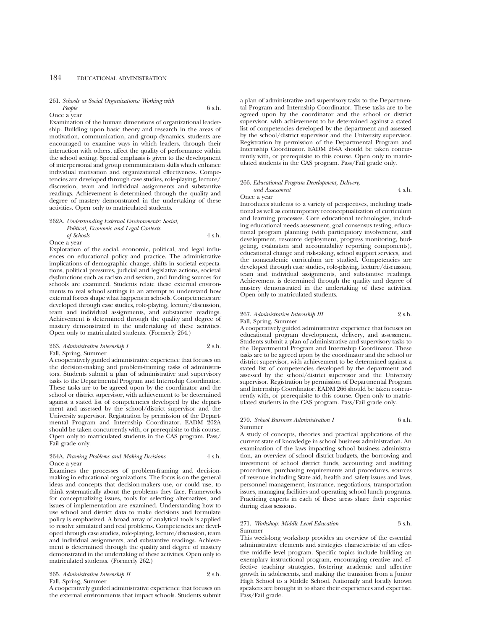## 184 EDUCATIONAL ADMINISTRATION

#### 261. *Schools as Social Organizations: Working with*

*People* 6 s.h. Once a year

Examination of the human dimensions of organizational leadership. Building upon basic theory and research in the areas of motivation, communication, and group dynamics, students are encouraged to examine ways in which leaders, through their interaction with others, affect the quality of performance within the school setting. Special emphasis is given to the development of interpersonal and group communication skills which enhance individual motivation and organizational effectiveness. Competencies are developed through case studies, role-playing, lecture/ discussion, team and individual assignments and substantive readings. Achievement is determined through the quality and degree of mastery demonstrated in the undertaking of these activities. Open only to matriculated students.

#### 262A. *Understanding External Environments: Social, Political, Economic and Legal Contexts of Schools* 4 s.h. Once a year

Exploration of the social, economic, political, and legal influences on educational policy and practice. The administrative implications of demographic change, shifts in societal expectations, political pressures, judicial and legislative actions, societal dysfunctions such as racism and sexism, and funding sources for schools are examined. Students relate these external environments to real school settings in an attempt to understand how external forces shape what happens in schools. Competencies are developed through case studies, role-playing, lecture/discussion, team and individual assignments, and substantive readings. Achievement is determined through the quality and degree of mastery demonstrated in the undertaking of these activities. Open only to matriculated students. (Formerly 264.)

#### 263. *Administrative Internship I* 2 s.h. Fall, Spring, Summer

A cooperatively guided administrative experience that focuses on the decision-making and problem-framing tasks of administrators. Students submit a plan of administrative and supervisory tasks to the Departmental Program and Internship Coordinator. These tasks are to be agreed upon by the coordinator and the school or district supervisor, with achievement to be determined against a stated list of competencies developed by the department and assessed by the school/district supervisor and the University supervisor. Registration by permission of the Departmental Program and Internship Coordinator. EADM 262A should be taken concurrently with, or prerequisite to this course. Open only to matriculated students in the CAS program. Pass/ Fail grade only.

#### 264A. *Framing Problems and Making Decisions* 4 s.h. Once a year

Examines the processes of problem-framing and decisionmaking in educational organizations. The focus is on the general ideas and concepts that decision-makers use, or could use, to think systematically about the problems they face. Frameworks for conceptualizing issues, tools for selecting alternatives, and issues of implementation are examined. Understanding how to use school and district data to make decisions and formulate policy is emphasized. A broad array of analytical tools is applied to resolve simulated and real problems. Competencies are developed through case studies, role-playing, lecture/discussion, team and individual assignments, and substantive readings. Achievement is determined through the quality and degree of mastery demonstrated in the undertaking of these activities. Open only to matriculated students. (Formerly 262.)

| 265. Administrative Internship II | 2 s.h. |
|-----------------------------------|--------|
| <b>PHOT</b> $\alpha$              |        |

### Fall, Spring, Summer

A cooperatively guided administrative experience that focuses on the external environments that impact schools. Students submit a plan of administrative and supervisory tasks to the Departmental Program and Internship Coordinator. These tasks are to be agreed upon by the coordinator and the school or district supervisor, with achievement to be determined against a stated list of competencies developed by the department and assessed by the school/district supervisor and the University supervisor. Registration by permission of the Departmental Program and Internship Coordinator. EADM 264A should be taken concurrently with, or prerequisite to this course. Open only to matriculated students in the CAS program. Pass/Fail grade only.

#### 266. *Educational Program Development, Delivery, and Assessment* 4 s.h.

Once a year

Introduces students to a variety of perspectives, including traditional as well as contemporary reconceptualization of curriculum and learning processes. Core educational technologies, including educational needs assessment, goal consensus testing, educational program planning (with participatory involvement, staff development, resource deployment, progress monitoring, budgeting, evaluation and accountability reporting components), educational change and risk-taking, school support services, and the nonacademic curriculum are studied. Competencies are developed through case studies, role-playing, lecture/discussion, team and individual assignments, and substantive readings. Achievement is determined through the quality and degree of mastery demonstrated in the undertaking of these activities. Open only to matriculated students.

### 267. *Administrative Internship III* 2 s.h. Fall, Spring, Summer

A cooperatively guided administrative experience that focuses on educational program development, delivery, and assessment. Students submit a plan of administrative and supervisory tasks to the Departmental Program and Internship Coordinator. These tasks are to be agreed upon by the coordinator and the school or district supervisor, with achievement to be determined against a stated list of competencies developed by the department and assessed by the school/district supervisor and the University supervisor. Registration by permission of Departmental Program and Internship Coordinator. EADM 266 should be taken concurrently with, or prerequisite to this course. Open only to matriculated students in the CAS program. Pass/Fail grade only.

#### 270. *School Business Administration I* 6 s.h. Summer

A study of concepts, theories and practical applications of the current state of knowledge in school business administration. An examination of the laws impacting school business administration, an overview of school district budgets, the borrowing and investment of school district funds, accounting and auditing procedures, purchasing requirements and procedures, sources of revenue including State aid, health and safety issues and laws, personnel management, insurance, negotiations, transportation issues, managing facilities and operating school lunch programs. Practicing experts in each of these areas share their expertise during class sessions.

### 271. *Workshop: Middle Level Education* 3 s.h. Summer

This week-long workshop provides an overview of the essential administrative elements and strategies characteristic of an effective middle level program. Specific topics include building an exemplary instructional program, encouraging creative and effective teaching strategies, fostering academic and affective growth in adolescents, and making the transition from a Junior High School to a Middle School. Nationally and locally known speakers are brought in to share their experiences and expertise. Pass/Fail grade.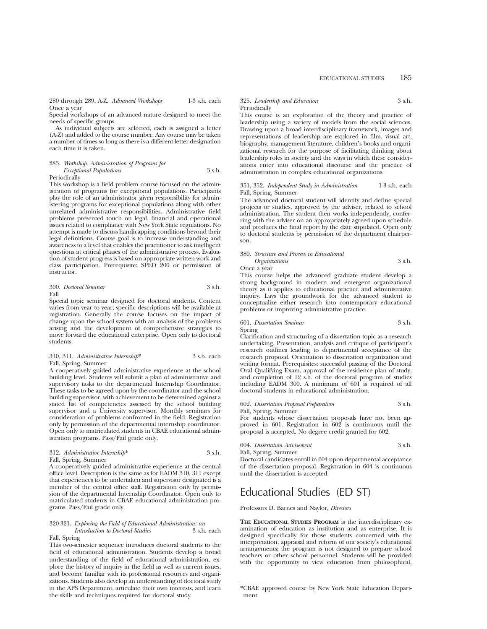280 through 289, A-Z. *Advanced Workshops* 1-3 s.h. each Once a year

Special workshops of an advanced nature designed to meet the needs of specific groups.

As individual subjects are selected, each is assigned a letter (A-Z) and added to the course number. Any course may be taken a number of times so long as there is a different letter designation each time it is taken.

| 283. Workshop: Administration of Programs for |        |
|-----------------------------------------------|--------|
| <b>Exceptional Populations</b>                | 3 s.h. |
| Periodically                                  |        |

This workshop is a field problem course focused on the administration of programs for exceptional populations. Participants play the role of an administrator given responsibility for administering programs for exceptional populations along with other unrelated administrative responsibilities. Administrative field problems presented touch on legal, financial and operational issues related to compliance with New York State regulations. No attempt is made to discuss handicapping conditions beyond their legal definitions. Course goal is to increase understanding and awareness to a level that enables the practitioner to ask intelligent questions at critical phases of the administrative process. Evaluation of student progress is based on appropriate written work and class participation. Prerequisite: SPED 200 or permission of instructor.

300. *Doctoral Seminar* 3 s.h. Fall

Special topic seminar designed for doctoral students. Content varies from year to year; specific descriptions will be available at registration. Generally the course focuses on the impact of change upon the school system with an analysis of the problems arising and the development of comprehensive strategies to move forward the educational enterprise. Open only to doctoral students.

| 310, 311. Administrative Internship* | 3 s.h. each |  |
|--------------------------------------|-------------|--|
| Fall, Spring, Summer                 |             |  |

A cooperatively guided administrative experience at the school building level. Students will submit a plan of administrative and supervisory tasks to the departmental Internship Coordinator. These tasks to be agreed upon by the coordinator and the school building supervisor, with achievement to be determined against a stated list of competencies assessed by the school building supervisor and a University supervisor. Monthly seminars for consideration of problems confronted in the field. Registration only by permission of the departmental internship coordinator. Open only to matriculated students in CBAE educational administration programs. Pass/Fail grade only.

| 312. Administrative Internship* | 3 s.h. |
|---------------------------------|--------|
| Fall, Spring, Summer            |        |

A cooperatively guided administrative experience at the central office level. Description is the same as for EADM 310, 311 except that experiences to be undertaken and supervisor designated is a member of the central office staff. Registration only by permission of the departmental Internship Coordinator. Open only to matriculated students in CBAE educational administration programs. Pass/Fail grade only.

#### 320-321. *Exploring the Field of Educational Administration: an Introduction to Doctoral Studies* 3 s.h. each Fall, Spring

This two-semester sequence introduces doctoral students to the field of educational administration. Students develop a broad understanding of the field of educational administration, explore the history of inquiry in the field as well as current issues, and become familiar with its professional resources and organizations. Students also develop an understanding of doctoral study in the APS Department, articulate their own interests, and learn the skills and techniques required for doctoral study.

#### 325. *Leadership and Education* 3 s.h. Periodically

This course is an exploration of the theory and practice of leadership using a variety of models from the social sciences. Drawing upon a broad interdisciplinary framework, images and representations of leadership are explored in film, visual art, biography, management literature, children's books and organizational research for the purpose of facilitating thinking about leadership roles in society and the ways in which these considerations enter into educational discourse and the practice of administration in complex educational organizations.

#### 351, 352. *Independent Study in Administration* 1-3 s.h. each Fall, Spring, Summer

The advanced doctoral student will identify and define special projects or studies, approved by the adviser, related to school administration. The student then works independently, conferring with the adviser on an appropriately agreed upon schedule and produces the final report by the date stipulated. Open only to doctoral students by permission of the department chairperson.

#### 380. *Structure and Process in Educational Organizations* 3 s.h.

Once a year

This course helps the advanced graduate student develop a strong background in modern and emergent organizational theory as it applies to educational practice and administrative inquiry. Lays the groundwork for the advanced student to conceptualize either research into contemporary educational problems or improving administrative practice.

601. *Dissertation Seminar* 3 s.h. Spring

Clarification and structuring of a dissertation topic as a research undertaking. Presentation, analysis and critique of participant's research outlines leading to departmental acceptance of the research proposal. Orientation to dissertation organization and writing format. Prerequisites: successful passing of the Doctoral Oral Qualifying Exam, approval of the residence plan of study, and completion of 12 s.h. of the doctoral program of studies including EADM 300. A minimum of 601 is required of all doctoral students in educational administration.

#### 602. *Dissertation Proposal Preparation* 3 s.h. Fall, Spring, Summer

For students whose dissertation proposals have not been approved in 601. Registration in 602 is continuous until the proposal is accepted. No degree credit granted for 602.

| 604. Dissertation Advisement | 3 s.h. |
|------------------------------|--------|
| Fall, Spring, Summer         |        |

Doctoral candidates enroll in 604 upon departmental acceptance of the dissertation proposal. Registration in 604 is continuous until the dissertation is accepted.

## Educational Studies (ED ST)

Professors D. Barnes and Naylor, *Directors*

**THE EDUCATIONAL STUDIES PROGRAM** is the interdisciplinary examination of education as institution and as enterprise. It is designed specifically for those students concerned with the interpretation, appraisal and reform of our society's educational arrangements; the program is not designed to prepare school teachers or other school personnel. Students will be provided with the opportunity to view education from philosophical,

<sup>\*</sup>CBAE approved course by New York State Education Department.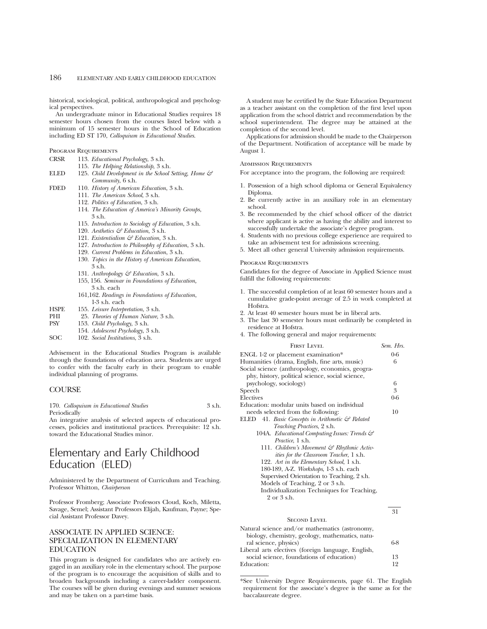## 186 ELEMENTARY AND EARLY CHILDHOOD EDUCATION

historical, sociological, political, anthropological and psychological perspectives.

An undergraduate minor in Educational Studies requires 18 semester hours chosen from the courses listed below with a minimum of 15 semester hours in the School of Education including ED ST 170, *Colloquium in Educational Studies*.

Program Requirements

- CRSR 113. *Educational Psychology*, 3 s.h.
	- 115. *The Helping Relationship*, 3 s.h.
- ELED 125. *Child Development in the School Setting, Home & Community*, 6 s.h.
- FDED 110. *History of American Education*, 3 s.h.
	- 111. *The American School*, 3 s.h.
	- 112. *Politics of Education*, 3 s.h.
	- 114. *The Education of America's Minority Groups*, 3 s.h.
	- 115. *Introduction to Sociology of Education*, 3 s.h.
	- 120. *Aesthetics & Education*, 3 s.h.
	- 121. *Existentialism & Education*, 3 s.h.
	- 127. *Introduction to Philosophy of Education*, 3 s.h.
	- 129. *Current Problems in Education*, 3 s.h.
	- 130. *Topics in the History of American Education*,
	- 3 s.h.
	- 131. *Anthropology & Education*, 3 s.h. 155, 156. *Seminar in Foundations of Education,*
	- 3 s.h. each
	- 161,162. *Readings in Foundations of Education*, 1-3 s.h. each
- HSPE 155. *Leisure Interpretation*, 3 s.h.
- PHI 25. *Theories of Human Nature*, 3 s.h.<br>PSY 153 *Child Psychology* 3 s h
- 153. *Child Psychology*, 3 s.h.
- 154. *Adolescent Psychology*, 3 s.h.
- SOC 102. *Social Institutions*, 3 s.h.

Advisement in the Educational Studies Program is available through the foundations of education area. Students are urged to confer with the faculty early in their program to enable individual planning of programs.

## **COURSE**

170. *Colloquium in Educational Studies* 3 s.h. Periodically

An integrative analysis of selected aspects of educational processes, policies and institutional practices. Prerequisite: 12 s.h. toward the Educational Studies minor.

## Elementary and Early Childhood Education (ELED)

Administered by the Department of Curriculum and Teaching. Professor Whitton, *Chairperson*

Professor Fromberg; Associate Professors Cloud, Koch, Miletta, Savage, Semel; Assistant Professors Elijah, Kaufman, Payne; Special Assistant Professor Davey.

## ASSOCIATE IN APPLIED SCIENCE: SPECIALIZATION IN ELEMENTARY EDUCATION

This program is designed for candidates who are actively engaged in an auxiliary role in the elementary school. The purpose of the program is to encourage the acquisition of skills and to broaden backgrounds including a career-ladder component. The courses will be given during evenings and summer sessions and may be taken on a part-time basis.

A student may be certified by the State Education Department as a teacher assistant on the completion of the first level upon application from the school district and recommendation by the school superintendent. The degree may be attained at the completion of the second level.

Applications for admission should be made to the Chairperson of the Department. Notification of acceptance will be made by August 1.

#### ADMISSION REQUIREMENTS

For acceptance into the program, the following are required:

- 1. Possession of a high school diploma or General Equivalency Diploma.
- 2. Be currently active in an auxiliary role in an elementary school.
- 3. Be recommended by the chief school officer of the district where applicant is active as having the ability and interest to successfully undertake the associate's degree program.
- 4. Students with no previous college experience are required to take an advisement test for admissions screening.
- 5. Meet all other general University admission requirements.

#### Program Requirements

Candidates for the degree of Associate in Applied Science must fulfill the following requirements:

- 1. The successful completion of at least 60 semester hours and a cumulative grade-point average of 2.5 in work completed at Hofstra.
- 2. At least 40 semester hours must be in liberal arts.
- 3. The last 30 semester hours must ordinarily be completed in residence at Hofstra.
- 4. The following general and major requirements:

| <b>FIRST LEVEL</b>                                                                                   | Sem. Hrs. |
|------------------------------------------------------------------------------------------------------|-----------|
| ENGL 1-2 or placement examination*                                                                   | $0 - 6$   |
| Humanities (drama, English, fine arts, music)                                                        | 6         |
| Social science (anthropology, economics, geogra-<br>phy, history, political science, social science, |           |
| psychology, sociology)                                                                               | 6         |
| Speech                                                                                               | 3         |
| Electives                                                                                            | $0-6$     |
| Education: modular units based on individual                                                         |           |
| needs selected from the following:                                                                   | 10        |
| ELED 41. Basic Concepts in Arithmetic & Related                                                      |           |
| <i>Teaching Practices</i> , 2 s.h.                                                                   |           |
| 104A. Educational Computing Issues: Trends &                                                         |           |
| <i>Practice</i> , 1 s.h.                                                                             |           |
| 111. Children's Movement & Rhythmic Activ-                                                           |           |
| <i>ities for the Classroom Teacher</i> , 1 s.h.                                                      |           |
| 122. Art in the Elementary School, 1 s.h.                                                            |           |
| 180-189, A-Z. Workshops, 1-3 s.h. each                                                               |           |
| Supervised Orientation to Teaching, 2 s.h.                                                           |           |
| Models of Teaching, 2 or 3 s.h.                                                                      |           |
| Individualization Techniques for Teaching,                                                           |           |
| 2 or 3 s.h.                                                                                          |           |
|                                                                                                      |           |

#### SECOND LEVEL

Natural science and/or mathematics (astronomy, biology, chemistry, geology, mathematics, natural science, physics) 6-8 Liberal arts electives (foreign language, English, social science, foundations of education) 13<br>ducation: 12 Education:

31

\*See University Degree Requirements, page 61. The English requirement for the associate's degree is the same as for the baccalaureate degree.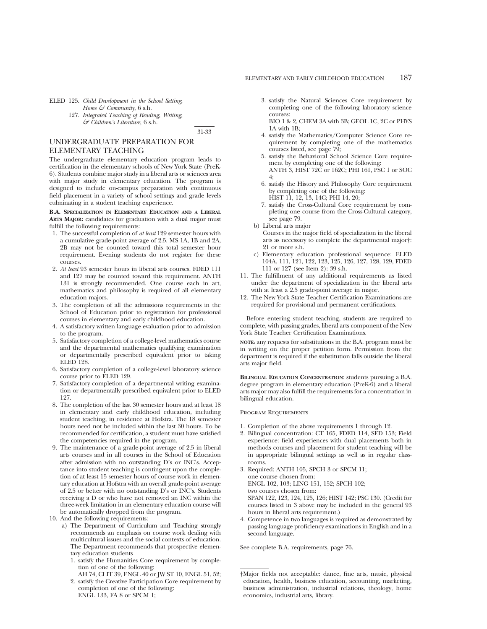*& Children's Literature*, 6 s.h.

31-33

## UNDERGRADUATE PREPARATION FOR ELEMENTARY TEACHING

The undergraduate elementary education program leads to certification in the elementary schools of New York State (PreK-6). Students combine major study in a liberal arts or sciences area with major study in elementary education. The program is designed to include on-campus preparation with continuous field placement in a variety of school settings and grade levels culminating in a student teaching experience.

#### **B.A. SPECIALIZATION IN ELEMENTARY EDUCATION AND A LIBERAL ARTS MAJOR:** candidates for graduation with a dual major must fulfill the following requirements:

- 1. The successful completion of *at least* 129 semester hours with a cumulative grade-point average of 2.5. MS 1A, 1B and 2A, 2B may not be counted toward this total semester hour requirement. Evening students do not register for these courses.
- 2. *At least* 93 semester hours in liberal arts courses. FDED 111 and 127 may be counted toward this requirement. ANTH 131 is strongly recommended. One course each in art, mathematics and philosophy is required of all elementary education majors.
- 3. The completion of all the admissions requirements in the School of Education prior to registration for professional courses in elementary and early childhood education.
- 4. A satisfactory written language evaluation prior to admission to the program.
- 5. Satisfactory completion of a college-level mathematics course and the departmental mathematics qualifying examination or departmentally prescribed equivalent prior to taking ELED 128.
- 6. Satisfactory completion of a college-level laboratory science course prior to ELED 129.
- 7. Satisfactory completion of a departmental writing examination or departmentally prescribed equivalent prior to ELED 127.
- 8. The completion of the last 30 semester hours and at least 18 in elementary and early childhood education, including student teaching, in residence at Hofstra. The 18 semester hours need not be included within the last 30 hours. To be recommended for certification, a student must have satisfied the competencies required in the program.
- 9. The maintenance of a grade-point average of 2.5 in liberal arts courses and in all courses in the School of Education after admission with no outstanding D's or INC's. Acceptance into student teaching is contingent upon the completion of at least 15 semester hours of course work in elementary education at Hofstra with an overall grade-point average of 2.5 or better with no outstanding D's or INC's. Students receiving a D or who have not removed an INC within the three-week limitation in an elementary education course will be automatically dropped from the program.
- 10. And the following requirements:
	- a) The Department of Curriculum and Teaching strongly recommends an emphasis on course work dealing with multicultural issues and the social contexts of education. The Department recommends that prospective elementary education students
		- 1. satisfy the Humanities Core requirement by completion of one of the following:
		- AH 74, CLIT 39, ENGL 40 or JW ST 10, ENGL 51, 52; 2. satisfy the Creative Participation Core requirement by completion of one of the following: ENGL 133, FA 8 or SPCM 1;

3. satisfy the Natural Sciences Core requirement by completing one of the following laboratory science courses: BIO 1 & 2, CHEM 3A with 3B; GEOL 1C, 2C or PHYS

1A with 1B;

- 4. satisfy the Mathematics/Computer Science Core requirement by completing one of the mathematics courses listed, see page 79;
- 5. satisfy the Behavioral School Science Core requirement by completing one of the following: ANTH 3, HIST 72C or 162C; PHI 161, PSC 1 or SOC 4;
- 6. satisfy the History and Philosophy Core requirement by completing one of the following: HIST 11, 12, 13, 14C; PHI 14, 20;
- 7. satisfy the Cross-Cultural Core requirement by completing one course from the Cross-Cultural category, see page 79.
- b) Liberal arts major
	- Courses in the major field of specialization in the liberal arts as necessary to complete the departmental major†: 21 or more s.h.
- c) Elementary education professional sequence: ELED 104A, 111, 121, 122, 123, 125, 126, 127, 128, 129, FDED 111 or 127 (see Item 2): 39 s.h.
- 11. The fulfillment of any additional requirements as listed under the department of specialization in the liberal arts with at least a 2.5 grade-point average in major.
- 12. The New York State Teacher Certification Examinations are required for provisional and permanent certifications.

Before entering student teaching, students are required to complete, with passing grades, liberal arts component of the New York State Teacher Certification Examinations.

**NOTE:** any requests for substitutions in the B.A. program must be in writing on the proper petition form. Permission from the department is required if the substitution falls outside the liberal arts major field.

**BILINGUAL EDUCATION CONCENTRATION**: students pursuing a B.A. degree program in elementary education (PreK-6) and a liberal arts major may also fulfill the requirements for a concentration in bilingual education.

#### Program Requirements

- 1. Completion of the above requirements 1 through 12.
- 2. Bilingual concentration: CT 165, FDED 114, SED 153; Field experience: field experiences with dual placements both in methods courses and placement for student teaching will be in appropriate bilingual settings as well as in regular classrooms.
- 3. Required: ANTH 105, SPCH 3 or SPCM 11; one course chosen from: ENGL 102, 103; LING 151, 152; SPCH 102; two courses chosen from: SPAN 122, 123, 124, 125, 126; HIST 142; PSC 130. (Credit for courses listed in 3 above may be included in the general 93 hours in liberal arts requirement.)
- 4. Competence in two languages is required as demonstrated by passing language proficiency examinations in English and in a second language.

See complete B.A. requirements, page 76.

<sup>†</sup>Major fields not acceptable: dance, fine arts, music, physical education, health, business education, accounting, marketing, business administration, industrial relations, theology, home economics, industrial arts, library.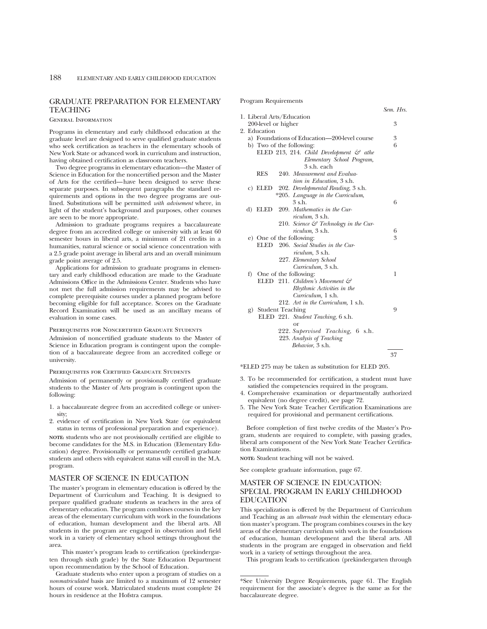## GRADUATE PREPARATION FOR ELEMENTARY **TEACHING**

#### General Information

Programs in elementary and early childhood education at the graduate level are designed to serve qualified graduate students who seek certification as teachers in the elementary schools of New York State or advanced work in curriculum and instruction, having obtained certification as classroom teachers.

Two degree programs in elementary education—the Master of Science in Education for the noncertified person and the Master of Arts for the certified—have been designed to serve these separate purposes. In subsequent paragraphs the standard requirements and options in the two degree programs are outlined. Substitutions will be permitted *with advisement* where, in light of the student's background and purposes, other courses are seen to be more appropriate.

Admission to graduate programs requires a baccalaureate degree from an accredited college or university with at least 60 semester hours in liberal arts, a minimum of 21 credits in a humanities, natural science or social science concentration with a 2.5 grade point average in liberal arts and an overall minimum grade point average of 2.5.

Applications for admission to graduate programs in elementary and early childhood education are made to the Graduate Admissions Office in the Admissions Center. Students who have not met the full admission requirements may be advised to complete prerequisite courses under a planned program before becoming eligible for full acceptance. Scores on the Graduate Record Examination will be used as an ancillary means of evaluation in some cases.

#### Prerequisites for Noncertified Graduate Students

Admission of noncertified graduate students to the Master of Science in Education program is contingent upon the completion of a baccalaureate degree from an accredited college or university.

#### Prerequisites for Certified Graduate Students

Admission of permanently or provisionally certified graduate students to the Master of Arts program is contingent upon the following:

- 1. a baccalaureate degree from an accredited college or university;
- 2. evidence of certification in New York State (or equivalent status in terms of professional preparation and experience).

**NOTE:** students who are not provisionally certified are eligible to become candidates for the M.S. in Education (Elementary Education) degree. Provisionally or permanently certified graduate students and others with equivalent status will enroll in the M.A. program.

## MASTER OF SCIENCE IN EDUCATION

The master's program in elementary education is offered by the Department of Curriculum and Teaching. It is designed to prepare qualified graduate students as teachers in the area of elementary education. The program combines courses in the key areas of the elementary curriculum with work in the foundations of education, human development and the liberal arts. All students in the program are engaged in observation and field work in a variety of elementary school settings throughout the area.

This master's program leads to certification (prekindergarten through sixth grade) by the State Education Department upon recommendation by the School of Education.

Graduate students who enter upon a program of studies on a *nonmatriculated* basis are limited to a maximum of 12 semester hours of course work. Matriculated students must complete 24 hours in residence at the Hofstra campus.

#### *Sem. Hrs.* 1. Liberal Arts/Education 200-level or higher 3 2. Education a) Foundations of Education—200-level course  $\begin{array}{c} 3 \\ 5 \end{array}$ b) Two of the following: ELED 213, 214. *Child Development & athe Elementary School Program,* 3 s.h. each RES 240. *Measurement and Evaluation in Education*, 3 s.h. c) ELED 202. *Developmental Reading*, 3 s.h. \*205. *Language in the Curriculum*,  $3 \text{ s.h.}$  6 d) ELED 209. *Mathematics in the Curriculum*, 3 s.h. 210. *Science & Technology in the Curriculum,* 3 s.h. 6 e) One of the following:  $3$ ELED 206. *Social Studies in the Curriculum,* 3 s.h. 227. *Elementary School Curriculum,* 3 s.h. f) One of the following: 1 ELED 211. *Children's Movement & Rhythmic Activities in the Curriculum,* 1 s.h. 212. *Art in the Curriculum,* 1 s.h. g) Student Teaching 9 ELED 221. *Student Teaching*, 6 s.h. or 222. *Supervised Teaching*, 6 s.h. 223. *Analysis of Teaching Behavior*, 3 s.h. 37

Program Requirements

\*ELED 275 may be taken as substitution for ELED 205.

- 3. To be recommended for certification, a student must have satisfied the competencies required in the program.
- 4. Comprehensive examination or departmentally authorized equivalent (no degree credit), see page 72.
- 5. The New York State Teacher Certification Examinations are required for provisional and permanent certifications.

Before completion of first twelve credits of the Master's Program, students are required to complete, with passing grades, liberal arts component of the New York State Teacher Certification Examinations.

**NOTE:** Student teaching will not be waived.

See complete graduate information, page 67.

## MASTER OF SCIENCE IN EDUCATION: SPECIAL PROGRAM IN EARLY CHILDHOOD EDUCATION

This specialization is offered by the Department of Curriculum and Teaching as an *alternate track* within the elementary education master's program. The program combines courses in the key areas of the elementary curriculum with work in the foundations of education, human development and the liberal arts. All students in the program are engaged in observation and field work in a variety of settings throughout the area.

This program leads to certification (prekindergarten through

<sup>\*</sup>See University Degree Requirements, page 61. The English requirement for the associate's degree is the same as for the baccalaureate degree.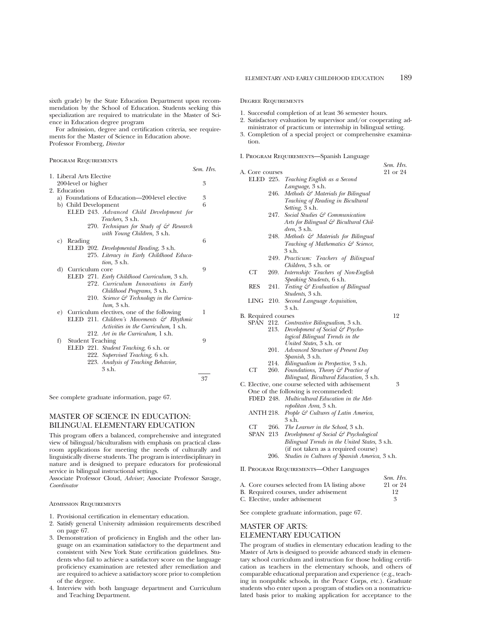For admission, degree and certification criteria, see requirements for the Master of Science in Education above. Professor Fromberg, *Director*

*Sem. Hrs.*

Program Requirements

| 1. Liberal Arts Elective |                         |  |                                                       |    |  |  |
|--------------------------|-------------------------|--|-------------------------------------------------------|----|--|--|
|                          | 200-level or higher     |  |                                                       | 3  |  |  |
|                          | 2. Education            |  |                                                       |    |  |  |
|                          |                         |  | a) Foundations of Education—200-level elective        | 3  |  |  |
|                          | b) Child Development    |  |                                                       | 6  |  |  |
|                          |                         |  | ELED 243. Advanced Child Development for              |    |  |  |
|                          |                         |  | Teachers, 3 s.h.                                      |    |  |  |
|                          |                         |  |                                                       |    |  |  |
|                          |                         |  | 270. Techniques for Study of $\mathcal{F}$ Research   |    |  |  |
|                          |                         |  | with Young Children, 3 s.h.                           |    |  |  |
|                          | c) Reading              |  |                                                       | 6  |  |  |
|                          |                         |  | ELED 202. Developmental Reading, 3 s.h.               |    |  |  |
|                          |                         |  | 275. Literacy in Early Childhood Educa-               |    |  |  |
|                          |                         |  | tion, 3 s.h.                                          |    |  |  |
| d)                       | Curriculum core         |  |                                                       | 9  |  |  |
|                          |                         |  | ELED 271. Early Childhood Curriculum, 3 s.h.          |    |  |  |
|                          |                         |  | 272. Curriculum Innovations in Early                  |    |  |  |
|                          |                         |  | Childhood Programs, 3 s.h.                            |    |  |  |
|                          |                         |  | 210. Science $\mathcal{C}$ Technology in the Curricu- |    |  |  |
|                          |                         |  | $lum$ , $3 \,$ s.h.                                   |    |  |  |
|                          |                         |  | e) Curriculum electives, one of the following         | 1  |  |  |
|                          |                         |  |                                                       |    |  |  |
|                          |                         |  | ELED 211. Children's Movements $\mathcal{C}$ Rhythmic |    |  |  |
|                          |                         |  | Activities in the Curriculum, 1 s.h.                  |    |  |  |
|                          |                         |  | 212. Art in the Curriculum, 1 s.h.                    |    |  |  |
| f)                       | <b>Student Teaching</b> |  |                                                       | 9  |  |  |
|                          |                         |  | ELED 221. Student Teaching, 6 s.h. or                 |    |  |  |
|                          |                         |  | 222. Supervised Teaching, 6 s.h.                      |    |  |  |
|                          |                         |  | 223. Analysis of Teaching Behavior,                   |    |  |  |
|                          |                         |  | 3 s.h.                                                |    |  |  |
|                          |                         |  |                                                       | 37 |  |  |
|                          |                         |  |                                                       |    |  |  |

See complete graduate information, page 67.

## MASTER OF SCIENCE IN EDUCATION: BILINGUAL ELEMENTARY EDUCATION

This program offers a balanced, comprehensive and integrated view of bilingual/biculturalism with emphasis on practical classroom applications for meeting the needs of culturally and linguistically diverse students. The program is interdisciplinary in nature and is designed to prepare educators for professional service in bilingual instructional settings.

Associate Professor Cloud, *Adviser*; Associate Professor Savage, *Coordinator*

Admission Requirements

- 1. Provisional certification in elementary education.
- 2. Satisfy general University admission requirements described on page 67.
- 3. Demonstration of proficiency in English and the other language on an examination satisfactory to the department and consistent with New York State certification guidelines. Students who fail to achieve a satisfactory score on the language proficiency examination are retested after remediation and are required to achieve a satisfactory score prior to completion of the degree.
- 4. Interview with both language department and Curriculum and Teaching Department.

#### Degree Requirements

1. Successful completion of at least 36 semester hours.

- 2. Satisfactory evaluation by supervisor and/or cooperating administrator of practicum or internship in bilingual setting.
- 3. Completion of a special project or comprehensive examination.
- I. Program Requirements—Spanish Language

|                     |      |                                                  | Sem. Hrs. |
|---------------------|------|--------------------------------------------------|-----------|
| A. Core courses     |      |                                                  | 21 or 24  |
|                     |      | ELED 225. Teaching English as a Second           |           |
|                     |      | Language, 3 s.h.                                 |           |
|                     | 246. | Methods & Materials for Bilingual                |           |
|                     |      | Teaching of Reading in Bicultural                |           |
|                     |      | Setting, 3 s.h.                                  |           |
|                     | 247. | Social Studies & Communication                   |           |
|                     |      | Arts for Bilingual & Bicultural Chil-            |           |
|                     |      | $dren$ , $3 \,$ s.h.                             |           |
|                     | 248. | Methods & Materials for Bilingual                |           |
|                     |      | Teaching of Mathematics & Science,               |           |
|                     |      | 3 s.h.                                           |           |
|                     |      | 249. Practicum: Teachers of Bilingual            |           |
|                     |      | Children, 3 s.h. or                              |           |
| СT                  | 269. | Internship: Teachers of Non-English              |           |
|                     |      | Speaking Students, 6 s.h.                        |           |
| RES                 | 241. | Testing & Evaluation of Bilingual                |           |
|                     |      | Students, 3 s.h.                                 |           |
| LING                | 210. | Second Language Acquisition,                     |           |
|                     |      | 3 s.h.                                           |           |
| B. Required courses |      |                                                  | 12        |
|                     |      | SPAN 212. Contrastive Bilingualism, 3 s.h.       |           |
|                     | 213. | Development of Social & Psycho-                  |           |
|                     |      | logical Bilingual Trends in the                  |           |
|                     |      | United States, 3 s.h. or                         |           |
|                     | 201. | Advanced Structure of Present Day                |           |
|                     |      | Spanish, 3 s.h.                                  |           |
|                     | 214. | Bilingualism in Perspective, 3 s.h.              |           |
| CT <sup>-</sup>     | 260. | Foundations, Theory & Practice of                |           |
|                     |      | Bilingual, Bicultural Education, 3 s.h.          |           |
|                     |      | C. Elective, one course selected with advisement | 3         |
|                     |      | One of the following is recommended:             |           |
|                     |      | FDED 248. Multicultural Education in the Met-    |           |
|                     |      | ropolitan Area, 3 s.h.                           |           |
| ANTH 218.           |      | People & Cultures of Latin America,              |           |
|                     |      | 3 s.h.                                           |           |
| CT                  | 266. | <i>The Learner in the School,</i> 3 s.h.         |           |
| SPAN 213            |      | Development of Social & Psychological            |           |
|                     |      | Bilingual Trends in the United States, 3 s.h.    |           |
|                     |      | (if not taken as a required course)              |           |
|                     | 206. | Studies in Cultures of Spanish America, 3 s.h.   |           |
|                     |      | II. PROGRAM REQUIREMENTS-Other Languages         |           |
|                     |      |                                                  |           |

|                                                | Sem. Hrs. |
|------------------------------------------------|-----------|
| A. Core courses selected from IA listing above | 21 or 24  |
| B. Required courses, under advisement          | 19        |
| C. Elective, under advisement                  |           |

See complete graduate information, page 67.

## MASTER OF ARTS: ELEMENTARY EDUCATION

The program of studies in elementary education leading to the Master of Arts is designed to provide advanced study in elementary school curriculum and instruction for those holding certification as teachers in the elementary schools, and others of comparable educational preparation and experience (e.g., teaching in nonpublic schools, in the Peace Corps, etc.). Graduate students who enter upon a program of studies on a nonmatriculated basis prior to making application for acceptance to the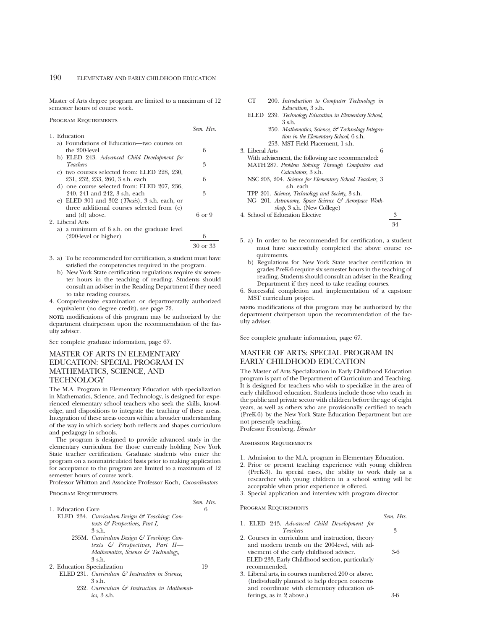Master of Arts degree program are limited to a maximum of 12 semester hours of course work.

Program Requirements

|                                                        | $SEIL$ , $TIN$ . |
|--------------------------------------------------------|------------------|
| 1. Education                                           |                  |
| a) Foundations of Education—two courses on             |                  |
| the 200-level                                          | 6                |
| b) ELED 243. Advanced Child Development for            |                  |
| <i>Teachers</i>                                        | 3                |
| c) two courses selected from: ELED 228, 230,           |                  |
| 231, 232, 233, 260, 3 s.h. each                        | 6                |
| d) one course selected from: ELED 207, 236,            |                  |
| 240, 241 and 242, 3 s.h. each                          | 3                |
| e) ELED 301 and 302 ( <i>Thesis</i> ), 3 s.h. each, or |                  |
| three additional courses selected from (c)             |                  |
| and (d) above.                                         | 6 or 9           |
| 2. Liberal Arts                                        |                  |
| a) a minimum of 6 s.h. on the graduate level           |                  |
| $(200$ -level or higher)                               | 6                |

- (200-level or higher) 6
	- 30 or 33

*Sem. Hrs.*

*Sem. Hrs.*

- 3. a) To be recommended for certification, a student must have satisfied the competencies required in the program.
	- b) New York State certification regulations require six semester hours in the teaching of reading. Students should consult an adviser in the Reading Department if they need to take reading courses.
- 4. Comprehensive examination or departmentally authorized equivalent (no degree credit), see page 72.

**NOTE:** modifications of this program may be authorized by the department chairperson upon the recommendation of the faculty adviser.

See complete graduate information, page 67.

## MASTER OF ARTS IN ELEMENTARY EDUCATION: SPECIAL PROGRAM IN MATHEMATICS, SCIENCE, AND **TECHNOLOGY**

The M.A. Program in Elementary Education with specialization in Mathematics, Science, and Technology, is designed for experienced elementary school teachers who seek the skills, knowledge, and dispositions to integrate the teaching of these areas. Integration of these areas occurs within a broader understanding of the way in which society both reflects and shapes curriculum and pedagogy in schools.

The program is designed to provide advanced study in the elementary curriculum for those currently holding New York State teacher certification. Graduate students who enter the program on a nonmatriculated basis prior to making application for acceptance to the program are limited to a maximum of 12 semester hours of course work.

Professor Whitton and Associate Professor Koch, *Cocoordinators*

#### Program Requirements

| 1. Education Core                                          | h  |
|------------------------------------------------------------|----|
| ELED 234. Curriculum Design & Teaching: Con-               |    |
| texts $\mathcal G$ Perspectives, Part I,                   |    |
| $3$ s.h.                                                   |    |
| 235M. Curriculum Design & Teaching: Con-                   |    |
| texts & Perspectives, Part II-                             |    |
| Mathematics, Science $\mathcal{C}$ Technology,             |    |
| $3$ s.h.                                                   |    |
| 2. Education Specialization                                | 19 |
| ELED 231. Curriculum $\mathcal{C}$ Instruction in Science, |    |
| 3 s.h.                                                     |    |
| 232. Curriculum & Instruction in Mathemat-                 |    |
| $i\text{cs}$ , 3 s.h.                                      |    |

| CТ |                           | 200. Introduction to Computer Technology in |  |
|----|---------------------------|---------------------------------------------|--|
|    | <i>Education</i> , 3 s.h. |                                             |  |

- ELED 239. *Technology Education in Elementary School,* 3 s.h.
	- 250. *Mathematics, Science, & Technology Integration in the Elementary School,* 6 s.h. 253. MST Field Placement, 1 s.h.
- 3. Liberal Arts 6
- With advisement, the following are recommended: MATH 287. *Problem Solving Through Computers and Calculators,* 3 s.h.
- NSC 203, 204. *Science for Elementary School Teachers,* 3 s.h. each
- TPP 201. *Science, Technology and Society,* 3 s.h.
- NG 201. Astronomy, Space Science & Aerospace Work*shop,* 3 s.h. (New College)
- 4. School of Education Elective 3
	- 34
- 5. a) In order to be recommended for certification, a student must have successfully completed the above course requirements.
	- b) Regulations for New York State teacher certification in grades PreK-6 require six semester hours in the teaching of reading. Students should consult an adviser in the Reading Department if they need to take reading courses.
- 6. Successful completion and implementation of a capstone MST curriculum project.

**NOTE:** modifications of this program may be authorized by the department chairperson upon the recommendation of the faculty adviser.

See complete graduate information, page 67.

## MASTER OF ARTS: SPECIAL PROGRAM IN EARLY CHILDHOOD EDUCATION

The Master of Arts Specialization in Early Childhood Education program is part of the Department of Curriculum and Teaching. It is designed for teachers who wish to specialize in the area of early childhood education. Students include those who teach in the public and private sector with children before the age of eight years, as well as others who are provisionally certified to teach (PreK-6) by the New York State Education Department but are not presently teaching.

Professor Fromberg, *Director*

## Admission Requirements

- 1. Admission to the M.A. program in Elementary Education.
- 2. Prior or present teaching experience with young children (PreK-3). In special cases, the ability to work daily as a researcher with young children in a school setting will be acceptable when prior experience is offered.
- 3. Special application and interview with program director.

## Program Requirements

|                                                    | Sem. Hrs. |
|----------------------------------------------------|-----------|
| 1. ELED 243. Advanced Child Development for        |           |
| <i>Teachers</i>                                    | 3         |
| 2. Courses in curriculum and instruction, theory   |           |
| and modern trends on the 200-level, with ad-       |           |
| visement of the early childhood adviser.           | 3-6       |
| ELED 233, Early Childhood section, particularly    |           |
| recommended.                                       |           |
| 3. Liberal arts, in courses numbered 200 or above. |           |
| (Individually planned to help deepen concerns      |           |

and coordinate with elementary education of-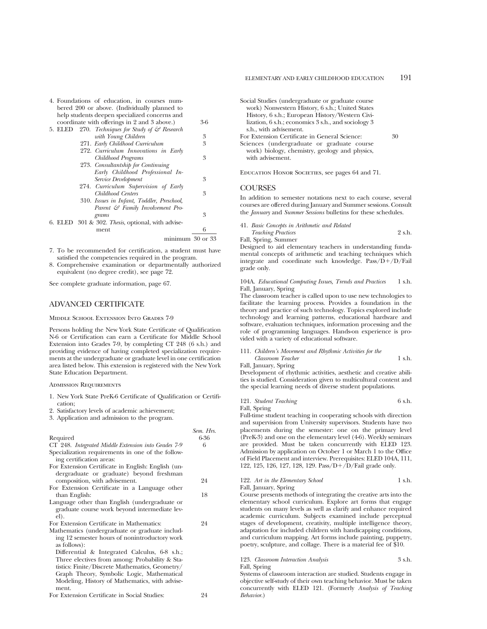|         | 4. Foundations of education, in courses num-        |     |
|---------|-----------------------------------------------------|-----|
|         | bered 200 or above. (Individually planned to        |     |
|         | help students deepen specialized concerns and       |     |
|         | coordinate with offerings in 2 and 3 above.)        | 3-6 |
| 5. ELED | 270. Techniques for Study of $\mathcal{C}$ Research |     |
|         | with Young Children                                 | 3   |
|         | 271. Early Childhood Curriculum                     | 3   |
|         | 272. Curriculum Innovations in Early                |     |
|         | Childhood Programs                                  | 3   |
|         | 273. Consultantship for Continuing                  |     |
|         | Early Childhood Professional In-                    |     |
|         | Service Development                                 | 3   |
|         | 274. Curriculum Supervision of Early                |     |
|         | Childhood Centers                                   | 3   |
|         | 310. Issues in Infant, Toddler, Preschool,          |     |
|         | Parent & Family Involvement Pro-                    |     |
|         | grams                                               | 3   |
|         | 6. ELED 301 & 302. Thesis, optional, with advise-   |     |
|         | ment                                                | 6   |
|         | minimum 30 or 33                                    |     |

- 7. To be recommended for certification, a student must have satisfied the competencies required in the program.
- 8. Comprehensive examination or departmentally authorized equivalent (no degree credit), see page 72.

See complete graduate information, page 67.

## ADVANCED CERTIFICATE

Middle School Extension Into Grades 7-9

Persons holding the New York State Certificate of Qualification N-6 or Certification can earn a Certificate for Middle School Extension into Grades 7-9, by completing CT 248 (6 s.h.) and providing evidence of having completed specialization requirements at the undergraduate or graduate level in one certification area listed below. This extension is registered with the New York State Education Department.

Admission Requirements

- 1. New York State PreK-6 Certificate of Qualification or Certification;
- 2. Satisfactory levels of academic achievement;
- 3. Application and admission to the program.

|                                                     | Sem. Hrs. |
|-----------------------------------------------------|-----------|
| Required                                            | 6-36      |
| CT 248. Integrated Middle Extension into Grades 7-9 | 6         |
| Specialization requirements in one of the follow-   |           |
| ing certification areas:                            |           |
| For Extension Certificate in English: English (un-  |           |
| dergraduate or graduate) beyond freshman            |           |
| composition, with advisement.                       | 24        |
| For Extension Certificate in a Language other       |           |
| than English:                                       | 18        |
| Language other than English (undergraduate or       |           |
| graduate course work beyond intermediate lev-       |           |
| el).                                                |           |
| For Extension Certificate in Mathematics:           | 24        |
| Mathematics (undergraduate or graduate includ-      |           |
| ing 12 semester hours of nonintroductory work       |           |
| as follows):                                        |           |
| Differential & Integrated Calculus, 6-8 s.h.;       |           |
| Three electives from among: Probability & Sta-      |           |
| tistics: Finite/Discrete Mathematics, Geometry/     |           |
| Graph Theory, Symbolic Logic, Mathematical          |           |
| Modeling, History of Mathematics, with advise-      |           |
| ment.                                               |           |

For Extension Certificate in Social Studies: 24

Social Studies (undergraduate or graduate course work) Nonwestern History, 6 s.h.; United States History, 6 s.h.; European History/Western Civilization, 6 s.h.; economics 3 s.h., and sociology 3 s.h., with advisement.

For Extension Certificate in General Science: 30

Sciences (undergraduate or graduate course work) biology, chemistry, geology and physics, with advisement.

Education Honor Societies, see pages 64 and 71.

## **COURSES**

In addition to semester notations next to each course, several courses are offered during January and Summer sessions. Consult the *January* and *Summer Sessions* bulletins for these schedules.

41. *Basic Concepts in Arithmetic and Related*

*Teaching Practices* 2 s.h. Fall, Spring, Summer

Designed to aid elementary teachers in understanding fundamental concepts of arithmetic and teaching techniques which integrate and coordinate such knowledge.  $Pass/D+/D/Fall$ grade only.

104A. *Educational Computing Issues, Trends and Practices* 1 s.h. Fall, January, Spring

The classroom teacher is called upon to use new technologies to facilitate the learning process. Provides a foundation in the theory and practice of such technology. Topics explored include technology and learning patterns, educational hardware and software, evaluation techniques, information processing and the role of programming languages. Hands-on experience is provided with a variety of educational software.

111. *Children's Movement and Rhythmic Activities for the Classroom Teacher* 1 s.h.

Fall, January, Spring

Development of rhythmic activities, aesthetic and creative abilities is studied. Consideration given to multicultural content and the special learning needs of diverse student populations.

121. *Student Teaching* 6 s.h. Fall, Spring

Full-time student teaching in cooperating schools with direction and supervision from University supervisors. Students have two placements during the semester: one on the primary level (PreK-3) and one on the elementary level (4-6). Weekly seminars are provided. Must be taken concurrently with ELED 123. Admission by application on October 1 or March 1 to the Office of Field Placement and interview. Prerequisites: ELED 104A, 111, 122, 125, 126, 127, 128, 129. Pass/ $D + \overline{D}/F$ ail grade only.

| 122. Art in the Elementary School |  |  |  | 1 s.h. |
|-----------------------------------|--|--|--|--------|
| Fall, January, Spring             |  |  |  |        |
|                                   |  |  |  |        |

Course presents methods of integrating the creative arts into the elementary school curriculum. Explore art forms that engage students on many levels as well as clarify and enhance required academic curriculum. Subjects examined include perceptual stages of development, creativity, multiple intelligence theory, adaptation for included children with handicapping conditions, and curriculum mapping. Art forms include painting, puppetry, poetry, sculpture, and collage. There is a material fee of \$10.

123. *Classroom Interaction Analysis* 3 s.h. Fall, Spring

Systems of classroom interaction are studied. Students engage in objective self-study of their own teaching behavior. Must be taken concurrently with ELED 121. (Formerly *Analysis of Teaching Behavior*.)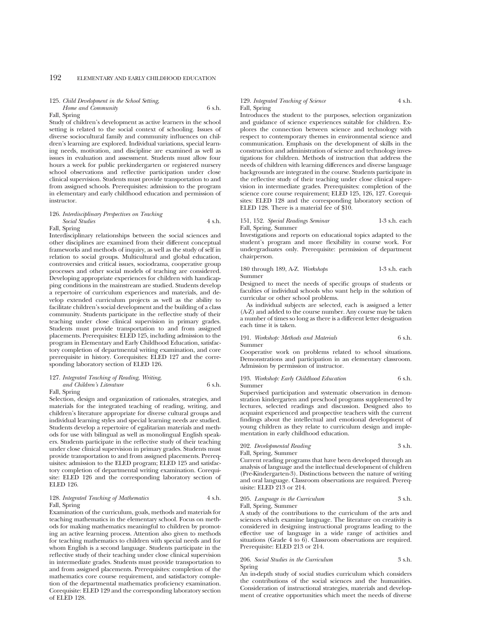#### 125. *Child Development in the School Setting, Home and Community* 6 s.h.

Fall, Spring

Study of children's development as active learners in the school setting is related to the social context of schooling. Issues of diverse sociocultural family and community influences on children's learning are explored. Individual variations, special learning needs, motivation, and discipline are examined as well as issues in evaluation and assessment. Students must allow four hours a week for public prekindergarten or registered nursery school observations and reflective participation under close clinical supervision. Students must provide transportation to and from assigned schools. Prerequisites: admission to the program in elementary and early childhood education and permission of instructor.

#### 126. *Interdisciplinary Perspectives on Teaching Social Studies* 4 s.h.

Fall, Spring

Interdisciplinary relationships between the social sciences and other disciplines are examined from their different conceptual frameworks and methods of inquiry, as well as the study of self in relation to social groups. Multicultural and global education, controversies and critical issues, sociodrama, cooperative group processes and other social models of teaching are considered. Developing appropriate experiences for children with handicapping conditions in the mainstream are studied. Students develop a repertoire of curriculum experiences and materials, and develop extended curriculum projects as well as the ability to facilitate children's social development and the building of a class community. Students participate in the reflective study of their teaching under close clinical supervision in primary grades. Students must provide transportation to and from assigned placements. Prerequisites: ELED 125, including admission to the program in Elementary and Early Childhood Education, satisfactory completion of departmental writing examination, and core prerequisite in history. Corequisites: ELED 127 and the corresponding laboratory section of ELED 126.

## 127. *Integrated Teaching of Reading, Writing, and Children's Literature* 6 s.h.

Fall, Spring

Selection, design and organization of rationales, strategies, and materials for the integrated teaching of reading, writing, and children's literature appropriate for diverse cultural groups and individual learning styles and special learning needs are studied. Students develop a repertoire of egalitarian materials and methods for use with bilingual as well as monolingual English speakers. Students participate in the reflective study of their teaching under close clinical supervision in primary grades. Students must provide transportation to and from assigned placements. Prerequisites: admission to the ELED program; ELED 125 and satisfactory completion of departmental writing examination. Corequisite: ELED 126 and the corresponding laboratory section of ELED 126.

#### 128. *Integrated Teaching of Mathematics* 4 s.h. Fall, Spring

Examination of the curriculum, goals, methods and materials for teaching mathematics in the elementary school. Focus on methods for making mathematics meaningful to children by promoting an active learning process. Attention also given to methods for teaching mathematics to children with special needs and for whom English is a second language. Students participate in the reflective study of their teaching under close clinical supervision in intermediate grades. Students must provide transportation to and from assigned placements. Prerequisites: completion of the mathematics core course requirement, and satisfactory completion of the departmental mathematics proficiency examination. Corequisite: ELED 129 and the corresponding laboratory section of ELED 128.

## 129. *Integrated Teaching of Science* 4 s.h. Fall, Spring

Introduces the student to the purposes, selection organization and guidance of science experiences suitable for children. Explores the connection between science and technology with respect to contemporary themes in environmental science and communication. Emphasis on the development of skills in the construction and administration of science and technology investigations for children. Methods of instruction that address the needs of children with learning differences and diverse language backgrounds are integrated in the course. Students participate in the reflective study of their teaching under close clinical supervision in intermediate grades. Prerequisites: completion of the science core course requirement; ELED 125, 126, 127. Corequisites: ELED 128 and the corresponding laboratory section of ELED 128. There is a material fee of \$10.

151, 152. *Special Readings Seminar* 1-3 s.h. each Fall, Spring, Summer

Investigations and reports on educational topics adapted to the student's program and more flexibility in course work. For undergraduates only. Prerequisite: permission of department chairperson.

180 through 189, A-Z. *Workshops* 1-3 s.h. each Summer

Designed to meet the needs of specific groups of students or faculties of individual schools who want help in the solution of curricular or other school problems.

As individual subjects are selected, each is assigned a letter (A-Z) and added to the course number. Any course may be taken a number of times so long as there is a different letter designation each time it is taken.

191. *Workshop: Methods and Materials* 6 s.h.

Summer

Cooperative work on problems related to school situations. Demonstrations and participation in an elementary classroom. Admission by permission of instructor.

193. *Workshop: Early Childhood Education* 6 s.h. Summer

Supervised participation and systematic observation in demonstration kindergarten and preschool programs supplemented by lectures, selected readings and discussion. Designed also to acquaint experienced and prospective teachers with the current findings about the intellectual and emotional development of young children as they relate to curriculum design and implementation in early childhood education.

202. *Developmental Reading* 3 s.h. Fall, Spring, Summer

Current reading programs that have been developed through an analysis of language and the intellectual development of children (Pre-Kindergarten-3). Distinctions between the nature of writing and oral language. Classroom observations are required. Prerequisite: ELED 213 or 214.

205. *Language in the Curriculum* 3 s.h. Fall, Spring, Summer

A study of the contributions to the curriculum of the arts and sciences which examine language. The literature on creativity is considered in designing instructional programs leading to the effective use of language in a wide range of activities and situations (Grade 4 to 6). Classroom observations are required. Prerequisite: ELED 213 or 214.

206. *Social Studies in the Curriculum* 3 s.h. Spring

An in-depth study of social studies curriculum which considers the contributions of the social sciences and the humanities. Consideration of instructional strategies, materials and development of creative opportunities which meet the needs of diverse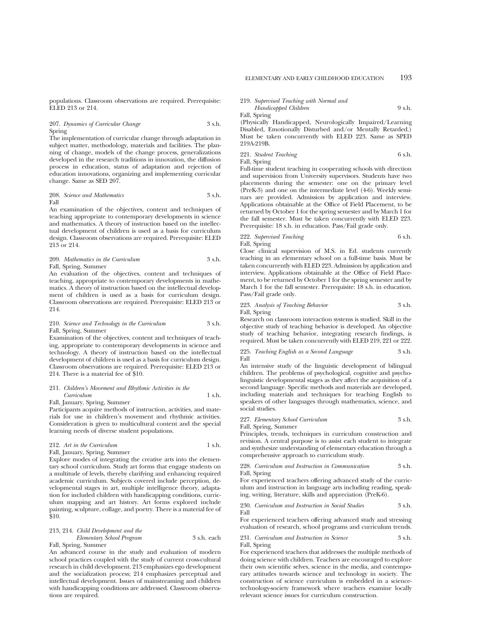populations. Classroom observations are required. Prerequisite: ELED 213 or 214.

207. *Dynamics of Curricular Change* 3 s.h. Spring

The implementation of curricular change through adaptation in subject matter, methodology, materials and facilities. The planning of change, models of the change process, generalizations developed in the research traditions in innovation, the diffusion process in education, status of adaptation and rejection of education innovations, organizing and implementing curricular change. Same as SED 207.

208. *Science and Mathematics* 3 s.h. Fall

An examination of the objectives, content and techniques of teaching appropriate to contemporary developments in science and mathematics. A theory of instruction based on the intellectual development of children is used as a basis for curriculum design. Classroom observations are required. Prerequisite: ELED 213 or 214.

209. *Mathematics in the Curriculum* 3 s.h. Fall, Spring, Summer

An evaluation of the objectives, content and techniques of teaching, appropriate to contemporary developments in mathematics. A theory of instruction based on the intellectual development of children is used as a basis for curriculum design. Classroom observations are required. Prerequisite: ELED 213 or 214.

#### 210. Science and Technology in the Curriculum 3 s.h. Fall, Spring, Summer

Examination of the objectives, content and techniques of teaching, appropriate to contemporary developments in science and technology. A theory of instruction based on the intellectual development of children is used as a basis for curriculum design. Classroom observations are required. Prerequisite: ELED 213 or 214. There is a material fee of \$10.

## 211. *Children's Movement and Rhythmic Activities in the Curriculum* 1 s.h.

Fall, January, Spring, Summer

Participants acquire methods of instruction, activities, and materials for use in children's movement and rhythmic activities. Consideration is given to multicultural content and the special learning needs of diverse student populations.

212. *Art in the Curriculum* 1 s.h. Fall, January, Spring, Summer

Explore modes of integrating the creative arts into the elementary school curriculum. Study art forms that engage students on a multitude of levels, thereby clarifying and enhancing required academic curriculum. Subjects covered include perception, developmental stages in art, multiple intelligence theory, adaptation for included children with handicapping conditions, curriculum mapping and art history. Art forms explored include painting, sculpture, collage, and poetry. There is a material fee of \$10.

|  | 213, 214. Child Development and the |  |
|--|-------------------------------------|--|
|  |                                     |  |

*Elementary School Program* 3 s.h. each Fall, Spring, Summer

An advanced course in the study and evaluation of modern school practices coupled with the study of current cross-cultural research in child development. 213 emphasizes ego development and the socialization process; 214 emphasizes perceptual and intellectual development. Issues of mainstreaming and children with handicapping conditions are addressed. Classroom observations are required.

219. *Supervised Teaching with Normal and*

*Handicapped Children* 9 s.h. Fall, Spring

(Physically Handicapped, Neurologically Impaired/Learning Disabled, Emotionally Disturbed and/or Mentally Retarded.) Must be taken concurrently with ELED 223. Same as SPED 219A-219B.

221. *Student Teaching* 6 s.h.

Fall, Spring

Full-time student teaching in cooperating schools with direction and supervision from University supervisors. Students have two placements during the semester: one on the primary level (PreK-3) and one on the intermediate level (4-6). Weekly seminars are provided. Admission by application and interview. Applications obtainable at the Office of Field Placement, to be returned by October 1 for the spring semester and by March 1 for the fall semester. Must be taken concurrently with ELED 223. Prerequisite: 18 s.h. in education. Pass/Fail grade only.

222. Supervised Teaching 6 s.h. Fall, Spring

Close clinical supervision of M.S. in Ed. students currently teaching in an elementary school on a full-time basis. Must be taken concurrently with ELED 223. Admission by application and interview. Applications obtainable at the Office of Field Placement, to be returned by October 1 for the spring semester and by March 1 for the fall semester. Prerequisite: 18 s.h. in education. Pass/Fail grade only.

223. *Analysis of Teaching Behavior* 3 s.h. Fall, Spring

Research on classroom interaction systems is studied. Skill in the objective study of teaching behavior is developed. An objective study of teaching behavior, integrating research findings, is required. Must be taken concurrently with ELED 219, 221 or 222.

#### 225. *Teaching English as a Second Language* 3 s.h. Fall

An intensive study of the linguistic development of bilingual children. The problems of psychological, cognitive and psycholinguistic developmental stages as they affect the acquisition of a second language. Specific methods and materials are developed, including materials and techniques for teaching English to speakers of other languages through mathematics, science, and social studies.

227. *Elementary School Curriculum* 3 s.h. Fall, Spring, Summer

Principles, trends, techniques in curriculum construction and revision. A central purpose is to assist each student to integrate and synthesize understanding of elementary education through a comprehensive approach to curriculum study.

#### 228. *Curriculum and Instruction in Communication* 3 s.h. Fall, Spring

For experienced teachers offering advanced study of the curriculum and instruction in language arts including reading, speaking, writing, literature, skills and appreciation (PreK-6).

230. *Curriculum and Instruction in Social Studies* 3 s.h. Fall

For experienced teachers offering advanced study and stressing evaluation of research, school programs and curriculum trends.

231. *Curriculum and Instruction in Science* 3 s.h. Fall, Spring

For experienced teachers that addresses the multiple methods of doing science with children. Teachers are encouraged to explore their own scientific selves, science in the media, and contemporary attitudes towards science and technology in society. The construction of science curriculum is embedded in a sciencetechnology-society framework where teachers examine locally relevant science issues for curriculum construction.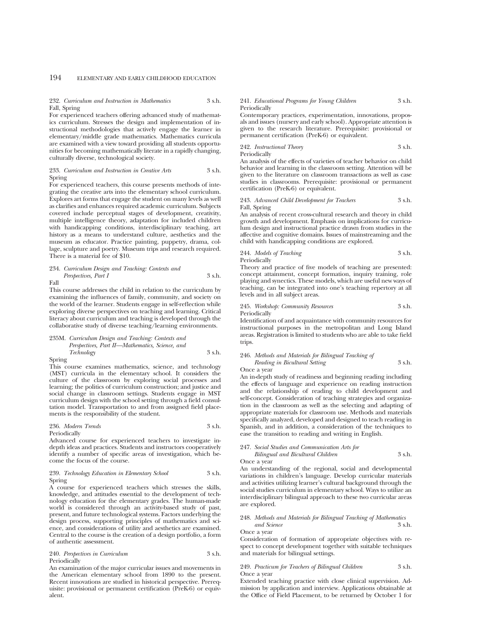## 194 ELEMENTARY AND EARLY CHILDHOOD EDUCATION

### 232. *Curriculum and Instruction in Mathematics* 3 s.h. Fall, Spring

For experienced teachers offering advanced study of mathematics curriculum. Stresses the design and implementation of instructional methodologies that actively engage the learner in elementary/middle grade mathematics. Mathematics curricula are examined with a view toward providing all students opportunities for becoming mathematically literate in a rapidly changing, culturally diverse, technological society.

#### 233. *Curriculum and Instruction in Creative Arts* 3 s.h. Spring

For experienced teachers, this course presents methods of integrating the creative arts into the elementary school curriculum. Explores art forms that engage the student on many levels as well as clarifies and enhances required academic curriculum. Subjects covered include perceptual stages of development, creativity, multiple intelligence theory, adaptation for included children with handicapping conditions, interdisciplinary teaching, art history as a means to understand culture, aesthetics and the museum as educator. Practice painting, puppetry, drama, collage, sculpture and poetry. Museum trips and research required. There is a material fee of \$10.

### 234. *Curriculum Design and Teaching: Contexts and Perspectives, Part I* 3 s.h.

Fall

This course addresses the child in relation to the curriculum by examining the influences of family, community, and society on the world of the learner. Students engage in self-reflection while exploring diverse perspectives on teaching and learning. Critical literacy about curriculum and teaching is developed through the collaborative study of diverse teaching/learning environments.

235M. *Curriculum Design and Teaching: Contexts and Perspectives, Part II—Mathematics, Science, and Technology* 3 s.h.

Spring

This course examines mathematics, science, and technology (MST) curricula in the elementary school. It considers the culture of the classroom by exploring social processes and learning; the politics of curriculum construction; and justice and social change in classroom settings. Students engage in MST curriculum design with the school setting through a field consultation model. Transportation to and from assigned field placements is the responsibility of the student.

236. *Modern Trends* 3 s.h.

Periodically

Advanced course for experienced teachers to investigate indepth ideas and practices. Students and instructors cooperatively identify a number of specific areas of investigation, which become the focus of the course.

#### 239. *Technology Education in Elementary School* 3 s.h. Spring

A course for experienced teachers which stresses the skills, knowledge, and attitudes essential to the development of technology education for the elementary grades. The human-made world is considered through an activity-based study of past, present, and future technological systems. Factors underlying the design process, supporting principles of mathematics and science, and considerations of utility and aesthetics are examined. Central to the course is the creation of a design portfolio, a form of authentic assessment.

#### 240. *Perspectives in Curriculum* 3 s.h. Periodically

An examination of the major curricular issues and movements in the American elementary school from 1890 to the present. Recent innovations are studied in historical perspective. Prerequisite: provisional or permanent certification (PreK-6) or equivalent.

### 241. *Educational Programs for Young Children* 3 s.h. Periodically

Contemporary practices, experimentation, innovations, proposals and issues (nursery and early school). Appropriate attention is given to the research literature. Prerequisite: provisional or permanent certification (PreK-6) or equivalent.

242. *Instructional Theory* 3 s.h. Periodically

An analysis of the effects of varieties of teacher behavior on child behavior and learning in the classroom setting. Attention will be given to the literature on classroom transactions as well as case studies in classrooms. Prerequisite: provisional or permanent

certification (PreK-6) or equivalent.

## 243. *Advanced Child Development for Teachers* 3 s.h. Fall, Spring

An analysis of recent cross-cultural research and theory in child growth and development. Emphasis on implications for curriculum design and instructional practice drawn from studies in the affective and cognitive domains. Issues of mainstreaming and the child with handicapping conditions are explored.

244. *Models of Teaching* 3 s.h. Periodically

Theory and practice of five models of teaching are presented: concept attainment, concept formation, inquiry training, role playing and synectics. These models, which are useful new ways of teaching, can be integrated into one's teaching repertory at all levels and in all subject areas.

245. *Workshop: Community Resources* 3 s.h. Periodically

Identification of and acquaintance with community resources for instructional purposes in the metropolitan and Long Island areas. Registration is limited to students who are able to take field trips.

## 246. *Methods and Materials for Bilingual Teaching of Reading in Bicultural Setting* 3 s.h.

Once a year

An in-depth study of readiness and beginning reading including the effects of language and experience on reading instruction and the relationship of reading to child development and self-concept. Consideration of teaching strategies and organization in the classroom as well as the selecting and adapting of appropriate materials for classroom use. Methods and materials specifically analyzed, developed and designed to teach reading in Spanish, and in addition, a consideration of the techniques to ease the transition to reading and writing in English.

## 247. *Social Studies and Communication Arts for*

*Bilingual and Bicultural Children* 3 s.h. Once a year

An understanding of the regional, social and developmental variations in children's language. Develop curricular materials and activities utilizing learner's cultural background through the social studies curriculum in elementary school. Ways to utilize an interdisciplinary bilingual approach to these two curricular areas are explored.

#### 248. *Methods and Materials for Bilingual Teaching of Mathematics and Science*

Once a year

Consideration of formation of appropriate objectives with respect to concept development together with suitable techniques and materials for bilingual settings.

#### 249. *Practicum for Teachers of Bilingual Children* 3 s.h. Once a year

Extended teaching practice with close clinical supervision. Admission by application and interview. Applications obtainable at the Office of Field Placement, to be returned by October 1 for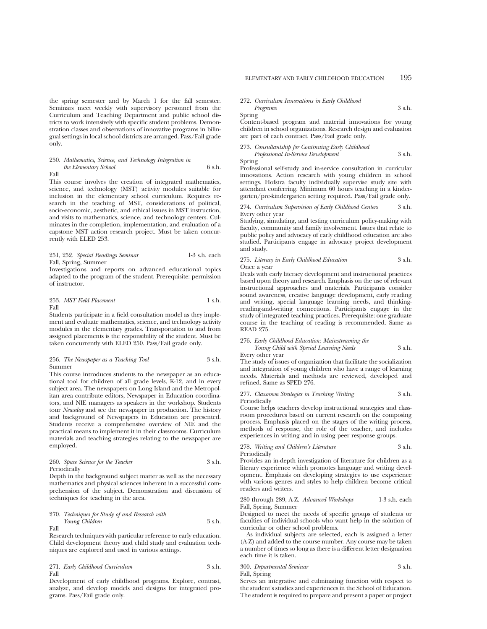the spring semester and by March 1 for the fall semester. Seminars meet weekly with supervisory personnel from the Curriculum and Teaching Department and public school districts to work intensively with specific student problems. Demonstration classes and observations of innovative programs in bilingual settings in local school districts are arranged. Pass/Fail grade only.

#### 250. *Mathematics, Science, and Technology Integration in the Elementary School* 6 s.h. Fall

This course involves the creation of integrated mathematics, science, and technology (MST) activity modules suitable for inclusion in the elementary school curriculum. Requires research in the teaching of MST, considerations of political, socio-economic, aesthetic, and ethical issues in MST instruction, and visits to mathematics, science, and technology centers. Culminates in the completion, implementation, and evaluation of a capstone MST action research project. Must be taken concurrently with ELED 253.

251, 252. *Special Readings Seminar* 1-3 s.h. each Fall, Spring, Summer

Investigations and reports on advanced educational topics adapted to the program of the student. Prerequisite: permission of instructor.

253. *MST Field Placement* 1 s.h. Fall

Students participate in a field consultation model as they implement and evaluate mathematics, science, and technology activity modules in the elementary grades. Transportation to and from assigned placements is the responsibility of the student. Must be taken concurrently with ELED 250. Pass/Fail grade only.

256. *The Newspaper as a Teaching Tool* 3 s.h. Summer

This course introduces students to the newspaper as an educational tool for children of all grade levels, K-12, and in every subject area. The newspapers on Long Island and the Metropolitan area contribute editors, Newspaper in Education coordinators, and NIE managers as speakers in the workshop. Students tour *Newsday* and see the newspaper in production. The history and background of Newspapers in Education are presented. Students receive a comprehensive overview of NIE and the practical means to implement it in their classrooms. Curriculum materials and teaching strategies relating to the newspaper are employed.

260. *Space Science for the Teacher* 3 s.h. Periodically

Depth in the background subject matter as well as the necessary mathematics and physical sciences inherent in a successful comprehension of the subject. Demonstration and discussion of techniques for teaching in the area.

270. *Techniques for Study of and Research with Young Children* 3 s.h. Fall

Research techniques with particular reference to early education. Child development theory and child study and evaluation techniques are explored and used in various settings.

271. *Early Childhood Curriculum* 3 s.h. Fall

Development of early childhood programs. Explore, contrast, analyze, and develop models and designs for integrated programs. Pass/Fail grade only.

272. *Curriculum Innovations in Early Childhood*

*Programs* 3 s.h. Spring

Spring

Content-based program and material innovations for young children in school organizations. Research design and evaluation are part of each contract. Pass/Fail grade only.

## 273. *Consultantship for Continuing Early Childhood*

*Professional In-Service Development* 3 s.h.

Professional self-study and in-service consultation in curricular innovations. Action research with young children in school settings. Hofstra faculty individually supervise study site with attendant conferring. Minimum 60 hours teaching in a kindergarten/pre-kindergarten setting required. Pass/Fail grade only.

#### 274. *Curriculum Supervision of Early Childhood Centers* 3 s.h. Every other year

Studying, simulating, and testing curriculum policy-making with faculty, community and family involvement. Issues that relate to public policy and advocacy of early childhood education are also studied. Participants engage in advocacy project development and study.

#### 275. *Literacy in Early Childhood Education* 3 s.h. Once a year

Deals with early literacy development and instructional practices based upon theory and research. Emphasis on the use of relevant instructional approaches and materials. Participants consider sound awareness, creative language development, early reading and writing, special language learning needs, and thinkingreading-and-writing connections. Participants engage in the study of integrated teaching practices. Prerequisite: one graduate course in the teaching of reading is recommended. Same as READ 275.

#### 276. *Early Childhood Education: Mainstreaming the*

*Young Child with Special Learning Needs* 3 s.h.

Every other year

The study of issues of organization that facilitate the socialization and integration of young children who have a range of learning needs. Materials and methods are reviewed, developed and refined. Same as SPED 276.

277. *Classroom Strategies in Teaching Writing* 3 s.h. Periodically

Course helps teachers develop instructional strategies and classroom procedures based on current research on the composing process. Emphasis placed on the stages of the writing process, methods of response, the role of the teacher, and includes experiences in writing and in using peer response groups.

278. *Writing and Children's Literature* 3 s.h. Periodically

Provides an in-depth investigation of literature for children as a literary experience which promotes language and writing development. Emphasis on developing strategies to use experience with various genres and styles to help children become critical readers and writers.

280 through 289, A-Z. *Advanced Workshops* 1-3 s.h. each Fall, Spring, Summer

Designed to meet the needs of specific groups of students or faculties of individual schools who want help in the solution of curricular or other school problems.

As individual subjects are selected, each is assigned a letter (A-Z) and added to the course number. Any course may be taken a number of times so long as there is a different letter designation each time it is taken.

| 300. Departmental Seminar | 3 s.h. |
|---------------------------|--------|
| Fall, Spring              |        |

Serves an integrative and culminating function with respect to the student's studies and experiences in the School of Education. The student is required to prepare and present a paper or project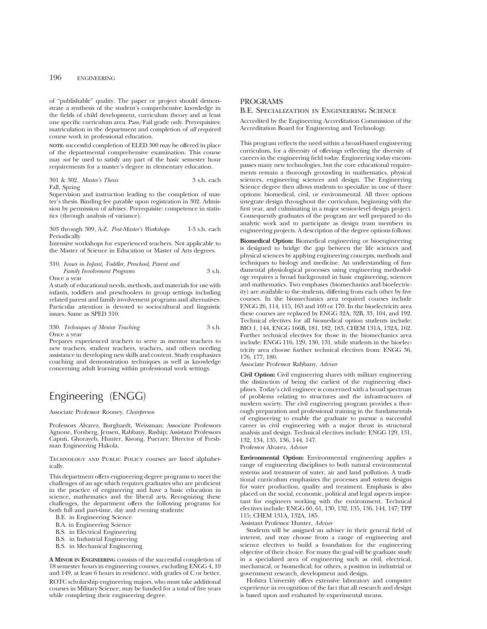## 196 ENGINEERING

of "publishable" quality. The paper or project should demonstrate a synthesis of the student's comprehensive knowledge in the fields of child development, curriculum theory and at least one specific curriculum area. Pass/Fail grade only. Prerequisites: matriculation in the department and completion of *all* required course work in professional education.

**NOTE:** successful completion of ELED 300 may be offered in place of the departmental comprehensive examination. This course may *not* be used to satisfy any part of the basic semester hour requirements for a master's degree in elementary education.

|              | 301 & 302. Master's Thesis | 3 s.h. each |
|--------------|----------------------------|-------------|
| Fall, Spring |                            |             |

Supervision and instruction leading to the completion of master's thesis. Binding fee payable upon registration in 302. Admission by permission of adviser. Prerequisite: competence in statistics (through analysis of variance).

303 through 309, A-Z. *Post-Master's Workshops* 1-3 s.h. each Periodically

Intensive workshops for experienced teachers. Not applicable to the Master of Science in Education or Master of Arts degrees.

#### 310. *Issues in Infant, Toddler, Preschool, Parent and Family Involvement Programs* 3 s.h. Once a year

A study of educational needs, methods, and materials for use with infants, toddlers and preschoolers in group settings including related parent and family involvement programs and alternatives. Particular attention is devoted to sociocultural and linguistic issues. Same as SPED 310.

330. *Techniques of Mentor Teaching* 3 s.h. Once a year

Prepares experienced teachers to serve as mentor teachers to new teachers, student teachers, teachers, and others needing assistance in developing new skills and content. Study emphasizes coaching and demonstration techniques as well as knowledge concerning adult learning within professional work settings.

## Engineering (ENGG)

Associate Professor Rooney, *Chairperson*

Professors Alvarez, Burghardt, Weissman; Associate Professors Agnone, Forsberg, Jensen, Rabbany, Raship; Assistant Professors Caputi, Ghorayeb, Hunter, Kwong, Puerzer; Director of Freshman Engineering Hakola.

Technology and Public Policy courses are listed alphabetically.

This department offers engineering degree programs to meet the challenges of an age which requires graduates who are proficient in the practice of engineering and have a basic education in science, mathematics and the liberal arts. Recognizing these challenges, the department offers the following programs for both full and part-time, day and evening students:

B.E. in Engineering Science

B.A. in Engineering Science

B.S. in Electrical Engineering

B.S. in Industrial Engineering

B.S. in Mechanical Engineering

**A MINOR IN ENGINEERING** consists of the successful completion of 18 semester hours in engineering courses, excluding ENGG 4, 10 and 149, at least 6 hours in residence, with grades of C or better. ROTC scholarship engineering majors, who must take additional courses in Military Science, may be funded for a total of five years while completing their engineering degree.

## PROGRAMS

## B.E. Specialization in Engineering Science

Accredited by the Engineering Accreditation Commission of the Accreditation Board for Engineering and Technology.

This program reflects the need within a broad-based engineering curriculum, for a diversity of offerings reflecting the diversity of careers in the engineering field today. Engineering today encompasses many new technologies, but the core educational requirements remain a thorough grounding in mathematics, physical sciences, engineering sciences and design. The Engineering Science degree then allows students to specialize in one of three options: biomedical, civil, or environmental. All three options integrate design throughout the curriculum, beginning with the first year, and culminating in a major senior-level design project. Consequently graduates of the program are well prepared to do analytic work and to participate as design team members in engineering projects. A description of the degree options follows:

**Biomedical Option:** Biomedical engineering or bioengineering is designed to bridge the gap between the life sciences and physical sciences by applying engineering concepts, methods and techniques to biology and medicine. An understanding of fundamental physiological processes using engineering methodology requires a broad background in basic engineering, sciences and mathematics. Two emphases (biomechanics and bioelectricity) are available to the students, differing from each other by five courses. In the biomechanics area required courses include ENGG 26, 114, 115, 163 and 169 or 170. In the bioelectricity area these courses are replaced by ENGG 32A, 32B, 33, 104, and 192. Technical electives for all biomedical option students include: BIO 1, 144, ENGG 166B, 181, 182, 183, CHEM 131A, 132A, 162. Further technical electives for those in the biomechanics area include: ENGG 116, 129, 130, 131, while students in the bioelectricity area choose further technical electives from: ENGG 36, 176, 177, 180.

Associate Professor Rabbany, *Adviser*

**Civil Option:** Civil engineering shares with military engineering the distinction of being the earliest of the engineering disciplines. Today's civil engineer is concerned with a broad spectrum of problems relating to structures and the infrastructures of modern society. The civil engineering program provides a thorough preparation and professional training in the fundamentals of engineering to enable the graduate to pursue a successful career in civil engineering with a major thrust in structural analysis and design. Technical electives include: ENGG 129, 131, 132, 134, 135, 136, 144, 147.

Professor Alvarez, *Adviser*

**Environmental Option:** Environmental engineering applies a range of engineering disciplines to both natural environmental systems and treatment of water, air and land pollution. A traditional curriculum emphasizes the processes and system designs for water production, quality and treatment. Emphasis is also placed on the social, economic, political and legal aspects important for engineers working with the environment. Technical electives include: ENGG 60, 61, 130, 132, 135, 136, 144, 147; TPP 115; CHEM 131A, 132A, 185.

Assistant Professor Hunter, *Adviser*

Students will be assigned an adviser in their general field of interest, and may choose from a range of engineering and science electives to build a foundation for the engineering objective of their choice. For many the goal will be graduate study in a specialized area of engineering such as civil, electrical, mechanical, or biomedical; for others, a position in industrial or government research, development and design.

Hofstra University offers extensive laboratory and computer experience in recognition of the fact that all research and design is based upon and evaluated by experimental means.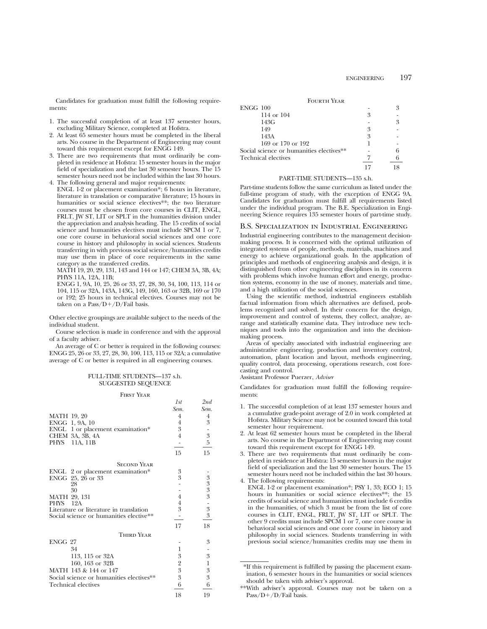Candidates for graduation must fulfill the following requirements:

- 1. The successful completion of at least 137 semester hours, excluding Military Science, completed at Hofstra.
- 2. At least 65 semester hours must be completed in the liberal arts. No course in the Department of Engineering may count toward this requirement except for ENGG 149.
- 3. There are two requirements that must ordinarily be completed in residence at Hofstra: 15 semester hours in the major field of specialization and the last 30 semester hours. The 15 semester hours need not be included within the last 30 hours.
- 4. The following general and major requirements: ENGL 1-2 or placement examination\*; 6 hours in literature, literature in translation or comparative literature; 15 hours in humanities or social science electives\*\*; the two literature courses must be chosen from core courses in CLIT, ENGL, FRLT, JW ST, LIT or SPLT in the humanities division under the appreciation and analysis heading. The 15 credits of social science and humanities electives must include SPCM 1 or 7, one core course in behavioral social sciences and one core course in history and philosophy in social sciences. Students transferring in with previous social science/humanities credits may use them in place of core requirements in the same category as the transferred credits.

MATH 19, 20, 29, 131, 143 and 144 or 147; CHEM 3A, 3B, 4A; PHYS 11A, 12A, 11B;

ENGG 1, 9A, 10, 25, 26 or 33, 27, 28, 30, 34, 100, 113, 114 or 104, 115 or 32A, 143A, 143G, 149, 160, 163 or 32B, 169 or 170 or 192; 25 hours in technical electives. Courses may not be taken on a Pass/ $D+/D/F$ ail basis.

Other elective groupings are available subject to the needs of the individual student.

Course selection is made in conference and with the approval of a faculty adviser.

An average of C or better is required in the following courses: ENGG 25, 26 or 33, 27, 28, 30, 100, 113, 115 or 32A; a cumulative average of C or better is required in all engineering courses.

## FULL-TIME STUDENTS—137 s.h. SUGGESTED SEQUENCE

#### First Year

|                                                                                    | 1st              | 2nd              |
|------------------------------------------------------------------------------------|------------------|------------------|
|                                                                                    | Sem.             | Sem.             |
| <b>MATH 19, 20</b>                                                                 | 4                | 4                |
| ENGG 1, 9A, 10                                                                     | 4                | $\boldsymbol{3}$ |
| ENGL 1 or placement examination*                                                   | 3                |                  |
| CHEM 3A, 3B, 4A                                                                    | 4                | $\overline{3}$   |
| PHYS<br>11A, 11B                                                                   |                  | $\bf 5$          |
|                                                                                    | 15               | 15               |
| <b>SECOND YEAR</b>                                                                 |                  |                  |
| ENGL 2 or placement examination*                                                   | 3                |                  |
| ENGG 25, 26 or 33                                                                  | 3                |                  |
| 28                                                                                 |                  |                  |
| 30                                                                                 |                  |                  |
| MATH 29, 131                                                                       | 4                |                  |
| PHYS 12A                                                                           | 4<br>3           | $3333$ - 33      |
| Literature or literature in translation<br>Social science or humanities elective** |                  |                  |
|                                                                                    |                  |                  |
|                                                                                    | 17               | 18               |
| <b>THIRD YEAR</b>                                                                  |                  |                  |
| ENGG 27                                                                            |                  | 3                |
| 34                                                                                 | 1                |                  |
| 113, 115 or 32A                                                                    | 3                | $\boldsymbol{3}$ |
| 160, 163 or 32B                                                                    | $\overline{2}$   | $\mathbf{1}$     |
| MATH 143 & 144 or 147                                                              | $\boldsymbol{3}$ | $\boldsymbol{3}$ |
| Social science or humanities electives**                                           | 3                | 3                |
| Technical electives                                                                | 6                | 6                |
|                                                                                    | 18               | 19               |

| ENGG 100                                 |   | ዳ |
|------------------------------------------|---|---|
| 114 or 104                               | 3 |   |
| 143G                                     |   | 3 |
| 149                                      | 3 |   |
| 143A                                     | 3 |   |
| 169 or 170 or 192                        |   |   |
| Social science or humanities electives** |   |   |
| Technical electives                      |   |   |
|                                          |   |   |

#### PART-TIME STUDENTS—135 s.h.

Part-time students follow the same curriculum as listed under the full-time program of study, with the exception of ENGG 9A. Candidates for graduation must fulfill all requirements listed under the individual program. The B.E. Specialization in Engineering Science requires 135 semester hours of part-time study.

## B.S. Specialization in Industrial Engineering

Industrial engineering contributes to the management decisionmaking process. It is concerned with the optimal utilization of integrated systems of people, methods, materials, machines and energy to achieve organizational goals. In the application of principles and methods of engineering analysis and design, it is distinguished from other engineering disciplines in its concern with problems which involve human effort and energy, production systems, economy in the use of money, materials and time, and a high utilization of the social sciences.

Using the scientific method, industrial engineers establish factual information from which alternatives are defined, problems recognized and solved. In their concern for the design, improvement and control of systems, they collect, analyze, arrange and statistically examine data. They introduce new techniques and tools into the organization and into the decisionmaking process.

Areas of specialty associated with industrial engineering are administrative engineering, production and inventory control, automation, plant location and layout, methods engineering, quality control, data processing, operations research, cost forecasting and control.

Assistant Professor Puerzer, *Adviser*

Candidates for graduation must fulfill the following requirements:

- 1. The successful completion of at least 137 semester hours and a cumulative grade-point average of 2.0 in work completed at Hofstra. Military Science may not be counted toward this total semester hour requirement.
- 2. At least 62 semester hours must be completed in the liberal arts. No course in the Department of Engineering may count toward this requirement except for ENGG 149.
- 3. There are two requirements that must ordinarily be completed in residence at Hofstra: 15 semester hours in the major field of specialization and the last 30 semester hours. The 15 semester hours need not be included within the last 30 hours.
- 4. The following requirements: ENGL 1-2 or placement examination\*; PSY 1, 33; ECO 1; 15 hours in humanities or social science electives\*\*; the 15 credits of social science and humanities must include 6 credits in the humanities, of which 3 must be from the list of core courses in CLIT, ENGL, FRLT, JW ST, LIT or SPLT. The other 9 credits must include SPCM 1 or 7, one core course in behavioral social sciences and one core course in history and philosophy in social sciences. Students transferring in with previous social science/humanities credits may use them in

<sup>\*</sup>If this requirement is fulfilled by passing the placement examination, 6 semester hours in the humanities or social sciences should be taken with adviser's approval.

<sup>\*\*</sup>With adviser's approval. Courses may not be taken on a  $Pass/D+/D/Fail basis.$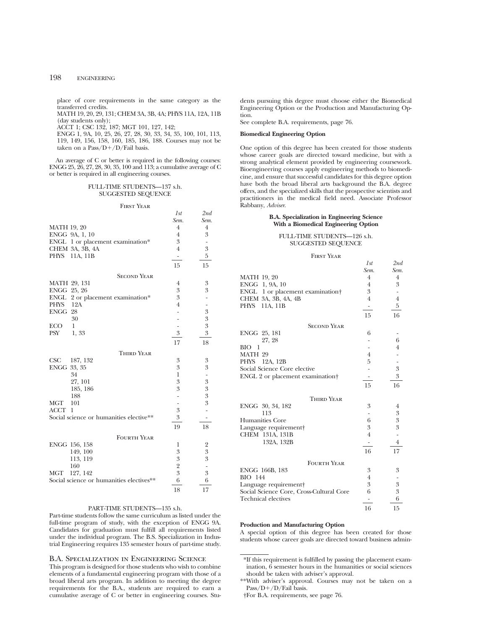place of core requirements in the same category as the transferred credits.

MATH 19, 20, 29, 131; CHEM 3A, 3B, 4A; PHYS 11A, 12A, 11B (day students only);

ACCT 1; CSC 132, 187; MGT 101, 127, 142;

ENGG 1, 9A, 10, 25, 26, 27, 28, 30, 33, 34, 35, 100, 101, 113, 119, 149, 156, 158, 160, 185, 186, 188. Courses may not be taken on a Pass/ $D+ / D$ /Fail basis.

An average of C or better is required in the following courses: ENGG 25, 26, 27, 28, 30, 35, 100 and 113; a cumulative average of C or better is required in all engineering courses.

## FULL-TIME STUDENTS—137 s.h. SUGGESTED SEQUENCE

#### First Year

|                                          | 1st                          | 2nd            |
|------------------------------------------|------------------------------|----------------|
|                                          | Sem.                         | Sem.           |
| <b>MATH 19, 20</b>                       | $\overline{4}$               | $\overline{4}$ |
| ENGG 9A, 1, 10                           | $\overline{4}$               | 3              |
| ENGL 1 or placement examination*         | 3                            |                |
| CHEM 3A, 3B, 4A                          | $\overline{4}$               | 3              |
| PHYS 11A, 11B                            | $\overline{\phantom{m}}$     | 5              |
|                                          | 15                           | 15             |
| <b>SECOND YEAR</b>                       |                              |                |
| MATH 29, 131                             | 4                            | 3              |
| ENGG 25, 26                              | 3                            | 3              |
| ENGL<br>2 or placement examination*      | 3                            |                |
| PHYS<br>12A                              | $\overline{4}$               |                |
| ENGG 28                                  |                              | 3              |
| 30                                       | L.                           | $\overline{3}$ |
| $\mathbf{1}$<br><b>ECO</b>               | $\overline{\phantom{0}}$     | 3              |
| PSY<br>1,33                              | 3                            | 3              |
|                                          | 17                           | 18             |
| <b>THIRD YEAR</b>                        |                              |                |
| CSC<br>187, 132                          | 3                            | 3              |
| ENGG 33, 35                              | 3                            | 3              |
| 34                                       | $\mathbf{1}$                 |                |
| 27, 101                                  | 3                            | $\mathfrak{B}$ |
| 185, 186                                 | 3                            | $\overline{3}$ |
| 188                                      | $\frac{1}{2}$                | 3              |
| MGT<br>101                               | $\qquad \qquad \blacksquare$ | 3              |
| ACCT<br>1                                | 3                            |                |
| Social science or humanities elective**  | 3                            |                |
|                                          | $19\,$                       | 18             |
| <b>FOURTH YEAR</b>                       |                              |                |
| ENGG 156, 158                            | 1                            | 2              |
| 149, 100                                 | 3                            | 3              |
| 113, 119                                 | 3                            | $\overline{3}$ |
| 160                                      | $\overline{2}$               |                |
| MGT<br>127, 142                          | 3                            | $\overline{3}$ |
| Social science or humanities electives** | 6                            | 6              |
|                                          | 18                           | 17             |

# PART-TIME STUDENTS—135 s.h.

Part-time students follow the same curriculum as listed under the full-time program of study, with the exception of ENGG 9A. Candidates for graduation must fulfill all requirements listed under the individual program. The B.S. Specialization in Industrial Engineering requires 135 semester hours of part-time study.

## B.A. Specialization in Engineering Science

This program is designed for those students who wish to combine elements of a fundamental engineering program with those of a broad liberal arts program. In addition to meeting the degree requirements for the B.A., students are required to earn a cumulative average of C or better in engineering courses. Students pursuing this degree must choose either the Biomedical Engineering Option or the Production and Manufacturing Option.

See complete B.A. requirements, page 76.

## **Biomedical Engineering Option**

One option of this degree has been created for those students whose career goals are directed toward medicine, but with a strong analytical element provided by engineering coursework. Bioengineering courses apply engineering methods to biomedicine, and ensure that successful candidates for this degree option have both the broad liberal arts background the B.A. degree offers, and the specialized skills that the prospective scientists and practitioners in the medical field need. Associate Professor Rabbany, *Adviser*.

#### **B.A. Specialization in Engineering Science With a Biomedical Engineering Option**

## FULL-TIME STUDENTS—126 s.h. SUGGESTED SEQUENCE

First Year

|                                          | 1st            | 2nd              |
|------------------------------------------|----------------|------------------|
|                                          | Sem.           | Sem.             |
| MATH 19, 20                              | $\overline{4}$ | 4                |
| ENGG 1, 9A, 10                           | $\overline{4}$ | 3                |
| ENGL 1 or placement examination†         | 3              |                  |
| CHEM 3A, 3B, 4A, 4B                      | 4              | 4                |
| PHYS 11A, 11B                            |                | 5                |
|                                          | 15             | 16               |
| <b>SECOND YEAR</b>                       |                |                  |
| ENGG 25, 181                             | 6              |                  |
| 27, 28                                   |                | 6                |
| BIO<br>-1                                |                | $\overline{4}$   |
| MATH 29                                  | $\overline{4}$ |                  |
| PHYS<br>12A, 12B                         | 5              |                  |
| Social Science Core elective             |                | $\boldsymbol{3}$ |
| ENGL 2 or placement examination          |                | 3                |
|                                          | 15             | 16               |
| Third Year                               |                |                  |
| ENGG 30, 34, 182                         | 3              | $\overline{4}$   |
| 113                                      | -              | $\boldsymbol{3}$ |
| <b>Humanities Core</b>                   | 6              | $\overline{3}$   |
| Language requirement                     | 3              | 3                |
| CHEM 131A, 131B                          | $\overline{4}$ |                  |
| 132A, 132B                               |                | 4                |
|                                          | 16             | 17               |
| <b>FOURTH YEAR</b>                       |                |                  |
| ENGG 166B, 183                           | 3              | 3                |
| <b>BIO</b> 144                           | $\overline{4}$ |                  |
| Language requirement                     | 3              | 3                |
| Social Science Core, Cross-Cultural Core | 6              | 3                |
| <b>Technical electives</b>               |                | 6                |
|                                          | 16             | 15               |

# **Production and Manufacturing Option**

A special option of this degree has been created for those students whose career goals are directed toward business admin-

<sup>\*</sup>If this requirement is fulfilled by passing the placement examination, 6 semester hours in the humanities or social sciences should be taken with adviser's approval.

<sup>\*\*</sup>With adviser's approval. Courses may not be taken on a Pass/D+/D/Fail basis.

<sup>†</sup>For B.A. requirements, see page 76.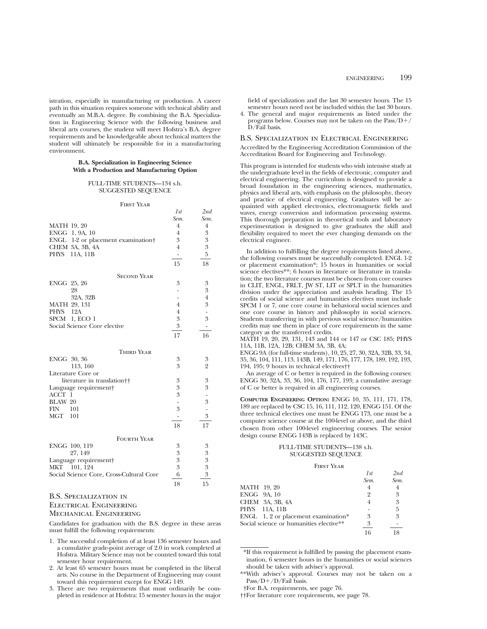istration, especially in manufacturing or production. A career path in this situation requires someone with technical ability and eventually an M.B.A. degree. By combining the B.A. Specialization in Engineering Science with the following business and liberal arts courses, the student will meet Hofstra's B.A. degree requirements and be knowledgeable about technical matters the student will ultimately be responsible for in a manufacturing environment.

#### **B.A. Specialization in Engineering Science With a Production and Manufacturing Option**

### FULL-TIME STUDENTS—134 s.h. SUGGESTED SEQUENCE

#### FIRST YEAR

|                                          | 1st                          | 2nd                      |
|------------------------------------------|------------------------------|--------------------------|
|                                          | Sem.                         | Sem.                     |
| <b>MATH 19, 20</b>                       | $\overline{4}$               | $\overline{4}$           |
| ENGG 1, 9A, 10                           | $\overline{4}$               | 3                        |
| ENGL<br>1-2 or placement examination     | 3                            | $\boldsymbol{3}$         |
| CHEM 3A, 3B, 4A                          | $\overline{4}$               | $\overline{3}$           |
| PHYS<br>11A, 11B                         | $\overline{\phantom{a}}$     | 5                        |
|                                          | 15                           | 18                       |
| <b>SECOND YEAR</b>                       |                              |                          |
| ENGG 25, 26                              | 3                            | 3                        |
| 28                                       |                              | $\mathfrak{B}$           |
| 32A, 32B                                 |                              | $\overline{4}$           |
| MATH 29, 131                             | $\overline{4}$               | 3                        |
| PHYS 12A                                 | $\overline{4}$               | $\overline{\phantom{0}}$ |
| SPCM 1, ECO 1                            | 3                            | 3                        |
| Social Science Core elective             | $\mathfrak{Z}$               | $\overline{\phantom{0}}$ |
|                                          | 17                           | 16                       |
| <b>THIRD YEAR</b>                        |                              |                          |
| ENGG 30, 36                              | 3                            | 3                        |
| 113, 160                                 | 3                            | $\overline{2}$           |
| Literature Core or                       |                              |                          |
| literature in translation <sup>††</sup>  | 3                            | 3                        |
| Language requirement                     | 3                            | 3                        |
| ACCT 1                                   | 3                            | $\overline{\phantom{m}}$ |
| BLAW 20                                  | $\overline{a}$               | 3                        |
| FIN<br>101                               | 3                            | $\overline{\phantom{a}}$ |
| MGT 101                                  | $\qquad \qquad \blacksquare$ | 3                        |
|                                          | 18                           | 17                       |
| <b>FOURTH YEAR</b>                       |                              |                          |
| ENGG 100, 119                            | 3                            | 3                        |
| 27, 149                                  | $\mathfrak{B}$               | 3                        |
| Language requirement                     | 3                            | 3                        |
| MKT 101, 124                             | 3                            | 3                        |
| Social Science Core, Cross-Cultural Core | 6                            | 3                        |
|                                          | 18                           | 15                       |

# B.S. Specialization in

## Electrical Engineering

## Mechanical Engineering

Candidates for graduation with the B.S. degree in these areas must fulfill the following requirements:

- 1. The successful completion of at least 136 semester hours and a cumulative grade-point average of 2.0 in work completed at Hofstra. Military Science may not be counted toward this total semester hour requirement.
- 2. At least 65 semester hours must be completed in the liberal arts. No course in the Department of Engineering may count toward this requirement except for ENGG 149.
- 3. There are two requirements that must ordinarily be completed in residence at Hofstra: 15 semester hours in the major

field of specialization and the last 30 semester hours. The 15 semester hours need not be included within the last 30 hours.

4. The general and major requirements as listed under the programs below. Courses may not be taken on the  $Pass/D+$ D/Fail basis.

## B.S. Specialization in Electrical Engineering

Accredited by the Engineering Accreditation Commission of the Accreditation Board for Engineering and Technology.

This program is intended for students who wish intensive study at the undergraduate level in the fields of electronic, computer and electrical engineering. The curriculum is designed to provide a broad foundation in the engineering sciences, mathematics, physics and liberal arts, with emphasis on the philosophy, theory and practice of electrical engineering. Graduates will be acquainted with applied electronics, electromagnetic fields and waves, energy conversion and information processing systems. This thorough preparation in theoretical tools and laboratory experimentation is designed to give graduates the skill and flexibility required to meet the ever changing demands on the electrical engineer.

In addition to fulfilling the degree requirements listed above, the following courses must be successfully completed. ENGL 1-2 or placement examination\*; 15 hours in humanities or social science electives\*\*; 6 hours in literature or literature in translation; the two literature courses must be chosen from core courses in CLIT, ENGL, FRLT, JW ST, LIT or SPLT in the humanities division under the appreciation and analysis heading. The 15 credits of social science and humanities electives must include SPCM 1 or 7, one core course in behavioral social sciences and one core course in history and philosophy in social sciences. Students transferring in with previous social science/humanities credits may use them in place of core requirements in the same category as the transferred credits.

MATH 19, 20, 29, 131, 143 and 144 or 147 or CSC 185; PHYS 11A, 11B, 12A, 12B; CHEM 3A, 3B, 4A;

ENGG 9A (for full-time students), 10, 25, 27, 30, 32A, 32B, 33, 34, 35, 36, 104, 111, 113, 143B, 149, 171, 176, 177, 178, 189, 192, 193, 194, 195; 9 hours in technical electives††

An average of C or better is required in the following courses: ENGG 30, 32A, 33, 36, 104, 176, 177, 193; a cumulative average of C or better is required in all engineering courses.

**COMPUTER ENGINEERING OPTION:** ENGG 10, 35, 111, 171, 178, 189 are replaced by CSC 15, 16, 111, 112, 120, ENGG 151. Of the three technical electives one must be ENGG 173, one must be a computer science course at the 100-level or above, and the third chosen from other 100-level engineering courses. The senior design course ENGG 143B is replaced by 143C.

## FULL-TIME STUDENTS—138 s.h. SUGGESTED SEQUENCE

## FIDST VEAD

| .                                       |        |      |
|-----------------------------------------|--------|------|
|                                         | 1st    | 2nd  |
|                                         | Sem.   | Sem. |
| <b>MATH</b> 19, 20                      |        | 4    |
| ENGG 9A, 10                             | $^{9}$ | 3    |
| CHEM 3A, 3B, 4A                         |        | 3    |
| PHYS 11A, 11B                           |        | 5    |
| ENGL $1, 2$ or placement examination*   | 3      | 3    |
| Social science or humanities elective** | 3      |      |
|                                         | 16     |      |

\*If this requirement is fulfilled by passing the placement examination, 6 semester hours in the humanities or social sciences should be taken with adviser's approval.

\*\*With adviser's approval. Courses may not be taken on a Pass/ $D+/D$ /Fail basis.

††For literature core requirements, see page 78.

<sup>†</sup>For B.A. requirements, see page 76.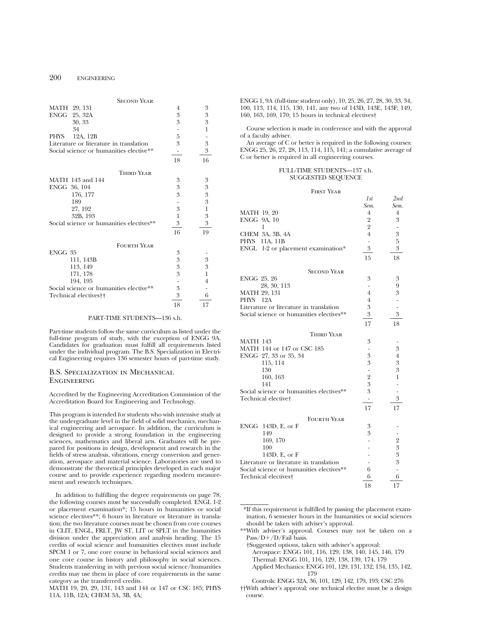# 200 ENGINEERING

|              | <b>SECOND YEAR</b>                       |                  |                  |
|--------------|------------------------------------------|------------------|------------------|
|              | MATH 29, 131                             | 4                | 3                |
|              | ENGG 25, 32A                             | $\boldsymbol{3}$ | $\boldsymbol{3}$ |
|              | 30, 33                                   | 3                | 3                |
|              | 34                                       |                  | 1                |
| <b>PHYS</b>  | 12A, 12B                                 | 5                |                  |
|              | Literature or literature in translation  | 3                | 3                |
|              | Social science or humanities elective**  |                  | 3                |
|              |                                          | 18               | 16               |
|              | <b>THIRD YEAR</b>                        |                  |                  |
|              | MATH 143 and 144                         | 3                | 3                |
| ENGG 36, 104 |                                          | $\boldsymbol{3}$ | $\boldsymbol{3}$ |
|              | 176, 177                                 | 3                | 3                |
|              | 189                                      |                  | $\overline{3}$   |
|              | 27, 192                                  | 3                | 1                |
|              | 32B, 193                                 | 1                | $\mathfrak{B}$   |
|              | Social science or humanities electives** | 3                | 3                |
|              |                                          | 16               | 19               |
|              | <b>FOURTH YEAR</b>                       |                  |                  |
| ENGG 35      |                                          | 3                |                  |
|              | 111, 143B                                | $\boldsymbol{3}$ | $\boldsymbol{3}$ |
|              | 113, 149                                 | 3                | 3                |
|              | 171, 178                                 | 3                | 1                |
|              | 194, 195                                 |                  | 4                |
|              | Social science or humanities elective**  | 3                |                  |
|              | Technical electives <sup>†</sup>         | 3                | 6                |
|              |                                          | 18               | 17               |

#### PART-TIME STUDENTS—136 s.h.

Part-time students follow the same curriculum as listed under the full-time program of study, with the exception of ENGG 9A. Candidates for graduation must fulfill all requirements listed under the individual program. The B.S. Specialization in Electrical Engineering requires 136 semester hours of part-time study.

## B.S. Specialization in Mechanical **ENGINEERING**

Accredited by the Engineering Accreditation Commission of the Accreditation Board for Engineering and Technology.

This program is intended for students who wish intensive study at the undergraduate level in the field of solid mechanics, mechanical engineering and aerospace. In addition, the curriculum is designed to provide a strong foundation in the engineering sciences, mathematics and liberal arts. Graduates will be prepared for positions in design, development and research in the fields of stress analysis, vibrations, energy conversion and generation, aerospace and material science. Laboratories are used to demonstrate the theoretical principles developed in each major course and to provide experience regarding modern measurement and research techniques.

In addition to fulfilling the degree requirements on page 78, the following courses must be successfully completed. ENGL 1-2 or placement examination\*; 15 hours in humanities or social science electives\*\*; 6 hours in literature or literature in translation; the two literature courses must be chosen from core courses in CLIT, ENGL, FRLT, JW ST, LIT or SPLT in the humanities division under the appreciation and analysis heading. The 15 credits of social science and humanities electives must include SPCM 1 or 7, one core course in behavioral social sciences and one core course in history and philosophy in social sciences. Students transferring in with previous social science/humanities credits may use them in place of core requirements in the same category as the transferred credits.

MATH 19, 20, 29, 131, 143 and 144 or 147 or CSC 185; PHYS 11A, 11B, 12A; CHEM 3A, 3B, 4A;

ENGG 1, 9A (full-time student only), 10, 25, 26, 27, 28, 30, 33, 34, 100, 113, 114, 115, 130, 141, any two of 143D, 143E, 143F; 149, 160, 163, 169, 170; 15 hours in technical electives†

Course selection is made in conference and with the approval of a faculty adviser.

An average of C or better is required in the following courses: ENGG 25, 26, 27, 28, 113, 114, 115, 141; a cumulative average of C or better is required in all engineering courses.

## FULL-TIME STUDENTS—137 s.h. SUGGESTED SEQUENCE

First Year

|                                          | 1st            | 2nd                      |
|------------------------------------------|----------------|--------------------------|
|                                          | Sem.           | Sem.                     |
| <b>MATH 19, 20</b>                       | 4              | 4                        |
| ENGG 9A, 10                              | $\overline{2}$ | 3                        |
| 1                                        | $\overline{2}$ |                          |
| CHEM 3A, 3B, 4A                          | $\overline{4}$ | $\mathfrak{B}$           |
| PHYS 11A, 11B                            |                | 5                        |
| ENGL 1-2 or placement examination*       | 3              | $\mathfrak{B}$           |
|                                          | 15             | 18                       |
|                                          |                |                          |
| <b>SECOND YEAR</b>                       |                |                          |
| ENGG 25, 26                              | 3              | 3                        |
| 28, 30, 113                              | -              | 9                        |
| <b>MATH 29, 131</b>                      | 4              | 3                        |
| PHYS 12A                                 | 4              |                          |
| Literature or literature in translation  | $\mathfrak{Z}$ | $\frac{1}{2}$            |
| Social science or humanities electives** | 3              | 3                        |
|                                          | 17             | 18                       |
|                                          |                |                          |
| <b>THIRD YEAR</b>                        |                |                          |
| <b>MATH 143</b>                          | 3              |                          |
| MATH 144 or 147 or CSC 185               |                | 3                        |
| ENGG 27, 33 or 35, 34                    | 3              | $\overline{4}$           |
| 115, 114                                 | 3              | 3                        |
| 130                                      | $\overline{a}$ | 3                        |
| 160, 163                                 | $\frac{2}{3}$  | 1                        |
| 141                                      |                |                          |
| Social science or humanities electives** | 3              | $\overline{\phantom{0}}$ |
| Technical elective†                      |                | 3                        |
|                                          | 17             | 17                       |
|                                          |                |                          |
| <b>FOURTH YEAR</b>                       |                |                          |
| ENGG $143D$ , E, or F                    | 3              |                          |
| 149                                      | 3              |                          |
| 169, 170                                 |                | $\overline{2}$           |
| 100                                      |                | 3                        |
| 143D, E, or F                            |                | 3                        |
| Literature or literature in translation  |                | 3                        |
| Social science or humanities electives** | 6              | $\overline{\phantom{0}}$ |
| Technical electives <sup>+</sup>         | 6              | 6                        |
|                                          | 18             | 17                       |

\*If this requirement is fulfilled by passing the placement examination, 6 semester hours in the humanities or social sciences should be taken with adviser's approval.

\*\*With adviser's approval. Courses may not be taken on a Pass/D+/D/Fail basis.

†Suggested options, taken with adviser's approval:

Aerospace: ENGG 101, 116, 129, 138, 140, 145, 146, 179 Thermal: ENGG 101, 116, 129, 138, 139, 174, 179 Applied Mechanics: ENGG 101, 129, 131, 132, 134, 135, 142, 179

Controls: ENGG 32A, 36, 101, 129, 142, 179, 193; CSC 276 ††With adviser's approval; one technical elective must be a design course.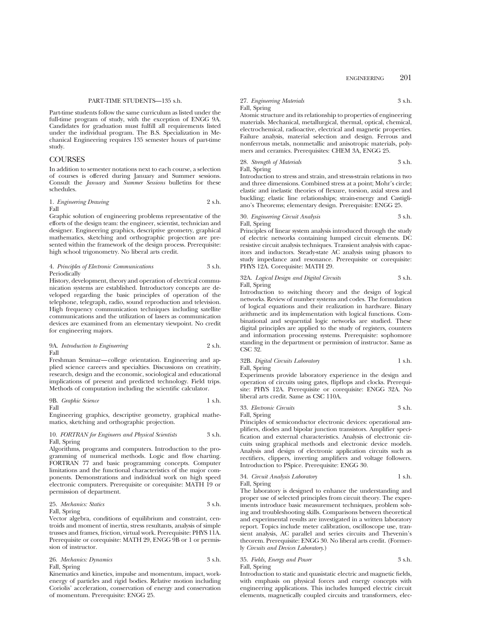#### PART-TIME STUDENTS—135 s.h.

Part-time students follow the same curriculum as listed under the full-time program of study, with the exception of ENGG 9A. Candidates for graduation must fulfill all requirements listed under the individual program. The B.S. Specialization in Mechanical Engineering requires 135 semester hours of part-time study.

### COURSES

In addition to semester notations next to each course, a selection of courses is offered during January and Summer sessions. Consult the *January* and *Summer Sessions* bulletins for these schedules.

#### 1. *Engineering Drawing* 2 s.h. Fall

Graphic solution of engineering problems representative of the efforts of the design team: the engineer, scientist, technician and designer. Engineering graphics, descriptive geometry, graphical mathematics, sketching and orthographic projection are presented within the framework of the design process. Prerequisite: high school trigonometry. No liberal arts credit.

#### 4. *Principles of Electronic Communications* 3 s.h. Periodically

History, development, theory and operation of electrical communication systems are established. Introductory concepts are developed regarding the basic principles of operation of the telephone, telegraph, radio, sound reproduction and television. High frequency communication techniques including satellite communications and the utilization of lasers as communication devices are examined from an elementary viewpoint. No credit for engineering majors.

9A. *Introduction to Engineering* 2 s.h. Fall

Freshman Seminar—college orientation. Engineering and applied science careers and specialties. Discussions on creativity, research, design and the economic, sociological and educational implications of present and predicted technology. Field trips. Methods of computation including the scientific calculator.

9B. *Graphic Science* 1 s.h.

Fall

Engineering graphics, descriptive geometry, graphical mathematics, sketching and orthographic projection.

## 10. *FORTRAN for Engineers and Physical Scientists* 3 s.h. Fall, Spring

Algorithms, programs and computers. Introduction to the programming of numerical methods. Logic and flow charting. FORTRAN 77 and basic programming concepts. Computer limitations and the functional characteristics of the major components. Demonstrations and individual work on high speed electronic computers. Prerequisite or corequisite: MATH 19 or permission of department.

25. *Mechanics: Statics* 3 s.h.

#### Fall, Spring

Vector algebra, conditions of equilibrium and constraint, centroids and moment of inertia, stress resultants, analysis of simple trusses and frames, friction, virtual work. Prerequisite: PHYS 11A. Prerequisite or corequisite: MATH 29, ENGG 9B or 1 or permission of instructor.

26. *Mechanics: Dynamics* 3 s.h. Fall, Spring

Kinematics and kinetics, impulse and momentum, impact, workenergy of particles and rigid bodies. Relative motion including Coriolis' acceleration, conservation of energy and conservation of momentum. Prerequisite: ENGG 25.

## 27. *Engineering Materials* 3 s.h. Fall, Spring

Atomic structure and its relationship to properties of engineering materials. Mechanical, metallurgical, thermal, optical, chemical, electrochemical, radioactive, electrical and magnetic properties. Failure analysis, material selection and design. Ferrous and nonferrous metals, nonmetallic and anisotropic materials, polymers and ceramics. Prerequisites: CHEM 3A, ENGG 25.

28. *Strength of Materials* 3 s.h. Fall, Spring

Introduction to stress and strain, and stress-strain relations in two and three dimensions. Combined stress at a point; Mohr's circle; elastic and inelastic theories of flexure, torsion, axial stress and buckling; elastic line relationships; strain-energy and Castigliano's Theorems; elementary design. Prerequisite: ENGG 25.

30. *Engineering Circuit Analysis* 3 s.h. Fall, Spring

Principles of linear system analysis introduced through the study of electric networks containing lumped circuit elements. DC resistive circuit analysis techniques. Transient analysis with capacitors and inductors. Steady-state AC analysis using phasors to study impedance and resonance. Prerequisite or corequisite: PHYS 12A. Corequisite: MATH 29.

#### 32A. *Logical Design and Digital Circuits* 3 s.h. Fall, Spring

Introduction to switching theory and the design of logical networks. Review of number systems and codes. The formulation of logical equations and their realization in hardware. Binary arithmetic and its implementation with logical functions. Combinational and sequential logic networks are studied. These digital principles are applied to the study of registers, counters and information processing systems. Prerequisite: sophomore standing in the department or permission of instructor. Same as CSC 32.

#### 32B. *Digital Circuits Laboratory* 1 s.h. Fall, Spring

Experiments provide laboratory experience in the design and operation of circuits using gates, flipflops and clocks. Prerequisite: PHYS 12A. Prerequisite or corequisite: ENGG 32A. No liberal arts credit. Same as CSC 110A.

33. *Electronic Circuits* 3 s.h. Fall, Spring

Principles of semiconductor electronic devices: operational amplifiers, diodes and bipolar junction transistors. Amplifier specification and external characteristics. Analysis of electronic circuits using graphical methods and electronic device models. Analysis and design of electronic application circuits such as rectifiers, clippers, inverting amplifiers and voltage followers. Introduction to PSpice. Prerequisite: ENGG 30.

## 34. *Circuit Analysis Laboratory* 1 s.h. Fall, Spring

The laboratory is designed to enhance the understanding and proper use of selected principles from circuit theory. The experiments introduce basic measurement techniques, problem solving and troubleshooting skills. Comparisons between theoretical and experimental results are investigated in a written laboratory report. Topics include meter calibration, oscilloscope use, transient analysis, AC parallel and series circuits and Thevenin's theorem. Prerequisite: ENGG 30. No liberal arts credit. (Formerly *Circuits and Devices Laboratory*.)

## 35. *Fields, Energy and Power* 3 s.h. Fall, Spring

Introduction to static and quasistatic electric and magnetic fields, with emphasis on physical forces and energy concepts with engineering applications. This includes lumped electric circuit elements, magnetically coupled circuits and transformers, elec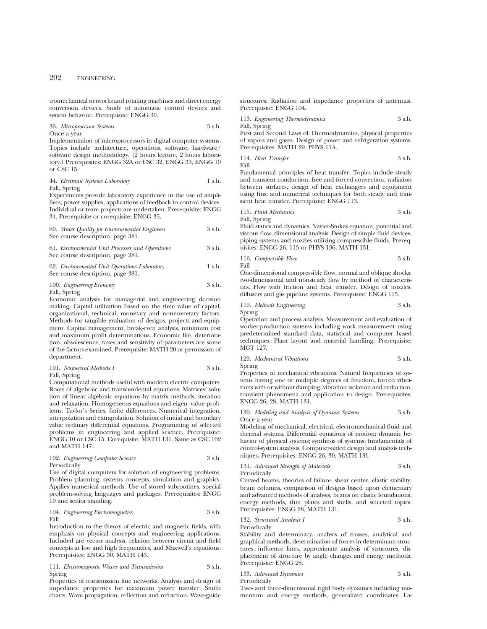tromechanical networks and rotating machines and direct energy conversion devices. Study of automatic control devices and system behavior. Prerequisite: ENGG 30.

36. *Microprocessor Systems* 3 s.h.

Once a year

Implementation of microprocessors in digital computer systems. Topics include architecture, operations, software, hardware/ software design methodology. (2 hours lecture, 2 hours laboratory.) Prerequisites: ENGG 32A or CSC 32, ENGG 33, ENGG 10 or CSC 15.

44. *Electronic Systems Laboratory* 1 s.h. Fall, Spring

Experiments provide laboratory experience in the use of amplifiers, power supplies, applications of feedback to control devices. Individual or team projects are undertaken. Prerequisite: ENGG 34. Prerequisite or corequisite: ENGG 35.

60. *Water Quality for Environmental Engineers* 3 s.h. See course description, page 381. 61. *Environmental Unit Processes and Operations* 3 s.h.

See course description, page 381.

62. *Environmental Unit Operations Laboratory* 1 s.h. See course description, page 381.

# 100. *Engineering Economy* 3 s.h.

Fall, Spring

Economic analysis for managerial and engineering decision making. Capital utilization based on the time value of capital, organizational, technical, monetary and nonmonetary factors. Methods for tangible evaluation of designs, projects and equipment. Capital management, break-even analysis, minimum cost and maximum profit determinations. Economic life, deterioration, obsolescence, taxes and sensitivity of parameters are some of the factors examined. Prerequisite: MATH 20 or permission of department.

101. *Numerical Methods I* 3 s.h. Fall, Spring

Computational methods useful with modern electric computers. Roots of algebraic and transcendental equations. Matrices; solution of linear algebraic equations by matrix methods, iteration and relaxation. Homogeneous equations and eigen- value problems. Taylor's Series, finite differences. Numerical integration, interpolation and extrapolation. Solution of initial and boundary value ordinary differential equations. Programming of selected problems in engineering and applied science. Prerequisite: ENGG 10 or CSC 15. Corequisite: MATH 131. Same as CSC 102 and MATH 147.

102. *Engineering Computer Science* 3 s.h. Periodically

Use of digital computers for solution of engineering problems. Problem planning, systems concepts, simulation and graphics. Applies numerical methods. Use of stored subroutines, special problem-solving languages and packages. Prerequisites: ENGG 10 and senior standing.

104. *Engineering Electromagnetics* 3 s.h. Fall

Introduction to the theory of electric and magnetic fields, with emphasis on physical concepts and engineering applications. Included are vector analysis, relation between circuit and field concepts at low and high frequencies, and Maxwell's equations. Prerequisites: ENGG 30, MATH 143.

111. *Electromagnetic Waves and Transmission* 3 s.h. Spring

Properties of transmission line networks. Analysis and design of impedance properties for maximum power transfer. Smith charts. Wave propagation, reflection and refraction. Wave-guide

structures. Radiation and impedance properties of antennas. Prerequisite: ENGG 104.

113. *Engineering Thermodynamics* 3 s.h. Fall, Spring

First and Second Laws of Thermodynamics, physical properties of vapors and gases. Design of power and refrigeration systems. Prerequisites: MATH 29, PHYS 11A.

114. *Heat Transfer* 3 s.h. Fall

Fundamental principles of heat transfer. Topics include steady and transient conduction, free and forced convection, radiation between surfaces, design of heat exchangers and equipment using fins, and numerical techniques for both steady and transient heat transfer. Prerequisite: ENGG 113.

115. *Fluid Mechanics* 3 s.h. Fall, Spring

Fluid statics and dynamics, Navier-Stokes equation, potential and viscous flow, dimensional analysis. Design of simple fluid devices, piping systems and nozzles utilizing compressible fluids. Prerequisites: ENGG 26, 113 or PHYS 136, MATH 131.

116. *Compressible Flow* 3 s.h. Fall

One-dimensional compressible flow, normal and oblique shocks; two-dimensional and nonsteady flow by method of characteristics. Flow with friction and heat transfer. Design of nozzles, diffusers and gas pipeline systems. Prerequisite: ENGG 115.

119. *Methods Engineering* 3 s.h. Spring

Operation and process analysis. Measurement and evaluation of worker-production systems including work measurement using predetermined standard data, statistical and computer based techniques. Plant layout and material handling. Prerequisite: MGT 127.

129. *Mechanical Vibrations* 3 s.h. Spring

Properties of mechanical vibrations. Natural frequencies of systems having one or multiple degrees of freedom, forced vibrations with or without damping, vibration isolation and reduction, transient phenomena and application to design. Prerequisites: ENGG 26, 28, MATH 131.

130. *Modeling and Analysis of Dynamic Systems* 3 s.h. Once a year

Modeling of mechanical, electrical, electromechanical fluid and thermal systems. Differential equations of motion; dynamic behavior of physical systems; synthesis of systems; fundamentals of control-system analysis. Computer-aided design and analysis techniques. Prerequisites: ENGG 26, 30, MATH 131.

131. *Advanced Strength of Materials* 3 s.h. Periodically

Curved beams, theories of failure, shear center, elastic stability, beam columns, comparison of designs based upon elementary and advanced methods of analysis, beams on elastic foundations, energy methods, thin plates and shells, and selected topics. Prerequisites: ENGG 28, MATH 131.

132. *Structural Analysis I* 3 s.h.

Periodically

Stability and determinacy, analysis of trusses, analytical and graphical methods, determination of forces in determinant structures, influence lines, approximate analysis of structures, displacement of structure by angle changes and energy methods. Prerequisite: ENGG 28.

133. *Advanced Dynamics* 3 s.h. Periodically

Two- and three-dimensional rigid body dynamics including momentum and energy methods, generalized coordinates. La-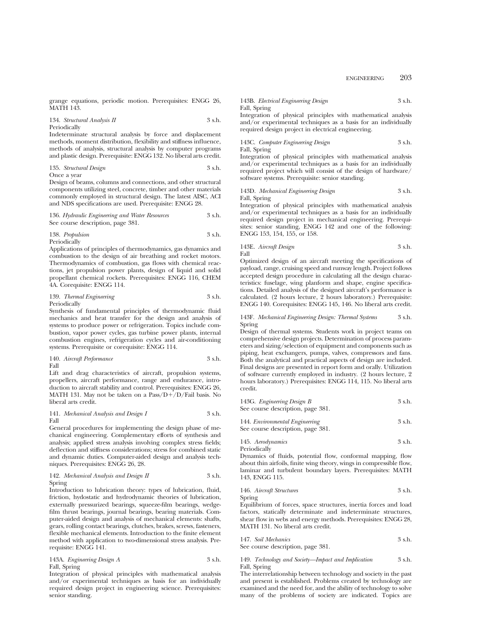grange equations, periodic motion. Prerequisites: ENGG 26, MATH 143.

134. *Structural Analysis II* 3 s.h. Periodically

Indeterminate structural analysis by force and displacement methods, moment distribution, flexibility and stiffness influence, methods of analysis, structural analysis by computer programs and plastic design. Prerequisite: ENGG 132. No liberal arts credit.

135. *Structural Design* 3 s.h. Once a year

Design of beams, columns and connections, and other structural components utilizing steel, concrete, timber and other materials commonly employed in structural design. The latest AISC, ACI and NDS specifications are used. Prerequisite: ENGG 28.

136. *Hydraulic Engineering and Water Resources* 3 s.h. See course description, page 381.

138. *Propulsion* 3 s.h. Periodically

Applications of principles of thermodynamics, gas dynamics and combustion to the design of air breathing and rocket motors. Thermodynamics of combustion, gas flows with chemical reactions, jet propulsion power plants, design of liquid and solid propellant chemical rockets. Prerequisites: ENGG 116, CHEM 4A. Corequisite: ENGG 114.

139. *Thermal Engineering* 3 s.h. Periodically

Synthesis of fundamental principles of thermodynamic fluid mechanics and heat transfer for the design and analysis of systems to produce power or refrigeration. Topics include combustion, vapor power cycles, gas turbine power plants, internal combustion engines, refrigeration cycles and air-conditioning

systems. Prerequisite or corequisite: ENGG 114.

140. *Aircraft Performance* 3 s.h.

Fall

Lift and drag characteristics of aircraft, propulsion systems, propellers, aircraft performance, range and endurance, introduction to aircraft stability and control. Prerequisites: ENGG 26, MATH 131. May not be taken on a  $Pass/D+/D/Fall$  basis. No liberal arts credit.

#### 141. *Mechanical Analysis and Design I* 3 s.h. Fall

General procedures for implementing the design phase of mechanical engineering. Complementary efforts of synthesis and analysis; applied stress analysis involving complex stress fields; deflection and stiffness considerations; stress for combined static and dynamic duties. Computer-aided design and analysis techniques. Prerequisites: ENGG 26, 28.

142. *Mechanical Analysis and Design II* 3 s.h. Spring

Introduction to lubrication theory: types of lubrication, fluid, friction, hydostatic and hydrodynamic theories of lubrication, externally pressurized bearings, squeeze-film bearings, wedgefilm thrust bearings, journal bearings, bearing materials. Computer-aided design and analysis of mechanical elements: shafts, gears, rolling contact bearings, clutches, brakes, screws, fasteners, flexible mechanical elements. Introduction to the finite element method with application to two-dimensional stress analysis. Prerequisite: ENGG 141.

143A. *Engineering Design A* 3 s.h. Fall, Spring

Integration of physical principles with mathematical analysis and/or experimental techniques as basis for an individually required design project in engineering science. Prerequisites: senior standing.

143B. *Electrical Engineering Design* 3 s.h. Fall, Spring

Integration of physical principles with mathematical analysis and/or experimental techniques as a basis for an individually required design project in electrical engineering.

143C. *Computer Engineering Design* 3 s.h. Fall, Spring

Integration of physical principles with mathematical analysis and/or experimental techniques as a basis for an individually required project which will consist of the design of hardware/ software systems. Prerequisite: senior standing.

143D. *Mechanical Engineering Design* 3 s.h. Fall, Spring

Integration of physical principles with mathematical analysis and/or experimental techniques as a basis for an individually required design project in mechanical engineering. Prerequisites: senior standing, ENGG 142 and one of the following: ENGG 153, 154, 155, or 158.

143E. *Aircraft Design* 3 s.h. Fall

Optimized design of an aircraft meeting the specifications of payload, range, cruising speed and runway length. Project follows accepted design procedure in calculating all the design characteristics: fuselage, wing planform and shape, engine specifications. Detailed analysis of the designed aircraft's performance is calculated. (2 hours lecture, 2 hours laboratory.) Prerequisite: ENGG 140. Corequisites: ENGG 145, 146. No liberal arts credit.

#### 143F. *Mechanical Engineering Design: Thermal Systems* 3 s.h. Spring

Design of thermal systems. Students work in project teams on comprehensive design projects. Determination of process parameters and sizing/selection of equipment and components such as piping, heat exchangers, pumps, valves, compressors and fans. Both the analytical and practical aspects of design are included. Final designs are presented in report form and orally. Utilization of software currently employed in industry. (2 hours lecture, 2 hours laboratory.) Prerequisites: ENGG 114, 115. No liberal arts credit.

| 143G. Engineering Design B<br>See course description, page 381.     | 3 s.h. |
|---------------------------------------------------------------------|--------|
| 144. Environmental Engineering<br>See course description, page 381. | 3 s.h. |

145. *Aerodynamics* 3 s.h. Periodically

Dynamics of fluids, potential flow, conformal mapping, flow about thin airfoils, finite wing theory, wings in compressible flow, laminar and turbulent boundary layers. Prerequisites: MATH 143, ENGG 115.

# 146. *Aircraft Structures* 3 s.h.

Spring

Equilibrium of forces, space structures, inertia forces and load factors, statically determinate and indeterminate structures, shear flow in webs and energy methods. Prerequisites: ENGG 28, MATH 131. No liberal arts credit.

| 147. Soil Mechanics               | 3 s.h. |
|-----------------------------------|--------|
| See course description, page 381. |        |

149. *Technology and Society—Impact and Implication* 3 s.h.

Fall, Spring

The interrelationship between technology and society in the past and present is established. Problems created by technology are examined and the need for, and the ability of technology to solve many of the problems of society are indicated. Topics are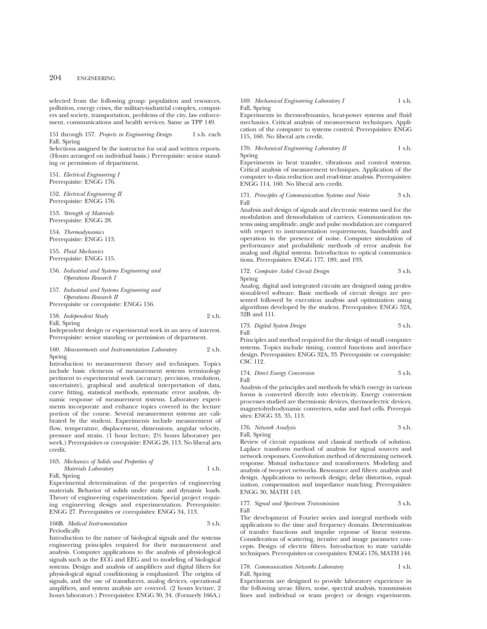## 204 ENGINEERING

selected from the following group: population and resources, pollution, energy crises, the military-industrial complex, computers and society, transportation, problems of the city, law enforcement, communications and health services. Same as TPP 149.

151 through 157. Projects in Engineering Design 1 s.h. each Fall, Spring

Selections assigned by the instructor for oral and written reports. (Hours arranged on individual basis.) Prerequisite: senior standing or permission of department.

151. *Electrical Engineering I* Prerequisite: ENGG 176.

152. *Electrical Engineering II* Prerequisite: ENGG 176.

153. *Strength of Materials* Prerequisite: ENGG 28.

154. *Thermodynamics* Prerequisite: ENGG 113.

155. *Fluid Mechanics* Prerequisite: ENGG 115.

- 156. *Industrial and Systems Engineering and Operations Research I*
- 157. *Industrial and Systems Engineering and Operations Research II*

Prerequisite or corequisite: ENGG 156.

158. *Independent Study* 2 s.h.

Fall, Spring

Independent design or experimental work in an area of interest. Prerequisite: senior standing or permission of department.

160. *Measurements and Instrumentation Laboratory* 2 s.h. Spring

Introduction to measurement theory and techniques. Topics include basic elements of measurement systems terminology pertinent to experimental work (accuracy, precision, resolution, uncertainty), graphical and analytical interpretation of data, curve fitting, statistical methods, systematic error analysis, dynamic response of measurement systems. Laboratory experiments incorporate and enhance topics covered in the lecture portion of the course. Several measurement systems are calibrated by the student. Experiments include measurement of flow, temperature, displacement, dimensions, angular velocity, pressure and strain. (1 hour lecture, 21⁄2 hours laboratory per week.) Prerequisites or corequisite: ENGG 28, 113. No liberal arts credit.

| 163. Mechanics of Solids and Properties of |        |
|--------------------------------------------|--------|
| Materials Laboratory                       | 1 s.h. |

Fall, Spring

Experimental determination of the properties of engineering materials. Behavior of solids under static and dynamic loads. Theory of engineering experimentation. Special project requiring engineering design and experimentation. Prerequisite: ENGG 27. Prerequisites or corequisites: ENGG 34, 113.

#### 166B. *Medical Instrumentation* 3 s.h. Periodically

Introduction to the nature of biological signals and the systems engineering principles required for their measurement and analysis. Computer applications to the analysis of physiological signals such as the ECG and EEG and to modeling of biological systems. Design and analysis of amplifiers and digital filters for physiological signal conditioning is emphasized. The origins of signals, and the use of transducers, analog devices, operational amplifiers, and system analysis are covered. (2 hours lecture, 2 hours laboratory.) Prerequisites: ENGG 30, 34. (Formerly 166A.)

## 169. *Mechanical Engineering Laboratory I* 1 s.h. Fall, Spring

Experiments in thermodynamics, heat-power systems and fluid mechanics. Critical analysis of measurement techniques. Application of the computer to systems control. Prerequisites: ENGG 115, 160. No liberal arts credit.

170. *Mechanical Engineering Laboratory II* 1 s.h. Spring

Experiments in heat transfer, vibrations and control systems. Critical analysis of measurement techniques. Application of the computer to data reduction and read-time analysis. Prerequisites: ENGG 114, 160. No liberal arts credit.

171. *Principles of Communication Systems and Noise* 3 s.h. Fall

Analysis and design of signals and electronic systems used for the modulation and demodulation of carriers. Communication systems using amplitude, angle and pulse modulation are compared with respect to instrumentation requirements, bandwidth and operation in the presence of noise. Computer simulation of performance and probabilistic methods of error analysis for analog and digital systems. Introduction to optical communications. Prerequisites: ENGG 177, 189, and 193.

172. *Computer Aided Circuit Design* 3 s.h. Spring

Analog, digital and integrated circuits are designed using professional-level software. Basic methods of circuit design are presented followed by execution analysis and optimization using algorithms developed by the student. Prerequisites: ENGG 32A, 32B and 111.

173. *Digital System Design* 3 s.h. Fall

Principles and method required for the design of small computer systems. Topics include timing, control functions and interface design. Prerequisites: ENGG 32A, 33. Prerequisite or corequisite: CSC 112.

174. *Direct Energy Conversion* 3 s.h. Fall

Analysis of the principles and methods by which energy in various forms is converted directly into electricity. Energy conversion processes studied are thermionic devices, thermoelectric devices, magnetohydrodynamic converters, solar and fuel cells. Prerequisites: ENGG 33, 35, 113.

176. *Network Analysis* 3 s.h. Fall, Spring

Review of circuit equations and classical methods of solution. Laplace transform method of analysis for signal sources and network responses. Convolution method of determining network response. Mutual inductance and transformers. Modeling and analysis of two-port networks. Resonance and filters: analysis and design. Applications to network design; delay distortion, equalization, compensation and impedance matching. Prerequisites: ENGG 30, MATH 143.

177. *Signal and Spectrum Transmission* 3 s.h. Fall

The development of Fourier series and integral methods with applications to the time and frequency domain. Determination of transfer functions and impulse reponse of linear systems. Consideration of scattering, iterative and image parameter concepts. Design of electric filters. Introduction to state variable techniques. Prerequisites or corequisites: ENGG 176, MATH 144.

178. *Communication Networks Laboratory* 1 s.h. Fall, Spring

Experiments are designed to provide laboratory experience in the following areas: filters, noise, spectral analysis, transmission lines and individual or team project or design experiments.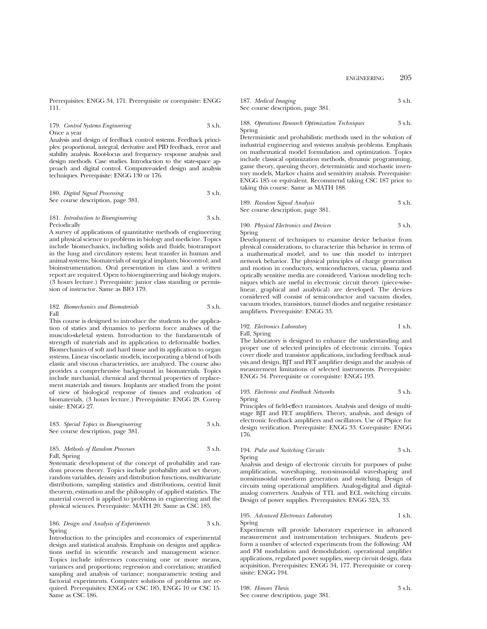Prerequisites: ENGG 34, 171. Prerequisite or corequisite: ENGG 111.

179. *Control Systems Engineering* 3 s.h. Once a year

Analysis and design of feedback control systems. Feedback principles: proportional, integral, derivative and PID feedback, error and stability analysis. Root-locus and frequency- response analysis and design methods. Case studies. Introduction to the state-space approach and digital control. Computer-aided design and analysis techniques. Prerequisite: ENGG 130 or 176.

180. *Digital Signal Processing* 3 s.h. See course description, page 381.

181. *Introduction to Bioengineering* 3 s.h. Periodically

A survey of applications of quantitative methods of engineering and physical science to problems in biology and medicine. Topics include biomechanics, including solids and fluids; biotransport in the lung and circulatory system; heat transfer in human and animal systems; biomaterials of surgical implants; biocontrol; and bioinstrumentation. Oral presentation in class and a written report are required. Open to bioengineering and biology majors. (3 hours lecture.) Prerequisite: junior class standing or permission of instructor. Same as BIO 179.

#### 182. *Biomechanics and Biomaterials* 3 s.h. Fall

This course is designed to introduce the students to the application of statics and dynamics to perform force analyses of the musculo-skeletal system. Introduction to the fundamentals of strength of materials and its application to deformable bodies. Biomechanics of soft and hard tissue and its application to organ systems. Linear viscoelastic models, incorporating a blend of both elastic and viscous characteristics, are analyzed. The course also provides a comprehensive background in biomaterials. Topics include mechanial, chemical and thermal properties of replacement materials and tissues. Implants are studied from the point of view of biological response of tissues and evaluation of biomaterials. (3 hours lecture.) Prerequisitie: ENGG 28. Corequisite: ENGG 27.

183. *Special Topics in Bioengineering* 3 s.h. See course description, page 381.

185. *Methods of Random Processes* 3 s.h. Fall, Spring

Systematic development of the concept of probability and random process theory. Topics include probability and set theory, random variables, density and distribution functions, multivariate distributions, sampling statistics and distributions, central limit theorem, estimation and the philosophy of applied statistics. The material covered is applied to problems in engineering and the physical sciences. Prerequisite: MATH 20. Same as CSC 185.

#### 186. *Design and Analysis of Experiments* 3 s.h. Spring

Introduction to the principles and economics of experimental design and statistical analysis. Emphasis on designs and applications useful in scientific research and management science. Topics include inferences concerning one or more means, variances and proportions; regression and correlation; stratified sampling and analysis of variance; nonparametric testing and factorial experiments. Computer solutions of problems are required. Prerequisites: ENGG or CSC 185, ENGG 10 or CSC 15. Same as CSC 186.

187. *Medical Imaging* 3 s.h. See course description, page 381.

#### 188. *Operations Research Optimization Techniques* 3 s.h. Spring

Deterministic and probabilistic methods used in the solution of industrial engineering and systems analysis problems. Emphasis on mathematical model formulation and optimization. Topics include classical optimization methods, dynamic programming, game theory, queuing theory, deterministic and stochastic inventory models, Markov chains and sensitivity analysis. Prerequisite: ENGG 185 or equivalent. Recommend taking CSC 187 prior to taking this course. Same as MATH 188.

189. *Random Signal Analysis* 3 s.h. See course description, page 381.

190. *Physical Electronics and Devices* 3 s.h. Spring

Development of techniques to examine device behavior from physical considerations, to characterize this behavior in terms of a mathematical model, and to use this model to interpret network behavior. The physical principles of charge generation and motion in conductors, semiconductors, vacua, plasma and optically sensitive media are considered. Various modeling techniques which are useful in electronic circuit theory (piece-wiselinear, graphical and analytical) are developed. The devices considered will consist of semiconductor and vacuum diodes, vacuum triodes, transistors, tunnel diodes and negative resistance amplifiers. Prerequisite: ENGG 33.

#### 192. *Electronics Laboratory* 1 s.h. Fall, Spring

The laboratory is designed to enhance the understanding and proper use of selected principles of electronic circuits. Topics cover diode and transistor applications, including feedback analysis and design, BJT and FET amplifier design and the analysis of measurement limitations of selected instruments. Prerequisite: ENGG 34. Prerequisite or corequisite: ENGG 193.

193. *Electronic and Feedback Networks* 3 s.h. Spring

Principles of field-effect transistors. Analysis and design of multistage BJT and FET amplifiers. Theory, analysis, and design of electronic feedback amplifiers and oscillators. Use of PSpice for design verification. Prerequisite: ENGG 33. Corequisite: ENGG 176.

## 194. *Pulse and Switching Circuits* 3 s.h. Spring

Analysis and design of electronic circuits for purposes of pulse amplification, waveshaping, non-sinusoidal waveshaping and nonsinusoidal waveform generation and switching. Design of circuits using operational amplifiers. Analog-digital and digitalanalog converters. Analysis of TTL and ECL switching circuits. Design of power supplies. Prerequisites: ENGG 32A, 33.

# 195. *Advanced Electronics Laboratory* 1 s.h. Spring

Experiments will provide laboratory experience in advanced measurement and instrumentation techniques. Students perform a number of selected experiments from the following: AM and FM modulation and demodulation, operational amplifier applications, regulated power supplies, sweep circuit design, data acquisition. Prerequisites: ENGG 34, 177. Prerequisite or corequisite: ENGG 194.

198. *Honors Thesis* 3 s.h. See course description, page 381.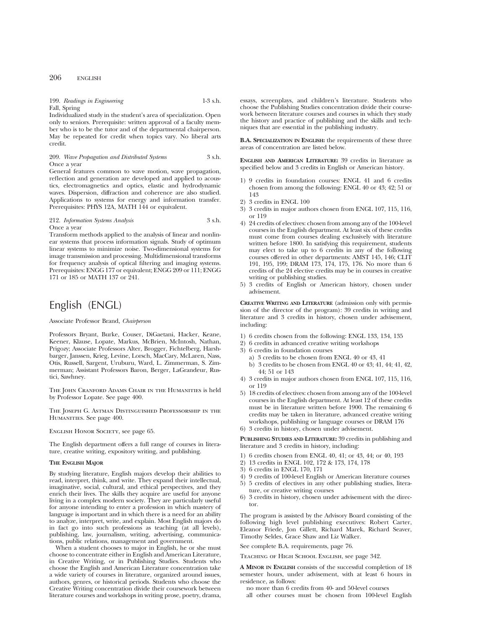## 199. *Readings in Engineering* 1-3 s.h. Fall, Spring

Individualized study in the student's area of specialization. Open only to seniors. Prerequisite: written approval of a faculty member who is to be the tutor and of the departmental chairperson. May be repeated for credit when topics vary. No liberal arts credit.

209. *Wave Propagation and Distributed Systems* 3 s.h. Once a year

General features common to wave motion, wave propagation, reflection and generation are developed and applied to acoustics, electromagnetics and optics, elastic and hydrodynamic waves. Dispersion, diffraction and coherence are also studied. Applications to systems for energy and information transfer. Prerequisites: PHYS 12A, MATH 144 or equivalent.

#### 212. *Information Systems Analysis* 3 s.h. Once a year

Transform methods applied to the analysis of linear and nonlinear systems that process information signals. Study of optimum linear systems to minimize noise. Two-dimensional systems for image transmission and processing. Multidimensional transforms for frequency analysis of optical filtering and imaging systems. Prerequisites: ENGG 177 or equivalent; ENGG 209 or 111; ENGG 171 or 185 or MATH 137 or 241.

# English (ENGL)

#### Associate Professor Brand, *Chairperson*

Professors Bryant, Burke, Couser, DiGaetani, Hacker, Keane, Keener, Klause, Lopate, Markus, McBrien, McIntosh, Nathan, Prigozy; Associate Professors Alter, Brogger, Fichtelberg, Harshbarger, Janssen, Krieg, Levine, Lorsch, MacCary, McLaren, Nass, Otis, Russell, Sargent, Uruburu, Ward, L. Zimmerman, S. Zimmerman; Assistant Professors Baron, Berger, LaGrandeur, Rustici, Sawhney.

The John Cranford Adams Chair in the Humanities is held by Professor Lopate. See page 400.

The Joseph G. Astman Distinguished Professorship in the HUMANITIES. See page 400.

ENGLISH HONOR SOCIETY, see page 65.

The English department offers a full range of courses in literature, creative writing, expository writing, and publishing.

#### **THE ENGLISH MAJOR**

By studying literature, English majors develop their abilities to read, interpret, think, and write. They expand their intellectual, imaginative, social, cultural, and ethical perspectives, and they enrich their lives. The skills they acquire are useful for anyone living in a complex modern society. They are particularly useful for anyone intending to enter a profession in which mastery of language is important and in which there is a need for an ability to analyze, interpret, write, and explain. Most English majors do in fact go into such professions as teaching (at all levels), publishing, law, journalism, writing, advertising, communications, public relations, management and government.

When a student chooses to major in English, he or she must choose to concentrate either in English and American Literature, in Creative Writing, or in Publishing Studies. Students who choose the English and American Literature concentration take a wide variety of courses in literature, organized around issues, authors, genres, or historical periods. Students who choose the Creative Writing concentration divide their coursework between literature courses and workshops in writing prose, poetry, drama,

essays, screenplays, and children's literature. Students who choose the Publishing Studies concentration divide their coursework between literature courses and courses in which they study the history and practice of publishing and the skills and techniques that are essential in the publishing industry.

**B.A. SPECIALIZATION IN ENGLISH:** the requirements of these three areas of concentration are listed below.

**ENGLISH AND AMERICAN LITERATURE:** 39 credits in literature as specified below and 3 credits in English or American history.

- 1) 9 credits in foundation courses: ENGL 41 and 6 credits chosen from among the following: ENGL 40 or 43; 42; 51 or 143
- 2) 3 credits in ENGL 100
- 3) 3 credits in major authors chosen from ENGL 107, 115, 116, or 119
- 4) 24 credits of electives: chosen from among any of the 100-level courses in the English department. At least six of these credits must come from courses dealing exclusively with literature written before 1800. In satisfying this requirement, students may elect to take up to 6 credits in any of the following courses offered in other departments: AMST 145, 146; CLIT 191, 195, 199; DRAM 173, 174, 175, 176. No more than 6 credits of the 24 elective credits may be in courses in creative writing or publishing studies.
- 5) 3 credits of English or American history, chosen under advisement.

**CREATIVE WRITING AND LITERATURE** (admission only with permission of the director of the program): 39 credits in writing and literature and 3 credits in history, chosen under advisement, including:

- 1) 6 credits chosen from the following: ENGL 133, 134, 135
- 2) 6 credits in advanced creative writing workshops
- 3) 6 credits in foundation courses
	- a) 3 credits to be chosen from ENGL 40 or 43, 41
	- b) 3 credits to be chosen from ENGL 40 or 43; 41, 44; 41, 42, 44; 51 or 143
- 4) 3 credits in major authors chosen from ENGL 107, 115, 116, or 119
- 5) 18 credits of electives: chosen from among any of the 100-level courses in the English department. At least 12 of these credits must be in literature written before 1900. The remaining 6 credits may be taken in literature, advanced creative writing workshops, publishing or language courses or DRAM 176
- 6) 3 credits in history, chosen under advisement.

**PUBLISHING STUDIES AND LITERATURE:** 39 credits in publishing and literature and 3 credits in history, including:

- 1) 6 credits chosen from ENGL 40, 41; or 43, 44; or 40, 193
- 2) 13 credits in ENGL 102, 172 & 173, 174, 178
- 3) 6 credits in ENGL 170, 171
- 4) 9 credits of 100-level English or American literature courses
- 5) 5 credits of electives in any other publishing studies, literature, or creative writing courses
- 6) 3 credits in history, chosen under advisement with the director.

The program is assisted by the Advisory Board consisting of the following high level publishing executives: Robert Carter, Eleanor Friede, Jon Gillett, Richard Marek, Richard Seaver, Timothy Seldes, Grace Shaw and Liz Walker.

See complete B.A. requirements, page 76.

Teaching of High School English, see page 342.

**A MINOR IN ENGLISH** consists of the successful completion of 18 semester hours, under advisement, with at least 6 hours in residence, as follows:

no more than 6 credits from 40- and 50-level courses

all other courses must be chosen from 100-level English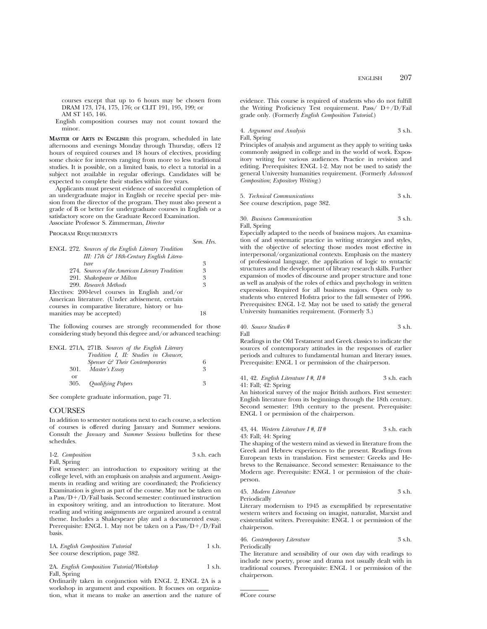courses except that up to 6 hours may be chosen from DRAM 173, 174, 175, 176; or CLIT 191, 195, 199; or AM ST 145, 146.

English composition courses may not count toward the minor.

**MASTER OF ARTS IN ENGLISH:** this program, scheduled in late afternoons and evenings Monday through Thursday, offers 12 hours of required courses and 18 hours of electives, providing some choice for interests ranging from more to less traditional studies. It is possible, on a limited basis, to elect a tutorial in a subject not available in regular offerings. Candidates will be expected to complete their studies within five years.

Applicants must present evidence of successful completion of an undergraduate major in English or receive special per- mission from the director of the program. They must also present a grade of B or better for undergraduate courses in English or a satisfactory score on the Graduate Record Examination. Associate Professor S. Zimmerman, *Director*

Program Requirements

|                                                            | Sem. Hrs. |
|------------------------------------------------------------|-----------|
| <b>ENGL</b> 272. Sources of the English Literary Tradition |           |
| III: 17th & 18th-Century English Litera-                   |           |
| <i>ture</i>                                                | 3         |
| 274. Sources of the American Literary Tradition            | 3         |
| 291. Shakespeare or Milton                                 | 3         |
| 299. Research Methods                                      | 3         |
| Electives: 200-level courses in English and/or             |           |
| American literature. (Under advisement, certain            |           |
| courses in comparative literature, history or hu-          |           |
| manities may be accepted)                                  | 18        |

The following courses are strongly recommended for those considering study beyond this degree and/or advanced teaching:

|      | ENGL 271A, 271B. Sources of the English Literary |   |
|------|--------------------------------------------------|---|
|      | Tradition I. II: Studies in Chaucer,             |   |
|      | Spenser $\mathcal{C}$ Their Contemporaries       |   |
| 301. | Master's Essay                                   | 3 |
| or   |                                                  |   |
| 305. | <b>Qualifying Papers</b>                         | 3 |

See complete graduate information, page 71.

## **COURSES**

In addition to semester notations next to each course, a selection of courses is offered during January and Summer sessions. Consult the *January* and *Summer Sessions* bulletins for these schedules.

| 1-2. Composition | 3 s.h. each |
|------------------|-------------|
| Fall, Spring     |             |

First semester: an introduction to expository writing at the college level, with an emphasis on analysis and argument. Assignments in reading and writing are coordinated; the Proficiency Examination is given as part of the course. May not be taken on a Pass/D+/D/Fail basis. Second semester: continued instruction in expository writing, and an introduction to literature. Most reading and writing assignments are organized around a central theme. Includes a Shakespeare play and a documented essay. Prerequisite: ENGL 1. May not be taken on a  $Pass/D+/D/Fall$ basis.

|  | 1A. English Composition Tutorial  | 1 s.h. |
|--|-----------------------------------|--------|
|  | See course description, page 382. |        |

2A. *English Composition Tutorial/Workshop* 1 s.h. Fall, Spring

Ordinarily taken in conjunction with ENGL 2, ENGL 2A is a workshop in argument and exposition. It focuses on organization, what it means to make an assertion and the nature of evidence. This course is required of students who do not fulfill the Writing Proficiency Test requirement. Pass/  $D+/D/Fail$ grade only. (Formerly *English Composition Tutorial*.)

4. *Argument and Analysis* 3 s.h. Fall, Spring

Principles of analysis and argument as they apply to writing tasks commonly assigned in college and in the world of work. Expository writing for various audiences. Practice in revision and editing. Prerequisites: ENGL 1-2. May not be used to satisfy the general University humanities requirement. (Formerly *Advanced Composition*; *Expository Writing*.)

| 5. Technical Communications       | 3 s.h. |
|-----------------------------------|--------|
| See course description, page 382. |        |

30. *Business Communication* 3 s.h. Fall, Spring

Especially adapted to the needs of business majors. An examination of and systematic practice in writing strategies and styles, with the objective of selecting those modes most effective in interpersonal/organizational contexts. Emphasis on the mastery of professional language, the application of logic to syntactic structures and the development of library research skills. Further expansion of modes of discourse and proper structure and tone as well as analysis of the roles of ethics and psychology in written expression. Required for all business majors. Open only to students who entered Hofstra prior to the fall semester of 1996. Prerequisites: ENGL 1-2. May not be used to satisfy the general University humanities requirement. (Formerly 3.)

40. *Source Studies* # 3 s.h. Fall

Readings in the Old Testament and Greek classics to indicate the sources of contemporary attitudes in the responses of earlier periods and cultures to fundamental human and literary issues. Prerequisite: ENGL 1 or permission of the chairperson.

41, 42. *English Literature I #, II* # 3 s.h. each 41: Fall; 42: Spring

An historical survey of the major British authors. First semester: English literature from its beginnings through the 18th century. Second semester: 19th century to the present. Prerequisite: ENGL 1 or permission of the chairperson.

43, 44. *Western Literature I #, II* # 3 s.h. each 43: Fall; 44: Spring

The shaping of the western mind as viewed in literature from the Greek and Hebrew experiences to the present. Readings from European texts in translation. First semester: Greeks and Hebrews to the Renaissance. Second semester: Renaissance to the Modern age. Prerequisite: ENGL 1 or permission of the chairperson.

45. *Modern Literature* 3 s.h. Periodically

Literary modernism to 1945 as exemplified by representative western writers and focusing on imagist, naturalist, Marxist and existentialist writers. Prerequisite: ENGL 1 or permission of the chairperson.

46. *Contemporary Literature* 3 s.h. **Periodically** 

The literature and sensibility of our own day with readings to include new poetry, prose and drama not usually dealt with in traditional courses. Prerequisite: ENGL 1 or permission of the chairperson.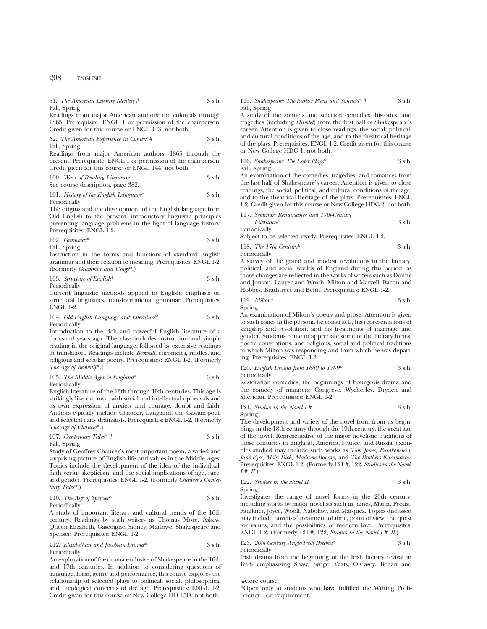208 ENGLISH

## 51. *The American Literary Identity* # 3 s.h.

Fall, Spring

Readings from major American authors; the colonials through 1865. Prerequisite: ENGL 1 or permission of the chairperson. Credit given for this course or ENGL 143, not both.

52. *The American Experience in Context* # 3 s.h. Fall, Spring

Readings from major American authors; 1865 through the present. Prerequisite: ENGL 1 or permission of the chairperson. Credit given for this course or ENGL 144, not both.

100. *Ways of Reading Literature* 3 s.h. See course description, page 382.

101. *History of the English Language*\* 3 s.h. Periodically

The origins and the development of the English language from Old English to the present, introductory linguistic principles presenting language problems in the light of language history. Prerequisites: ENGL 1-2.

$$
102. \; Grammar* \qquad \qquad 3 \text{ s.h.}
$$

Fall, Spring

Instruction in the forms and functions of standard English grammar and their relation to meaning. Prerequisites: ENGL 1-2. (Formerly *Grammar and Usage*\*.)

103. *Structure of English*\* 3 s.h.

Periodically

Current linguistic methods applied to English: emphasis on structural linguistics, transformational grammar. Prerequisites: ENGL 1-2.

104. *Old English Language and Literature*\* 3 s.h. Periodically

Introduction to the rich and powerful English literature of a thousand years ago. The class includes instruction and simple reading in the original language, followed by extensive readings in translation. Readings include *Beowulf*, chronicles, riddles, and religious and secular poetry. Prerequisites: ENGL 1-2. (Formerly *The Age of Beowulf*\*.)

105. *The Middle Ages in England*\* 3 s.h. Periodically

English literature of the 13th through 15th centuries. This age is strikingly like our own, with social and intellectual upheavals and its own expression of anxiety and courage, doubt and faith. Authors typically include Chaucer, Langland, the Gawain-poet, and selected early dramatists. Prerequisites: ENGL 1-2. (Formerly *The Age of Chaucer*\*.)

107. *Canterbury Tales*\* # 3 s.h.

Fall, Spring

Study of Geoffrey Chaucer's most important poem, a varied and surprising picture of English life and values in the Middle Ages. Topics include the development of the idea of the individual, faith versus skepticism, and the social implications of age, race, and gender. Prerequisites: ENGL 1-2. (Formerly *Chaucer's Canterbury Tales*\*.)

110. *The Age of Spenser*\* 3 s.h. Periodically

A study of important literary and cultural trends of the 16th century. Readings by such writers as Thomas More, Askew, Queen Elizabeth, Gascoigne, Sidney, Marlowe, Shakespeare and Spenser. Prerequisites: ENGL 1-2.

112. *Elizabethan and Jacobean Drama*\* 3 s.h. Periodically

An exploration of the drama exclusive of Shakespeare in the 16th and 17th centuries. In addition to considering questions of language, form, genre and performance, this course explores the relationship of selected plays to political, social, philosophical and theological concerns of the age. Prerequisites: ENGL 1-2. Credit given for this course or New College HD 15D, not both.

## 115. *Shakespeare: The Earlier Plays and Sonnets*\* # 3 s.h. Fall, Spring

A study of the sonnets and selected comedies, histories, and tragedies (including *Hamlet*) from the first half of Shakespeare's career. Attention is given to close readings, the social, political, and cultural conditions of the age, and to the theatrical heritage of the plays. Prerequisites: ENGL 1-2. Credit given for this course or New College HDG 1, not both.

116. *Shakespeare: The Later Plays*\* 3 s.h. Fall, Spring

An examination of the comedies, tragedies, and romances from the last half of Shakespeare's career. Attention is given to close readings, the social, political, and cultural conditions of the age, and to the theatrical heritage of the plays. Prerequisites: ENGL 1-2. Credit given for this course or New College HDG 2, not both.

117. *Seminar: Renaissance and 17th-Century*

*Literature*\* 3 s.h. Periodically

Subject to be selected yearly. Prerequisites: ENGL 1-2.

118. *The 17th Century*\* 3 s.h. Periodically

A survey of the grand and modest revolutions in the literary, political, and social worlds of England during this period, as those changes are reflected in the works of writers such as Donne and Jonson, Lanyer and Wroth, Milton and Marvell, Bacon and Hobbes, Bradstreet and Behn. Prerequisites: ENGL 1-2.

119. *Milton*\* 3 s.h. Spring

An examination of Milton's poetry and prose. Attention is given to such issues as the persona he constructs, his representations of kingship and revolution, and his treatments of marriage and gender. Students come to appreciate some of the literary forms, poetic conventions, and religious, social and political traditions to which Milton was responding and from which he was departing. Prerequisites: ENGL 1-2.

120. *English Drama from 1660 to 1789*\* 3 s.h. Periodically

Restoration comedies, the beginnings of bourgeois drama and the comedy of manners: Congreve, Wycherley, Dryden and Sheridan. Prerequisites: ENGL 1-2.

121. *Studies in the Novel I #* 3 s.h. Spring

The development and variety of the novel form from its beginnings in the 18th century through the 19th century, the great age of the novel. Representative of the major novelistic traditions of those centuries in England, America, France, and Russia, examples studied may include such works as *Tom Jones, Frankenstein, Jane Eyre, Moby Dick, Madame Bovary,* and *The Brothers Karamazov.* Prerequisites: ENGL 1-2. (Formerly 121 #, 122, *Studies in the Novel, I #, II*.)

122. *Studies in the Novel II* 3 s.h. Spring

Investigates the range of novel forms in the 20th century, including works by major novelists such as James, Mann, Proust, Faulkner, Joyce, Woolf, Nabokov, and Marquez. Topics discussed may include novelists' treatment of time, point of view, the quest for values, and the possibilities of modern love. Prerequisites: ENGL 1-2. (Formerly 121 #, 122, *Studies in the Novel I #, II*.)

123. *20th-Century Anglo-Irish Drama*\* 3 s.h. Periodically

Irish drama from the beginning of the Irish literary revival in 1898 emphasizing Shaw, Synge, Yeats, O'Casey, Behan and

<sup>\*</sup>Open only to students who have fulfilled the Writing Proficiency Test requirement.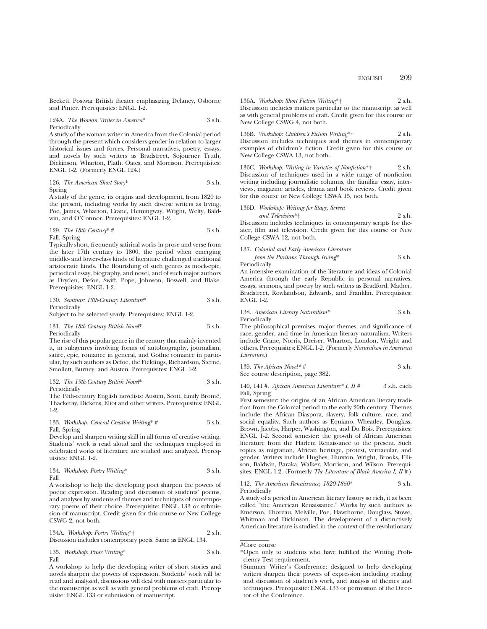Beckett. Postwar British theater emphasizing Delaney, Osborne and Pinter. Prerequisites: ENGL 1-2.

124A. *The Woman Writer in America*\* 3 s.h. Periodically

A study of the woman writer in America from the Colonial period through the present which considers gender in relation to larger historical issues and forces. Personal narratives, poetry, essays, and novels by such writers as Bradstreet, Sojourner Truth, Dickinson, Wharton, Plath, Oates, and Morrison. Prerequisites: ENGL 1-2. (Formerly ENGL 124.)

126. *The American Short Story*\* 3 s.h. Spring

A study of the genre, its origins and development, from 1820 to the present, including works by such diverse writers as Irving, Poe, James, Wharton, Crane, Hemingway, Wright, Welty, Baldwin, and O'Connor. Prerequisites: ENGL 1-2.

129. The 18th Century\* 
$$
\#
$$
 3 s.h.

Fall, Spring

Typically short, frequently satirical works in prose and verse from the later 17th century to 1800, the period when emerging middle- and lower-class kinds of literature challenged traditional aristocratic kinds. The flourishing of such genres as mock-epic, periodical essay, biography, and novel, and of such major authors as Dryden, Defoe, Swift, Pope, Johnson, Boswell, and Blake. Prerequisites: ENGL 1-2.

130. *Seminar: 18th-Century Literature*\* 3 s.h. Periodically

Subject to be selected yearly. Prerequisites: ENGL 1-2.

131. *The 18th-Century British Novel*\* 3 s.h. Periodically

The rise of this popular genre in the century that mainly invented it, in subgenres involving forms of autobiography, journalism, satire, epic, romance in general, and Gothic romance in particular, by such authors as Defoe, the Fieldings, Richardson, Sterne, Smollett, Burney, and Austen. Prerequisites: ENGL 1-2.

132. *The 19th-Century British Novel*\* 3 s.h. Periodically

The 19th-century English novelists: Austen, Scott, Emily Brontë, Thackeray, Dickens, Eliot and other writers. Prerequisites: ENGL 1-2.

133. *Workshop: General Creative Writing*\* # 3 s.h. Fall, Spring

Develop and sharpen writing skill in all forms of creative writing. Students' work is read aloud and the techniques employed in celebrated works of literature are studied and analyzed. Prerequisites: ENGL 1-2.

134. *Workshop: Poetry Writing\**

\n5.1. 
$$
3 \, \text{s.h.}
$$

A workshop to help the developing poet sharpen the powers of poetic expression. Reading and discussion of students' poems, and analyses by students of themes and techniques of contemporary poems of their choice. Prerequisite: ENGL 133 or submission of manuscript. Credit given for this course or New College CSWG 2, not both.

134A. *Workshop: Poetry Writing*\*† 2 s.h. Discussion includes contemporary poets. Same as ENGL 134.

135. *Workshop: Prose Writing*\* 3 s.h. Fall

A workshop to help the developing writer of short stories and novels sharpen the powers of expression. Students' work will be read and analyzed, discussions will deal with matters particular to the manuscript as well as with general problems of craft. Prerequisite: ENGL 133 or submission of manuscript.

136A. *Workshop: Short Fiction Writing*\*† 2 s.h. Discussion includes matters particular to the manuscript as well as with general problems of craft. Credit given for this course or New College CSWG 4, not both.

136B. *Workshop: Children's Fiction Writing*\*† 2 s.h. Discussion includes techniques and themes in contemporary examples of children's fiction. Credit given for this course or New College CSWA 13, not both.

136C. *Workshop: Writing in Varieties of Nonfiction*\*† 2 s.h. Discussion of techniques used in a wide range of nonfiction writing including journalistic columns, the familiar essay, interviews, magazine articles, drama and book reviews. Credit given for this course or New College CSWA 15, not both.

## 136D. *Workshop: Writing for Stage, Screen*

College CSWA 12, not both.

*and Television*\*† 2 s.h. Discussion includes techniques in contemporary scripts for theater, film and television. Credit given for this course or New

137. *Colonial and Early American Literature from the Puritans Through Irving*\* 3 s.h.

Periodically

An intensive examination of the literature and ideas of Colonial America through the early Republic in personal narratives, essays, sermons, and poetry by such writers as Bradford, Mather, Bradstreet, Rowlandson, Edwards, and Franklin. Prerequisites: ENGL 1-2.

138. *American Literary Naturalism\** 3 s.h. Periodically

The philosophical premises, major themes, and significance of race, gender, and time in American literary naturalism. Writers include Crane, Norris, Dreiser, Wharton, London, Wright and others. Prerequisites: ENGL 1-2. (Formerly *Naturalism in American Literature*.)

139. *The African Novel\* #* 3 s.h. See course description, page 382.

140, 141 #. *African American Literature\* I, II #* 3 s.h. each Fall, Spring

First semester: the origins of an African American literary tradition from the Colonial period to the early 20th century. Themes include the African Diaspora, slavery, folk culture, race, and social equality. Such authors as Equiano, Wheatley, Douglass, Brown, Jacobs, Harper, Washington, and Du Bois. Prerequisites: ENGL 1-2. Second semester: the growth of African American literature from the Harlem Renaissance to the present. Such topics as migration, African heritage, protest, vernacular, and gender. Writers include Hughes, Hurston, Wright, Brooks, Ellison, Baldwin, Baraka, Walker, Morrison, and Wilson. Prerequisites: ENGL 1-2. (Formerly *The Literature of Black America I, II #*.)

142. *The American Renaissance, 1820-1860*\* 3 s.h. Periodically

A study of a period in American literary history so rich, it as been called "the American Renaissance." Works by such authors as Emerson, Thoreau, Melville, Poe, Hawthorne, Douglass, Stowe, Whitman and Dickinson. The development of a distinctively American literature is studied in the context of the revolutionary

<sup>\*</sup>Open only to students who have fulfilled the Writing Proficiency Test requirement.

<sup>†</sup>Summer Writer's Conference: designed to help developing writers sharpen their powers of expression including reading and discussion of student's work, and analysis of themes and techniques. Prerequisite: ENGL 133 or permission of the Director of the Conference.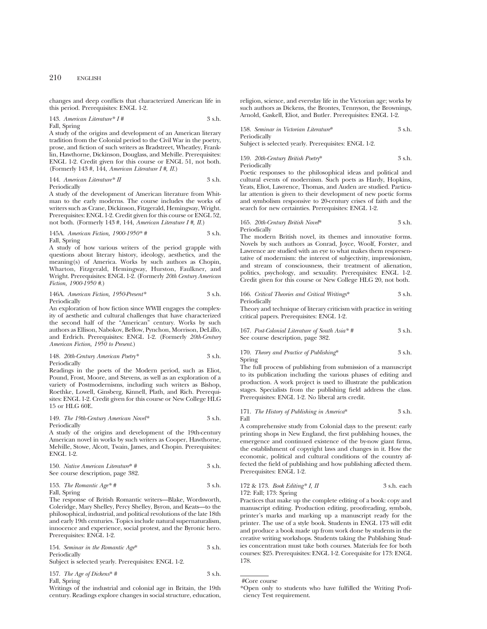changes and deep conflicts that characterized American life in this period. Prerequisites: ENGL 1-2.

143. *American Literature\* I #* 3 s.h. Fall, Spring

A study of the origins and development of an American literary tradition from the Colonial period to the Civil War in the poetry, prose, and fiction of such writers as Bradstreet, Wheatley, Franklin, Hawthorne, Dickinson, Douglass, and Melville. Prerequisites: ENGL 1-2. Credit given for this course or ENGL 51, not both. (Formerly 143 #, 144, *American Literature I #, II*.)

144. *American Literature\* II* 3 s.h.

Periodically

A study of the development of American literature from Whitman to the early moderns. The course includes the works of writers such as Crane, Dickinson, Fitzgerald, Hemingway, Wright. Prerequisites: ENGL 1-2. Credit given for this course or ENGL 52, not both. (Formerly 143 #, 144, *American Literature I #, II*.)

## 145A. *American Fiction, 1900-1950\* #* 3 s.h. Fall, Spring

A study of how various writers of the period grapple with questions about literary history, ideology, aesthetics, and the meaning(s) of America. Works by such authors as Chopin, Wharton, Fitzgerald, Hemingway, Hurston, Faulkner, and Wright. Prerequisites: ENGL 1-2. (Formerly *20th Century American Fiction, 1900-1950 #*.)

146A. *American Fiction, 1950-Present\** 3 s.h. Periodically

An exploration of how fiction since WWII engages the complexity of aesthetic and cultural challenges that have characterized the second half of the "American" century. Works by such authors as Ellison, Nabokov, Bellow, Pynchon, Morrison, DeLillo, and Erdrich. Prerequisites: ENGL 1-2. (Formerly *20th-Century American Fiction, 1950 to Present*.)

148. *20th-Century American Poetry\** 3 s.h. Periodically

Readings in the poets of the Modern period, such as Eliot, Pound, Frost, Moore, and Stevens, as well as an exploration of a variety of Postmodernisms, including such writers as Bishop, Roethke, Lowell, Ginsberg, Kinnell, Plath, and Rich. Prerequisites: ENGL 1-2. Credit given for this course or New College HLG 15 or HLG 60E.

149. *The 19th-Century American Novel\** 3 s.h. Periodically

A study of the origins and development of the 19th-century American novel in works by such writers as Cooper, Hawthorne, Melville, Stowe, Alcott, Twain, James, and Chopin. Prerequisites: ENGL 1-2.

150. *Native American Literature*\* # 3 s.h. See course description, page 382.

153. *The Romantic Age\* #* 3 s.h. Fall, Spring

The response of British Romantic writers—Blake, Wordsworth, Coleridge, Mary Shelley, Percy Shelley, Byron, and Keats—to the philosophical, industrial, and political revolutions of the late 18th and early 19th centuries. Topics include natural supernaturalism, innocence and experience, social protest, and the Byronic hero. Prerequisites: ENGL 1-2.

| 154. Seminar in the Romantic Age* | 3 s.h. |
|-----------------------------------|--------|
| Periodically                      |        |

Subject is selected yearly. Prerequisites: ENGL 1-2.

157. *The Age of Dickens*\* # 3 s.h. Fall, Spring

Writings of the industrial and colonial age in Britain, the 19th century. Readings explore changes in social structure, education,

religion, science, and everyday life in the Victorian age; works by such authors as Dickens, the Brontes, Tennyson, the Brownings, Arnold, Gaskell, Eliot, and Butler. Prerequisites: ENGL 1-2.

158. *Seminar in Victorian Literature*\* 3 s.h. Periodically

Subject is selected yearly. Prerequisites: ENGL 1-2.

159. *20th-Century British Poetry*\* 3 s.h. Periodically

Poetic responses to the philosophical ideas and political and cultural events of modernism. Such poets as Hardy, Hopkins, Yeats, Eliot, Lawrence, Thomas, and Auden are studied. Particular attention is given to their development of new poetic forms and symbolism responsive to 20-century crises of faith and the search for new certainties. Prerequisites: ENGL 1-2.

165. *20th-Century British Novel*\* 3 s.h. Periodically

The modern British novel, its themes and innovative forms. Novels by such authors as Conrad, Joyce, Woolf, Forster, and Lawrence are studied with an eye to what makes them respresentative of modernism: the interest of subjectivity, impressionism, and stream of consciousness, their treatment of alienation, politics, psychology, and sexuality. Prerequisites: ENGL 1-2. Credit given for this course or New College HLG 20, not both.

166. *Critical Theories and Critical Writings*\* 3 s.h. Periodically

Theory and technique of literary criticism with practice in writing critical papers. Prerequisites: ENGL 1-2.

167. *Post-Colonial Literature of South Asia\* #* 3 s.h. See course description, page 382.

170. *Theory and Practice of Publishing*\* 3 s.h. Spring

The full process of publishing from submission of a manuscript to its publication including the various phases of editing and production. A work project is used to illustrate the publication stages. Specialists from the publishing field address the class. Prerequisites: ENGL 1-2. No liberal arts credit.

#### 171. *The History of Publishing in America*\* 3 s.h. Fall

A comprehensive study from Colonial days to the present: early printing shops in New England, the first publishing houses, the emergence and continued existence of the by-now giant firms, the establishment of copyright laws and changes in it. How the economic, political and cultural conditions of the country affected the field of publishing and how publishing affected them. Prerequisites: ENGL 1-2.

172 & 173. *Book Editing\* I, II* 3 s.h. each 172: Fall; 173: Spring

Practices that make up the complete editing of a book: copy and manuscript editing. Production editing, proofreading, symbols, printer's marks and marking up a manuscript ready for the printer. The use of a style book. Students in ENGL 173 will edit and produce a book made up from work done by students in the creative writing workshops. Students taking the Publishing Studies concentration must take both courses. Materials fee for both courses: \$25. Prerequisites: ENGL 1-2. Corequisite for 173: ENGL 178.

<sup>\*</sup>Open only to students who have fulfilled the Writing Proficiency Test requirement.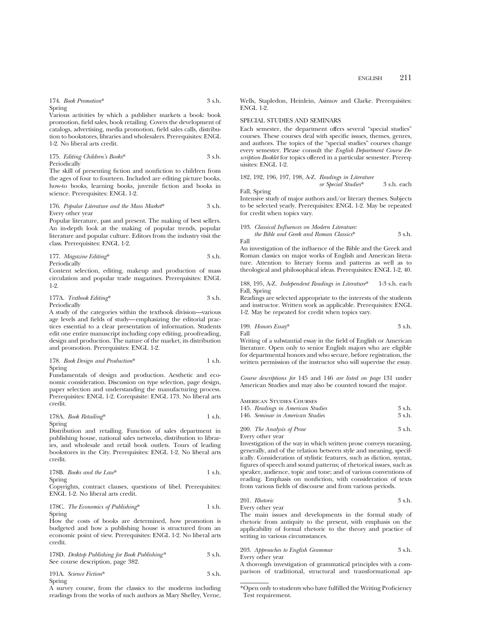174. *Book Promotion*\* 3 s.h. Spring

Various activities by which a publisher markets a book: book promotion, field sales, book retailing. Covers the development of catalogs, advertising, media promotion, field sales calls, distribution to bookstores, libraries and wholesalers. Prerequisites: ENGL 1-2. No liberal arts credit.

175. *Editing Children's Books*\* 3 s.h. Periodically

The skill of presenting fiction and nonfiction to children from the ages of four to fourteen. Included are editing picture books, how-to books, learning books, juvenile fiction and books in science. Prerequisites: ENGL 1-2.

#### 176. *Popular Literature and the Mass Market*\* 3 s.h. Every other year

Popular literature, past and present. The making of best sellers. An in-depth look at the making of popular trends, popular literature and popular culture. Editors from the industry visit the class. Prerequisites: ENGL 1-2.

177. *Magazine Editing*\* 3 s.h.

Periodically

Content selection, editing, makeup and production of mass circulation and popular trade magazines. Prerequisites: ENGL 1-2.

177A. *Textbook Editing*\* 3 s.h. Periodically

A study of the categories within the textbook division—various age levels and fields of study—emphasizing the editorial practices essential to a clear presentation of information. Students edit one entire manuscript including copy editing, proofreading, design and production. The nature of the market, its distribution and promotion. Prerequisites: ENGL 1-2.

178. *Book Design and Production*\* 1 s.h. Spring

Fundamentals of design and production. Aesthetic and economic consideration. Discussion on type selection, page design, paper selection and understanding the manufacturing process. Prerequisites: ENGL 1-2. Corequisite: ENGL 173. No liberal arts credit.

# 178A. *Book Retailing*\* 1 s.h.

Spring

Distribution and retailing. Function of sales department in publishing house, national sales networks, distribution to libraries, and wholesale and retail book outlets. Tours of leading bookstores in the City. Prerequisites: ENGL 1-2. No liberal arts credit.

178B. Books and the Law\* 
$$
1 \text{ s.h.}
$$

Spring

Copyrights, contract clauses, questions of libel. Prerequisites: ENGL 1-2. No liberal arts credit.

178C. *The Economics of Publishing*\* 1 s.h. Spring

How the costs of books are determined, how promotion is budgeted and how a publishing house is structured from an economic point of view. Prerequisites: ENGL 1-2. No liberal arts credit.

| 178D. Desktop Publishing for Book Publishing*<br>See course description, page 382. |  |
|------------------------------------------------------------------------------------|--|
| $1011$ $01$                                                                        |  |

191A. *Science Fiction*\* 3 s.h. Spring

A survey course, from the classics to the moderns including readings from the works of such authors as Mary Shelley, Verne, Wells, Stapledon, Heinlein, Asimov and Clarke. Prerequisites: ENGL 1-2.

#### SPECIAL STUDIES AND SEMINARS

Each semester, the department offers several "special studies" courses. These courses deal with specific issues, themes, genres, and authors. The topics of the "special studies" courses change every semester. Please consult the *English Department Course Description Booklet* for topics offered in a particular semester. Prerequisites: ENGL 1-2.

182, 192, 196, 197, 198, A-Z. *Readings in Literature or Special Studies\** 
$$
3 \, \text{sh. each}
$$

Fall, Spring Intensive study of major authors and/or literary themes. Subjects to be selected yearly. Prerequisites: ENGL 1-2. May be repeated for credit when topics vary.

## 193. *Classical Influences on Modern Literature:*

*the Bible and Greek and Roman Classics*\* 3 s.h. Fall

An investigation of the influence of the Bible and the Greek and Roman classics on major works of English and American literature. Attention to literary forms and patterns as well as to theological and philosophical ideas. Prerequisites: ENGL 1-2, 40.

188, 195, A-Z. *Independent Readings in Literature*\* 1-3 s.h. each Fall, Spring

Readings are selected appropriate to the interests of the students and instructor. Written work as applicable. Prerequisites: ENGL 1-2. May be repeated for credit when topics vary.

199. *Honors Essay*\* 3 s.h. Fall

Writing of a substantial essay in the field of English or American literature. Open only to senior English majors who are eligible for departmental honors and who secure, before registration, the written permission of the instructor who will supervise the essay.

*Course descriptions for* 145 and 146 *are listed on page* 131 under American Studies and may also be counted toward the major.

| AMERICAN STUDIES COURSES          |          |
|-----------------------------------|----------|
| 145. Readings in American Studies | $3$ s.h. |
| 146. Seminar in American Studies  | $3$ s.h. |
|                                   |          |

200. *The Analysis of Prose* 3 s.h. Every other year

Investigation of the way in which written prose conveys meaning, generally, and of the relation between style and meaning, specifically. Consideration of stylistic features, such as diction, syntax, figures of speech and sound patterns; of rhetorical issues, such as speaker, audience, topic and tone; and of various conventions of reading. Emphasis on nonfiction, with consideration of texts from various fields of discourse and from various periods.

201. *Rhetoric* 3 s.h. Every other year

The main issues and developments in the formal study of rhetoric from antiquity to the present, with emphasis on the applicability of formal rhetoric to the theory and practice of writing in various circumstances.

203. *Approaches to English Grammar* 3 s.h. Every other year

A thorough investigation of grammatical principles with a comparison of traditional, structural and transformational ap-

<sup>\*</sup>Open only to students who have fulfilled the Writing Proficiency Test requirement.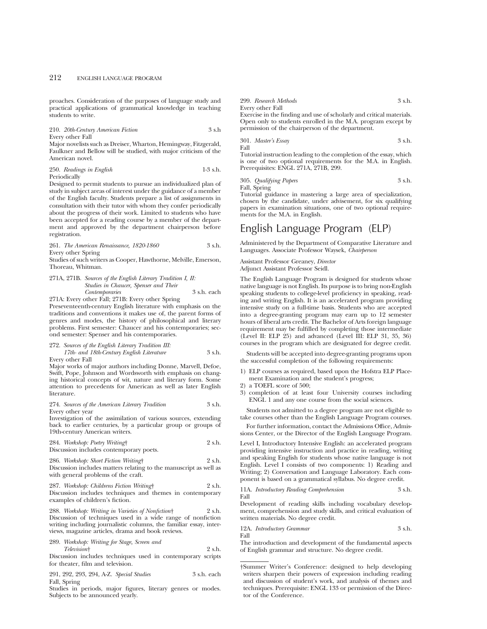proaches. Consideration of the purposes of language study and practical applications of grammatical knowledge in teaching students to write.

210. *20th-Century American Fiction* 3 s.h Every other Fall

Major novelists such as Dreiser, Wharton, Hemingway, Fitzgerald, Faulkner and Bellow will be studied, with major criticism of the American novel.

250. *Readings in English* 1-3 s.h. Periodically

Designed to permit students to pursue an individualized plan of study in subject areas of interest under the guidance of a member of the English faculty. Students prepare a list of assignments in consultation with their tutor with whom they confer periodically about the progress of their work. Limited to students who have been accepted for a reading course by a member of the department and approved by the department chairperson before registration.

261. *The American Renaissance, 1820-1860* 3 s.h. Every other Spring

Studies of such writers as Cooper, Hawthorne, Melville, Emerson, Thoreau, Whitman.

271A, 271B. *Sources of the English Literary Tradition I, II: Studies in Chaucer, Spenser and Their Contemporaries* 3 s.h. each

271A: Every other Fall; 271B: Every other Spring Preseventeenth-century English literature with emphasis on the traditions and conventions it makes use of, the parent forms of genres and modes, the history of philosophical and literary problems. First semester: Chaucer and his contemporaries; second semester: Spenser and his contemporaries.

## 272. *Sources of the English Literary Tradition III:*

*17th- and 18th-Century English Literature* 3 s.h. Every other Fall

Major works of major authors including Donne, Marvell, Defoe, Swift, Pope, Johnson and Wordsworth with emphasis on changing historical concepts of wit, nature and literary form. Some attention to precedents for American as well as later English literature.

274. *Sources of the American Literary Tradition* 3 s.h. Every other year

Investigation of the assimilation of various sources, extending back to earlier centuries, by a particular group or groups of 19th-century American writers.

284. *Workshop: Poetry Writing*† 2 s.h. Discussion includes contemporary poets.

|                                       | $2.5000001$ menando comemporar $\gamma$ poem. |        |
|---------------------------------------|-----------------------------------------------|--------|
| 286. Workshop: Short Fiction Writing† |                                               | 2 s.h. |

Discussion includes matters relating to the manuscript as well as with general problems of the craft.

287. *Workshop: Childrens Fiction Writing*† 2 s.h. Discussion includes techniques and themes in contemporary examples of children's fiction.

288. *Workshop: Writing in Varieties of Nonfiction*† 2 s.h. Discussion of techniques used in a wide range of nonfiction writing including journalistic columns, the familiar essay, interviews, magazine articles, drama and book reviews.

289. *Workshop: Writing for Stage, Screen and Television*† 2 s.h.

Discussion includes techniques used in contemporary scripts for theater, film and television.

291, 292, 293, 294, A-Z. *Special Studies* 3 s.h. each Fall, Spring

Studies in periods, major figures, literary genres or modes. Subjects to be announced yearly.

299. *Research Methods* 3 s.h. Every other Fall Exercise in the finding and use of scholarly and critical materials.

Open only to students enrolled in the M.A. program except by permission of the chairperson of the department.

301. *Master's Essay* 3 s.h. Fall

Tutorial instruction leading to the completion of the essay, which is one of two optional requirements for the M.A. in English. Prerequisites: ENGL 271A, 271B, 299.

305. *Qualifying Papers* 3 s.h. Fall, Spring

Tutorial guidance in mastering a large area of specialization, chosen by the candidate, under advisement, for six qualifying papers in examination situations, one of two optional requirements for the M.A. in English.

# English Language Program (ELP)

Administered by the Department of Comparative Literature and Languages. Associate Professor Waysek, *Chairperson*

Assistant Professor Greaney, *Director*

Adjunct Assistant Professor Seidl.

The English Language Program is designed for students whose native language is not English. Its purpose is to bring non-English speaking students to college-level proficiency in speaking, reading and writing English. It is an accelerated program providing intensive study on a full-time basis. Students who are accepted into a degree-granting program may earn up to 12 semester hours of liberal arts credit. The Bachelor of Arts foreign language requirement may be fulfilled by completing those intermediate (Level II: ELP 25) and advanced (Level III: ELP 31, 35, 36) courses in the program which are designated for degree credit.

Students will be accepted into degree-granting programs upon the successful completion of the following requirements:

- 1) ELP courses as required, based upon the Hofstra ELP Placement Examination and the student's progress;
- 2) a TOEFL score of 500;
- 3) completion of at least four University courses including ENGL 1 and any one course from the social sciences.

Students not admitted to a degree program are not eligible to take courses other than the English Language Program courses.

For further information, contact the Admissions Office, Admissions Center, or the Director of the English Language Program.

Level I, Introductory Intensive English: an accelerated program providing intensive instruction and practice in reading, writing and speaking English for students whose native language is not English. Level I consists of two components: 1) Reading and Writing; 2) Conversation and Language Laboratory. Each component is based on a grammatical syllabus. No degree credit.

11A. *Introductory Reading Comprehension* 3 s.h. Fall

Development of reading skills including vocabulary development, comprehension and study skills, and critical evaluation of written materials. No degree credit.

12A. *Introductory Grammar* 3 s.h. Fall

The introduction and development of the fundamental aspects of English grammar and structure. No degree credit.

<sup>†</sup>Summer Writer's Conference: designed to help developing writers sharpen their powers of expression including reading and discussion of student's work, and analysis of themes and techniques. Prerequisite: ENGL 133 or permission of the Director of the Conference.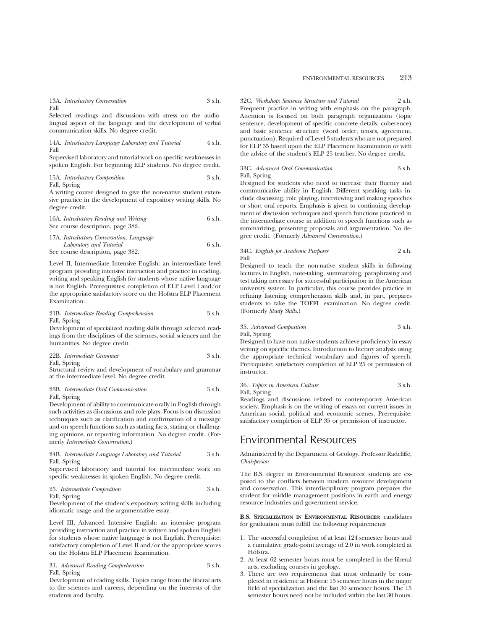## 13A. *Introductory Conversation* 3 s.h. Fall

Selected readings and discussions with stress on the audiolingual aspect of the language and the development of verbal communication skills. No degree credit.

14A. *Introductory Language Laboratory and Tutorial* 4 s.h. Fall

Supervised laboratory and tutorial work on specific weaknesses in spoken English. For beginning ELP students. No degree credit.

15A. *Introductory Composition* 3 s.h.

Fall, Spring

A writing course designed to give the non-native student extensive practice in the development of expository writing skills. No degree credit.

16A. *Introductory Reading and Writing* 6 s.h. See course description, page 382.

| 17A. Introductory Conversation, Language |        |
|------------------------------------------|--------|
| Laboratory and Tutorial                  | 6 s.h. |
| See course description, page 382.        |        |

Level II, Intermediate Intensive English: an intermediate level program providing intensive instruction and practice in reading, writing and speaking English for students whose native language is not English. Prerequisites: completion of ELP Level I and/or the appropriate satisfactory score on the Hofstra ELP Placement Examination.

21B. *Intermediate Reading Comprehension* 3 s.h. Fall, Spring

Development of specialized reading skills through selected readings from the disciplines of the sciences, social sciences and the humanities. No degree credit.

|  | 22B. Intermediate Grammar |  |  | 3 s.h. |
|--|---------------------------|--|--|--------|
|--|---------------------------|--|--|--------|

Fall, Spring

Structural review and development of vocabulary and grammar at the intermediate level. No degree credit.

#### 23B. *Intermediate Oral Communication* 3 s.h. Fall, Spring

Development of ability to communicate orally in English through such activities as discussions and role plays. Focus is on discussion techniques such as clarification and confirmation of a message and on speech functions such as stating facts, stating or challenging opinions, or reporting information. No degree credit. (Formerly *Intermediate Conversation*.)

## 24B. *Intermediate Language Laboratory and Tutorial* 3 s.h. Fall, Spring

Supervised laboratory and tutorial for intermediate work on specific weaknesses in spoken English. No degree credit.

25. *Intermediate Composition* 3 s.h. Fall, Spring

Development of the student's expository writing skills including idiomatic usage and the argumentative essay.

Level III, Advanced Intensive English: an intensive program providing instruction and practice in written and spoken English for students whose native language is not English. Prerequisite: satisfactory completion of Level II and/or the appropriate scores on the Hofstra ELP Placement Examination.

31. *Advanced Reading Comprehension* 3 s.h. Fall, Spring

Development of reading skills. Topics range from the liberal arts to the sciences and careers, depending on the interests of the students and faculty.

32C. *Workshop: Sentence Structure and Tutorial* 2 s.h. Frequent practice in writing with emphasis on the paragraph. Attention is focused on both paragraph organization (topic sentence, development of specific concrete details, coherence) and basic sentence structure (word order, tenses, agreement, punctuation). Required of Level 3 students who are not prepared for ELP 35 based upon the ELP Placement Examination or with the advice of the student's ELP 25 teacher. No degree credit.

33C. *Advanced Oral Communication* 3 s.h. Fall, Spring

Designed for students who need to increase their fluency and communicative ability in English. Different speaking tasks include discussing, role playing, interviewing and making speeches or short oral reports. Emphasis is given to continuing development of discussion techniques and speech functions practiced in the intermediate course in addition to speech functions such as summarizing, presenting proposals and argumentation. No degree credit. (Formerly *Advanced Conversation*.)

34C. *English for Academic Purposes* 2 s.h. Fall

Designed to teach the non-native student skills in following lectures in English, note-taking, summarizing, paraphrasing and test taking necessary for successful participation in the American university system. In particular, this course provides practice in refining listening comprehension skills and, in part, prepares students to take the TOEFL examination. No degree credit. (Formerly *Study Skills*.)

## 35. *Advanced Composition* 3 s.h. Fall, Spring

Designed to have non-native students achieve proficiency in essay writing on specific themes. Introduction to literary analysis using the appropriate technical vocabulary and figures of speech. Prerequisite: satisfactory completion of ELP 25 or permission of instructor.

## 36. *Topics in American Culture* 3 s.h. Fall, Spring

Readings and discussions related to contemporary American society. Emphasis is on the writing of essays on current issues in American social, political and economic scenes. Prerequisite: satisfactory completion of ELP 35 or permission of instructor.

# Environmental Resources

Administered by the Department of Geology. Professor Radcliffe, *Chairperson*

The B.S. degree in Environmental Resources: students are exposed to the conflicts between modern resource development and conservation. This interdisciplinary program prepares the student for middle management positions in earth and energy resource industries and government service.

**B.S. SPECIALIZATION IN ENVIRONMENTAL RESOURCES:** candidates for graduation must fulfill the following requirements:

- 1. The successful completion of at least 124 semester hours and a cumulative grade-point average of 2.0 in work completed at Hofstra.
- 2. At least 62 semester hours must be completed in the liberal arts, excluding courses in geology.
- 3. There are two requirements that must ordinarily be completed in residence at Hofstra: 15 semester hours in the major field of specialization and the last 30 semester hours. The 15 semester hours need not be included within the last 30 hours.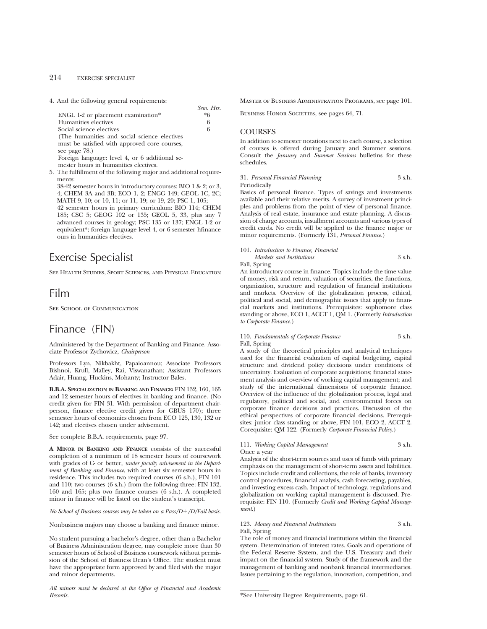# 214 EXERCISE SPECIALIST

4. And the following general requirements:

| Sem. Hrs. |
|-----------|
| $*6$      |
| 6         |
| 6         |
|           |
|           |
|           |
|           |
|           |
|           |

5. The fulfillment of the following major and additional requirements:

38-42 semester hours in introductory courses: BIO 1 & 2; or 3, 4; CHEM 3A and 3B; ECO 1, 2; ENGG 149; GEOL 1C, 2C; MATH 9, 10; or 10, 11; or 11, 19; or 19, 20; PSC 1, 105; 42 semester hours in primary curriculum: BIO 114; CHEM 185; CSC 5; GEOG 102 or 135; GEOL 5, 33, plus any 7 advanced courses in geology; PSC 135 or 137; ENGL 1-2 or equivalent\*; foreign language level 4, or 6 semester hfinance ours in humanities electives.

# Exercise Specialist

See Health Studies, Sport Sciences, and Physical Education

# Film

SEE SCHOOL OF COMMUNICATION

# Finance (FIN)

Administered by the Department of Banking and Finance. Associate Professor Zychowicz, *Chairperson*

Professors Lyn, Nikbakht, Papaioannou; Associate Professors Bishnoi, Krull, Malley, Rai, Viswanathan; Assistant Professors Adair, Huang, Huckins, Mohanty; Instructor Bales.

**B.B.A. SPECIALIZATION IN BANKING AND FINANCE:** FIN 132, 160, 165 and 12 semester hours of electives in banking and finance. (No credit given for FIN 31. With permission of department chairperson, finance elective credit given for GBUS 170); three semester hours of economics chosen from ECO 125, 130, 132 or 142; and electives chosen under advisement.

See complete B.B.A. requirements, page 97.

**A MINOR IN BANKING AND FINANCE** consists of the successful completion of a minimum of 18 semester hours of coursework with grades of C- or better, *under faculty advisement in the Department of Banking and Finance*, with at least six semester hours in residence. This includes two required courses (6 s.h.), FIN 101 and 110; two courses (6 s.h.) from the following three: FIN 132, 160 and 165; plus two finance courses (6 s.h.). A completed minor in finance will be listed on the student's transcript.

*No School of Business courses may be taken on a Pass/D+/D/Fail basis.* 

Nonbusiness majors may choose a banking and finance minor.

No student pursuing a bachelor's degree, other than a Bachelor of Business Administration degree, may complete more than 30 semester hours of School of Business coursework without permission of the School of Business Dean's Office. The student must have the appropriate form approved by and filed with the major and minor departments.

*All minors must be declared at the Office of Financial and Academic Records.*

Master of Business Administration Programs, see page 101.

BUSINESS HONOR SOCIETIES, see pages 64, 71.

## **COURSES**

In addition to semester notations next to each course, a selection of courses is offered during January and Summer sessions. Consult the *January* and *Summer Sessions* bulletins for these schedules.

31. *Personal Financial Planning* 3 s.h. Periodically

Basics of personal finance. Types of savings and investments available and their relative merits. A survey of investment principles and problems from the point of view of personal finance. Analysis of real estate, insurance and estate planning. A discussion of charge accounts, installment accounts and various types of credit cards. No credit will be applied to the finance major or minor requirements. (Formerly 131, *Personal Finance.*)

101. *Introduction to Finance, Financial Markets and Institutions* 3 s.h.

Fall, Spring An introductory course in finance. Topics include the time value

of money, risk and return, valuation of securities, the functions, organization, structure and regulation of financial institutions and markets. Overview of the globalization process, ethical, political and social, and demographic issues that apply to financial markets and institutions. Prerequisites: sophomore class standing or above, ECO 1, ACCT 1, QM 1. (Formerly *Introduction to Corporate Finance.*)

## 110. *Fundamentals of Corporate Finance* 3 s.h. Fall, Spring

A study of the theoretical principles and analytical techniques used for the financial evaluation of capital budgeting, capital structure and dividend policy decisions under conditions of uncertainty. Evaluation of corporate acquisitions; financial statement analysis and overview of working capital management; and study of the international dimensions of corporate finance. Overview of the influence of the globalization process, legal and regulatory, political and social, and environmental forces on corporate finance decisions and practices. Discussion of the ethical perspectives of corporate financial decisions. Prerequisites: junior class standing or above, FIN 101, ECO 2, ACCT 2. Corequisite: QM 122. (Formerly *Corporate Financial Policy.*)

111. *Working Capital Management* 3 s.h. Once a year

Analysis of the short-term sources and uses of funds with primary emphasis on the management of short-term assets and liabilities. Topics include credit and collections, the role of banks, inventory control procedures, financial analysis, cash forecasting, payables, and investing excess cash. Impact of technology, regulations and globalization on working capital management is discussed. Prerequisite: FIN 110. (Formerly *Credit and Working Capital Management*.)

123. *Money and Financial Institutions* 3 s.h. Fall, Spring

The role of money and financial institutions within the financial system. Determination of interest rates. Goals and operations of the Federal Reserve System, and the U.S. Treasury and their impact on the financial system. Study of the framework and the management of banking and nonbank financial intermediaries. Issues pertaining to the regulation, innovation, competition, and

\*See University Degree Requirements, page 61.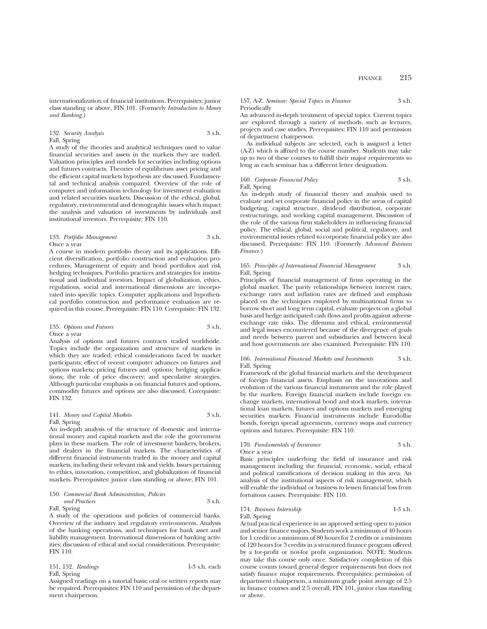internationalization of financial institutions. Prerequisites: junior class standing or above, FIN 101. (Formerly *Introduction to Money and Banking.*)

## 132. *Security Analysis* 3 s.h. Fall, Spring

A study of the theories and analytical techniques used to value financial securities and assets in the markets they are traded. Valuation principles and models for securities including options and futures contracts. Theories of equilibrium asset pricing and the efficient capital markets hypothesis are discussed. Fundamental and technical analysis compared. Overview of the role of computer and information technology for investment evaluation and related securities markets. Discussion of the ethical, global, regulatory, environmental and demographic issues which impact the analysis and valuation of investments by individuals and institutional investors. Prerequisite: FIN 110.

## 133. *Portfolio Management* 3 s.h. Once a year

A course in modern portfolio theory and its applications. Efficient diversification, portfolio construction and evaluation procedures. Management of equity and bond portfolios and risk hedging techniques. Portfolio practices and strategies for institutional and individual investors. Impact of globalization, ethics, regulations, social and international dimensions are incorporated into specific topics. Computer applications and hypothetical portfolio construction and performance evaluation are required in this course. Prerequisite: FIN 110. Corequisite: FIN 132.

#### 135. *Options and Futures* 3 s.h. Once a year

Analysis of options and futures contracts traded worldwide. Topics include the organization and structure of markets in which they are traded; ethical considerations faced by market participants; effect of recent computer advances on futures and options markets; pricing futures and options; hedging applications; the role of price discovery; and speculative strategies. Although particular emphasis is on financial futures and options, commodity futures and options are also discussed. Corequisite: FIN 132.

## 141. *Money and Capital Markets* 3 s.h. Fall, Spring

An in-depth analysis of the structure of domestic and international money and capital markets and the role the government plays in these markets. The role of investment bankers, brokers, and dealers in the financial markets. The characteristics of different financial instruments traded in the money and capital markets, including their relevant risk and yields. Issues pertaining to ethics, innovation, competition, and globalization of financial markets. Prerequisites: junior class standing or above, FIN 101.

#### 150. *Commercial Bank Administration, Policies and Practices* 3 s.h. Fall, Spring

A study of the operations and policies of commercial banks. Overview of the industry and regulatory environments. Analysis of the banking operations, and techniques for bank asset and liability management. International dimensions of banking activities; discussion of ethical and social considerations. Prerequisite: FIN 110.

| 151, 152. Readings | $1-3$ s.h. each |
|--------------------|-----------------|
| Fall, Spring       |                 |

Assigned readings on a tutorial basis; oral or written reports may be required. Prerequisites: FIN 110 and permission of the department chairperson.

## 157, A-Z. *Seminar: Special Topics in Finance* 3 s.h. Periodically

An advanced in-depth treatment of special topics. Current topics are explored through a variety of methods, such as lectures, projects and case studies. Prerequisites: FIN 110 and permission of department chairperson.

As individual subjects are selected, each is assigned a letter (A-Z) which is affixed to the course number. Students may take up to two of these courses to fulfill their major requirements so long as each seminar has a different letter designation.

#### 160. *Corporate Financial Policy* 3 s.h. Fall, Spring

An in-depth study of financial theory and analysis used to evaluate and set corporate financial policy in the areas of capital budgeting, capital structure, dividend distribution, corporate restructurings, and working capital management. Discussion of the role of the various firm stakeholders in influencing financial policy. The ethical, global, social and political, regulatory, and environmental issues related to corporate financial policy are also discussed. Prerequisite: FIN 110. (Formerly *Advanced Business Finance.*)

#### 165. *Principles of International Financial Management* 3 s.h. Fall, Spring

Principles of financial management of firms operating in the global market. The parity relationships between interest rates, exchange rates and inflation rates are defined and emphasis placed on the techniques employed by multinational firms to borrow short and long term capital, evaluate projects on a global basis and hedge anticipated cash flows and profits against adverse exchange rate risks. The dilemma and ethical, environmental and legal issues encountered because of the divergence of goals and needs between parent and subsidiaries and between local and host governments are also examined. Prerequisite: FIN 110.

## 166. *International Financial Markets and Investments* 3 s.h. Fall, Spring

Framework of the global financial markets and the development of foreign financial assets. Emphasis on the innovations and evolution of the various financial instuments and the role played by the markets. Foreign financial markets include foreign exchange markets, international bond and stock markets, international loan markets, futures and options markets and emerging securities markets. Financial instruments include Eurodollar bonds, foreign spread agreements, currency swaps and currency options and futures. Prerequisite: FIN 110.

#### 170. *Fundamentals of Insurance* 3 s.h. Once a year

Basic principles underlying the field of insurance and risk management including the financial, economic, social, ethical and political ramifications of decision making in this area. An analysis of the institutional aspects of risk management, which will enable the individual or business to lessen financial loss from fortuitous causes. Prerequisite: FIN 110.

## 174. *Business Internship* 1-3 s.h. Fall, Spring

Actual practical experience in an approved setting open to junior and senior finance majors. Students work a minimum of 40 hours for 1 credit or a minimum of 80 hours for 2 credits or a minimum of 120 hours for 3 credits in a structured finance program offered by a for-profit or not-for profit organization. NOTE: Students may take this course only once. Satisfactory completion of this course counts toward general degree requirements but does not satisfy finance major requirements. Prerequisites: permission of department chairperson, a minimum grade point average of 2.5 in finance courses and 2.5 overall, FIN 101, junior class standing or above.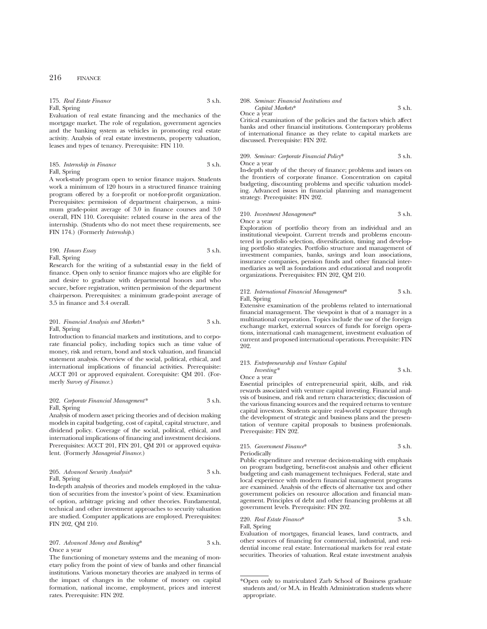# 175. *Real Estate Finance* 3 s.h.

Fall, Spring Evaluation of real estate financing and the mechanics of the mortgage market. The role of regulation, government agencies and the banking system as vehicles in promoting real estate activity. Analysis of real estate investments, property valuation, leases and types of tenancy. Prerequisite: FIN 110.

185. *Internship in Finance* 3 s.h. Fall, Spring

A work-study program open to senior finance majors. Students work a minimum of 120 hours in a structured finance training program offered by a for-profit or not-for-profit organization. Prerequisites: permission of department chairperson, a minimum grade-point average of 3.0 in finance courses and 3.0 overall, FIN 110. Corequisite: related course in the area of the internship. (Students who do not meet these requirements, see FIN 174.) (Formerly *Internship*.)

190. *Honors Essay* 3 s.h. Fall, Spring

Research for the writing of a substantial essay in the field of finance. Open only to senior finance majors who are eligible for and desire to graduate with departmental honors and who secure, before registration, written permission of the department chairperson. Prerequisites: a minimum grade-point average of 3.5 in finance and 3.4 overall.

## 201. *Financial Analysis and Markets\** 3 s.h. Fall, Spring

Introduction to financial markets and institutions, and to corporate financial policy, including topics such as time value of money, risk and return, bond and stock valuation, and financial statement analysis. Overview of the social, political, ethical, and international implications of financial activities. Prerequisite: ACCT 201 or approved equivalent. Corequisite: QM 201. (Formerly *Survey of Finance.*)

## 202. *Corporate Financial Management\** 3 s.h. Fall, Spring

Analysis of modern asset pricing theories and of decision making models in capital budgeting, cost of capital, capital structure, and dividend policy. Coverage of the social, political, ethical, and international implications of financing and investment decisions. Prerequisites: ACCT 201, FIN 201, QM 201 or approved equivalent. (Formerly *Managerial Finance.*)

205. *Advanced Security Analysis*\* 3 s.h. Fall, Spring

In-depth analysis of theories and models employed in the valuation of securities from the investor's point of view. Examination of option, arbitrage pricing and other theories. Fundamental, technical and other investment approaches to security valuation are studied. Computer applications are employed. Prerequisites: FIN 202, QM 210.

207. *Advanced Money and Banking*\* 3 s.h. Once a year

The functioning of monetary systems and the meaning of monetary policy from the point of view of banks and other financial institutions. Various monetary theories are analyzed in terms of the impact of changes in the volume of money on capital formation, national income, employment, prices and interest rates. Prerequisite: FIN 202.

#### 208. *Seminar: Financial Institutions and Capital Markets*\* 3 s.h. Once a year

Critical examination of the policies and the factors which affect banks and other financial institutions. Contemporary problems of international finance as they relate to capital markets are discussed. Prerequisite: FIN 202.

209. *Seminar: Corporate Financial Policy*\* 3 s.h. Once a year

In-depth study of the theory of finance; problems and issues on the frontiers of corporate finance. Concentration on capital budgeting, discounting problems and specific valuation modeling. Advanced issues in financial planning and management strategy. Prerequisite: FIN 202.

## 210. *Investment Management*\* 3 s.h. Once a year

Exploration of portfolio theory from an individual and an institutional viewpoint. Current trends and problems encountered in portfolio selection, diversification, timing and developing portfolio strategies. Portfolio structure and management of investment companies, banks, savings and loan associations, insurance companies, pension funds and other financial intermediaries as well as foundations and educational and nonprofit organizations. Prerequisites: FIN 202, QM 210.

## 212. *International Financial Management*\* 3 s.h. Fall, Spring

Extensive examination of the problems related to international financial management. The viewpoint is that of a manager in a multinational corporation. Topics include the use of the foreign exchange market, external sources of funds for foreign operations, international cash management, investment evaluation of current and proposed international operations. Prerequisite: FIN 202.

# 213. *Entrepreneurship and Venture Capital Investing\** 3 s.h.

Once a year

Essential principles of entrepreneurial spirit, skills, and risk rewards associated with venture capital investing. Financial analysis of business, and risk and return characteristics; discussion of the various financing sources and the required returns to venture capital investors. Students acquire real-world exposure through the development of strategic and business plans and the presentation of venture capital proposals to business professionals. Prerequisite: FIN 202.

215. *Government Finance*\* 3 s.h. Periodically

Public expenditure and revenue decision-making with emphasis on program budgeting, benefit-cost analysis and other efficient budgeting and cash management techniques. Federal, state and local experience with modern financial management programs are examined. Analysis of the effects of alternative tax and other government policies on resource allocation and financial management. Principles of debt and other financing problems at all government levels. Prerequisite: FIN 202.

220. *Real Estate Finance*\* 3 s.h. Fall, Spring

Evaluation of mortgages, financial leases, land contracts, and other sources of financing for commercial, industrial, and residential income real estate. International markets for real estate securities. Theories of valuation. Real estate investment analysis

<sup>\*</sup>Open only to matriculated Zarb School of Business graduate students and/or M.A. in Health Administration students where appropriate.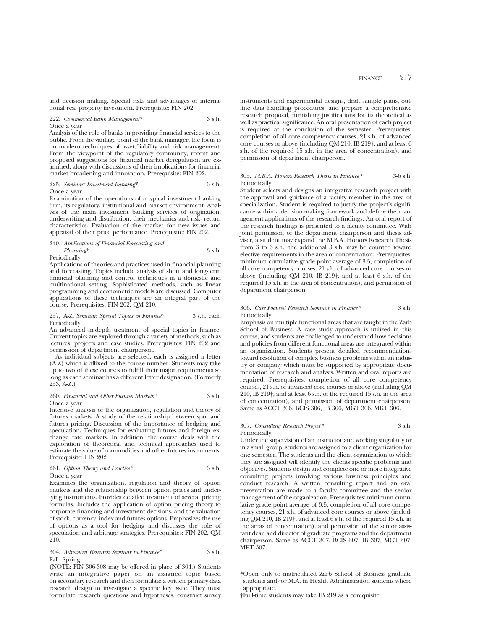and decision making. Special risks and advantages of international real property investment. Prerequisite: FIN 202.

222. *Commercial Bank Management*\* 3 s.h. Once a year

Analysis of the role of banks in providing financial services to the public. From the vantage point of the bank manager, the focus is on modern techniques of asset/liability and risk management. From the viewpoint of the regulatory community, recent and proposed suggestions for financial market deregulation are examined, along with discussions of their implications for financial market broadening and innovation. Prerequisite: FIN 202.

## 225. *Seminar: Investment Banking*\* 3 s.h. Once a year

Examination of the operations of a typical investment banking firm, its regulatory, institutional and market environment. Analysis of the main investment banking services of origination, underwriting and distribution; their mechanics and risk- return characteristics. Evaluation of the market for new issues and appraisal of their price performance. Prerequisite: FIN 202.

## 240. *Applications of Financial Forecasting and Planning*\* 3 s.h. Periodically

Applications of theories and practices used in financial planning and forecasting. Topics include analysis of short and long-term financial planning and control techniques in a domestic and multinational setting. Sophisticated methods, such as linear programming and econometric models are discussed. Computer applications of these techniques are an integral part of the course. Prerequisites: FIN 202, QM 210.

#### 257, A-Z. *Seminar: Special Topics in Finance*\* 3 s.h. each Periodically

An advanced in-depth treatment of special topics in finance. Current topics are explored through a variety of methods, such as lectures, projects and case studies. Prerequisites: FIN 202 and permission of department chairperson.

As individual subjects are selected, each is assigned a letter (A-Z) which is affixed to the course number. Students may take up to two of these courses to fulfill their major requirements so long as each seminar has a different letter designation. (Formerly 253, A-Z.)

#### 260. *Financial and Other Futures Markets*\* 3 s.h. Once a year

Intensive analysis of the organization, regulation and theory of futures markets. A study of the relationship between spot and futures pricing. Discussion of the importance of hedging and speculation. Techniques for evaluating futures and foreign exchange rate markets. In addition, the course deals with the exploration of theoretical and technical approaches used to estimate the value of commodities and other futures instruments. Prerequisite: FIN 202.

261. *Option Theory and Practice\** 3 s.h.

## Once a year

Examines the organization, regulation and theory of option markets and the relationship between option prices and underlying instruments. Provides detailed treatment of several pricing formulas. Includes the application of option pricing theory to corporate financing and investment decisions, and the valuation of stock, currency, index and futures options. Emphasizes the use of options as a tool for hedging and discusses the role of speculation and arbitrage strategies. Prerequisites: FIN 202, QM 210.

#### 304. *Advanced Research Seminar in Finance\** 3 s.h. Fall, Spring

(NOTE: FIN 306-308 may be offered in place of 304.) Students write an integrative paper on an assigned topic based on secondary research and then formulate a written primary data research design to investigate a specific key issue. They must formulate research questions and hypotheses, construct survey

instruments and experimental designs, draft sample plans, outline data handling procedures, and prepare a comprehensive research proposal, furnishing justifications for its theoretical as well as practical significance. An oral presentation of each project is required at the conclusion of the semester. Prerequisites: completion of all core competency courses, 21 s.h. of advanced core courses or above (including QM 210, IB 219†, and at least 6 s.h. of the required 15 s.h. in the area of concentration), and permission of department chairperson.

#### 305. *M.B.A. Honors Research Thesis in Finance\** 3-6 s.h. Periodically

Student selects and designs an integrative research project with the approval and guidance of a faculty member in the area of specialization. Student is required to justify the project's significance within a decision-making framework and define the management applications of the research findings. An oral report of the research findings is presented to a faculty committee. With joint permission of the department chairperson and thesis adviser, a student may expand the M.B.A. Honors Research Thesis from 3 to 6 s.h.; the additional 3 s.h. may be counted toward elective requirements in the area of concentration. Prerequisites: minimum cumulative grade point average of 3.5, completion of all core competency courses, 21 s.h. of advanced core courses or above (including QM 210, IB 219†, and at least 6 s.h. of the required 15 s.h. in the area of concentration), and permission of department chairperson.

#### 306. *Case Focused Research Seminar in Finance\** 3 s.h. Periodically

Emphasis on multiple functional areas that are taught in the Zarb School of Business. A case study approach is utilized in this course, and students are challenged to understand how decisions and policies from different functional areas are integrated within an organization. Students present detailed recommendations toward resolution of complex business problems within an industry or company which must be supported by appropriate documentation of research and analysis. Written and oral reports are required. Prerequisites: completion of all core competency courses, 21 s.h. of advanced core courses or above (including QM 210, IB 219†, and at least 6 s.h. of the required 15 s.h. in the area of concentration), and permission of department chairperson. Same as ACCT 306, BCIS 306, IB 306, MGT 306, MKT 306.

## 307. *Consulting Research Project\** 3 s.h. Periodically

Under the supervision of an instructor and working singularly or in a small group, students are assigned to a client organization for one semester. The students and the client organization to which they are assigned will identify the clients specific problems and objectives. Students design and complete one or more integrative consulting projects involving various business principles and conduct research. A written consulting report and an oral presentation are made to a faculty committee and the senior management of the organization. Prerequisites: minimum cumulative grade point average of 3.5, completion of all core competency courses, 21 s.h. of advanced core courses or above (including QM 210, IB 219†, and at least 6 s.h. of the required 15 s.h. in the areas of concentration), and permission of the senior assistant dean and director of graduate programs and the department chairperson. Same as ACCT 307, BCIS 307, IB 307, MGT 307, MKT 307.

<sup>\*</sup>Open only to matriculated Zarb School of Business graduate students and/or M.A. in Health Administration students where appropriate.

<sup>†</sup>Full-time students may take IB 219 as a corequisite.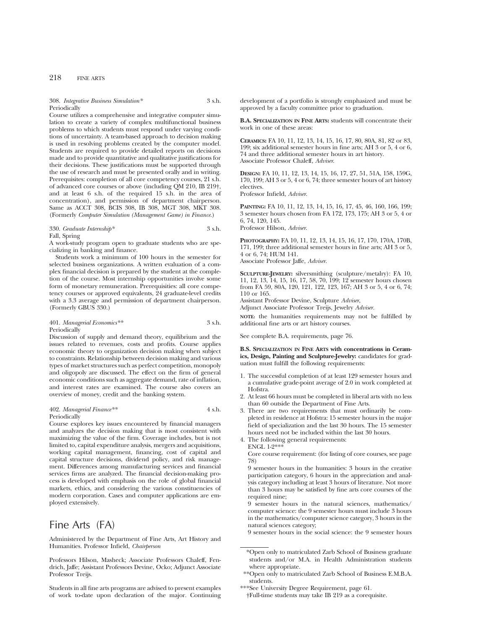## 218 FINE ARTS

308. *Integrative Business Simulation\** 3 s.h. Periodically

Course utilizes a comprehensive and integrative computer simulation to create a variety of complex multifunctional business problems to which students must respond under varying conditions of uncertainty. A team-based approach to decision making is used in resolving problems created by the computer model. Students are required to provide detailed reports on decisions made and to provide quantitative and qualitative justifications for their decisions. These justifications must be supported through the use of research and must be presented orally and in writing. Prerequisites: completion of all core competency courses, 21 s.h. of advanced core courses or above (including QM 210, IB 219†, and at least 6 s.h. of the required 15 s.h. in the area of concentration), and permission of department chairperson. Same as ACCT 308, BCIS 308, IB 308, MGT 308, MKT 308. (Formerly *Computer Simulation (Management Game) in Finance*.)

# 330. *Graduate Internship\** 3 s.h.

Fall, Spring

A work-study program open to graduate students who are specializing in banking and finance.

Students work a minimum of 100 hours in the semester for selected business organizations. A written evaluation of a complex financial decision is prepared by the student at the completion of the course. Most internship opportunities involve some form of monetary remuneration. Prerequisities: all core competency courses or approved equivalents, 24 graduate-level credits with a 3.3 average and permission of department chairperson. (Formerly GBUS 330.)

#### 401. *Managerial Economics\*\** 3 s.h. **Periodically**

Discussion of supply and demand theory, equilibrium and the issues related to revenues, costs and profits. Course applies economic theory to organization decision making when subject to constraints. Relationship between decision making and various types of market structures such as perfect competition, monopoly and oligopoly are discussed. The effect on the firm of general economic conditions such as aggregate demand, rate of inflation, and interest rates are examined. The course also covers an overview of money, credit and the banking system.

## 402. *Managerial Finance\*\** 4 s.h. Periodically

Course explores key issues encountered by financial managers and analyzes the decision making that is most consistent with maximizing the value of the firm. Coverage includes, but is not limited to, capital expenditure analysis, mergers and acquisitions, working capital management, financing, cost of capital and capital structure decisions, dividend policy, and risk management. Differences among manufacturing services and financial services firms are analyzed. The financial decision-making process is developed with emphasis on the role of global financial markets, ethics, and considering the various constituencies of modern corporation. Cases and computer applications are employed extensively.

# Fine Arts (FA)

Administered by the Department of Fine Arts, Art History and Humanities. Professor Infield, *Chairperson*

Professors Hilson, Masheck; Associate Professors Chaleff, Fendrich, Jaffe; Assistant Professors Devine, Ocko; Adjunct Associate Professor Treijs.

Students in all fine arts programs are advised to present examples of work to-date upon declaration of the major. Continuing

development of a portfolio is strongly emphasized and must be approved by a faculty committee prior to graduation.

**B.A. SPECIALIZATION IN FINE ARTS:** students will concentrate their work in one of these areas:

**CERAMICS:** FA 10, 11, 12, 13, 14, 15, 16, 17, 80, 80A, 81, 82 or 83, 199; six additional semester hours in fine arts; AH 3 or 5, 4 or 6, 74 and three additional semester hours in art history. Associate Professor Chaleff, *Adviser*.

**DESIGN:** FA 10, 11, 12, 13, 14, 15, 16, 17, 27, 51, 51A, 158, 159G, 170, 199; AH 3 or 5, 4 or 6, 74; three semester hours of art history electives.

Professor Infield, *Adviser*.

**PAINTING:** FA 10, 11, 12, 13, 14, 15, 16, 17, 45, 46, 160, 166, 199; 3 semester hours chosen from FA 172, 173, 175; AH 3 or 5, 4 or 6, 74, 120, 145.

Professor Hilson, *Adviser*.

**PHOTOGRAPHY:** FA 10, 11, 12, 13, 14, 15, 16, 17, 170, 170A, 170B, 171, 199; three additional semester hours in fine arts; AH 3 or 5, 4 or 6, 74; HUM 141.

Associate Professor Jaffe, *Adviser*.

**SCULPTURE-JEWELRY:** silversmithing (sculpture/metalry): FA 10, 11, 12, 13, 14, 15, 16, 17, 58, 70, 199; 12 semester hours chosen from FA 59, 80A, 120, 121, 122, 123, 167; AH 3 or 5, 4 or 6, 74; 110 or 165.

Assistant Professor Devine, Sculpture *Adviser*,

Adjunct Associate Professor Treijs, Jewelry *Adviser.*

**NOTE:** the humanities requirements may not be fulfilled by additional fine arts or art history courses.

See complete B.A. requirements, page 76.

**B.S. SPECIALIZATION IN FINE ARTS with concentrations in Ceramics, Design, Painting and Sculpture-Jewelry:** candidates for graduation must fulfill the following requirements:

- 1. The successful completion of at least 129 semester hours and a cumulative grade-point average of 2.0 in work completed at Hofstra.
- 2. At least 66 hours must be completed in liberal arts with no less than 60 outside the Department of Fine Arts.
- 3. There are two requirements that must ordinarily be completed in residence at Hofstra: 15 semester hours in the major field of specialization and the last 30 hours. The 15 semester hours need not be included within the last 30 hours.
- 4. The following general requirements:

ENGL 1-2\*\*\*

Core course requirement: (for listing of core courses, see page 78)

9 semester hours in the humanities: 3 hours in the creative participation category, 6 hours in the appreciation and analysis category including at least 3 hours of literature. Not more than 3 hours may be satisfied by fine arts core courses of the required nine:

9 semester hours in the natural sciences, mathematics/ computer science: the 9 semester hours must include 3 hours in the mathematics/computer science category, 3 hours in the natural sciences category;

9 semester hours in the social science: the 9 semester hours

<sup>\*</sup>Open only to matriculated Zarb School of Business graduate students and/or M.A. in Health Administration students where appropriate.

<sup>\*\*</sup>Open only to matriculated Zarb School of Business E.M.B.A. students.

<sup>\*\*\*</sup>See University Degree Requirement, page 61.

<sup>†</sup>Full-time students may take IB 219 as a corequisite.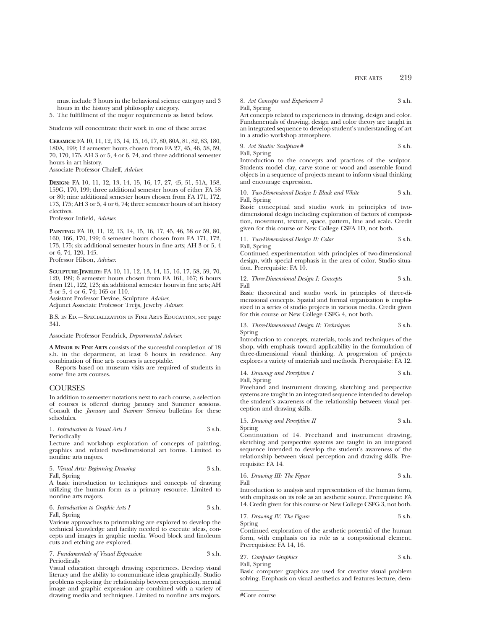must include 3 hours in the behavioral science category and 3 hours in the history and philosophy category.

5. The fulfillment of the major requirements as listed below.

Students will concentrate their work in one of these areas:

**CERAMICS:** FA 10, 11, 12, 13, 14, 15, 16, 17, 80, 80A, 81, 82, 83, 180, 180A, 199; 12 semester hours chosen from FA 27, 45, 46, 58, 59, 70, 170, 175. AH 3 or 5, 4 or 6, 74, and three additional semester hours in art history.

Associate Professor Chaleff, *Adviser*.

**DESIGN:** FA 10, 11, 12, 13, 14, 15, 16, 17, 27, 45, 51, 51A, 158, 159G, 170, 199; three additional semester hours of either FA 58 or 80; nine additional semester hours chosen from FA 171, 172, 173, 175; AH 3 or 5, 4 or 6, 74; three semester hours of art history electives.

Professor Infield, *Adviser*.

**PAINTING:** FA 10, 11, 12, 13, 14, 15, 16, 17, 45, 46, 58 or 59, 80, 160, 166, 170, 199; 6 semester hours chosen from FA 171, 172, 173, 175; six additional semester hours in fine arts; AH 3 or 5, 4 or 6, 74, 120, 145.

Professor Hilson, *Adviser*.

**SCULPTURE-JEWELRY:** FA 10, 11, 12, 13, 14, 15, 16, 17, 58, 59, 70, 120, 199; 6 semester hours chosen from FA 161, 167; 6 hours from 121, 122, 123; six additional semester hours in fine arts; AH 3 or 5, 4 or 6, 74; 165 or 110.

Assistant Professor Devine, Sculpture *Adviser*,

Adjunct Associate Professor Treijs, Jewelry *Adviser*.

B.S. in Ed.—Specialization in Fine Arts Education, see page 341.

Associate Professor Fendrick, *Departmental Adviser*.

**A MINOR IN FINE ARTS** consists of the successful completion of 18 s.h. in the department, at least 6 hours in residence. Any combination of fine arts courses is acceptable.

Reports based on museum visits are required of students in some fine arts courses.

## **COURSES**

In addition to semester notations next to each course, a selection of courses is offered during January and Summer sessions. Consult the *January* and *Summer Sessions* bulletins for these schedules.

1. *Introduction to Visual Arts I* 3 s.h. Periodically

Lecture and workshop exploration of concepts of painting, graphics and related two-dimensional art forms. Limited to nonfine arts majors.

5. *Visual Arts: Beginning Drawing* 3 s.h.

Fall, Spring

A basic introduction to techniques and concepts of drawing utilizing the human form as a primary resource. Limited to nonfine arts majors.

6. *Introduction to Graphic Arts I* 3 s.h.

Fall, Spring

Various approaches to printmaking are explored to develop the technical knowledge and facility needed to execute ideas, concepts and images in graphic media. Wood block and linoleum cuts and etching are explored.

7. *Fundamentals of Visual Expression* 3 s.h. Periodically

Visual education through drawing experiences. Develop visual literacy and the ability to communicate ideas graphically. Studio problems exploring the relationship between perception, mental image and graphic expression are combined with a variety of drawing media and techniques. Limited to nonfine arts majors.

8. *Art Concepts and Experiences* # 3 s.h. Fall, Spring

Art concepts related to experiences in drawing, design and color. Fundamentals of drawing, design and color theory are taught in an integrated sequence to develop student's understanding of art in a studio workshop atmosphere.

9. Art Studio: Sculpture 
$$
\#
$$

\n3 s.h.

Fall, Spring

Introduction to the concepts and practices of the sculptor. Students model clay, carve stone or wood and assemble found objects in a sequence of projects meant to inform visual thinking and encourage expression.

## 10. *Two-Dimensional Design I: Black and White* 3 s.h. Fall, Spring

Basic conceptual and studio work in principles of twodimensional design including exploration of factors of composition, movement, texture, space, pattern, line and scale. Credit given for this course or New College CSFA 1D, not both.

11. *Two-Dimensional Design II: Color* 3 s.h. Fall, Spring

Continued experimentation with principles of two-dimensional design, with special emphasis in the area of color. Studio situation. Prerequisite: FA 10.

12. *Three-Dimensional Design I: Concepts* 3 s.h. Fall

Basic theoretical and studio work in principles of three-dimensional concepts. Spatial and formal organization is emphasized in a series of studio projects in various media. Credit given for this course or New College CSFG 4, not both.

#### 13. *Three-Dimensional Design II: Techniques* 3 s.h. Spring

Introduction to concepts, materials, tools and techniques of the shop, with emphasis toward applicability in the formulation of three-dimensional visual thinking. A progression of projects explores a variety of materials and methods. Prerequisite: FA 12.

14. *Drawing and Perception I* 3 s.h. Fall, Spring

Freehand and instrument drawing, sketching and perspective systems are taught in an integrated sequence intended to develop the student's awareness of the relationship between visual perception and drawing skills.

15. *Drawing and Perception II* 3 s.h. Spring

Continuation of 14. Freehand and instrument drawing, sketching and perspective systems are taught in an integrated sequence intended to develop the student's awareness of the relationship between visual perception and drawing skills. Prerequisite: FA 14.

16. *Drawing III: The Figure* 3 s.h. Fall

Introduction to analysis and representation of the human form, with emphasis on its role as an aesthetic source. Prerequisite: FA 14. Credit given for this course or New College CSFG 3, not both.

17. *Drawing IV: The Figure* 3 s.h.

Spring

Continued exploration of the aesthetic potential of the human form, with emphasis on its role as a compositional element. Prerequisites: FA 14, 16.

27. *Computer Graphics* 3 s.h. Fall, Spring

Basic computer graphics are used for creative visual problem solving. Emphasis on visual aesthetics and features lecture, dem-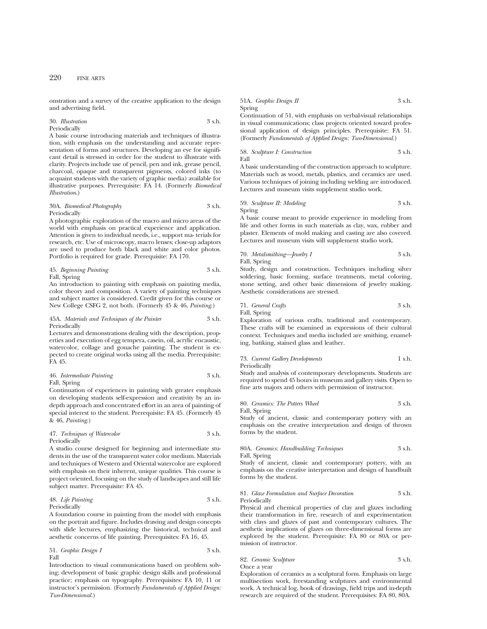onstration and a survey of the creative application to the design and advertising field.

#### 30. *Illustration* 3 s.h. Periodically

A basic course introducing materials and techniques of illustration, with emphasis on the understanding and accurate representation of forms and structures. Developing an eye for significant detail is stressed in order for the student to illustrate with clarity. Projects include use of pencil, pen and ink, grease pencil, charcoal, opaque and transparent pigments, colored inks (to acquaint students with the variety of graphic media) available for illustrative purposes. Prerequisite: FA 14. (Formerly *Biomedical Illustration*.)

## 30A. *Biomedical Photography* 3 s.h. Periodically

A photographic exploration of the macro and micro areas of the world with emphasis on practical experience and application. Attention is given to individual needs, i.e., support ma- terials for research, etc. Use of microscopy, macro lenses; close-up adaptors are used to produce both black and white and color photos. Portfolio is required for grade. Prerequisite: FA 170.

45. *Beginning Painting* 3 s.h.

Fall, Spring

An introduction to painting with emphasis on painting media, color theory and composition. A variety of painting techniques and subject matter is considered. Credit given for this course or New College CSFG 2, not both. (Formerly 45 & 46, *Painting*.)

## 45A. *Materials and Techniques of the Painter* 3 s.h. Periodically

Lectures and demonstrations dealing with the description, properties and execution of egg tempera, casein, oil, acrylic encaustic, watercolor, collage and gouache painting. The student is expected to create original works using all the media. Prerequisite: FA 45.

46. *Intermediate Painting* 3 s.h. Fall, Spring

Continuation of experiences in painting with greater emphasis on developing students self-expression and creativity by an indepth approach and concentrated effort in an area of painting of special interest to the student. Prerequisite: FA 45. (Formerly 45 & 46, *Painting*.)

47. *Techniques of Watercolor* 3 s.h. Periodically

A studio course designed for beginning and intermediate students in the use of the transparent water color medium. Materials and techniques of Western and Oriental watercolor are explored with emphasis on their inherent, unique qualities. This course is project oriented, focusing on the study of landscapes and still life subject matter. Prerequisite: FA 45.

48. *Life Painting* 3 s.h. Periodically

A foundation course in painting from the model with emphasis on the portrait and figure. Includes drawing and design concepts with slide lectures, emphasizing the historical, technical and aesthetic concerns of life painting. Prerequisites: FA 16, 45.

51. *Graphic Design I* 3 s.h. Fall

Introduction to visual communications based on problem solving; development of basic graphic design skills and professional practice; emphasis on typography. Prerequisites: FA 10, 11 or instructor's permission. (Formerly *Fundamentals of Applied Design: Two-Dimensional.*)

## 51A. *Graphic Design II* 3 s.h. Spring

Continuation of 51, with emphasis on verbal-visual relationships in visual communications; class projects oriented toward professional application of design principles. Prerequisite: FA 51. (Formerly *Fundamentals of Applied Design: Two-Dimensional.*)

58. *Sculpture I: Construction* 3 s.h. Fall

A basic understanding of the construction approach to sculpture. Materials such as wood, metals, plastics, and ceramics are used. Various techniques of joining including welding are introduced. Lectures and museum visits supplement studio work.

59. *Sculpture II: Modeling* 3 s.h. Spring

A basic course meant to provide experience in modeling from life and other forms in such materials as clay, wax, rubber and plaster. Elements of mold making and casting are also covered. Lectures and museum visits will supplement studio work.

70. *Metalsmithing—Jewelry I* 3 s.h. Fall, Spring

Study, design and construction. Techniques including silver soldering, basic forming, surface treatments, metal coloring, stone setting, and other basic dimensions of jewelry making. Aesthetic considerations are stressed.

71. *General Crafts* 3 s.h. Fall, Spring

Exploration of various crafts, traditional and contemporary. These crafts will be examined as expressions of their cultural context. Techniques and media included are smithing, enameling, batiking, stained glass and leather.

73. *Current Gallery Developments* 1 s.h. Periodically

Study and analysis of contemporary developments. Students are required to spend 45 hours in museum and gallery visits. Open to fine arts majors and others with permission of instructor.

80. *Ceramics: The Potters Wheel* 3 s.h. Fall, Spring

Study of ancient, classic and contemporary pottery with an emphasis on the creative interpretation and design of thrown forms by the student.

80A. *Ceramics: Handbuilding Techniques* 3 s.h. Fall, Spring

Study of ancient, classic and contemporary pottery, with an emphasis on the creative interpretation and design of handbuilt forms by the student.

## 81. *Glaze Formulation and Surface Decoration* 3 s.h. Periodically

Physical and chemical properties of clay and glazes including their transformation in fire, research of and experimentation with clays and glazes of past and contemporary cultures. The aesthetic implications of glazes on three-dimensional forms are explored by the student. Prerequisite: FA 80 or 80A or permission of instructor.

## 82. *Ceramic Sculpture* 3 s.h. Once a year

Exploration of ceramics as a sculptural form. Emphasis on large multisection work, freestanding sculptures and environmental work. A technical log, book of drawings, field trips and in-depth research are required of the student. Prerequisites: FA 80, 80A.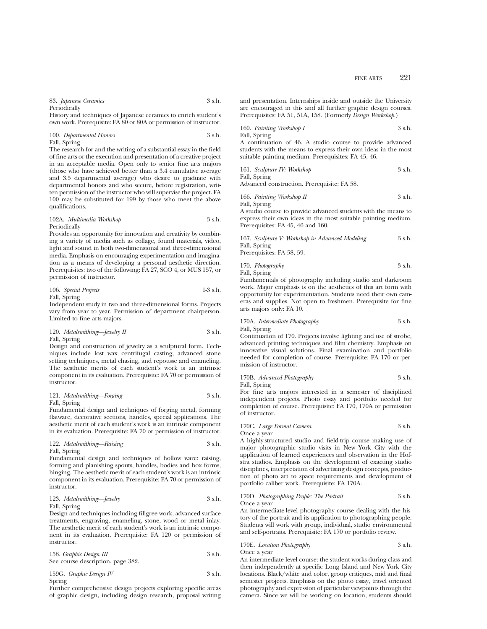83. *Japanese Ceramics* 3 s.h. Periodically

History and techniques of Japanese ceramics to enrich student's own work. Prerequisite: FA 80 or 80A or permission of instructor.

100. *Departmental Honors* 3 s.h. Fall, Spring

The research for and the writing of a substantial essay in the field of fine arts or the execution and presentation of a creative project in an acceptable media. Open only to senior fine arts majors (those who have achieved better than a 3.4 cumulative average and 3.5 departmental average) who desire to graduate with departmental honors and who secure, before registration, written permission of the instructor who will supervise the project. FA 100 may be substituted for 199 by those who meet the above qualifications.

102A. *Multimedia Workshop* 3 s.h. Periodically

Provides an opportunity for innovation and creativity by combining a variety of media such as collage, found materials, video, light and sound in both two-dimensional and three-dimensional media. Emphasis on encouraging experimentation and imagination as a means of developing a personal aesthetic direction. Prerequisites: two of the following: FA 27, SCO 4, or MUS 157, or permission of instructor.

106. *Special Projects* 1-3 s.h. Fall, Spring

Independent study in two and three-dimensional forms. Projects vary from year to year. Permission of department chairperson. Limited to fine arts majors.

120. *Metalsmithing—Jewelry II* 3 s.h. Fall, Spring

Design and construction of jewelry as a sculptural form. Techniques include lost wax centrifugal casting, advanced stone setting techniques, metal chasing, and repousse and enameling. The aesthetic merits of each student's work is an intrinsic component in its evaluation. Prerequisite: FA 70 or permission of instructor.

121. *Metalsmithing—Forging* 3 s.h. Fall, Spring

Fundamental design and techniques of forging metal, forming flatware, decorative sections, handles, special applications. The aesthetic merit of each student's work is an intrinsic component in its evaluation. Prerequisite: FA 70 or permission of instructor.

122. *Metalsmithing—Raising* 3 s.h. Fall, Spring

Fundamental design and techniques of hollow ware: raising, forming and planishing spouts, handles, bodies and box forms, hinging. The aesthetic merit of each student's work is an intrinsic component in its evaluation. Prerequisite: FA 70 or permission of instructor.

123. *Metalsmithing—Jewelry* 3 s.h. Fall, Spring

Design and techniques including filigree work, advanced surface treatments, engraving, enameling, stone, wood or metal inlay. The aesthetic merit of each student's work is an intrinsic component in its evaluation. Prerequisite: FA 120 or permission of instructor.

| 158. Graphic Design III           | 3 s.h. |
|-----------------------------------|--------|
| See course description, page 382. |        |

159G. *Graphic Design IV* 3 s.h.

Spring

Further comprehensive design projects exploring specific areas of graphic design, including design research, proposal writing

and presentation. Internships inside and outside the University are encouraged in this and all further graphic design courses. Prerequisites: FA 51, 51A, 158. (Formerly *Design Workshop.*)

160. *Painting Workshop I* 3 s.h. Fall, Spring

A continuation of 46. A studio course to provide advanced students with the means to express their own ideas in the most suitable painting medium. Prerequisites: FA 45, 46.

161. *Sculpture IV: Workshop* 3 s.h. Fall, Spring

Advanced construction. Prerequisite: FA 58.

166. *Painting Workshop II* 3 s.h. Fall, Spring

A studio course to provide advanced students with the means to express their own ideas in the most suitable painting medium. Prerequisites: FA 45, 46 and 160.

| 167. Sculpture V: Workshop in Advanced Modeling | 3 s.h. |
|-------------------------------------------------|--------|
| Fall, Spring                                    |        |
| Prerequisites: FA 58, 59.                       |        |

170. *Photography* 3 s.h. Fall, Spring

Fundamentals of photography including studio and darkroom work. Major emphasis is on the aesthetics of this art form with opportunity for experimentation. Students need their own cameras and supplies. Not open to freshmen. Prerequisite for fine arts majors only: FA 10.

170A. *Intermediate Photography* 3 s.h. Fall, Spring

Continuation of 170. Projects involve lighting and use of strobe, advanced printing techniques and film chemistry. Emphasis on innovative visual solutions. Final examination and portfolio needed for completion of course. Prerequisite: FA 170 or permission of instructor.

170B. *Advanced Photography* 3 s.h. Fall, Spring

For fine arts majors interested in a semester of disciplined independent projects. Photo essay and portfolio needed for completion of course. Prerequisite: FA 170, 170A or permission of instructor.

170C. *Large Format Camera* 3 s.h. Once a year

A highly-structured studio and field-trip course making use of major photographic studio visits in New York City with the application of learned experiences and observation in the Hofstra studios. Emphasis on the development of exacting studio disciplines, interpretation of advertising design concepts, production of photo art to space requirements and development of portfolio caliber work. Prerequisite: FA 170A.

170D. *Photographing People: The Portrait* 3 s.h. Once a year

An intermediate-level photography course dealing with the history of the portrait and its application to photographing people. Students will work with group, individual, studio environmental and self-portraits. Prerequisite: FA 170 or portfolio review.

170E. *Location Photography* 3 s.h.

Once a year

An intermediate level course: the student works during class and then independently at specific Long Island and New York City locations. Black/white and color, group critiques, mid and final semester projects. Emphasis on the photo essay, travel oriented photography and expression of particular viewpoints through the camera. Since we will be working on location, students should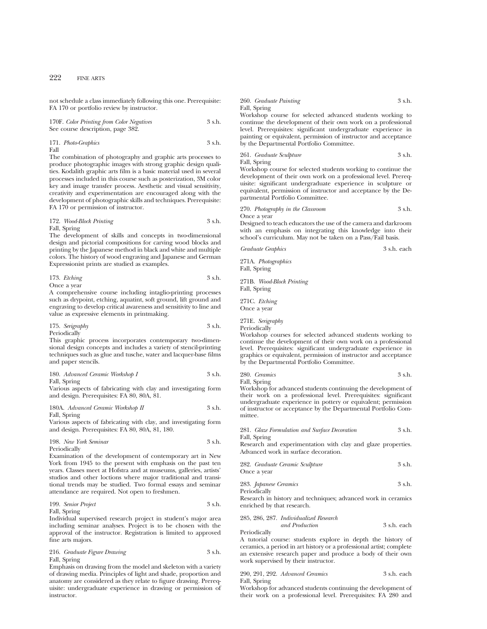not schedule a class immediately following this one. Prerequisite: FA 170 or portfolio review by instructor.

| 170F. Color Printing from Color Negatives | 3 s.h. |
|-------------------------------------------|--------|
| See course description, page 382.         |        |

171. *Photo-Graphics* 3 s.h. Fall

The combination of photography and graphic arts processes to produce photographic images with strong graphic design qualities. Kodalith graphic arts film is a basic material used in several processes included in this course such as posterization, 3M color key and image transfer process. Aesthetic and visual sensitivity, creativity and experimentation are encouraged along with the development of photographic skills and techniques. Prerequisite: FA 170 or permission of instructor.

| 172. Wood-Block Printing | 3 s.h. |
|--------------------------|--------|
| Fall, Spring             |        |

The development of skills and concepts in two-dimensional design and pictorial compositions for carving wood blocks and printing by the Japanese method in black and white and multiple colors. The history of wood engraving and Japanese and German Expressionist prints are studied as examples.

173. *Etching* 3 s.h. Once a year

A comprehensive course including intaglio-printing processes such as drypoint, etching, aquatint, soft ground, lift ground and engraving to develop critical awareness and sensitivity to line and value as expressive elements in printmaking.

175. *Serigraphy* 3 s.h. Periodically

This graphic process incorporates contemporary two-dimensional design concepts and includes a variety of stencil-printing techniques such as glue and tusche, water and lacquer-base films and paper stencils.

180. *Advanced Ceramic Workshop I* 3 s.h.

Fall, Spring

Various aspects of fabricating with clay and investigating form and design. Prerequisites: FA 80, 80A, 81.

180A. *Advanced Ceramic Workshop II* 3 s.h. Fall, Spring

Various aspects of fabricating with clay, and investigating form and design. Prerequisites: FA 80, 80A, 81, 180.

|   | 198. New York Seminar | 3 s.h. |  |
|---|-----------------------|--------|--|
| - |                       |        |  |

Periodically Examination of the development of contemporary art in New York from 1945 to the present with emphasis on the past ten years. Classes meet at Hofstra and at museums, galleries, artists'

studios and other loctions where major traditional and transitional trends may be studied. Two formal essays and seminar attendance are required. Not open to freshmen.

199. *Senior Project* 3 s.h.

Fall, Spring

Individual supervised research project in student's major area including seminar analyses. Project is to be chosen with the approval of the instructor. Registration is limited to approved fine arts majors.

216. *Graduate Figure Drawing* 3 s.h. Fall, Spring

Emphasis on drawing from the model and skeleton with a variety of drawing media. Principles of light and shade, proportion and anatomy are considered as they relate to figure drawing. Prerequisite: undergraduate experience in drawing or permission of instructor.

260. *Graduate Painting* 3 s.h. Fall, Spring

Workshop course for selected advanced students working to continue the development of their own work on a professional level. Prerequisites: significant undergraduate experience in painting or equivalent, permission of instructor and acceptance by the Departmental Portfolio Committee.

261. *Graduate Sculpture* 3 s.h. Fall, Spring

Workshop course for selected students working to continue the development of their own work on a professional level. Prerequisite: significant undergraduate experience in sculpture or equivalent, permission of instructor and acceptance by the Departmental Portfolio Committee.

270. *Photography in the Classroom* 3 s.h. Once a year

Designed to teach educators the use of the camera and darkroom with an emphasis on integrating this knowledge into their school's curriculum. May not be taken on a Pass/Fail basis.

*Graduate Graphics* 3 s.h. each

271A. *Photographics* Fall, Spring

271B. *Wood-Block Printing* Fall, Spring

271C. *Etching* Once a year

271E. *Serigraphy*

Periodically

Workshop courses for selected advanced students working to continue the development of their own work on a professional level. Prerequisites: significant undergraduate experience in graphics or equivalent, permission of instructor and acceptance by the Departmental Portfolio Committee.

280. *Ceramics* 3 s.h. Fall, Spring

Workshop for advanced students continuing the development of their work on a professional level. Prerequisites: significant undergraduate experience in pottery or equivalent; permission of instructor or acceptance by the Departmental Portfolio Committee.

#### 281. *Glaze Formulation and Surface Decoration* 3 s.h. Fall, Spring

Research and experimentation with clay and glaze properties. Advanced work in surface decoration.

282. *Graduate Ceramic Sculpture* 3 s.h. Once a year

283. *Japanese Ceramics* 3 s.h. Periodically

Research in history and techniques; advanced work in ceramics enriched by that research.

## 285, 286, 287. *Individualized Research*

*and Production* 3 s.h. each Periodically

A tutorial course: students explore in depth the history of ceramics, a period in art history or a professional artist; complete an extensive research paper and produce a body of their own work supervised by their instructor.

|              | 290, 291, 292. Advanced Ceramics | 3 s.h. each |
|--------------|----------------------------------|-------------|
| Fall, Spring |                                  |             |

Workshop for advanced students continuing the development of their work on a professional level. Prerequisites: FA 280 and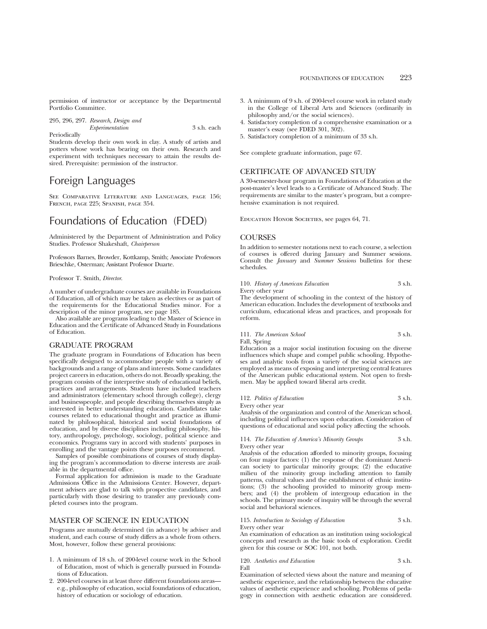permission of instructor or acceptance by the Departmental Portfolio Committee.

|              | 295, 296, 297. Research, Design and |             |  |
|--------------|-------------------------------------|-------------|--|
|              | <i>Experimentation</i>              | 3 s.h. each |  |
| Periodically |                                     |             |  |

Students develop their own work in clay. A study of artists and potters whose work has bearing on their own. Research and experiment with techniques necessary to attain the results desired. Prerequisite: permission of the instructor.

# Foreign Languages

See Comparative Literature and Languages, page 156; French, page 225; Spanish, page 354.

# Foundations of Education (FDED)

Administered by the Department of Administration and Policy Studies. Professor Shakeshaft, *Chairperson*

Professors Barnes, Browder, Kottkamp, Smith; Associate Professors Brieschke, Osterman; Assistant Professor Duarte.

#### Professor T. Smith, *Director*.

A number of undergraduate courses are available in Foundations of Education, all of which may be taken as electives or as part of the requirements for the Educational Studies minor. For a description of the minor program, see page 185.

Also available are programs leading to the Master of Science in Education and the Certificate of Advanced Study in Foundations of Education.

#### GRADUATE PROGRAM

The graduate program in Foundations of Education has been specifically designed to accommodate people with a variety of backgrounds and a range of plans and interests. Some candidates project careers in education, others do not. Broadly speaking, the program consists of the interpretive study of educational beliefs, practices and arrangements. Students have included teachers and administrators (elementary school through college), clergy and businesspeople, and people describing themselves simply as interested in better understanding education. Candidates take courses related to educational thought and practice as illuminated by philosophical, historical and social foundations of education, and by diverse disciplines including philosophy, history, anthropology, psychology, sociology, political science and economics. Programs vary in accord with students' purposes in enrolling and the vantage points these purposes recommend.

Samples of possible combinations of courses of study displaying the program's accommodation to diverse interests are available in the departmental office.

Formal application for admission is made to the Graduate Admissions Office in the Admissions Center. However, department advisers are glad to talk with prospective candidates, and particularly with those desiring to transfer any previously completed courses into the program.

# MASTER OF SCIENCE IN EDUCATION

Programs are mutually determined (in advance) by adviser and student, and each course of study differs as a whole from others. Most, however, follow these general provisions:

- 1. A minimum of 18 s.h. of 200-level course work in the School of Education, most of which is generally pursued in Foundations of Education.
- 2. 200-level courses in at least three different foundations areas e.g., philosophy of education, social foundations of education, history of education or sociology of education.
- 3. A minimum of 9 s.h. of 200-level course work in related study in the College of Liberal Arts and Sciences (ordinarily in philosophy and/or the social sciences).
- 4. Satisfactory completion of a comprehensive examination or a master's essay (see FDED 301, 302).
- 5. Satisfactory completion of a minimum of 33 s.h.
- See complete graduate information, page 67.

## CERTIFICATE OF ADVANCED STUDY

A 30-semester-hour program in Foundations of Education at the post-master's level leads to a Certificate of Advanced Study. The requirements are similar to the master's program, but a comprehensive examination is not required.

Education Honor Societies, see pages 64, 71.

#### **COURSES**

In addition to semester notations next to each course, a selection of courses is offered during January and Summer sessions. Consult the *January* and *Summer Sessions* bulletins for these schedules.

110. *History of American Education* 3 s.h. Every other year

The development of schooling in the context of the history of American education. Includes the development of textbooks and curriculum, educational ideas and practices, and proposals for reform.

111. *The American School* 3 s.h. Fall, Spring

Education as a major social institution focusing on the diverse influences which shape and compel public schooling. Hypotheses and analytic tools from a variety of the social sciences are employed as means of exposing and interpreting central features of the American public educational system. Not open to freshmen. May be applied toward liberal arts credit.

112. *Politics of Education* 3 s.h. Every other year

Analysis of the organization and control of the American school, including political influences upon education. Consideration of questions of educational and social policy affecting the schools.

114. *The Education of America's Minority Groups* 3 s.h.

Every other year Analysis of the education afforded to minority groups, focusing on four major factors: (1) the response of the dominant American society to particular minority groups; (2) the educative milieu of the minority group including attention to family patterns, cultural values and the establishment of ethnic institutions; (3) the schooling provided to minority group members; and (4) the problem of intergroup education in the schools. The primary mode of inquiry will be through the several

## 115. *Introduction to Sociology of Education* 3 s.h. Every other year

social and behavioral sciences.

An examination of education as an institution using sociological concepts and research as the basic tools of exploration. Credit given for this course or SOC 101, not both.

120. *Aesthetics and Education* 3 s.h. Fall

Examination of selected views about the nature and meaning of aesthetic experience, and the relationship between the educative values of aesthetic experience and schooling. Problems of pedagogy in connection with aesthetic education are considered.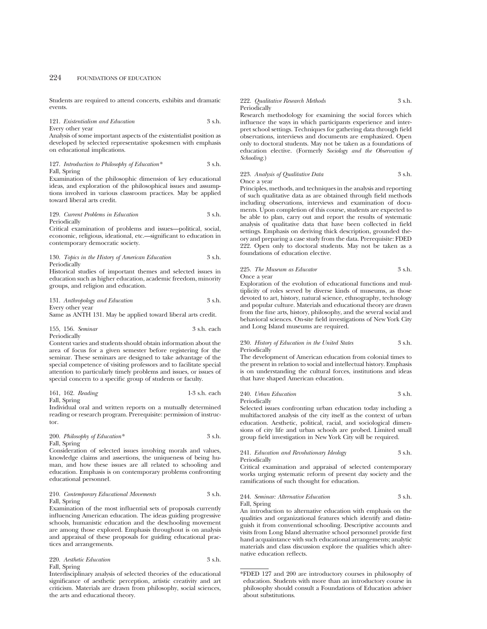Students are required to attend concerts, exhibits and dramatic events.

121. *Existentialism and Education* 3 s.h. Every other year

Analysis of some important aspects of the existentialist position as developed by selected representative spokesmen with emphasis on educational implications.

127. *Introduction to Philosophy of Education\** 3 s.h. Fall, Spring

Examination of the philosophic dimension of key educational ideas, and exploration of the philosophical issues and assumptions involved in various classroom practices. May be applied toward liberal arts credit.

129. *Current Problems in Education* 3 s.h. Periodically

Critical examination of problems and issues—political, social, economic, religious, ideational, etc.—significant to education in contemporary democratic society.

130. *Topics in the History of American Education* 3 s.h. Periodically

Historical studies of important themes and selected issues in education such as higher education, academic freedom, minority groups, and religion and education.

131. *Anthropology and Education* 3 s.h. Every other year

Same as ANTH 131. May be applied toward liberal arts credit.

155, 156. *Seminar* 3 s.h. each Periodically

Content varies and students should obtain information about the area of focus for a given semester before registering for the seminar. These seminars are designed to take advantage of the special competence of visiting professors and to facilitate special attention to particularly timely problems and issues, or issues of special concern to a specific group of students or faculty.

| 161, 162. Reading<br>1-3 s.h. each |  |
|------------------------------------|--|
|------------------------------------|--|

Fall, Spring

Individual oral and written reports on a mutually determined reading or research program. Prerequisite: permission of instructor.

200. *Philosophy of Education\** 3 s.h. Fall, Spring

Consideration of selected issues involving morals and values, knowledge claims and assertions, the uniqueness of being human, and how these issues are all related to schooling and education. Emphasis is on contemporary problems confronting educational personnel.

210. *Contemporary Educational Movements* 3 s.h. Fall, Spring

Examination of the most influential sets of proposals currently influencing American education. The ideas guiding progressive schools, humanistic education and the deschooling movement are among those explored. Emphasis throughout is on analysis and appraisal of these proposals for guiding educational practices and arrangements.

220. *Aesthetic Education* 3 s.h. Fall, Spring

Interdisciplinary analysis of selected theories of the educational significance of aesthetic perception, artistic creativity and art criticism. Materials are drawn from philosophy, social sciences, the arts and educational theory.

#### 222. *Qualitative Research Methods* 3 s.h. Periodically

Research methodology for examining the social forces which influence the ways in which participants experience and interpret school settings. Techniques for gathering data through field observations, interviews and documents are emphasized. Open only to doctoral students. May not be taken as a foundations of education elective. (Formerly *Sociology and the Observation of Schooling*.)

## 223. *Analysis of Qualitative Data* 3 s.h. Once a year

Principles, methods, and techniques in the analysis and reporting of such qualitative data as are obtained through field methods including observations, interviews and examination of documents. Upon completion of this course, students are expected to be able to plan, carry out and report the results of systematic analysis of qualitative data that have been collected in field settings. Emphasis on deriving thick description, grounded theory and preparing a case study from the data. Prerequisite: FDED 222. Open only to doctoral students. May not be taken as a foundations of education elective.

## 225. *The Museum as Educator* 3 s.h. Once a year

Exploration of the evolution of educational functions and multiplicity of roles served by diverse kinds of museums, as those devoted to art, history, natural science, ethnography, technology and popular culture. Materials and educational theory are drawn from the fine arts, history, philosophy, and the several social and behavioral sciences. On-site field investigations of New York City and Long Island museums are required.

#### 230. *History of Education in the United States* 3 s.h. Periodically

The development of American education from colonial times to the present in relation to social and intellectual history. Emphasis is on understanding the cultural forces, institutions and ideas that have shaped American education.

240. *Urban Education* 3 s.h. Periodically

Selected issues confronting urban education today including a multifactored analysis of the city itself as the context of urban education. Aesthetic, political, racial, and sociological dimensions of city life and urban schools are probed. Limited small group field investigation in New York City will be required.

#### 241. *Education and Revolutionary Ideology* 3 s.h. Periodically

Critical examination and appraisal of selected contemporary works urging systematic reform of present day society and the ramifications of such thought for education.

244. *Seminar: Alternative Education* 3 s.h. Fall, Spring

An introduction to alternative education with emphasis on the qualities and organizational features which identify and distinguish it from conventional schooling. Descriptive accounts and visits from Long Island alternative school personnel provide first hand acquaintance with such educational arrangements; analytic materials and class discussion explore the qualities which alternative education reflects.

<sup>\*</sup>FDED 127 and 200 are introductory courses in philosophy of education. Students with more than an introductory course in philosophy should consult a Foundations of Education adviser about substitutions.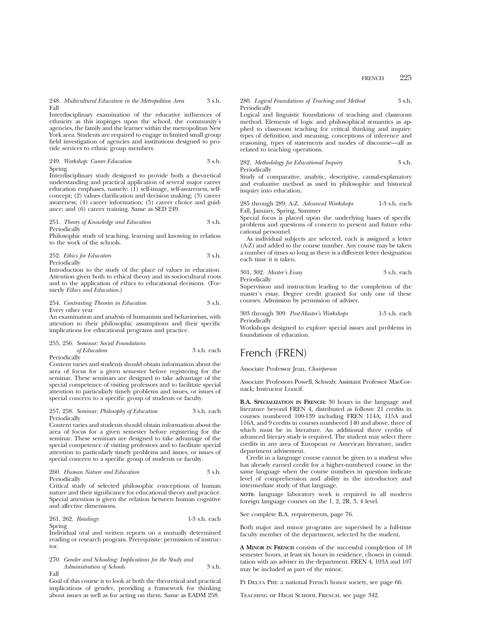248. *Multicultural Education in the Metropolitan Area* 3 s.h. Fall

Interdisciplinary examination of the educative influences of ethnicity as this impinges upon the school, the community's agencies, the family and the learner within the metropolitan New York area. Students are required to engage in limited small group field investigation of agencies and institutions designed to provide services to ethnic group members.

## 249. *Workshop: Career Education* 3 s.h. Spring

Interdisciplinary study designed to provide both a theoretical understanding and practical application of several major career education emphases, namely: (1) self-image, self-awareness, selfconcept; (2) values clarification and decision making; (3) career awareness; (4) career information; (5) career choice and guidance; and (6) career training. Same as SED 249.

251. *Theory of Knowledge and Education* 3 s.h. Periodically

Philosophic study of teaching, learning and knowing in relation to the work of the schools.

| 252. Ethics for Educators | 3 s.h. |
|---------------------------|--------|
| Periodically              |        |

Introduction to the study of the place of values in education. Attention given both to ethical theory and its sociocultural roots and to the application of ethics to educational decisions. (Formerly *Ethics and Education*.)

254. *Contrasting Theories in Education* 3 s.h. Every other year

An examination and analysis of humanism and behaviorism, with attention to their philosophic assumptions and their specific implications for educational programs and practice.

#### 255, 256. *Seminar: Social Foundations of Education* 3 s.h. each Periodically

Content varies and students should obtain information about the

area of focus for a given semester before registering for the seminar. These seminars are designed to take advantage of the special competence of visiting professors and to facilitate special attention to particularly timely problems and issues, or issues of special concern to a specific group of students or faculty.

#### 257, 258. *Seminar: Philosophy of Education* 3 s.h. each Periodically

Content varies and students should obtain information about the area of focus for a given semester before registering for the seminar. These seminars are designed to take advantage of the special competence of visiting professors and to facilitate special attention to particularly timely problems and issues, or issues of special concern to a specific group of students or faculty.

260. *Human Nature and Education* 3 s.h. Periodically

Critical study of selected philosophic conceptions of human nature and their significance for educational theory and practice. Special attention is given the relation between human cognitive and affective dimensions.

261, 262. *Readings* 1-3 s.h. each Spring

Individual oral and written reports on a mutually determined reading or research program. Prerequisite: permission of instructor.

## 270. *Gender and Schooling: Implications for the Study and Administration of Schools* 3 s.h.

Fall

Goal of this course is to look at both the theoretical and practical implications of gender, providing a framework for thinking about issues as well as for acting on them. Same as EADM 258.

## 280. *Logical Foundations of Teaching and Method* 3 s.h. Periodically

Logical and linguistic foundations of teaching and classroom method. Elements of logic and philosophical semantics as applied to classroom teaching for critical thinking and inquiry: types of definition and meaning, conceptions of inference and reasoning, types of statements and modes of discourse—all as related to teaching operations.

282. *Methodology for Educational Inquiry* 3 s.h. Periodically

Study of comparative, analytic, descriptive, causal-explanatory and evaluative method as used in philosophic and historical inquiry into education.

285 through 289, A-Z. *Advanced Workshops* 1-3 s.h. each Fall, January, Spring, Summer

Special focus is placed upon the underlying bases of specific problems and questions of concern to present and future educational personnel.

As individual subjects are selected, each is assigned a letter (A-Z) and added to the course number. Any course may be taken a number of times so long as there is a different letter designation each time it is taken.

301, 302. *Master's Essay* 3 s.h. each Periodically

Supervision and instruction leading to the completion of the master's essay. Degree credit granted for only one of these courses. Admission by permission of adviser.

|              | 303 through 309. Post-Master's Workshops | $1-3$ s.h. each |
|--------------|------------------------------------------|-----------------|
| Periodically |                                          |                 |

Workshops designed to explore special issues and problems in foundations of education.

# French (FREN)

Associate Professor Jean, *Chairperson*

Associate Professors Powell, Schwab; Assistant Professor MacCornack; Instructor Loucif.

**B.A. SPECIALIZATION IN FRENCH:** 30 hours in the language and literature beyond FREN 4, distributed as follows: 21 credits in courses numbered 100-139 including FREN 114A, 115A and 116A, and 9 credits in courses numbered 140 and above, three of which must be in literature. An additional three credits of advanced literary study is required. The student may select three credits in any area of European or American literature, under department advisement.

Credit in a language course cannot be given to a student who has already earned credit for a higher-numbered course in the same language when the course numbers in question indicate level of comprehension and ability in the introductory and intermediate study of that language.

**NOTE:** language laboratory work is required in all modern foreign language courses on the 1, 2, 2R, 3, 4 level.

See complete B.A. requirements, page 76.

Both major and minor programs are supervised by a full-time faculty member of the department, selected by the student.

**A MINOR IN FRENCH** consists of the successful completion of 18 semester hours, at least six hours in residence, chosen in consultation with an adviser in the department. FREN 4, 103A and 107 may be included as part of the minor.

PI DELTA PHI: a national French honor society, see page 66.

Teaching of High School French, see page 342.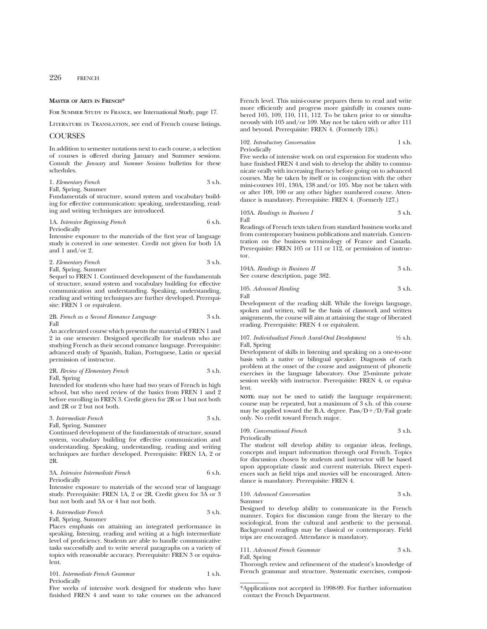226 FRENCH

#### **MASTER OF ARTS IN FRENCH\***

For Summer Study in France, see International Study, page 17.

Literature in Translation, see end of French course listings.

## **COURSES**

In addition to semester notations next to each course, a selection of courses is offered during January and Summer sessions. Consult the *January* and *Summer Sessions* bulletins for these schedules.

1. *Elementary French* 3 s.h. Fall, Spring, Summer

Fundamentals of structure, sound system and vocabulary building for effective communication: speaking, understanding, reading and writing techniques are introduced.

1A. *Intensive Beginning French* 6 s.h. Periodically

Intensive exposure to the materials of the first year of language study is covered in one semester. Credit not given for both 1A and 1 and/or 2.

2. *Elementary French* 3 s.h. Fall, Spring, Summer

Sequel to FREN 1. Continued development of the fundamentals of structure, sound system and vocabulary building for effective communication and understanding. Speaking, understanding, reading and writing techniques are further developed. Prerequisite: FREN 1 or equivalent.

2B. *French as a Second Romance Language* 3 s.h. Fall

An accelerated course which presents the material of FREN 1 and 2 in one semester. Designed specifically for students who are studying French as their second romance language. Prerequisite: advanced study of Spanish, Italian, Portuguese, Latin or special permission of instructor.

2R. *Review of Elementary French* 3 s.h. Fall, Spring

Intended for students who have had two years of French in high school, but who need review of the basics from FREN 1 and 2 before enrolling in FREN 3. Credit given for 2R or 1 but not both and 2R or 2 but not both.

3. *Intermediate French* 3 s.h. Fall, Spring, Summer

Continued development of the fundamentals of structure, sound system, vocabulary building for effective communication and understanding. Speaking, understanding, reading and writing techniques are further developed. Prerequisite: FREN 1A, 2 or 2R.

3A. *Intensive Intermediate French* 6 s.h. Periodically

Intensive exposure to materials of the second year of language study. Prerequisite: FREN 1A, 2 or 2R. Credit given for 3A or 3 but not both and 3A or 4 but not both.

4. *Intermediate French* 3 s.h. Fall, Spring, Summer

Places emphasis on attaining an integrated performance in speaking, listening, reading and writing at a high intermediate level of proficiency. Students are able to handle communicative tasks successfully and to write several paragraphs on a variety of topics with reasonable accuracy. Prerequisite: FREN 3 or equivalent.

101. *Intermediate French Grammar* 1 s.h.

Periodically

Five weeks of intensive work designed for students who have finished FREN 4 and want to take courses on the advanced French level. This mini-course prepares them to read and write more efficiently and progress more gainfully in courses numbered 105, 109, 110, 111, 112. To be taken prior to or simultaneously with 105 and/or 109. May not be taken with or after 111 and beyond. Prerequisite: FREN 4. (Formerly 126.)

102. *Introductory Conversation* 1 s.h. Periodically

Five weeks of intensive work on oral expression for students who have finished FREN 4 and wish to develop the ability to communicate orally with increasing fluency before going on to advanced courses. May be taken by itself or in conjunction with the other mini-courses 101, 130A, 138 and/or 105. May not be taken with or after 109, 100 or any other higher numbered course. Attendance is mandatory. Prerequisite: FREN 4. (Formerly 127.)

103A. *Readings in Business I* 3 s.h. Fall

Readings of French texts taken from standard business works and from contemporary business publications and materials. Concentration on the business terminology of France and Canada. Prerequisite: FREN 105 or 111 or 112, or permission of instructor.

104A. *Readings in Business II* 3 s.h. See course description, page 382.

105. *Advanced Reading* 3 s.h. Fall

Development of the reading skill. While the foreign language, spoken and written, will be the basis of classwork and written assignments, the course will aim at attaining the stage of liberated reading. Prerequisite: FREN 4 or equivalent.

#### 107. *Individualized French Aural-Oral Development* 1⁄2 s.h. Fall, Spring

Development of skills in listening and speaking on a one-to-one basis with a native or bilingual speaker. Diagnosis of each problem at the onset of the course and assignment of phonetic exercises in the language laboratory. One 25-minute private session weekly with instructor. Prerequisite: FREN 4, or equivalent.

**NOTE:** may not be used to satisfy the language requirement; course may be repeated, but a maximum of 3 s.h. of this course may be applied toward the B.A. degree.  $Pass/D+/D/Fall$  grade only. No credit toward French major.

109. *Conversational French* 3 s.h. Periodically

The student will develop ability to organize ideas, feelings, concepts and impart information through oral French. Topics for discussion chosen by students and instructor will be based upon appropriate classic and current materials. Direct experiences such as field trips and movies will be encouraged. Attendance is mandatory. Prerequisite: FREN 4.

#### 110. *Advanced Conversation* 3 s.h. Summer

Designed to develop ability to communicate in the French manner. Topics for discussion range from the literary to the sociological, from the cultural and aesthetic to the personal. Background readings may be classical or contemporary. Field trips are encouraged. Attendance is mandatory.

111. *Advanced French Grammar* 3 s.h. Fall, Spring

Thorough review and refinement of the student's knowledge of French grammar and structure. Systematic exercises, composi-

<sup>\*</sup>Applications not accepted in 1998-99. For further information contact the French Department.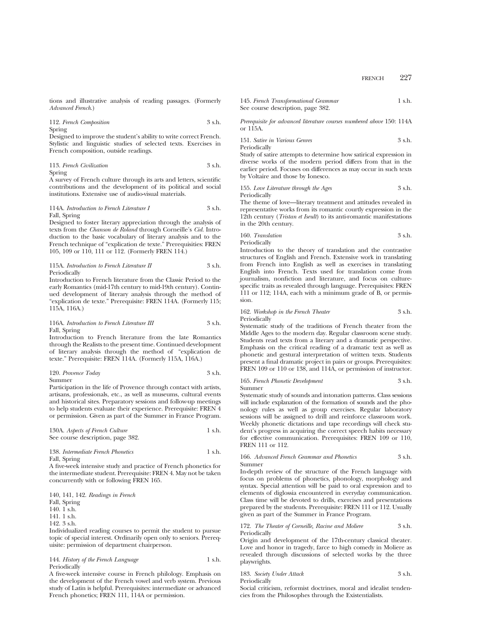tions and illustrative analysis of reading passages. (Formerly *Advanced French*.)

112. *French Composition* 3 s.h.

Spring

Designed to improve the student's ability to write correct French. Stylistic and linguistic studies of selected texts. Exercises in French composition, outside readings.

113. *French Civilization* 3 s.h.

Spring

A survey of French culture through its arts and letters, scientific contributions and the development of its political and social institutions. Extensive use of audio-visual materials.

#### 114A. *Introduction to French Literature I* 3 s.h. Fall, Spring

Designed to foster literary appreciation through the analysis of texts from the *Chanson de Roland* through Corneille's *Cid.* Introduction to the basic vocabulary of literary analysis and to the French technique of "explication de texte." Prerequisities: FREN 105, 109 or 110, 111 or 112. (Formerly FREN 114.)

115A. *Introduction to French Literature II* 3 s.h. Periodically

Introduction to French literature from the Classic Period to the early Romantics (mid-17th century to mid-19th century). Continued development of literary analysis through the method of "explication de texte." Prerequisite: FREN 114A. (Formerly 115; 115A, 116A.)

## 116A. *Introduction to French Literature III* 3 s.h. Fall, Spring

Introduction to French literature from the late Romantics through the Realists to the present time. Continued development of literary analysis through the method of "explication de texte." Prerequisite: FREN 114A. (Formerly 115A, 116A.)

120. *Provence Today* 3 s.h.

Summer

Participation in the life of Provence through contact with artists, artisans, professionals, etc., as well as museums, cultural events and historical sites. Preparatory sessions and follow-up meetings to help students evaluate their experience. Prerequisite: FREN 4 or permission. Given as part of the Summer in France Program.

| 130A. Aspects of French Culture   | 1 s.h. |
|-----------------------------------|--------|
| See course description, page 382. |        |

| 138. Intermediate French Phonetics | 1 s.h. |
|------------------------------------|--------|
| Fall, Spring                       |        |

A five-week intensive study and practice of French phonetics for the intermediate student. Prerequisite: FREN 4. May not be taken concurrently with or following FREN 165.

140, 141, 142. *Readings in French*

Fall, Spring

140. 1 s.h.

- 141. 1 s.h.
- $149.3$  sh.

Individualized reading courses to permit the student to pursue topic of special interest. Ordinarily open only to seniors. Prerequisite: permission of department chairperson.

144. *History of the French Language* 1 s.h. Periodically

A five-week intensive course in French philology. Emphasis on the development of the French vowel and verb system. Previous study of Latin is helpful. Prerequisites: intermediate or advanced French phonetics; FREN 111, 114A or permission.

145. *French Transformational Grammar* 1 s.h. See course description, page 382.

*Prerequisite for advanced literature courses numbered above* 150: 114A or 115A.

151. *Satire in Various Genres* 3 s.h. Periodically

Study of satire attempts to determine how satirical expression in diverse works of the modern period differs from that in the earlier period. Focuses on differences as may occur in such texts by Voltaire and those by Ionesco.

155. *Love Literature through the Ages* 3 s.h. Periodically

The theme of love—literary treatment and attitudes revealed in representative works from its romantic courtly expression in the 12th century (*Tristan et Iseult*) to its anti-romantic manifestations in the 20th century.

160. *Translation* 3 s.h. Periodically

Introduction to the theory of translation and the contrastive structures of English and French. Extensive work in translating from French into English as well as exercises in translating English into French. Texts used for translation come from journalism, nonfiction and literature, and focus on culturespecific traits as revealed through language. Prerequisites: FREN 111 or 112; 114A, each with a minimum grade of B, or permission.

162. *Workshop in the French Theater* 3 s.h. Periodically

Systematic study of the traditions of French theater from the Middle Ages to the modern day. Regular classroom scene study. Students read texts from a literary and a dramatic perspective. Emphasis on the critical reading of a dramatic text as well as phonetic and gestural interpretation of written texts. Students present a final dramatic project in pairs or groups. Prerequisites: FREN 109 or 110 or 138, and 114A, or permission of instructor.

165. *French Phonetic Development* 3 s.h. Summer

Systematic study of sounds and intonation patterns. Class sessions will include explanation of the formation of sounds and the phonology rules as well as group exercises. Regular laboratory sessions will be assigned to drill and reinforce classroom work. Weekly phonetic dictations and tape recordings will check student's progress in acquiring the correct speech habits necessary for effective communication. Prerequisites: FREN 109 or 110, FREN 111 or 112.

166. *Advanced French Grammar and Phonetics* 3 s.h. Summer

In-depth review of the structure of the French language with focus on problems of phonetics, phonology, morphology and syntax. Special attention will be paid to oral expression and to elements of diglossia encountered in everyday communication. Class time will be devoted to drills, exercises and presentations prepared by the students. Prerequisite: FREN 111 or 112. Usually given as part of the Summer in France Program.

172. *The Theater of Corneille, Racine and Moliere* 3 s.h. Periodically

Origin and development of the 17th-century classical theater. Love and honor in tragedy, farce to high comedy in Moliere as revealed through discussions of selected works by the three playwrights.

| 183. Society Under Attack |  |  |  | 3 s.h. |
|---------------------------|--|--|--|--------|
| Periodically              |  |  |  |        |
| .                         |  |  |  |        |

Social criticism, reformist doctrines, moral and idealist tendencies from the Philosophes through the Existentialists.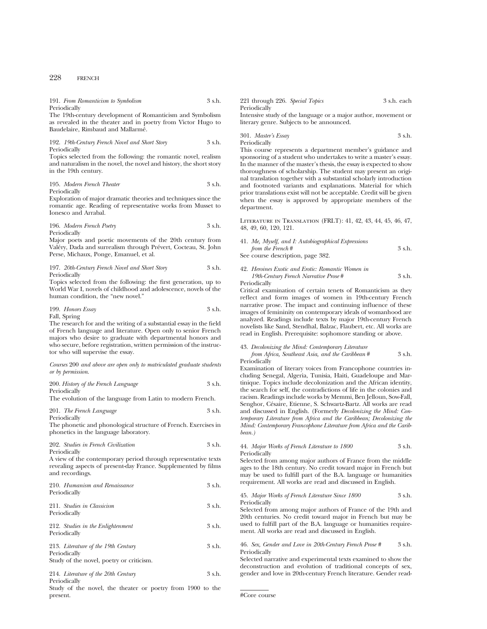# 228 FRENCH

| 191. From Romanticism to Symbolism                           | 3 s.h. | 221 through 226. Special Topics                                | 3 s.h. each |
|--------------------------------------------------------------|--------|----------------------------------------------------------------|-------------|
| Periodically                                                 |        | Periodically                                                   |             |
| The 19th-century development of Romanticism and Symbolism    |        | Intensive study of the language or a major author, movement or |             |
| as revealed in the theater and in poetry from Victor Hugo to |        | literary genre. Subjects to be announced.                      |             |
| Baudelaire, Rimbaud and Mallarmé.                            |        |                                                                |             |

| 192. 19th-Century French Novel and Short Story |  |  | 3 s.h. |
|------------------------------------------------|--|--|--------|
| Periodically                                   |  |  |        |

Topics selected from the following: the romantic novel, realism and naturalism in the novel, the novel and history, the short story in the 19th century.

195. *Modern French Theater* 3 s.h. Periodically

Exploration of major dramatic theories and techniques since the romantic age. Reading of representative works from Musset to Ionesco and Arrabal.

196. *Modern French Poetry* 3 s.h. Periodically

Major poets and poetic movements of the 20th century from Valéry, Dada and surrealism through Prévert, Cocteau, St. John Perse, Michaux, Ponge, Emanuel, et al.

197. *20th-Century French Novel and Short Story* 3 s.h. Periodically

Topics selected from the following: the first generation, up to World War I, novels of childhood and adolescence, novels of the human condition, the "new novel."

199. *Honors Essay* 3 s.h. Fall, Spring

The research for and the writing of a substantial essay in the field of French language and literature. Open only to senior French majors who desire to graduate with departmental honors and

who secure, before registration, written permission of the instructor who will supervise the essay.

*Courses* 200 *and above are open only to matriculated graduate students or by permission*.

| 200. History of the French Language | 3 s.h. |
|-------------------------------------|--------|
| Periodically                        |        |

The evolution of the language from Latin to modern French.

201. *The French Language* 3 s.h. Periodically

The phonetic and phonological structure of French. Exercises in phonetics in the language laboratory.

| 202. Studies in French Civilization | 3 s.h. |
|-------------------------------------|--------|
| Periodically                        |        |

A view of the contemporary period through representative texts revealing aspects of present-day France. Supplemented by films and recordings.

| 210. Humanism and Renaissance<br>Periodically     | 3 s.h. |
|---------------------------------------------------|--------|
| 211. Studies in Classicism<br>Periodically        | 3 s.h. |
| 212. Studies in the Enlightenment<br>Periodically | 3 s.h. |

213. *Literature of the 19th Century* 3 s.h. Periodically Study of the novel, poetry or criticism.

214. *Literature of the 20th Century* 3 s.h. Periodically

Study of the novel, the theater or poetry from 1900 to the present.

301. *Master's Essay* 3 s.h. Periodically

This course represents a department member's guidance and sponsoring of a student who undertakes to write a master's essay. In the manner of the master's thesis, the essay is expected to show thoroughness of scholarship. The student may present an original translation together with a substantial scholarly introduction and footnoted variants and explanations. Material for which prior translations exist will not be acceptable. Credit will be given when the essay is approved by appropriate members of the department.

Literature in Translation (FRLT): 41, 42, 43, 44, 45, 46, 47, 48, 49, 60, 120, 121.

41. *Me, Myself, and I: Autobiographical Expressions from the French* # 3 s.h. See course description, page 382.

42. *Heroines Exotic and Erotic: Romantic Women in*

*19th-Century French Narrative Prose* # 3 s.h.

Periodically

Critical examination of certain tenets of Romanticism as they reflect and form images of women in 19th-century French narrative prose. The impact and continuing influence of these images of femininity on contemporary ideals of womanhood are analyzed. Readings include texts by major 19th-century French novelists like Sand, Stendhal, Balzac, Flaubert, etc. All works are read in English. Prerequisite: sophomore standing or above.

43. *Decolonizing the Mind: Contemporary Literature*

*from Africa, Southeast Asia, and the Caribbean* # 3 s.h. Periodically

Examination of literary voices from Francophone countries including Senegal, Algeria, Tunisia, Haiti, Guadeloupe and Martinique. Topics include decolonization and the African identity, the search for self, the contradictions of life in the colonies and racism. Readings include works by Memmi, Ben Jelloun, Sow-Fall, Senghor, Césaire, Etienne, S. Schwartz-Bartz. All works are read and discussed in English. (Formerly *Decolonizing the Mind: Contemporary Literature from Africa and the Caribbean; Decolonizing the Mind: Contemporary Francophone Literature from Africa and the Caribbean.)*

44. *Major Works of French Literature to 1800* 3 s.h. Periodically

Selected from among major authors of France from the middle ages to the 18th century. No credit toward major in French but may be used to fulfill part of the B.A. language or humanities requirement. All works are read and discussed in English.

#### 45. *Major Works of French Literature Since 1800* 3 s.h. Periodically

Selected from among major authors of France of the 19th and 20th centuries. No credit toward major in French but may be used to fulfill part of the B.A. language or humanities requirement. All works are read and discussed in English.

46. *Sex, Gender and Love in 20th-Century French Prose #* 3 s.h. Periodically

Selected narrative and experimental texts examined to show the deconstruction and evolution of traditional concepts of sex, gender and love in 20th-century French literature. Gender read-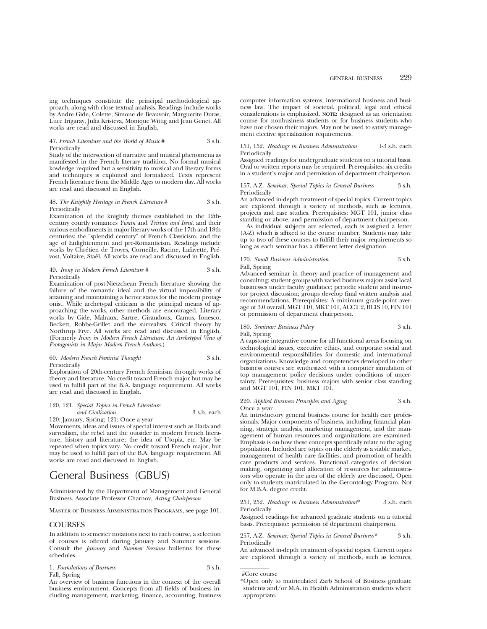proach, along with close textual analysis. Readings include works by Andre Gide, Colette, Simone de Beauvoir, Marguerite Duras, Luce Irigaray, Julia Kristeva, Monique Wittig and Jean Genet. All works are read and discussed in English.

47. *French Literature and the World of Music* # 3 s.h. Periodically

Study of the intersection of narrative and musical phenomena as manifested in the French literary tradition. No formal musical kowledge required but a sensitivity to musical and literary forms and techniques is exploited and formalized. Texts represent French literature from the Middle Ages to modern day. All works are read and discussed in English.

#### 48. *The Knightly Heritage in French Literature* # 3 s.h. **Periodically**

Examination of the knightly themes established in the 12thcentury courtly romances *Ywain* and *Tristan and Iseut*, and their various embodiments in major literary works of the 17th and 18th centuries: the "splendid century" of French Classicism, and the age of Enlightenment and pre-Romanticism. Readings include works by Chrétien de Troyes, Corneille, Racine, Lafayette, Prévost, Voltaire, Staël. All works are read and discussed in English.

#### 49. *Irony in Modern French Literature #* 3 s.h. Periodically

Examination of post-Nietzchean French literature showing the failure of the romantic ideal and the virtual impossibility of attaining and maintaining a heroic status for the modern protagonist. While archetypal criticism is the principal means of approaching the works, other methods are encouraged. Literary works by Gide, Malraux, Sartre, Giraudoux, Camus, Ionesco, Beckett, Robbe-Grillet and the surrealists. Critical theory by Northrup Frye. All works are read and discussed in English. (Formerly *Irony in Modern French Literature: An Archetypal View of Protagonists in Major Modern French Authors*.)

60. *Modern French Feminist Thought* 3 s.h. Periodically

Exploration of 20th-century French feminism through works of theory and literature. No credit toward French major but may be used to fulfill part of the B.A. language requirement. All works are read and discussed in English.

120, 121. *Special Topics in French Literature and Civilization* 3 s.h. each

120: January, Spring; 121: Once a year

Movements, ideas and issues of special interest such as Dada and surrealism, the rebel and the outsider in modern French literature, history and literature; the idea of Utopia, etc. May be repeated when topics vary. No credit toward French major, but may be used to fulfill part of the B.A. language requirement. All works are read and discussed in English.

# General Business (GBUS)

Administered by the Department of Management and General Business. Associate Professor Charnov, *Acting Chairperson*

Master of Business Administration Programs, see page 101.

## COURSES

In addition to semester notations next to each course, a selection of courses is offered during January and Summer sessions. Consult the *January* and *Summer Sessions* bulletins for these schedules.

1. *Foundations of Business* 3 s.h. Fall, Spring

An overview of business functions in the context of the overall business environment. Concepts from all fields of business including management, marketing, finance, accounting, business computer information systems, international business and business law. The impact of societal, political, legal and ethical considerations is emphasized. **NOTE:** designed as an orientation course for nonbusiness students or for business students who have not chosen their majors. May not be used to satisfy management elective specialization requirements.

#### 151, 152. *Readings in Business Administration* 1-3 s.h. each Periodically

Assigned readings for undergraduate students on a tutorial basis. Oral or written reports may be required. Prerequisites: six credits in a student's major and permission of department chairperson.

#### 157, A-Z. *Seminar: Special Topics in General Business* 3 s.h. Periodically

An advanced in-depth treatment of special topics. Current topics are explored through a variety of methods, such as lectures, projects and case studies. Prerequisites: MGT 101, junior class standing or above, and permission of department chairperson.

As individual subjects are selected, each is assigned a letter (A-Z) which is affixed to the course number. Students may take up to two of these courses to fulfill their major requirements so long as each seminar has a different letter designation.

#### 170. *Small Business Administration* 3 s.h. Fall, Spring

Advanced seminar in theory and practice of management and consulting; student groups with varied business majors assist local businesses under faculty guidance; periodic student and instructor project discussion; groups develop final written analysis and recommendations. Prerequisites: A minimum grade-point average of 3.0 overall, MGT 110, MKT 101, ACCT 2, BCIS 10, FIN 101 or permission of department chairperson.

180. *Seminar: Business Policy* 3 s.h.

Fall, Spring

A capstone integrative course for all functional areas focusing on technological issues, executive ethics, and corporate social and environmental responsibilities for domestic and international organizations. Knowledge and competencies developed in other business courses are synthesized with a computer simulation of top management policy decisions under conditions of uncertainty. Prerequisites: business majors with senior class standing and MGT 101, FIN 101, MKT 101.

#### 220. *Applied Business Principles and Aging* 3 s.h. Once a year

An introductory general business course for health care professionals. Major components of business, including financial planning, strategic analysis, marketing management, and the management of human resources and organizations are examined. Emphasis is on how these concepts specifically relate to the aging population. Included are topics on the elderly as a viable market, management of health care facilities, and promotion of health care products and services. Functional categories of decision making, organizing and allocation of resources for administrators who operate in the area of the elderly are discussed. Open only to students matriculated in the Gerontology Program. Not for M.B.A. degree credit.

#### 251, 252. *Readings in Business Administration*\* 3 s.h. each Periodically

Assigned readings for advanced graduate students on a tutorial basis. Prerequisite: permission of department chairperson.

257, A-Z. *Seminar: Special Topics in General Business\** 3 s.h. Periodically

An advanced in-depth treatment of special topics. Current topics are explored through a variety of methods, such as lectures,

<sup>#</sup>Core course

<sup>\*</sup>Open only to matriculated Zarb School of Business graduate students and/or M.A. in Health Administration students where appropriate.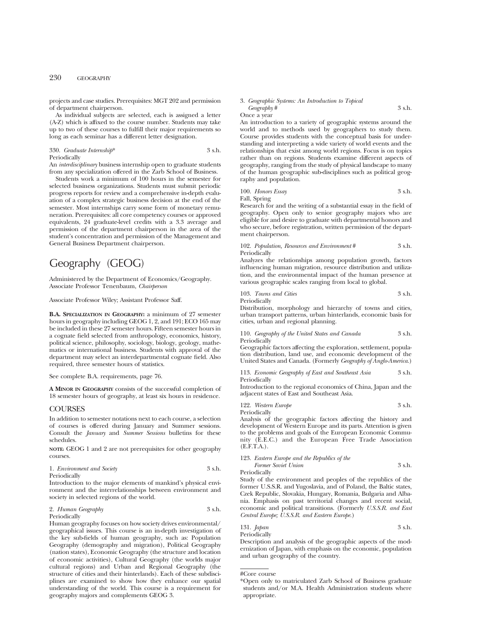## 230 GEOGRAPHY

projects and case studies. Prerequisites: MGT 202 and permission of department chairperson.

As individual subjects are selected, each is assigned a letter (A-Z) which is affixed to the course number. Students may take up to two of these courses to fulfill their major requirements so long as each seminar has a different letter designation.

#### 330. *Graduate Internship*\* 3 s.h. Periodically

An *interdisciplinary* business internship open to graduate students from any specialization offered in the Zarb School of Business.

Students work a minimum of 100 hours in the semester for selected business organizations. Students must submit periodic progress reports for review and a comprehensive in-depth evaluation of a complex strategic business decision at the end of the semester. Most internships carry some form of monetary remuneration. Prerequisites: all core competency courses or approved equivalents, 24 graduate-level credits with a 3.3 average and permission of the department chairperson in the area of the student's concentration and permission of the Management and General Business Department chairperson.

# Geography (GEOG)

Administered by the Department of Economics/Geography. Associate Professor Tenenbaum, *Chairperson*

Associate Professor Wiley; Assistant Professor Saff.

**B.A. SPECIALIZATION IN GEOGRAPHY:** a minimum of 27 semester hours in geography including GEOG 1, 2, and 191; ECO 165 may be included in these 27 semester hours. Fifteen semester hours in a cognate field selected from anthropology, economics, history, political science, philosophy, sociology, biology, geology, mathematics or international business. Students with approval of the department may select an interdepartmental cognate field. Also required, three semester hours of statistics.

See complete B.A. requirements, page 76.

**A MINOR IN GEOGRAPHY** consists of the successful completion of 18 semester hours of geography, at least six hours in residence.

## COURSES

In addition to semester notations next to each course, a selection of courses is offered during January and Summer sessions. Consult the *January* and *Summer Sessions* bulletins for these schedules.

**NOTE:** GEOG 1 and 2 are not prerequisites for other geography courses.

| 1. Environment and Society | 3 s.h. |
|----------------------------|--------|
|----------------------------|--------|

Periodically

Introduction to the major elements of mankind's physical environment and the interrelationships between environment and society in selected regions of the world.

2. *Human Geography* 3 s.h. Periodically

Human geography focuses on how society drives environmental/ geographical issues. This course is an in-depth investigation of the key sub-fields of human geography, such as: Population Geography (demography and migration), Political Geography (nation states), Economic Geography (the structure and location of economic activities), Cultural Geography (the worlds major cultural regions) and Urban and Regional Geography (the structure of cities and their hinterlands). Each of these subdisciplines are examined to show how they enhance our spatial understanding of the world. This course is a requirement for geography majors and complements GEOG 3.

#### 3. *Geographic Systems: An Introduction to Topical Geography* # 3 s.h.

Once a year

An introduction to a variety of geographic systems around the world and to methods used by geographers to study them. Course provides students with the conceptual basis for understanding and interpreting a wide variety of world events and the relationships that exist among world regions. Focus is on topics rather than on regions. Students examine different aspects of geography, ranging from the study of physical landscape to many of the human geographic sub-disciplines such as political geography and population.

100. *Honors Essay* 3 s.h. Fall, Spring

Research for and the writing of a substantial essay in the field of geography. Open only to senior geography majors who are eligible for and desire to graduate with departmental honors and who secure, before registration, written permission of the department chairperson.

102. *Population, Resources and Environment* # 3 s.h. Periodically

Analyzes the relationships among population growth, factors influencing human migration, resource distribution and utilization, and the environmental impact of the human presence at various geographic scales ranging from local to global.

103. *Towns and Cities* 3 s.h. Periodically

Distribution, morphology and hierarchy of towns and cities, urban transport patterns, urban hinterlands, economic basis for cities, urban and regional planning.

110. *Geography of the United States and Canada* 3 s.h. Periodically

Geographic factors affecting the exploration, settlement, population distribution, land use, and economic development of the United States and Canada. (Formerly *Geography of Anglo-America*.)

113. *Economic Geography of East and Southeast Asia* 3 s.h. Periodically

Introduction to the regional economics of China, Japan and the adjacent states of East and Southeast Asia.

122. *Western Europe* 3 s.h. Periodically

Analysis of the geographic factors affecting the history and development of Western Europe and its parts. Attention is given to the problems and goals of the European Economic Community (E.E.C.) and the European Free Trade Association (E.F.T.A.).

123. *Eastern Europe and the Republics of the Former Soviet Union* 3 s.h.

Periodically

Study of the environment and peoples of the republics of the former U.S.S.R. and Yugoslavia, and of Poland, the Baltic states, Czek Republic, Slovakia, Hungary, Romania, Bulgaria and Albania. Emphasis on past territorial changes and recent social, economic and political transitions. (Formerly *U.S.S.R. and East Central Europe; U.S.S.R. and Eastern Europe.*)

```
131. Japan 3 s.h.
Periodically
```
Description and analysis of the geographic aspects of the modernization of Japan, with emphasis on the economic, population and urban geography of the country.

<sup>#</sup>Core course

<sup>\*</sup>Open only to matriculated Zarb School of Business graduate students and/or M.A. Health Administration students where appropriate.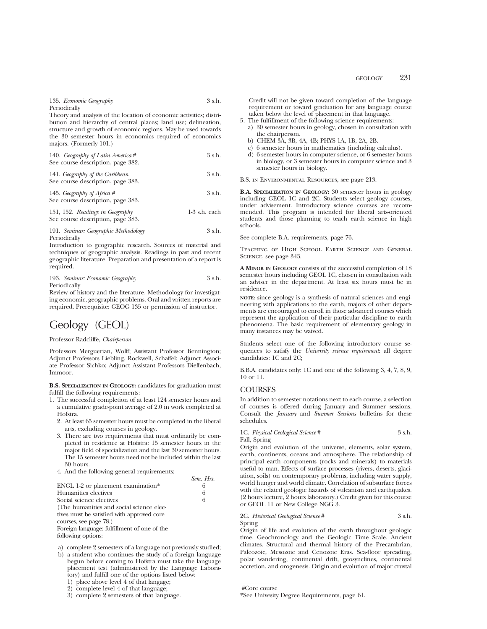## 135. *Economic Geography* 3 s.h.

Periodically

Theory and analysis of the location of economic activities; distribution and hierarchy of central places; land use; delineation, structure and growth of economic regions. May be used towards the 30 semester hours in economics required of economics majors. (Formerly 101.)

| 140. Geography of Latin America #<br>See course description, page 382. | 3 s.h. |
|------------------------------------------------------------------------|--------|
| $111 \cap$ $11$ $01$ $11$                                              |        |

141. *Geography of the Caribbean* 3 s.h. See course description, page 383.

145. *Geography of Africa* # 3 s.h. See course description, page 383.

151, 152. *Readings in Geography* 1-3 s.h. each See course description, page 383.

191. *Seminar: Geographic Methodology* 3 s.h. Periodically

Introduction to geographic research. Sources of material and techniques of geographic analysis. Readings in past and recent geographic literature. Preparation and presentation of a report is required.

| 193. Seminar: Economic Geography | 3 s.h. |
|----------------------------------|--------|
| Periodically                     |        |

Review of history and the literature. Methodology for investigating economic, geographic problems. Oral and written reports are required. Prerequisite: GEOG 135 or permission of instructor.

# Geology (GEOL)

## Professor Radcliffe, *Chairperson*

Professors Merguerian, Wolff; Assistant Professor Bennington; Adjunct Professors Liebling, Rockwell, Schaffel; Adjunct Associate Professor Sichko; Adjunct Assistant Professors Dieffenbach, Immoor.

**B.S. SPECIALIZATION IN GEOLOGY:** candidates for graduation must fulfill the following requirements:

- 1. The successful completion of at least 124 semester hours and a cumulative grade-point average of 2.0 in work completed at Hofstra.
	- 2. At least 65 semester hours must be completed in the liberal arts, excluding courses in geology.
	- 3. There are two requirements that must ordinarily be completed in residence at Hofstra: 15 semester hours in the major field of specialization and the last 30 semester hours. The 15 semester hours need not be included within the last 30 hours.
	- 4. And the following general requirements:

|                                             | Sem. Hrs. |
|---------------------------------------------|-----------|
| ENGL 1-2 or placement examination*          | 6         |
| Humanities electives                        | 6         |
| Social science electives                    | 6         |
| (The humanities and social science elec-    |           |
| tives must be satisfied with approved core  |           |
| courses, see page 78.)                      |           |
| Foreign language: fulfillment of one of the |           |
| following options:                          |           |

a) complete 2 semesters of a language not previously studied;

b) a student who continues the study of a foreign language begun before coming to Hofstra must take the language placement test (administered by the Language Laboratory) and fulfill one of the options listed below:

1) place above level 4 of that langage;

- 2) complete level 4 of that language;
- 3) complete 2 semesters of that language.

Credit will not be given toward completion of the language requirement or toward graduation for any language course taken below the level of placement in that language.

- 5. The fulfillment of the following science requirements:
- a) 30 semester hours in geology, chosen in consultation with the chairperson.
	- b) CHEM 3A, 3B, 4A, 4B; PHYS 1A, 1B, 2A, 2B.
	- c) 6 semester hours in mathematics (including calculus).
- d) 6 semester hours in computer science, or 6 semester hours in biology, or 3 semester hours in computer science and 3 semester hours in biology.

B.S. in Environmental Resources, see page 213.

**B.A. SPECIALIZATION IN GEOLOGY:** 30 semester hours in geology including GEOL 1C and 2C. Students select geology courses, under advisement. Introductory science courses are recommended. This program is intended for liberal arts-oriented students and those planning to teach earth science in high schools.

See complete B.A. requirements, page 76.

Teaching of High School Earth Science and General Science, see page 343.

**A MINOR IN GEOLOGY** consists of the successful completion of 18 semester hours including GEOL 1C, chosen in consultation with an adviser in the department. At least six hours must be in residence.

**NOTE:** since geology is a synthesis of natural sciences and engineering with applications to the earth, majors of other departments are encouraged to enroll in those advanced courses which represent the application of their particular discipline to earth phenomena. The basic requirement of elementary geology in many instances may be waived.

Students select one of the following introductory course sequences to satisfy the *University science requirement*: all degree candidates: 1C and 2C;

B.B.A. candidates only: 1C and one of the following 3, 4, 7, 8, 9, 10 or 11.

## **COURSES**

In addition to semester notations next to each course, a selection of courses is offered during January and Summer sessions. Consult the *January* and *Summer Sessions* bulletins for these schedules.

1C. *Physical Geological Science* # 3 s.h. Fall, Spring

Origin and evolution of the universe, elements, solar system, earth, continents, oceans and atmosphere. The relationship of principal earth components (rocks and minerals) to materials useful to man. Effects of surface processes (rivers, deserts, glaciation, soils) on contemporary problems, including water supply, world hunger and world climate. Correlation of subsurface forces with the related geologic hazards of vulcanism and earthquakes. (2 hours lecture, 2 hours laboratory.) Credit given for this course or GEOL 11 or New College NGG 3.

## 2C. *Historical Geological Science* # 3 s.h. Spring

Origin of life and evolution of the earth throughout geologic time. Geochronology and the Geologic Time Scale. Ancient climates. Structural and thermal history of the Precambrian, Paleozoic, Mesozoic and Cenozoic Eras. Sea-floor spreading, polar wandering, continental drift, geosynclines, continental accretion, and orogenesis. Origin and evolution of major crustal

<sup>\*</sup>See Univesity Degree Requirements, page 61.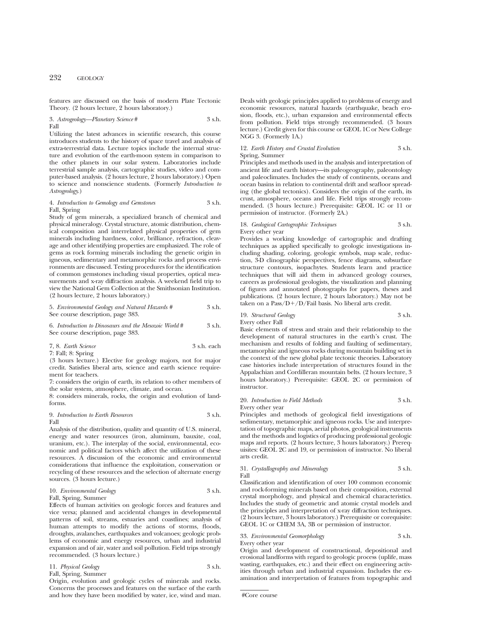features are discussed on the basis of modern Plate Tectonic Theory. (2 hours lecture, 2 hours laboratory.)

3. *Astrogeology—Planetary Science* # 3 s.h. Fall

Utilizing the latest advances in scientific research, this course introduces students to the history of space travel and analysis of extra-terrestrial data. Lecture topics include the internal structure and evolution of the earth-moon system in comparison to the other planets in our solar system. Laboratories include terrestrial sample analysis, cartographic studies, video and computer-based analysis. (2 hours lecture, 2 hours laboratory.) Open to science and nonscience students. (Formerly *Introduction to Astrogeology*.)

#### 4. *Introduction to Gemology and Gemstones* 3 s.h. Fall, Spring

Study of gem minerals, a specialized branch of chemical and physical mineralogy. Crystal structure, atomic distribution, chemical composition and interrelated physical properties of gem minerals including hardness, color, brilliance, refraction, cleavage and other identifying properties are emphasized. The role of gems as rock forming minerals including the genetic origin in igneous, sedimentary and metamorphic rocks and process environments are discussed. Testing procedures for the identification of common gemstones including visual properties, optical measurements and x-ray diffraction analysis. A weekend field trip to view the National Gem Collection at the Smithsonian Institution. (2 hours lecture, 2 hours laboratory.)

5. *Environmental Geology and Natural Hazards #* 3 s.h. See course description, page 383.

6. *Introduction to Dinosaurs and the Mesozoic World* # 3 s.h. See course description, page 383.

7, 8. *Earth Science* 3 s.h. each 7: Fall; 8: Spring

(3 hours lecture.) Elective for geology majors, not for major credit. Satisfies liberal arts, science and earth science requirement for teachers.

7: considers the origin of earth, its relation to other members of the solar system, atmosphere, climate, and ocean.

8: considers minerals, rocks, the origin and evolution of landforms.

#### 9. *Introduction to Earth Resources* 3 s.h. Fall

Analysis of the distribution, quality and quantity of U.S. mineral, energy and water resources (iron, aluminum, bauxite, coal, uranium, etc.). The interplay of the social, environmental, economic and political factors which affect the utilization of these resources. A discussion of the economic and environmental considerations that influence the exploitation, conservation or recycling of these resources and the selection of alternate energy sources. (3 hours lecture.)

10. *Environmental Geology* 3 s.h.

Fall, Spring, Summer

Effects of human activities on geologic forces and features and vice versa; planned and accidental changes in developmental patterns of soil, streams, estuaries and coastlines; analysis of human attempts to modify the actions of storms, floods, droughts, avalanches, earthquakes and volcanoes; geologic problems of economic and energy resources, urban and industrial expansion and of air, water and soil pollution. Field trips strongly recommended. (3 hours lecture.)

11. *Physical Geology* 3 s.h. Fall, Spring, Summer

Origin, evolution and geologic cycles of minerals and rocks. Concerns the processes and features on the surface of the earth and how they have been modified by water, ice, wind and man.

Deals with geologic principles applied to problems of energy and economic resources, natural hazards (earthquake, beach erosion, floods, etc.), urban expansion and environmental effects from pollution. Field trips strongly recommended. (3 hours lecture.) Credit given for this course or GEOL 1C or New College NGG 3. (Formerly 1A.)

## 12. *Earth History and Crustal Evolution* 3 s.h. Spring, Summer

Principles and methods used in the analysis and interpretation of ancient life and earth history—its paleogeography, paleontology and paleoclimates. Includes the study of continents, oceans and ocean basins in relation to continental drift and seafloor spreading (the global tectonics). Considers the origin of the earth, its crust, atmosphere, oceans and life. Field trips strongly recommended. (3 hours lecture.) Prerequisite: GEOL 1C or 11 or permission of instructor. (Formerly 2A.)

## 18. *Geological Cartographic Techniques* 3 s.h. Every other year

Provides a working knowledge of cartographic and drafting techniques as applied specifically to geologic investigations including shading, coloring, geologic symbols, map scale, reduction, 3-D clinographic perspectives, fence diagrams, subsurface structure contours, isopachytes. Students learn and practice techniques that will aid them in advanced geology courses, careers as professional geologists, the visualization and planning of figures and annotated photographs for papers, theses and publications. (2 hours lecture, 2 hours laboratory.) May not be taken on a  $Pass/D+/D/fail$  basis. No liberal arts credit.

19. *Structural Geology* 3 s.h. Every other Fall

Basic elements of stress and strain and their relationship to the development of natural structures in the earth's crust. The mechanism and results of folding and faulting of sedimentary, metamorphic and igneous rocks during mountain building set in the context of the new global plate tectonic theories. Laboratory case histories include interpretation of structures found in the Appalachian and Cordilleran mountain belts. (2 hours lecture, 3 hours laboratory.) Prerequisite: GEOL 2C or permission of instructor.

## 20. *Introduction to Field Methods* 3 s.h. Every other year

Principles and methods of geological field investigations of sedimentary, metamorphic and igneous rocks. Use and interpretation of topographic maps, aerial photos, geological instruments and the methods and logistics of producing professional geologic maps and reports. (2 hours lecture, 3 hours laboratory.) Prerequisites: GEOL 2C and 19, or permission of instructor. No liberal arts credit.

#### 31. *Crystallography and Mineralogy* 3 s.h. Fall

Classification and identification of over 100 common economic and rock-forming minerals based on their composition, external crystal morphology, and physical and chemical characteristics. Includes the study of geometric and atomic crystal models and the principles and interpretation of x-ray diffraction techniques. (2 hours lecture, 3 hours laboratory.) Prerequisite or corequisite: GEOL 1C or CHEM 3A, 3B or permission of instructor.

33. *Environmental Geomorphology* 3 s.h. Every other year

Origin and development of constructional, depositional and erosional landforms with regard to geologic process (uplife, mass wasting, earthquakes, etc.) and their effect on engineering activities through urban and industrial expansion. Includes the examination and interpretation of features from topographic and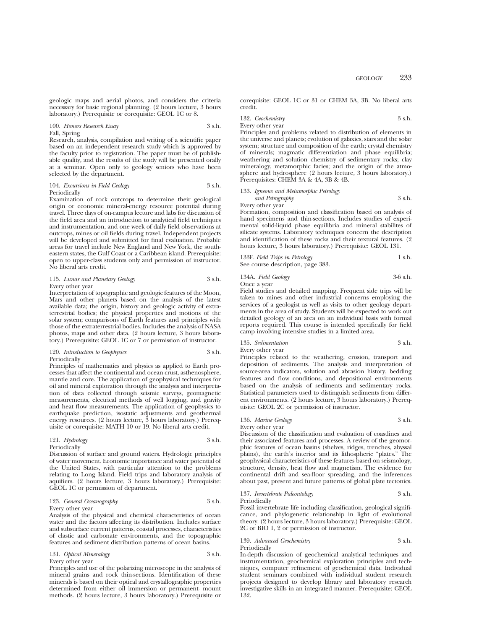100. *Honors Research Essay* 3 s.h. Fall, Spring

Research, analysis, compilation and writing of a scientific paper based on an independent research study which is approved by the faculty prior to registration. The paper must be of publishable quality, and the results of the study will be presented orally at a seminar. Open only to geology seniors who have been selected by the department.

#### 104. *Excursions in Field Geology* 3 s.h. Periodically

Examination of rock outcrops to determine their geological origin or economic mineral-energy resource potential during travel. Three days of on-campus lecture and labs for discussion of the field area and an introduction to analytical field techniques and instrumentation, and one week of daily field observations at outcrops, mines or oil fields during travel. Independent projects will be developed and submitted for final evaluation. Probable areas for travel include New England and New York, the southeastern states, the Gulf Coast or a Caribbean island. Prerequisite: open to upper-class students only and permission of instructor. No liberal arts credit.

#### 115. *Lunar and Planetary Geology* 3 s.h. Every other year

Interpretation of topographic and geologic features of the Moon, Mars and other planets based on the analysis of the latest available data; the origin, history and geologic activity of extraterrestrial bodies; the physical properties and motions of the solar system; comparisons of Earth features and principles with those of the extraterrestrial bodies. Includes the analysis of NASA photos, maps and other data. (2 hours lecture, 3 hours laboratory.) Prerequisite: GEOL 1C or 7 or permission of instructor.

120. *Introduction to Geophysics* 3 s.h. Periodically

Principles of mathematics and physics as applied to Earth processes that affect the continental and ocean crust, asthenosphere, mantle and core. The application of geophysical techniques for oil and mineral exploration through the analysis and interpretation of data collected through seismic surveys, geomagnetic measurements, electrical methods of well logging, and gravity and heat flow measurements. The application of geophysics to earthquake prediction, isostatic adjustments and geothermal energy resources. (2 hours lecture, 3 hours laboratory.) Prerequisite or corequisite: MATH 10 or 19. No liberal arts credit.

#### 121. *Hydrology* 3 s.h. Periodically

Discussion of surface and ground waters. Hydrologic principles of water movement. Economic importance and water potential of the United States, with particular attention to the problems relating to Long Island. Field trips and laboratory analysis of aquifiers. (2 hours lecture, 3 hours laboratory.) Prerequisite: GEOL 1C or permission of department.

# 123. *General Oceanography* 3 s.h.

Every other year Analysis of the physical and chemical characteristics of ocean water and the factors affecting its distribution. Includes surface and subsurface current patterns, coastal processes, characteristics of clastic and carbonate environments, and the topographic features and sediment distribution patterns of ocean basins.

# 131. *Optical Mineralogy* 3 s.h.

Every other year Principles and use of the polarizing microscope in the analysis of mineral grains and rock thin-sections. Identification of these minerals is based on their optical and crystallographic properties determined from either oil immersion or permanent- mount methods. (2 hours lecture, 3 hours laboratory.) Prerequisite or

corequisite: GEOL 1C or 31 or CHEM 3A, 3B. No liberal arts credit.

132. *Geochemistry* 3 s.h. Every other year

Principles and problems related to distribution of elements in the universe and planets; evolution of galaxies, stars and the solar system; structure and composition of the earth; crystal chemistry of minerals; magmatic differentiation and phase equilibria; weathering and solution chemistry of sedimentary rocks; clay mineralogy, metamorphic facies; and the origin of the atmosphere and hydrosphere (2 hours lecture, 3 hours laboratory.) Prerequisites: CHEM 3A & 4A, 3B & 4B.

# 133. *Igneous and Metamorphic Petrology*

*and Petrography* 3 s.h. Every other year

Formation, composition and classification based on analysis of hand specimens and thin-sections. Includes studies of experimental solid-liquid phase equilibria and mineral stabilites of silicate systems. Laboratory techniques concern the description and identification of these rocks and their textural features. (2 hours lecture, 3 hours laboratory.) Prerequisite: GEOL 131.

| 133F. Field Trips in Petrology    | 1 s.h. |
|-----------------------------------|--------|
| See course description, page 383. |        |

## 134A. *Field Geology* 3-6 s.h. Once a year

Field studies and detailed mapping. Frequent side trips will be taken to mines and other industrial concerns employing the services of a geologist as well as visits to other geology departments in the area of study. Students will be expected to work out detailed geology of an area on an individual basis with formal reports required. This course is intended specifically for field camp involving intensive studies in a limited area.

135. *Sedimentation* 3 s.h. Every other year

Principles related to the weathering, erosion, transport and deposition of sediments. The analysis and interpretation of source-area indicators, solution and abrasion history, bedding features and flow conditions, and depositional environments based on the analysis of sediments and sedimentary rocks. Statistical parameters used to distinguish sediments from different environments. (2 hours lecture, 3 hours laboratory.) Prerequisite: GEOL 2C or permission of instructor.

# 136. *Marine Geology* 3 s.h.

Every other year

Discussion of the classification and evaluation of coastlines and their associated features and processes. A review of the geomorphic features of ocean basins (shelves, ridges, trenches, abyssal plains), the earth's interior and its lithospheric "plates." The geophysical characteristics of these features based on seismology, structure, density, heat flow and magnetism. The evidence for continental drift and sea-floor spreading, and the inferences about past, present and future patterns of global plate tectonics.

#### 137. *Invertebrate Paleontology* 3 s.h. Periodically

Fossil invertebrate life including classification, geological significance, and phylogenetic relationship in light of evolutional theory. (2 hours lecture, 3 hours laboratory.) Prerequisite: GEOL 2C or BIO 1, 2 or permission of instructor.

139. *Advanced Geochemistry* 3 s.h. Periodically

In-depth discussion of geochemical analytical techniques and instrumentation, geochemical exploration principles and techniques, computer refinement of geochemical data. Individual student seminars combined with individual student research projects designed to develop library and laboratory research investigative skills in an integrated manner. Prerequisite: GEOL 132.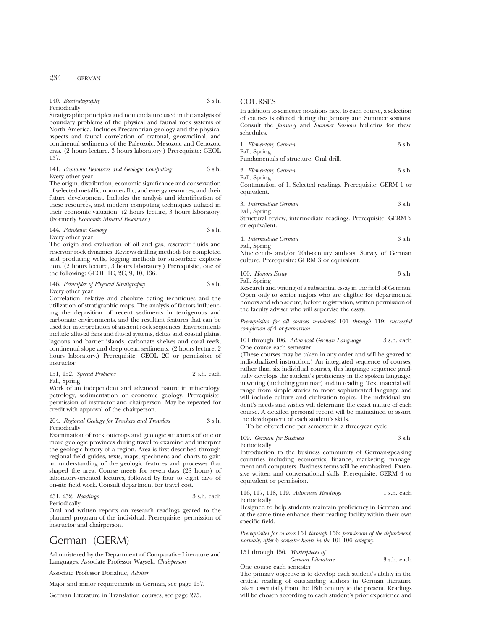#### 140. *Biostratigraphy* 3 s.h. Periodically

Stratigraphic principles and nomenclature used in the analysis of boundary problems of the physical and faunal rock systems of North America. Includes Precambrian geology and the physical aspects and faunal correlation of cratonal, geosynclinal, and continental sediments of the Paleozoic, Mesozoic and Cenozoic eras. (2 hours lecture, 3 hours laboratory.) Prerequisite: GEOL 137.

#### 141. *Economic Resources and Geologic Computing* 3 s.h. Every other year

The origin, distribution, economic significance and conservation of selected metallic, nonmetallic, and energy resources, and their future development. Includes the analysis and identification of these resources, and modern computing techniques utilized in their economic valuation. (2 hours lecture, 3 hours laboratory. (Formerly *Economic Mineral Resources.)*

144. *Petroleum Geology* 3 s.h.

Every other year

The origin and evaluation of oil and gas, reservoir fluids and reservoir rock dynamics. Reviews drilling methods for completed and producing wells, logging methods for subsurface exploration. (2 hours lecture, 3 hours laboratory.) Prerequisite, one of the following: GEOL 1C, 2C, 9, 10, 136.

#### 146. *Principles of Physical Stratigraphy* 3 s.h. Every other year

Correlation, relative and absolute dating techniques and the utilization of stratigraphic maps. The analysis of factors influencing the deposition of recent sediments in terrigenous and carbonate environments, and the resultant features that can be used for interpretation of ancient rock sequences. Environments include alluvial fans and fluvial systems, deltas and coastal plains, lagoons and barrier islands, carbonate shelves and coral reefs, continental slope and deep ocean sediments. (2 hours lecture, 2 hours laboratory.) Prerequisite: GEOL 2C or permission of instructor.

|              | 151, 152. Special Problems | 2 s.h. each |
|--------------|----------------------------|-------------|
| Fall, Spring |                            |             |

Work of an independent and advanced nature in mineralogy, petrology, sedimentation or economic geology. Prerequisite: permission of instructor and chairperson. May be repeated for credit with approval of the chairperson.

#### 204. *Regional Geology for Teachers and Travelers* 3 s.h. Periodically

Examination of rock outcrops and geologic structures of one or more geologic provinces during travel to examine and interpret the geologic history of a region. Area is first described through regional field guides, texts, maps, specimens and charts to gain an understanding of the geologic features and processes that shaped the area. Course meets for seven days (28 hours) of laboratory-oriented lectures, followed by four to eight days of on-site field work. Consult department for travel cost.

### 251, 252. *Readings* 3 s.h. each Periodically

Oral and written reports on research readings geared to the planned program of the individual. Prerequisite: permission of instructor and chairperson.

# German (GERM)

Administered by the Department of Comparative Literature and Languages. Associate Professor Waysek, *Chairperson*

Associate Professor Donahue, *Adviser*

Major and minor requirements in German, see page 157.

German Literature in Translation courses, see page 275.

# **COURSES**

In addition to semester notations next to each course, a selection of courses is offered during the January and Summer sessions. Consult the *January* and *Summer Sessions* bulletins for these schedules.

| 1. Elementary German                   | 3 s.h. |
|----------------------------------------|--------|
| Fall, Spring                           |        |
| Fundamentals of structure. Oral drill. |        |
|                                        |        |

2. *Elementary German* 3 s.h. Fall, Spring

Continuation of 1. Selected readings. Prerequisite: GERM 1 or equivalent.

3. *Intermediate German* 3 s.h.

Fall, Spring Structural review, intermediate readings. Prerequisite: GERM 2 or equivalent.

| 4. Intermediate German | 3 s.h. |
|------------------------|--------|
| Fall, Spring           |        |

Nineteenth- and/or 20th-century authors. Survey of German culture. Prerequisite: GERM 3 or equivalent.

100. *Honors Essay* 3 s.h. Fall, Spring

Research and writing of a substantial essay in the field of German. Open only to senior majors who are eligible for departmental honors and who secure, before registration, written permission of the faculty adviser who will supervise the essay.

*Prerequisites for all courses numbered* 101 *through* 119: *successful completion of* 4 *or permission.*

101 through 106. *Advanced German Language* 3 s.h. each One course each semester

(These courses may be taken in any order and will be geared to individualized instruction.) An integrated sequence of courses, rather than six individual courses, this language sequence gradually develops the student's proficiency in the spoken language, in writing (including grammar) and in reading. Text material will range from simple stories to more sophisticated language and will include culture and civilization topics. The individual student's needs and wishes will determine the exact nature of each course. A detailed personal record will be maintained to assure the development of each student's skills.

To be offered one per semester in a three-year cycle.

$$
3 \, \text{s.h}
$$

Introduction to the business community of German-speaking countries including economics, finance, marketing, management and computers. Business terms will be emphasized. Extensive written and conversational skills. Prerequisite: GERM 4 or equivalent or permission.

116, 117, 118, 119. *Advanced Readings* 1 s.h. each Periodically

Designed to help students maintain proficiency in German and at the same time enhance their reading facility within their own specific field.

*Prerequisites for courses* 151 *through* 156: *permission of the department, normally after* 6 *semester hours in the* 101-106 *category.*

151 through 156. *Masterpieces of*

109. *German for Business* 

Periodically

*German Literature* 3 s.h. each One course each semester

The primary objective is to develop each student's ability in the critical reading of outstanding authors in German literature taken essentially from the 18th century to the present. Readings will be chosen according to each student's prior experience and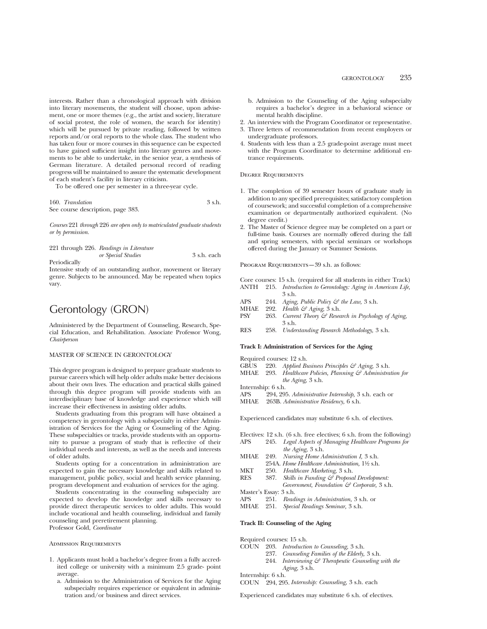interests. Rather than a chronological approach with division into literary movements, the student will choose, upon advisement, one or more themes (e.g., the artist and society, literature of social protest, the role of women, the search for identity) which will be pursued by private reading, followed by written reports and/or oral reports to the whole class. The student who has taken four or more courses in this sequence can be expected to have gained sufficient insight into literary genres and movements to be able to undertake, in the senior year, a synthesis of German literature. A detailed personal record of reading progress will be maintained to assure the systematic development of each student's facility in literary criticism.

To be offered one per semester in a three-year cycle.

160. Translation 3 s.h. See course description, page 383.

*Courses* 221 *through* 226 *are open only to matriculated graduate students or by permission.*

|              | 221 through 226. Readings in Literature |             |
|--------------|-----------------------------------------|-------------|
|              | or Special Studies                      | 3 s.h. each |
| Periodically |                                         |             |

Intensive study of an outstanding author, movement or literary genre. Subjects to be announced. May be repeated when topics vary.

# Gerontology (GRON)

Administered by the Department of Counseling, Research, Special Education, and Rehabilitation. Associate Professor Wong, *Chairperson*

#### MASTER OF SCIENCE IN GERONTOLOGY

This degree program is designed to prepare graduate students to pursue careers which will help older adults make better decisions about their own lives. The education and practical skills gained through this degree program will provide students with an interdisciplinary base of knowledge and experience which will increase their effectiveness in assisting older adults.

Students graduating from this program will have obtained a competency in gerontology with a subspecialty in either Administration of Services for the Aging or Counseling of the Aging. These subspecialties or tracks, provide students with an opportunity to pursue a program of study that is reflective of their individual needs and interests, as well as the needs and interests of older adults.

Students opting for a concentration in administration are expected to gain the necessary knowledge and skills related to management, public policy, social and health service planning, program development and evaluation of services for the aging.

Students concentrating in the counseling subspecialty are expected to develop the knowledge and skills necessary to provide direct therapeutic services to older adults. This would include vocational and health counseling, individual and family counseling and preretirement planning. Professor Gold, *Coordinator*

Admission Requirements

- 1. Applicants must hold a bachelor's degree from a fully accredited college or university with a minimum 2.5 grade- point average.
	- a. Admission to the Administration of Services for the Aging subspecialty requires experience or equivalent in administration and/or business and direct services.
- b. Admission to the Counseling of the Aging subspecialty requires a bachelor's degree in a behavioral science or mental health discipline.
- 2. An interview with the Program Coordinator or representative.
- 3. Three letters of recommendation from recent employers or undergraduate professors.
- 4. Students with less than a 2.5 grade-point average must meet with the Program Coordinator to determine additional entrance requirements.

Degree Requirements

- 1. The completion of 39 semester hours of graduate study in addition to any specified prerequisites; satisfactory completion of coursework; and successful completion of a comprehensive examination or departmentally authorized equivalent. (No degree credit.)
- 2. The Master of Science degree may be completed on a part or full-time basis. Courses are normally offered during the fall and spring semesters, with special seminars or workshops offered during the January or Summer Sessions.

PROGRAM REQUIREMENTS-39 s.h. as follows:

Core courses: 15 s.h. (required for all students in either Track) ANTH 215. *Introduction to Gerontology: Aging in American Life,*

- APS 244. *Aging, Public Policy & the Law,* 3 s.h.<br>MHAE 292. *Health & Aging*, 3 s.h.
- 3 s.h. 292. *Health & Aging*, 3 s.h.
- PSY 263. *Current Theory & Research in Psychology of Aging,* 3 s.h.
- RES 258. *Understanding Research Methodology,* 3 s.h.

#### **Track I: Administration of Services for the Aging**

- 
- Required courses: 12 s.h.<br>GBUS 220. Applied Bu GBUS 220. *Applied Business Principles & Aging,* 3 s.h.
- MHAE 293. *Healthcare Policies, Planning & Administration for*
- *the Aging,* 3 s.h.
- 
- Internship: 6 s.h.<br>APS 294, 29! 294, 295. *Administrative Internship*, 3 s.h. each or
- MHAE 263B. *Administrative Residency,* 6 s.h.

Experienced candidates may substitute 6 s.h. of electives.

- Electives: 12 s.h. (6 s.h. free electives; 6 s.h. from the following) APS 245. *Legal Aspects of Managing Healthcare Programs for*
- *the Aging,* 3 s.h. MHAE 249. *Nursing Home Administration I,* 3 s.h.
- 254A. *Home Healthcare Administration,* 11⁄2 s.h.
- MKT 250. *Healthcare Marketing,* 3 s.h.
- RES 387. *Skills in Funding & Proposal Development:*
- *Government, Foundation & Corporate,* 3 s.h.
- Master's Essay: 3 s.h.
- APS 251. *Readings in Administration,* 3 s.h. or
- MHAE 251. *Special Readings Seminar,* 3 s.h.

### **Track II: Counseling of the Aging**

Required courses: 15 s.h.<br>COUN 203. Introduction

- COUN 203. *Introduction to Counseling,* 3 s.h.
	- 237. *Counseling Families of the Elderly,* 3 s.h.
	- 244. *Interviewing & Therapeutic Counseling with the Aging,* 3 s.h.
- Internship: 6 s.h.

COUN 294, 295. *Internship: Counseling,* 3 s.h. each

Experienced candidates may substitute 6 s.h. of electives.